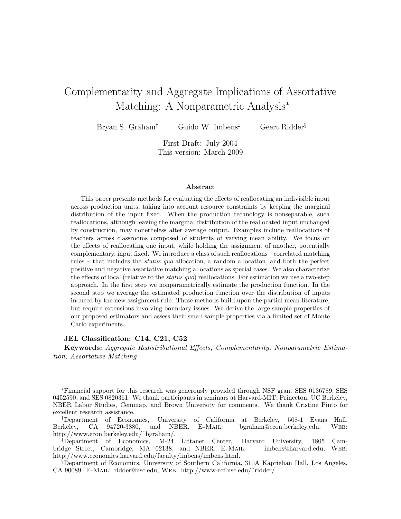# Complementarity and Aggregate Implications of Assortative Matching: A Nonparametric Analysis<sup>∗</sup>

Bryan S. Graham† Guido W. Imbens‡ Geert Ridder§

First Draft: July 2004 This version: March 2009

### Abstract

This paper presents methods for evaluating the effects of reallocating an indivisible input across production units, taking into account resource constraints by keeping the marginal distribution of the input fixed. When the production technology is nonseparable, such reallocations, although leaving the marginal distribution of the reallocated input unchanged by construction, may nonetheless alter average output. Examples include reallocations of teachers across classrooms composed of students of varying mean ability. We focus on the effects of reallocating one input, while holding the assignment of another, potentially complementary, input fixed. We introduce a class of such reallocations – correlated matching rules – that includes the status quo allocation, a random allocation, and both the perfect positive and negative assortative matching allocations as special cases. We also characterize the effects of local (relative to the *status quo*) reallocations. For estimation we use a two-step approach. In the first step we nonparametrically estimate the production function. In the second step we average the estimated production function over the distribution of inputs induced by the new assignment rule. These methods build upon the partial mean literature, but require extensions involving boundary issues. We derive the large sample properties of our proposed estimators and assess their small sample properties via a limited set of Monte Carlo experiments.

### JEL Classification: C14, C21, C52

Keywords: Aggregate Redistributional Effects, Complementarity, Nonparametric Estimation, Assortative Matching

<sup>∗</sup>Financial support for this research was generously provided through NSF grant SES 0136789, SES 0452590, and SES 0820361. We thank participants in seminars at Harvard-MIT, Princeton, UC Berkeley, NBER Labor Studies, Cemmap, and Brown University for comments. We thank Cristine Pinto for excellent research assistance.

<sup>†</sup>Department of Economics, University of California at Berkeley, 508-1 Evans Hall, Berkeley, CA 94720-3880, and NBER. E-Mail: bgraham@econ.berkeley.edu, Web: http://www.econ.berkeley.edu/˜bgraham/.

<sup>‡</sup>Department of Economics, M-24 Littauer Center, Harvard University, 1805 Cambridge Street, Cambridge, MA 02138, and NBER. E-Mail: imbens@harvard.edu, Web: http://www.economics.harvard.edu/faculty/imbens/imbens.html.

<sup>§</sup>Department of Economics, University of Southern California, 310A Kaprielian Hall, Los Angeles, CA 90089. E-Mail: ridder@usc.edu, Web: http://www-rcf.usc.edu/˜ridder/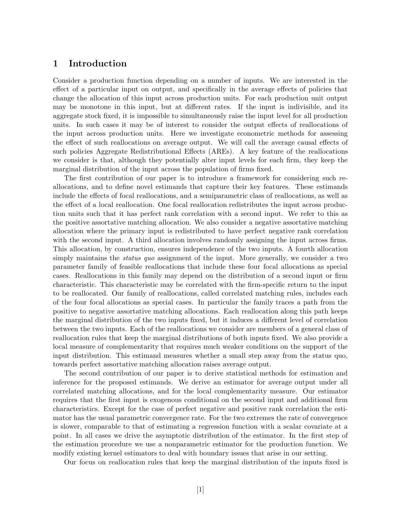## 1 Introduction

Consider a production function depending on a number of inputs. We are interested in the effect of a particular input on output, and specifically in the average effects of policies that change the allocation of this input across production units. For each production unit output may be monotone in this input, but at different rates. If the input is indivisible, and its aggregate stock fixed, it is impossible to simultaneously raise the input level for all production units. In such cases it may be of interest to consider the output effects of reallocations of the input across production units. Here we investigate econometric methods for assessing the effect of such reallocations on average output. We will call the average causal effects of such policies Aggregate Redistributional Effects (AREs). A key feature of the reallocations we consider is that, although they potentially alter input levels for each firm, they keep the marginal distribution of the input across the population of firms fixed.

The first contribution of our paper is to introduce a framework for considering such reallocations, and to define novel estimands that capture their key features. These estimands include the effects of focal reallocations, and a semiparametric class of reallocations, as well as the effect of a local reallocation. One focal reallocation redistributes the input across production units such that it has perfect rank correlation with a second input. We refer to this as the positive assortative matching allocation. We also consider a negative assortative matching allocation where the primary input is redistributed to have perfect negative rank correlation with the second input. A third allocation involves randomly assigning the input across firms. This allocation, by construction, ensures independence of the two inputs. A fourth allocation simply maintains the *status quo* assignment of the input. More generally, we consider a two parameter family of feasible reallocations that include these four focal allocations as special cases. Reallocations in this family may depend on the distribution of a second input or firm characteristic. This characteristic may be correlated with the firm-specific return to the input to be reallocated. Our family of reallocations, called correlated matching rules, includes each of the four focal allocations as special cases. In particular the family traces a path from the positive to negative assortative matching allocations. Each reallocation along this path keeps the marginal distribution of the two inputs fixed, but it induces a different level of correlation between the two inputs. Each of the reallocations we consider are members of a general class of reallocation rules that keep the marginal distributions of both inputs fixed. We also provide a local measure of complementarity that requires much weaker conditions on the support of the input distribution. This estimand measures whether a small step away from the status quo, towards perfect assortative matching allocation raises average output.

The second contribution of our paper is to derive statistical methods for estimation and inference for the proposed estimands. We derive an estimator for average output under all correlated matching allocations, and for the local complementarity measure. Our estimator requires that the first input is exogenous conditional on the second input and additional firm characteristics. Except for the case of perfect negative and positive rank correlation the estimator has the usual parametric convergence rate. For the two extremes the rate of convergence is slower, comparable to that of estimating a regression function with a scalar covariate at a point. In all cases we drive the asymptotic distribution of the estimator. In the first step of the estimation procedure we use a nonparametric estimator for the production function. We modify existing kernel estimators to deal with boundary issues that arise in our setting.

Our focus on reallocation rules that keep the marginal distribution of the inputs fixed is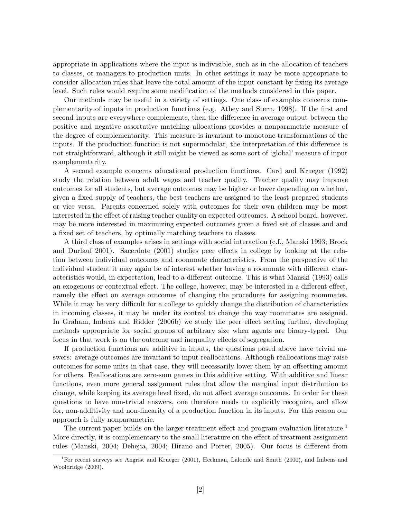appropriate in applications where the input is indivisible, such as in the allocation of teachers to classes, or managers to production units. In other settings it may be more appropriate to consider allocation rules that leave the total amount of the input constant by fixing its average level. Such rules would require some modification of the methods considered in this paper.

Our methods may be useful in a variety of settings. One class of examples concerns complementarity of inputs in production functions (e.g. Athey and Stern, 1998). If the first and second inputs are everywhere complements, then the difference in average output between the positive and negative assortative matching allocations provides a nonparametric measure of the degree of complementarity. This measure is invariant to monotone transformations of the inputs. If the production function is not supermodular, the interpretation of this difference is not straightforward, although it still might be viewed as some sort of 'global' measure of input complementarity.

A second example concerns educational production functions. Card and Krueger (1992) study the relation between adult wages and teacher quality. Teacher quality may improve outcomes for all students, but average outcomes may be higher or lower depending on whether, given a fixed supply of teachers, the best teachers are assigned to the least prepared students or vice versa. Parents concerned solely with outcomes for their own children may be most interested in the effect of raising teacher quality on expected outcomes. A school board, however, may be more interested in maximizing expected outcomes given a fixed set of classes and and a fixed set of teachers, by optimally matching teachers to classes.

A third class of examples arises in settings with social interaction (c.f., Manski 1993; Brock and Durlauf 2001). Sacerdote (2001) studies peer effects in college by looking at the relation between individual outcomes and roommate characteristics. From the perspective of the individual student it may again be of interest whether having a roommate with different characteristics would, in expectation, lead to a different outcome. This is what Manski (1993) calls an exogenous or contextual effect. The college, however, may be interested in a different effect, namely the effect on average outcomes of changing the procedures for assigning roommates. While it may be very difficult for a college to quickly change the distribution of characteristics in incoming classes, it may be under its control to change the way roommates are assigned. In Graham, Imbens and Ridder (2006b) we study the peer effect setting further, developing methods appropriate for social groups of arbitrary size when agents are binary-typed. Our focus in that work is on the outcome and inequality effects of segregation.

If production functions are additive in inputs, the questions posed above have trivial answers: average outcomes are invariant to input reallocations. Although reallocations may raise outcomes for some units in that case, they will necessarily lower them by an offsetting amount for others. Reallocations are zero-sum games in this additive setting. With additive and linear functions, even more general assignment rules that allow the marginal input distribution to change, while keeping its average level fixed, do not affect average outcomes. In order for these questions to have non-trivial answers, one therefore needs to explicitly recognize, and allow for, non-additivity and non-linearity of a production function in its inputs. For this reason our approach is fully nonparametric.

The current paper builds on the larger treatment effect and program evaluation literature.<sup>1</sup> More directly, it is complementary to the small literature on the effect of treatment assignment rules (Manski, 2004; Dehejia, 2004; Hirano and Porter, 2005). Our focus is different from

<sup>&</sup>lt;sup>1</sup>For recent surveys see Angrist and Krueger (2001), Heckman, Lalonde and Smith (2000), and Imbens and Wooldridge (2009).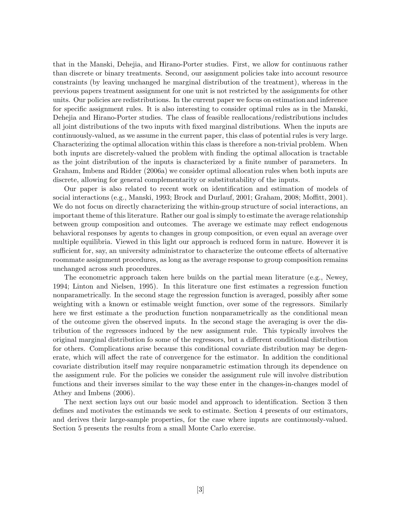that in the Manski, Dehejia, and Hirano-Porter studies. First, we allow for continuous rather than discrete or binary treatments. Second, our assignment policies take into account resource constraints (by leaving unchanged he marginal distribution of the treatment), whereas in the previous papers treatment assignment for one unit is not restricted by the assignments for other units. Our policies are redistributions. In the current paper we focus on estimation and inference for specific assignment rules. It is also interesting to consider optimal rules as in the Manski, Dehejia and Hirano-Porter studies. The class of feasible reallocations/redistributions includes all joint distributions of the two inputs with fixed marginal distributions. When the inputs are continuously-valued, as we assume in the current paper, this class of potential rules is very large. Characterizing the optimal allocation within this class is therefore a non-trivial problem. When both inputs are discretely-valued the problem with finding the optimal allocation is tractable as the joint distribution of the inputs is characterized by a finite number of parameters. In Graham, Imbens and Ridder (2006a) we consider optimal allocation rules when both inputs are discrete, allowing for general complementarity or substitutability of the inputs.

Our paper is also related to recent work on identification and estimation of models of social interactions (e.g., Manski, 1993; Brock and Durlauf, 2001; Graham, 2008; Moffitt, 2001). We do not focus on directly characterizing the within-group structure of social interactions, an important theme of this literature. Rather our goal is simply to estimate the average relationship between group composition and outcomes. The average we estimate may reflect endogenous behavioral responses by agents to changes in group composition, or even equal an average over multiple equilibria. Viewed in this light our approach is reduced form in nature. However it is sufficient for, say, an university administrator to characterize the outcome effects of alternative roommate assignment procedures, as long as the average response to group composition remains unchanged across such procedures.

The econometric approach taken here builds on the partial mean literature (e.g., Newey, 1994; Linton and Nielsen, 1995). In this literature one first estimates a regression function nonparametrically. In the second stage the regression function is averaged, possibly after some weighting with a known or estimable weight function, over some of the regressors. Similarly here we first estimate a the production function nonparametrically as the conditional mean of the outcome given the observed inputs. In the second stage the averaging is over the distribution of the regressors induced by the new assignment rule. This typically involves the original marginal distribution fo some of the regressors, but a different conditional distribution for others. Complications arise because this conditional covariate distribution may be degenerate, which will affect the rate of convergence for the estimator. In addition the conditional covariate distribution itself may require nonparametric estimation through its dependence on the assignment rule. For the policies we consider the assignment rule will involve distribution functions and their inverses similar to the way these enter in the changes-in-changes model of Athey and Imbens (2006).

The next section lays out our basic model and approach to identification. Section 3 then defines and motivates the estimands we seek to estimate. Section 4 presents of our estimators, and derives their large-sample properties, for the case where inputs are continuously-valued. Section 5 presents the results from a small Monte Carlo exercise.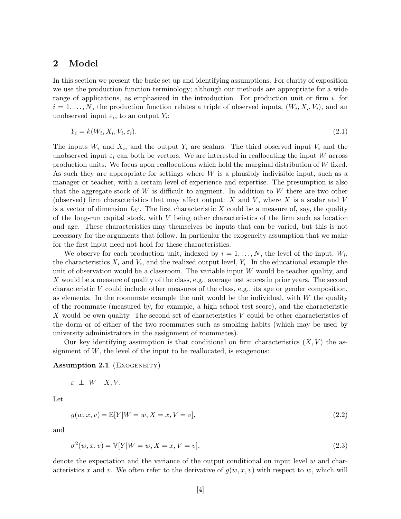### 2 Model

In this section we present the basic set up and identifying assumptions. For clarity of exposition we use the production function terminology; although our methods are appropriate for a wide range of applications, as emphasized in the introduction. For production unit or firm  $i$ , for  $i = 1, \ldots, N$ , the production function relates a triple of observed inputs,  $(W_i, X_i, V_i)$ , and an unobserved input  $\varepsilon_i$ , to an output  $Y_i$ :

$$
Y_i = k(W_i, X_i, V_i, \varepsilon_i). \tag{2.1}
$$

The inputs  $W_i$  and  $X_i$ , and the output  $Y_i$  are scalars. The third observed input  $V_i$  and the unobserved input  $\varepsilon_i$  can both be vectors. We are interested in reallocating the input W across production units. We focus upon reallocations which hold the marginal distribution of W fixed. As such they are appropriate for settings where  $W$  is a plausibly indivisible input, such as a manager or teacher, with a certain level of experience and expertise. The presumption is also that the aggregate stock of  $W$  is difficult to augment. In addition to  $W$  there are two other (observed) firm characteristics that may affect output: X and V, where X is a scalar and V is a vector of dimension  $L_V$ . The first characteristic X could be a measure of, say, the quality of the long-run capital stock, with  $V$  being other characteristics of the firm such as location and age. These characteristics may themselves be inputs that can be varied, but this is not necessary for the arguments that follow. In particular the exogeneity assumption that we make for the first input need not hold for these characteristics.

We observe for each production unit, indexed by  $i = 1, \ldots, N$ , the level of the input,  $W_i$ , the characteristics  $X_i$  and  $V_i$ , and the realized output level,  $Y_i$ . In the educational example the unit of observation would be a classroom. The variable input  $W$  would be teacher quality, and X would be a measure of quality of the class, e.g., average test scores in prior years. The second characteristic V could include other measures of the class, e.g., its age or gender composition, as elements. In the roommate example the unit would be the individual, with  $W$  the quality of the roommate (measured by, for example, a high school test score), and the characteristic X would be own quality. The second set of characteristics V could be other characteristics of the dorm or of either of the two roommates such as smoking habits (which may be used by university administrators in the assignment of roommates).

Our key identifying assumption is that conditional on firm characteristics  $(X, V)$  the assignment of  $W$ , the level of the input to be reallocated, is exogenous:

### Assumption 2.1 (EXOGENEITY)

$$
\varepsilon \perp W \mid X, V.
$$

Let

$$
g(w, x, v) = \mathbb{E}[Y|W = w, X = x, V = v],
$$
\n(2.2)

and

$$
\sigma^{2}(w, x, v) = \mathbb{V}[Y|W = w, X = x, V = v],
$$
\n(2.3)

denote the expectation and the variance of the output conditional on input level  $w$  and characteristics x and v. We often refer to the derivative of  $q(w, x, v)$  with respect to w, which will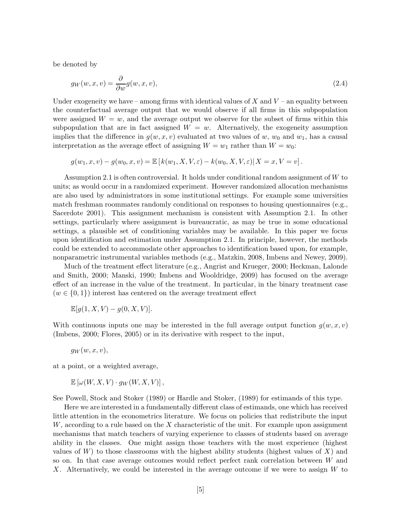be denoted by

$$
g_W(w, x, v) = \frac{\partial}{\partial w} g(w, x, v),\tag{2.4}
$$

Under exogeneity we have – among firms with identical values of  $X$  and  $V$  – an equality between the counterfactual average output that we would observe if all firms in this subpopulation were assigned  $W = w$ , and the average output we observe for the subset of firms within this subpopulation that are in fact assigned  $W = w$ . Alternatively, the exogeneity assumption implies that the difference in  $g(w, x, v)$  evaluated at two values of w,  $w_0$  and  $w_1$ , has a causal interpretation as the average effect of assigning  $W = w_1$  rather than  $W = w_0$ :

$$
g(w_1, x, v) - g(w_0, x, v) = \mathbb{E}\left[k(w_1, X, V, \varepsilon) - k(w_0, X, V, \varepsilon)|X = x, V = v\right].
$$

Assumption 2.1 is often controversial. It holds under conditional random assignment of W to units; as would occur in a randomized experiment. However randomized allocation mechanisms are also used by administrators in some institutional settings. For example some universities match freshman roommates randomly conditional on responses to housing questionnaires (e.g., Sacerdote 2001). This assignment mechanism is consistent with Assumption 2.1. In other settings, particularly where assignment is bureaucratic, as may be true in some educational settings, a plausible set of conditioning variables may be available. In this paper we focus upon identification and estimation under Assumption 2.1. In principle, however, the methods could be extended to accommodate other approaches to identification based upon, for example, nonparametric instrumental variables methods (e.g., Matzkin, 2008, Imbens and Newey, 2009).

Much of the treatment effect literature (e.g., Angrist and Krueger, 2000; Heckman, Lalonde and Smith, 2000; Manski, 1990; Imbens and Wooldridge, 2009) has focused on the average effect of an increase in the value of the treatment. In particular, in the binary treatment case  $(w \in \{0, 1\})$  interest has centered on the average treatment effect

$$
\mathbb{E}[g(1, X, V) - g(0, X, V)].
$$

With continuous inputs one may be interested in the full average output function  $q(w, x, v)$ (Imbens, 2000; Flores, 2005) or in its derivative with respect to the input,

$$
g_W(w,x,v),
$$

at a point, or a weighted average,

$$
\mathbb{E}\left[\omega(W, X, V) \cdot g_W(W, X, V)\right],
$$

See Powell, Stock and Stoker (1989) or Hardle and Stoker, (1989) for estimands of this type.

Here we are interested in a fundamentally different class of estimands, one which has received little attention in the econometrics literature. We focus on policies that redistribute the input  $W$ , according to a rule based on the X characteristic of the unit. For example upon assignment mechanisms that match teachers of varying experience to classes of students based on average ability in the classes. One might assign those teachers with the most experience (highest values of  $W$ ) to those classrooms with the highest ability students (highest values of  $X$ ) and so on. In that case average outcomes would reflect perfect rank correlation between W and X. Alternatively, we could be interested in the average outcome if we were to assign W to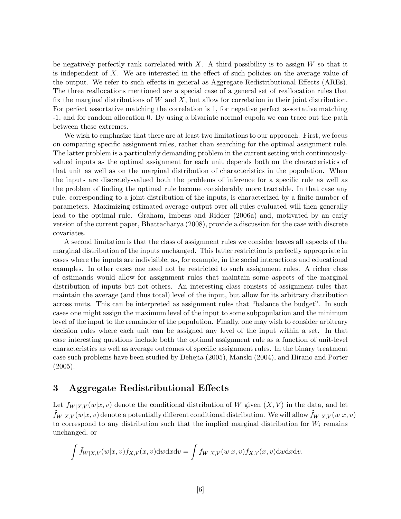be negatively perfectly rank correlated with  $X$ . A third possibility is to assign  $W$  so that it is independent of X. We are interested in the effect of such policies on the average value of the output. We refer to such effects in general as Aggregate Redistributional Effects (AREs). The three reallocations mentioned are a special case of a general set of reallocation rules that fix the marginal distributions of  $W$  and  $X$ , but allow for correlation in their joint distribution. For perfect assortative matching the correlation is 1, for negative perfect assortative matching -1, and for random allocation 0. By using a bivariate normal cupola we can trace out the path between these extremes.

We wish to emphasize that there are at least two limitations to our approach. First, we focus on comparing specific assignment rules, rather than searching for the optimal assignment rule. The latter problem is a particularly demanding problem in the current setting with continuouslyvalued inputs as the optimal assignment for each unit depends both on the characteristics of that unit as well as on the marginal distribution of characteristics in the population. When the inputs are discretely-valued both the problems of inference for a specific rule as well as the problem of finding the optimal rule become considerably more tractable. In that case any rule, corresponding to a joint distribution of the inputs, is characterized by a finite number of parameters. Maximizing estimated average output over all rules evaluated will then generally lead to the optimal rule. Graham, Imbens and Ridder (2006a) and, motivated by an early version of the current paper, Bhattacharya (2008), provide a discussion for the case with discrete covariates.

A second limitation is that the class of assignment rules we consider leaves all aspects of the marginal distribution of the inputs unchanged. This latter restriction is perfectly appropriate in cases where the inputs are indivisible, as, for example, in the social interactions and educational examples. In other cases one need not be restricted to such assignment rules. A richer class of estimands would allow for assignment rules that maintain some aspects of the marginal distribution of inputs but not others. An interesting class consists of assignment rules that maintain the average (and thus total) level of the input, but allow for its arbitrary distribution across units. This can be interpreted as assignment rules that "balance the budget". In such cases one might assign the maximum level of the input to some subpopulation and the minimum level of the input to the remainder of the population. Finally, one may wish to consider arbitrary decision rules where each unit can be assigned any level of the input within a set. In that case interesting questions include both the optimal assignment rule as a function of unit-level characteristics as well as average outcomes of specific assignment rules. In the binary treatment case such problems have been studied by Dehejia (2005), Manski (2004), and Hirano and Porter (2005).

## 3 Aggregate Redistributional Effects

Let  $f_{W|X,V}(w|x,v)$  denote the conditional distribution of W given  $(X, V)$  in the data, and let  $f_{W|X,V}(w|x,v)$  denote a potentially different conditional distribution. We will allow  $f_{W|X,V}(w|x,v)$ to correspond to any distribution such that the implied marginal distribution for  $W_i$  remains unchanged, or

$$
\int \tilde{f}_{W|X,V}(w|x,v) f_{X,V}(x,v) \mathrm{d}w \mathrm{d}x \mathrm{d}v = \int f_{W|X,V}(w|x,v) f_{X,V}(x,v) \mathrm{d}w \mathrm{d}x \mathrm{d}v.
$$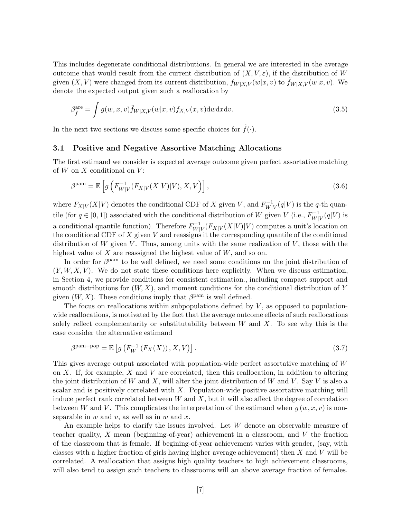This includes degenerate conditional distributions. In general we are interested in the average outcome that would result from the current distribution of  $(X, V, \varepsilon)$ , if the distribution of W given  $(X, V)$  were changed from its current distribution,  $f_{W|X,V}(w|x, v)$  to  $f_{W|X,V}(w|x, v)$ . We denote the expected output given such a reallocation by

$$
\beta_{\tilde{f}}^{\text{are}} = \int g(w, x, v) \tilde{f}_{W|X, V}(w|x, v) f_{X, V}(x, v) \, dw \, dx \, dv. \tag{3.5}
$$

In the next two sections we discuss some specific choices for  $\tilde{f}(\cdot)$ .

### 3.1 Positive and Negative Assortive Matching Allocations

The first estimand we consider is expected average outcome given perfect assortative matching of  $W$  on  $X$  conditional on  $V$ :

$$
\beta^{\text{pam}} = \mathbb{E}\left[g\left(F_{W|V}^{-1}(F_{X|V}(X|V)|V), X, V\right)\right],\tag{3.6}
$$

where  $F_{X|V}(X|V)$  denotes the conditional CDF of X given V, and  $F_{W|V}^{-1}$  $W^-_{W|V}(q|V)$  is the q-th quantile (for  $q \in [0, 1]$ ) associated with the conditional distribution of W given V (i.e.,  $F_{W|}^{-1}$ )  $W|_V^{-1}(q|V)$  is a conditional quantile function). Therefore  $F_{W|}^{-1}$  $W^{\mathsf{-1}}_{W|V}(F_{X|V}(X|V)|V)$  computes a unit's location on the conditional CDF of  $X$  given  $V$  and reassigns it the corresponding quantile of the conditional distribution of W given V. Thus, among units with the same realization of V, those with the highest value of  $X$  are reassigned the highest value of  $W$ , and so on.

In order for  $\beta^{\text{pam}}$  to be well defined, we need some conditions on the joint distribution of  $(Y, W, X, V)$ . We do not state these conditions here explicitly. When we discuss estimation, in Section 4, we provide conditions for consistent estimation., including compact support and smooth distributions for  $(W, X)$ , and moment conditions for the conditional distribution of Y given  $(W, X)$ . These conditions imply that  $\beta^{\text{pam}}$  is well defined.

The focus on reallocations within subpopulations defined by  $V$ , as opposed to populationwide reallocations, is motivated by the fact that the average outcome effects of such reallocations solely reflect complementarity or substitutability between  $W$  and  $X$ . To see why this is the case consider the alternative estimand

$$
\beta^{\text{pam-pop}} = \mathbb{E}\left[g\left(F_W^{-1}\left(F_X(X)\right), X, V\right)\right].\tag{3.7}
$$

This gives average output associated with population-wide perfect assortative matching of W on  $X$ . If, for example,  $X$  and  $V$  are correlated, then this reallocation, in addition to altering the joint distribution of W and X, will alter the joint distribution of W and V. Say V is also a scalar and is positively correlated with  $X$ . Population-wide positive assortative matching will induce perfect rank correlated between  $W$  and  $X$ , but it will also affect the degree of correlation between W and V. This complicates the interpretation of the estimand when  $g(w, x, v)$  is nonseparable in  $w$  and  $v$ , as well as in  $w$  and  $x$ .

An example helps to clarify the issues involved. Let W denote an observable measure of teacher quality,  $X$  mean (beginning-of-year) achievement in a classroom, and  $V$  the fraction of the classroom that is female. If begining-of-year achievement varies with gender, (say, with classes with a higher fraction of girls having higher average achievement) then X and V will be correlated. A reallocation that assigns high quality teachers to high achievement classrooms, will also tend to assign such teachers to classrooms will an above average fraction of females.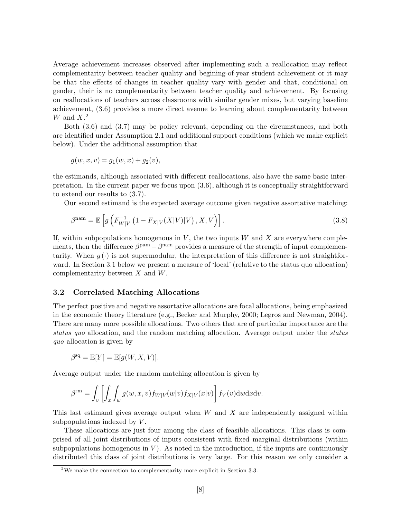Average achievement increases observed after implementing such a reallocation may reflect complementarity between teacher quality and begining-of-year student achievement or it may be that the effects of changes in teacher quality vary with gender and that, conditional on gender, their is no complementarity between teacher quality and achievement. By focusing on reallocations of teachers across classrooms with similar gender mixes, but varying baseline achievement, (3.6) provides a more direct avenue to learning about complementarity between W and  $X$ .<sup>2</sup>

Both (3.6) and (3.7) may be policy relevant, depending on the circumstances, and both are identified under Assumption 2.1 and additional support conditions (which we make explicit below). Under the additional assumption that

$$
g(w, x, v) = g_1(w, x) + g_2(v),
$$

the estimands, although associated with different reallocations, also have the same basic interpretation. In the current paper we focus upon (3.6), although it is conceptually straightforward to extend our results to (3.7).

Our second estimand is the expected average outcome given negative assortative matching:

$$
\beta^{\text{nam}} = \mathbb{E}\left[g\left(F_{W|V}^{-1}\left(1 - F_{X|V}(X|V)|V\right), X, V\right)\right].\tag{3.8}
$$

If, within subpopulations homogenous in  $V$ , the two inputs  $W$  and  $X$  are everywhere complements, then the difference  $\beta^{\text{pam}} - \beta^{\text{nam}}$  provides a measure of the strength of input complementarity. When  $g(\cdot)$  is not supermodular, the interpretation of this difference is not straightforward. In Section 3.1 below we present a measure of 'local' (relative to the status quo allocation) complementarity between  $X$  and  $W$ .

### 3.2 Correlated Matching Allocations

The perfect positive and negative assortative allocations are focal allocations, being emphasized in the economic theory literature (e.g., Becker and Murphy, 2000; Legros and Newman, 2004). There are many more possible allocations. Two others that are of particular importance are the status quo allocation, and the random matching allocation. Average output under the status quo allocation is given by

$$
\beta^{\text{sq}} = \mathbb{E}[Y] = \mathbb{E}[g(W, X, V)].
$$

Average output under the random matching allocation is given by

$$
\beta^{\text{rm}} = \int_v \left[ \int_x \int_w g(w, x, v) f_{W|V}(w|v) f_{X|V}(x|v) \right] f_V(v) \, dw \, dx \, dv.
$$

This last estimand gives average output when  $W$  and  $X$  are independently assigned within subpopulations indexed by  $V$ .

These allocations are just four among the class of feasible allocations. This class is comprised of all joint distributions of inputs consistent with fixed marginal distributions (within subpopulations homogenous in  $V$ ). As noted in the introduction, if the inputs are continuously distributed this class of joint distributions is very large. For this reason we only consider a

<sup>&</sup>lt;sup>2</sup>We make the connection to complementarity more explicit in Section 3.3.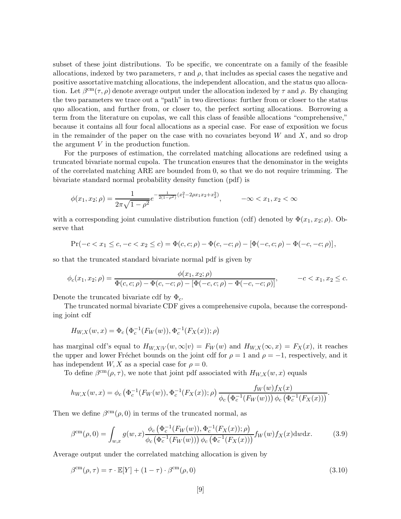subset of these joint distributions. To be specific, we concentrate on a family of the feasible allocations, indexed by two parameters,  $\tau$  and  $\rho$ , that includes as special cases the negative and positive assortative matching allocations, the independent allocation, and the status quo allocation. Let  $\beta^{\rm cm}(\tau,\rho)$  denote average output under the allocation indexed by  $\tau$  and  $\rho$ . By changing the two parameters we trace out a "path" in two directions: further from or closer to the status quo allocation, and further from, or closer to, the perfect sorting allocations. Borrowing a term from the literature on cupolas, we call this class of feasible allocations "comprehensive," because it contains all four focal allocations as a special case. For ease of exposition we focus in the remainder of the paper on the case with no covariates beyond  $W$  and  $X$ , and so drop the argument V in the production function.

For the purposes of estimation, the correlated matching allocations are redefined using a truncated bivariate normal cupola. The truncation ensures that the denominator in the weights of the correlated matching ARE are bounded from 0, so that we do not require trimming. The bivariate standard normal probability density function (pdf) is

$$
\phi(x_1, x_2; \rho) = \frac{1}{2\pi\sqrt{1 - \rho^2}} e^{-\frac{1}{2(1 - \rho^2)}(x_1^2 - 2\rho x_1 x_2 + x_2^2)}, \qquad -\infty < x_1, x_2 < \infty
$$

with a corresponding joint cumulative distribution function (cdf) denoted by  $\Phi(x_1, x_2; \rho)$ . Observe that

$$
\Pr(-c < x_1 \leq c, -c < x_2 \leq c) = \Phi(c, c; \rho) - \Phi(c, -c; \rho) - [\Phi(-c, c; \rho) - \Phi(-c, -c; \rho)],
$$

so that the truncated standard bivariate normal pdf is given by

$$
\phi_c(x_1, x_2; \rho) = \frac{\phi(x_1, x_2; \rho)}{\Phi(c, c; \rho) - \Phi(c, -c; \rho) - [\Phi(-c, c; \rho) - \Phi(-c, -c; \rho)]}, \qquad -c < x_1, x_2 \leq c.
$$

Denote the truncated bivariate cdf by  $\Phi_c$ .

The truncated normal bivariate CDF gives a comprehensive cupola, because the corresponding joint cdf

$$
H_{W,X}(w,x) = \Phi_c(\Phi_c^{-1}(F_W(w)), \Phi_c^{-1}(F_X(x)); \rho)
$$

has marginal cdf's equal to  $H_{W,X|V}(w,\infty|v) = F_W(w)$  and  $H_{W,X}(\infty,x) = F_X(x)$ , it reaches the upper and lower Fréchet bounds on the joint cdf for  $\rho = 1$  and  $\rho = -1$ , respectively, and it has independent  $W, X$  as a special case for  $\rho = 0$ .

To define  $\beta^{\rm cm}(\rho, \tau)$ , we note that joint pdf associated with  $H_{W,X}(w, x)$  equals

$$
h_{W,X}(w,x) = \phi_c\left(\Phi_c^{-1}(F_W(w)), \Phi_c^{-1}(F_X(x)); \rho\right) \frac{f_W(w)f_X(x)}{\phi_c\left(\Phi_c^{-1}(F_W(w))\right)\phi_c\left(\Phi_c^{-1}(F_X(x))\right)}.
$$

Then we define  $\beta^{\text{cm}}(\rho, 0)$  in terms of the truncated normal, as

$$
\beta^{\rm cm}(\rho,0) = \int_{w,x} g(w,x) \frac{\phi_c(\Phi_c^{-1}(F_W(w)), \Phi_c^{-1}(F_X(x)); \rho)}{\phi_c(\Phi_c^{-1}(F_W(w))) \phi_c(\Phi_c^{-1}(F_X(x)))} f_W(w) f_X(x) \, dw \, dx. \tag{3.9}
$$

Average output under the correlated matching allocation is given by

$$
\beta^{\text{cm}}(\rho,\tau) = \tau \cdot \mathbb{E}[Y] + (1-\tau) \cdot \beta^{\text{cm}}(\rho,0)
$$
\n(3.10)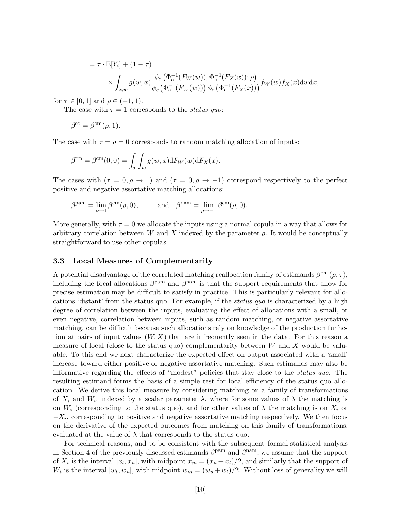$$
= \tau \cdot \mathbb{E}[Y_i] + (1 - \tau)
$$
  
\$\times \int\_{x,w} g(w, x) \frac{\phi\_c(\Phi\_c^{-1}(F\_W(w)), \Phi\_c^{-1}(F\_X(x)); \rho)}{\phi\_c(\Phi\_c^{-1}(F\_W(w))) \phi\_c(\Phi\_c^{-1}(F\_X(x)))} f\_W(w) f\_X(x) dwdx, \$

for  $\tau \in [0, 1]$  and  $\rho \in (-1, 1)$ .

The case with  $\tau = 1$  corresponds to the *status quo*:

$$
\beta^{\text{sq}} = \beta^{\text{cm}}(\rho, 1).
$$

The case with  $\tau = \rho = 0$  corresponds to random matching allocation of inputs:

$$
\beta^{\text{rm}} = \beta^{\text{cm}}(0,0) = \int_x \int_w g(w,x) \, dF_W(w) \, dF_X(x).
$$

The cases with  $(\tau = 0, \rho \to 1)$  and  $(\tau = 0, \rho \to -1)$  correspond respectively to the perfect positive and negative assortative matching allocations:

$$
\beta^{\mathrm{pam}} = \lim_{\rho \to 1} \beta^{\mathrm{cm}}(\rho, 0), \quad \text{and} \quad \beta^{\mathrm{nam}} = \lim_{\rho \to -1} \beta^{\mathrm{cm}}(\rho, 0).
$$

More generally, with  $\tau = 0$  we allocate the inputs using a normal copula in a way that allows for arbitrary correlation between W and X indexed by the parameter  $\rho$ . It would be conceptually straightforward to use other copulas.

### 3.3 Local Measures of Complementarity

A potential disadvantage of the correlated matching reallocation family of estimands  $\beta^{\rm cm}(\rho, \tau)$ , including the focal allocations  $\beta^{\text{pam}}$  and  $\beta^{\text{nam}}$  is that the support requirements that allow for precise estimation may be difficult to satisfy in practice. This is particularly relevant for allocations 'distant' from the status quo. For example, if the status quo is characterized by a high degree of correlation between the inputs, evaluating the effect of allocations with a small, or even negative, correlation between inputs, such as random matching, or negative assortative matching, can be difficult because such allocations rely on knowledge of the production funhction at pairs of input values  $(W, X)$  that are infrequently seen in the data. For this reason a measure of local (close to the status quo) complementarity between  $W$  and  $X$  would be valuable. To this end we next characterize the expected effect on output associated with a 'small' increase toward either positive or negative assortative matching. Such estimands may also be informative regarding the effects of "modest" policies that stay close to the status quo. The resulting estimand forms the basis of a simple test for local efficiency of the status quo allocation. We derive this local measure by considering matching on a family of transformations of  $X_i$  and  $W_i$ , indexed by a scalar parameter  $\lambda$ , where for some values of  $\lambda$  the matching is on  $W_i$  (corresponding to the status quo), and for other values of  $\lambda$  the matching is on  $X_i$  or  $-X_i$ , corresponding to positive and negative assortative matching respectively. We then focus on the derivative of the expected outcomes from matching on this family of transformations, evaluated at the value of  $\lambda$  that corresponds to the status quo.

For technical reasons, and to be consistent with the subsequent formal statistical analysis in Section 4 of the previously discussed estimands  $\beta^{pam}$  and  $\beta^{nam}$ , we assume that the support of  $X_i$  is the interval  $[x_l, x_u]$ , with midpoint  $x_m = (x_u + x_l)/2$ , and similarly that the support of  $W_i$  is the interval  $[w_l, w_u]$ , with midpoint  $w_m = (w_u + w_l)/2$ . Without loss of generality we will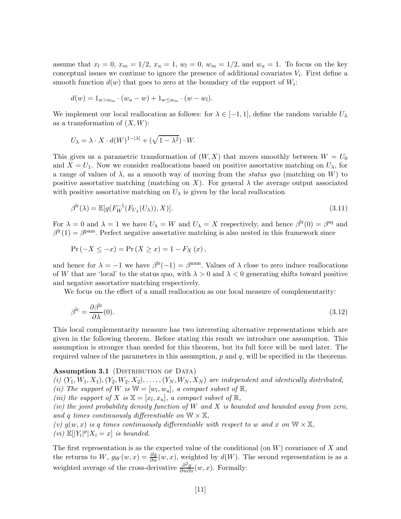assume that  $x_l = 0$ ,  $x_m = 1/2$ ,  $x_u = 1$ ,  $w_l = 0$ ,  $w_m = 1/2$ , and  $w_u = 1$ . To focus on the key conceptual issues we continue to ignore the presence of additional covariates  $V_i$ . First define a smooth function  $d(w)$  that goes to zero at the boundary of the support of  $W_i$ :

$$
d(w) = 1_{w>w_m} \cdot (w_u - w) + 1_{w \leq w_m} \cdot (w - w_l).
$$

We implement our local reallocation as follows: for  $\lambda \in [-1,1]$ , define the random variable  $U_{\lambda}$ as a transformation of  $(X, W)$ :

$$
U_{\lambda} = \lambda \cdot X \cdot d(W)^{1 - |\lambda|} + (\sqrt{1 - \lambda^2}) \cdot W.
$$

This gives us a parametric transformation of  $(W, X)$  that moves smoothly between  $W = U_0$ and  $X = U_1$ . Now we consider reallocations based on positive assortative matching on  $U_{\lambda}$ , for a range of values of  $\lambda$ , as a smooth way of moving from the *status quo* (matching on W) to positive assortative matching (matching on X). For general  $\lambda$  the average output associated with positive assortative matching on  $U_{\lambda}$  is given by the local reallocation

$$
\beta^{\text{lr}}(\lambda) = \mathbb{E}[g(F_W^{-1}(F_{U_\lambda}(U_\lambda)), X)]. \tag{3.11}
$$

For  $\lambda = 0$  and  $\lambda = 1$  we have  $U_{\lambda} = W$  and  $U_{\lambda} = X$  respectively, and hence  $\beta^{\text{lr}}(0) = \beta^{\text{sq}}$  and  $\beta^{\text{lr}}(1) = \beta^{\text{pam}}$ . Perfect negative assortative matching is also nested in this framework since

$$
Pr(-X \le -x) = Pr(X \ge x) = 1 - F_X(x),
$$

and hence for  $\lambda = -1$  we have  $\beta^{\text{lr}}(-1) = \beta^{\text{nam}}$ . Values of  $\lambda$  close to zero induce reallocations of W that are 'local' to the status quo, with  $\lambda > 0$  and  $\lambda < 0$  generating shifts toward positive and negative assortative matching respectively.

We focus on the effect of a small reallocation as our local measure of complementarity:

$$
\beta^{\rm lc} = \frac{\partial \beta^{\rm lr}}{\partial \lambda}(0). \tag{3.12}
$$

This local complementarity measure has two interesting alternative representations which are given in the following theorem. Before stating this result we introduce one assumption. This assumption is stronger than needed for this theorem, but its full force will be used later. The required values of the parameters in this assumption,  $p$  and  $q$ , will be specified in the theorems.

### Assumption 3.1 (DISTRIBUTION OF DATA)

(i)  $(Y_1, W_1, X_1), (Y_2, W_2, X_2), \ldots, (Y_N, W_N, X_N)$  are independent and identically distributed, (ii) The support of W is  $\mathbb{W} = [w_l, w_u]$ , a compact subset of  $\mathbb{R}$ ,

(iii) the support of X is  $\mathbb{X} = [x_l, x_u]$ , a compact subset of  $\mathbb{R}$ ,

(iv) the joint probability density function of  $W$  and  $X$  is bounded and bounded away from zero, and q times continuously differentiable on  $\mathbb{W} \times \mathbb{X}$ ,

(v)  $g(w, x)$  is q times continuously differentiable with respect to w and x on  $\mathbb{W} \times \mathbb{X}$ , (vi)  $\mathbb{E}[|Y_i|^p | X_i = x]$  is bounded.

The first representation is as the expected value of the conditional (on  $W$ ) covariance of X and the returns to W,  $g_W(w, x) = \frac{\partial g}{\partial w}(w, x)$ , weighted by  $d(W)$ . The second representation is as a weighted average of the cross-derivative  $\frac{\partial^2 g}{\partial w \partial x}(w, x)$ . Formally: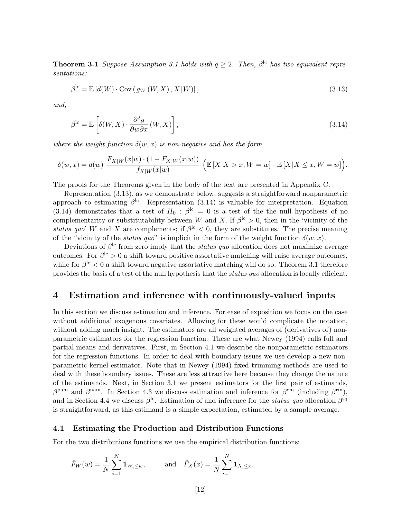**Theorem 3.1** Suppose Assumption 3.1 holds with  $q \geq 2$ . Then,  $\beta^{lc}$  has two equivalent representations:

$$
\beta^{\text{lc}} = \mathbb{E}\left[d(W)\cdot \text{Cov}\left(g_W\left(W,X\right),X\middle|W\right)\right],\tag{3.13}
$$

and,

$$
\beta^{\text{lc}} = \mathbb{E}\left[\delta(W, X) \cdot \frac{\partial^2 g}{\partial w \partial x}(W, X)\right],\tag{3.14}
$$

where the weight function  $\delta(w, x)$  is non-negative and has the form

$$
\delta(w,x) = d(w) \cdot \frac{F_{X|W}(x|w) \cdot (1 - F_{X|W}(x|w))}{f_{X|W}(x|w)} \cdot \left( \mathbb{E}\left[X|X > x, W = w\right] - \mathbb{E}\left[X|X \le x, W = w\right] \right).
$$

The proofs for the Theorems given in the body of the text are presented in Appendix C.

Representation (3.13), as we demonstrate below, suggests a straightforward nonparametric approach to estimating  $\beta^{\text{lc}}$ . Representation (3.14) is valuable for interpretation. Equation (3.14) demonstrates that a test of  $H_0$ :  $\beta^{lc} = 0$  is a test of the the null hypothesis of no complementarity or substitutability between W and X. If  $\beta^{\text{lc}} > 0$ , then in the 'vicinity of the status quo' W and X are complements; if  $\beta$ <sup>lc</sup> < 0, they are substitutes. The precise meaning of the "vicinity of the *status quo*" is implicit in the form of the weight function  $\delta(w, x)$ .

Deviations of  $\beta^{\text{lc}}$  from zero imply that the *status quo* allocation does not maximize average outcomes. For  $\beta^{\rm lc} > 0$  a shift toward positive assortative matching will raise average outcomes, while for  $\beta^{\rm lc} < 0$  a shift toward negative assortative matching will do so. Theorem 3.1 therefore provides the basis of a test of the null hypothesis that the status quo allocation is locally efficient.

## 4 Estimation and inference with continuously-valued inputs

In this section we discuss estimation and inference. For ease of exposition we focus on the case without additional exogenous covariates. Allowing for these would complicate the notation, without adding much insight. The estimators are all weighted averages of (derivatives of) nonparametric estimators for the regression function. These are what Newey (1994) calls full and partial means and derivatives. First, in Section 4.1 we describe the nonparametric estimators for the regression functions. In order to deal with boundary issues we use develop a new nonparametric kernel estimator. Note that in Newey (1994) fixed trimming methods are used to deal with these boundary issues. These are less attractive here because they change the nature of the estimands. Next, in Section 3.1 we present estimators for the first pair of estimands,  $\beta^{\text{pam}}$  and  $\beta^{\text{nam}}$ . In Section 4.3 we discuss estimation and inference for  $\beta^{\text{cm}}$  (including  $\beta^{\text{rm}}$ ), and in Section 4.4 we discuss  $\beta^{lc}$ . Estimation of and inference for the *status quo* allocation  $\beta^{sq}$ is straightforward, as this estimand is a simple expectation, estimated by a sample average.

### 4.1 Estimating the Production and Distribution Functions

For the two distributions functions we use the empirical distribution functions:

$$
\hat{F}_W(w) = \frac{1}{N} \sum_{i=1}^N \mathbf{1}_{W_i \leq w}
$$
, and  $\hat{F}_X(x) = \frac{1}{N} \sum_{i=1}^N \mathbf{1}_{X_i \leq x}$ .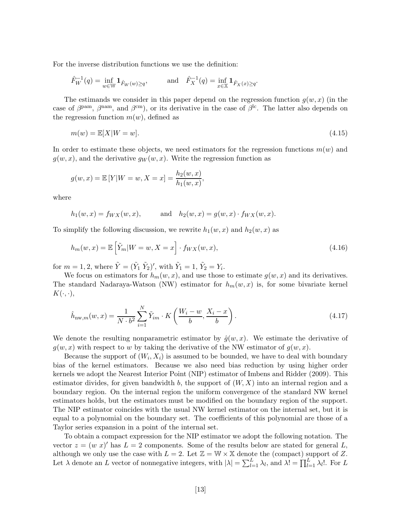For the inverse distribution functions we use the definition:

$$
\hat{F}_W^{-1}(q) = \inf_{w \in \mathbb{W}} \mathbf{1}_{\hat{F}_W(w) \ge q},
$$
 and  $\hat{F}_X^{-1}(q) = \inf_{x \in \mathbb{X}} \mathbf{1}_{\hat{F}_X(x) \ge q}.$ 

The estimands we consider in this paper depend on the regression function  $q(w, x)$  (in the case of  $\beta^{\text{pam}}, \beta^{\text{nam}},$  and  $\beta^{\text{cm}}$ , or its derivative in the case of  $\beta^{\text{lc}}$ . The latter also depends on the regression function  $m(w)$ , defined as

$$
m(w) = \mathbb{E}[X|W=w].\tag{4.15}
$$

In order to estimate these objects, we need estimators for the regression functions  $m(w)$  and  $g(w, x)$ , and the derivative  $g_W(w, x)$ . Write the regression function as

$$
g(w, x) = \mathbb{E}[Y|W = w, X = x] = \frac{h_2(w, x)}{h_1(w, x)},
$$

where

$$
h_1(w, x) = f_{WX}(w, x),
$$
 and  $h_2(w, x) = g(w, x) \cdot f_{WX}(w, x).$ 

To simplify the following discussion, we rewrite  $h_1(w, x)$  and  $h_2(w, x)$  as

$$
h_m(w, x) = \mathbb{E}\left[\tilde{Y}_m | W = w, X = x\right] \cdot f_{WX}(w, x),\tag{4.16}
$$

for  $m = 1, 2$ , where  $\tilde{Y} = (\tilde{Y}_1 \tilde{Y}_2)'$ , with  $\tilde{Y}_1 = 1$ ,  $\tilde{Y}_2 = Y_i$ .

We focus on estimators for  $h_m(w, x)$ , and use those to estimate  $g(w, x)$  and its derivatives. The standard Nadaraya-Watson (NW) estimator for  $h_m(w, x)$  is, for some bivariate kernel  $K(\cdot, \cdot),$ 

$$
\hat{h}_{\text{nw},m}(w,x) = \frac{1}{N \cdot b^2} \sum_{i=1}^{N} \tilde{Y}_{im} \cdot K\left(\frac{W_i - w}{b}, \frac{X_i - x}{b}\right). \tag{4.17}
$$

We denote the resulting nonparametric estimator by  $\hat{g}(w, x)$ . We estimate the derivative of  $g(w, x)$  with respect to w by taking the derivative of the NW estimator of  $g(w, x)$ .

Because the support of  $(W_i, X_i)$  is assumed to be bounded, we have to deal with boundary bias of the kernel estimators. Because we also need bias reduction by using higher order kernels we adopt the Nearest Interior Point (NIP) estimator of Imbens and Ridder (2009). This estimator divides, for given bandwidth b, the support of  $(W, X)$  into an internal region and a boundary region. On the internal region the uniform convergence of the standard NW kernel estimators holds, but the estimators must be modified on the boundary region of the support. The NIP estimator coincides with the usual NW kernel estimator on the internal set, but it is equal to a polynomial on the boundary set. The coefficients of this polynomial are those of a Taylor series expansion in a point of the internal set.

To obtain a compact expression for the NIP estimator we adopt the following notation. The vector  $z = (w x)'$  has  $L = 2$  components. Some of the results below are stated for general L, although we only use the case with  $L = 2$ . Let  $\mathbb{Z} = \mathbb{W} \times \mathbb{X}$  denote the (compact) support of Z. Let  $\lambda$  denote an L vector of nonnegative integers, with  $|\lambda| = \sum_{l=1}^{L} \lambda_l$ , and  $\lambda! = \prod_{l=1}^{L} \lambda_l!$ . For L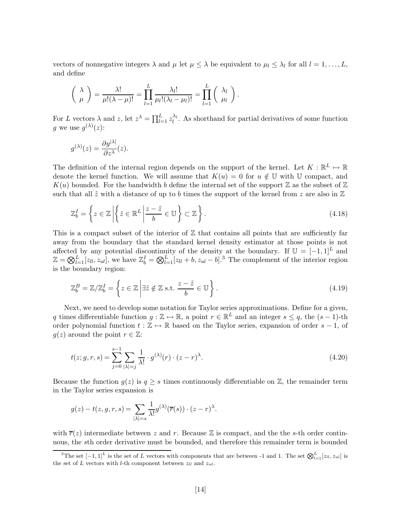vectors of nonnegative integers  $\lambda$  and  $\mu$  let  $\mu \leq \lambda$  be equivalent to  $\mu_l \leq \lambda_l$  for all  $l = 1, ..., L$ , and define

$$
\left(\begin{array}{c} \lambda \\ \mu \end{array}\right) = \frac{\lambda!}{\mu!(\lambda-\mu)!} = \prod_{l=1}^L \frac{\lambda_l!}{\mu_l!(\lambda_l-\mu_l)!} = \prod_{l=1}^L \left(\begin{array}{c} \lambda_l \\ \mu_l \end{array}\right).
$$

For L vectors  $\lambda$  and z, let  $z^{\lambda} = \prod_{l=1}^{L} z_l^{\lambda_l}$ . As shorthand for partial derivatives of some function g we use  $g^{(\lambda)}(z)$ :

$$
g^{(\lambda)}(z) = \frac{\partial g^{|\lambda|}}{\partial z^{\lambda}}(z).
$$

The definition of the internal region depends on the support of the kernel. Let  $K : \mathbb{R}^L \mapsto \mathbb{R}$ denote the kernel function. We will assume that  $K(u) = 0$  for  $u \notin U$  with U compact, and  $K(u)$  bounded. For the bandwidth b define the internal set of the support  $\mathbb Z$  as the subset of  $\mathbb Z$ such that all  $\tilde{z}$  with a distance of up to b times the support of the kernel from z are also in  $\mathbb{Z}$ 

$$
\mathbb{Z}_b^I = \left\{ z \in \mathbb{Z} \left| \left\{ \tilde{z} \in \mathbb{R}^L \left| \frac{z - \tilde{z}}{b} \in \mathbb{U} \right.\right\} \subset \mathbb{Z} \right.\right\}.
$$
\n(4.18)

This is a compact subset of the interior of  $\mathbb Z$  that contains all points that are sufficiently far away from the boundary that the standard kernel density estimator at those points is not affected by any potential discontinuity of the density at the boundary. If  $\mathbb{U} = [-1,1]^L$  and  $\mathbb{Z} = \bigotimes_{l=1}^{L} [z_{ll}, z_{ul}]$ , we have  $\mathbb{Z}_{b}^{I} = \bigotimes_{l=1}^{L} [z_{ll} + b, z_{ul} - b]$ .<sup>3</sup> The complement of the interior region is the boundary region:

$$
\mathbb{Z}_b^B = \mathbb{Z}/\mathbb{Z}_b^I = \left\{ z \in \mathbb{Z} \middle| \exists \tilde{z} \notin \mathbb{Z} \text{ s.t. } \frac{z - \tilde{z}}{b} \in \mathbb{U} \right\}. \tag{4.19}
$$

Next, we need to develop some notation for Taylor series approximations. Define for a given, q times differentiable function  $g : \mathbb{Z} \to \mathbb{R}$ , a point  $r \in \mathbb{R}^L$  and an integer  $s \leq q$ , the  $(s - 1)$ -th order polynomial function  $t : \mathbb{Z} \to \mathbb{R}$  based on the Taylor series, expansion of order  $s - 1$ , of  $g(z)$  around the point  $r \in \mathbb{Z}$ :

$$
t(z;g,r,s) = \sum_{j=0}^{s-1} \sum_{|\lambda|=j} \frac{1}{\lambda!} \cdot g^{(\lambda)}(r) \cdot (z-r)^{\lambda}.
$$
 (4.20)

Because the function  $g(z)$  is  $q \geq s$  times continuously differentiable on Z, the remainder term in the Taylor series expansion is

$$
g(z) - t(z, g, r, s) = \sum_{|\lambda|=s} \frac{1}{\lambda!} g^{(\lambda)}(\overline{r}(s)) \cdot (z - r)^{\lambda}.
$$

with  $\overline{r}(z)$  intermediate between z and r. Because Z is compact, and the the s-th order continuous, the sth order derivative must be bounded, and therefore this remainder term is bounded

<sup>&</sup>lt;sup>3</sup>The set  $[-1,1]^L$  is the set of L vectors with components that are between -1 and 1. The set  $\bigotimes_{l=1}^{L} [z_{ll}, z_{ul}]$  is the set of L vectors with l-th component between  $z_{ll}$  and  $z_{ul}$ .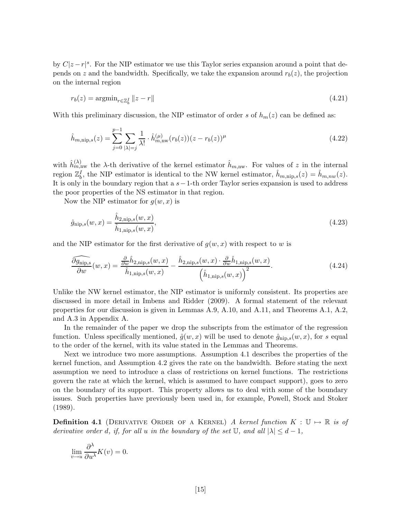by  $C|z-r|$ <sup>s</sup>. For the NIP estimator we use this Taylor series expansion around a point that depends on z and the bandwidth. Specifically, we take the expansion around  $r_b(z)$ , the projection on the internal region

$$
r_b(z) = \operatorname{argmin}_{r \in \mathbb{Z}_b^I} ||z - r|| \tag{4.21}
$$

With this preliminary discussion, the NIP estimator of order s of  $h_m(z)$  can be defined as:

$$
\hat{h}_{m,\text{nip},s}(z) = \sum_{j=0}^{p-1} \sum_{|\lambda|=j} \frac{1}{\lambda!} \cdot \hat{h}_{m,\text{nw}}^{(\mu)} (r_b(z))(z - r_b(z))^\mu
$$
\n(4.22)

with  $\hat{h}_{m,\text{nw}}^{(\lambda)}$  the  $\lambda$ -th derivative of the kernel estimator  $\hat{h}_{m,\text{nw}}$ . For values of z in the internal region  $\mathbb{Z}_{b}^{I}$ , the NIP estimator is identical to the NW kernel estimator,  $\hat{h}_{m,\text{nip},s}(z) = \hat{h}_{m,nw}(z)$ . It is only in the boundary region that a s−1-th order Taylor series expansion is used to address the poor properties of the NS estimator in that region.

Now the NIP estimator for  $g(w, x)$  is

$$
\hat{g}_{\text{nip},s}(w,x) = \frac{\hat{h}_{2,\text{nip},s}(w,x)}{\hat{h}_{1,\text{nip},s}(w,x)},
$$
\n(4.23)

and the NIP estimator for the first derivative of  $g(w, x)$  with respect to w is

$$
\frac{\widehat{\partial g_{\text{nip},s}}}{\partial w}(w,x) = \frac{\frac{\partial}{\partial w}\hat{h}_{2,\text{nip},s}(w,x)}{\hat{h}_{1,\text{nip},s}(w,x)} - \frac{\hat{h}_{2,\text{nip},s}(w,x) \cdot \frac{\partial}{\partial w}\hat{h}_{1,\text{nip},s}(w,x)}{\left(\hat{h}_{1,\text{nip},s}(w,x)\right)^2}.
$$
\n(4.24)

Unlike the NW kernel estimator, the NIP estimator is uniformly consistent. Its properties are discussed in more detail in Imbens and Ridder (2009). A formal statement of the relevant properties for our discussion is given in Lemmas A.9, A.10, and A.11, and Theorems A.1, A.2, and A.3 in Appendix A.

In the remainder of the paper we drop the subscripts from the estimator of the regression function. Unless specifically mentioned,  $\hat{g}(w, x)$  will be used to denote  $\hat{g}_{\text{nip},s}(w, x)$ , for s equal to the order of the kernel, with its value stated in the Lemmas and Theorems.

Next we introduce two more assumptions. Assumption 4.1 describes the properties of the kernel function, and Assumption 4.2 gives the rate on the bandwidth. Before stating the next assumption we need to introduce a class of restrictions on kernel functions. The restrictions govern the rate at which the kernel, which is assumed to have compact support), goes to zero on the boundary of its support. This property allows us to deal with some of the boundary issues. Such properties have previously been used in, for example, Powell, Stock and Stoker (1989).

**Definition 4.1** (DERIVATIVE ORDER OF A KERNEL) A kernel function  $K : \mathbb{U} \mapsto \mathbb{R}$  is of derivative order d, if, for all u in the boundary of the set  $\mathbb{U}$ , and all  $|\lambda| \leq d-1$ ,

$$
\lim_{v \to u} \frac{\partial^{\lambda}}{\partial u^{\lambda}} K(v) = 0.
$$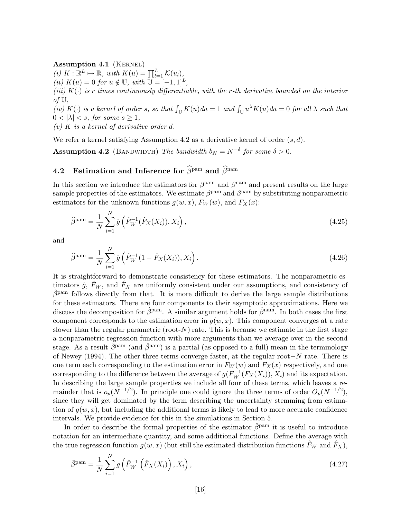### Assumption 4.1 (KERNEL)

(i)  $K : \mathbb{R}^L \mapsto \mathbb{R}$ , with  $K(u) = \prod_{l=1}^L \mathcal{K}(u_l)$ , (ii)  $K(u) = 0$  for  $u \notin \mathbb{U}$ , with  $\mathbb{U} = [-1, 1]^L$ (iii)  $K(\cdot)$  is r times continuously differentiable, with the r-th derivative bounded on the interior of  $\mathbb{U},$ 

(iv) K(c) is a kernel of order s, so that  $\int_{\mathbb{U}} K(u) du = 1$  and  $\int_{\mathbb{U}} u^{\lambda} K(u) du = 0$  for all  $\lambda$  such that  $0 < |\lambda| < s$ , for some  $s \geq 1$ ,

(v)  $K$  is a kernel of derivative order d.

We refer a kernel satisfying Assumption 4.2 as a derivative kernel of order  $(s, d)$ .

**Assumption 4.2** (BANDWIDTH) The bandwidth  $b_N = N^{-\delta}$  for some  $\delta > 0$ .

## 4.2 Estimation and Inference for  $\widehat{\beta}^{\text{pam}}$  and  $\widehat{\beta}^{\text{nam}}$

In this section we introduce the estimators for  $\beta^{\text{pam}}$  and  $\beta^{\text{nam}}$  and present results on the large sample properties of the estimators. We estimate  $\beta^{\text{pam}}$  and  $\beta^{\text{nam}}$  by substituting nonparametric estimators for the unknown functions  $g(w, x)$ ,  $F_W(w)$ , and  $F_X(x)$ :

$$
\widehat{\beta}^{\text{pam}} = \frac{1}{N} \sum_{i=1}^{N} \hat{g} \left( \hat{F}_{W}^{-1} (\hat{F}_{X}(X_i)), X_i \right), \qquad (4.25)
$$

and

$$
\widehat{\beta}^{\text{nam}} = \frac{1}{N} \sum_{i=1}^{N} \hat{g} \left( \hat{F}_{W}^{-1} (1 - \hat{F}_{X}(X_i)), X_i \right). \tag{4.26}
$$

It is straightforward to demonstrate consistency for these estimators. The nonparametric estimators  $\hat{g}$ ,  $\hat{F}_W$ , and  $\hat{F}_X$  are uniformly consistent under our assumptions, and consistency of  $\hat{\beta}^{\text{pam}}$  follows directly from that. It is more difficult to derive the large sample distributions for these estimators. There are four components to their asymptotic approximations. Here we discuss the decomposition for  $\hat{\beta}^{pam}$ . A similar argument holds for  $\hat{\beta}^{nam}$ . In both cases the first component corresponds to the estimation error in  $q(w, x)$ . This component converges at a rate slower than the regular parametric (root- $N$ ) rate. This is because we estimate in the first stage a nonparametric regression function with more arguments than we average over in the second stage. As a result  $\hat{\beta}^{pam}$  (and  $\hat{\beta}^{nam}$ ) is a partial (as opposed to a full) mean in the terminology of Newey (1994). The other three terms converge faster, at the regular root−N rate. There is one term each corresponding to the estimation error in  $F_W(w)$  and  $F_X(x)$  respectively, and one corresponding to the difference between the average of  $g(F_W^{-1}(F_X(X_i)), X_i)$  and its expectation. In describing the large sample properties we include all four of these terms, which leaves a remainder that is  $o_p(N^{-1/2})$ . In principle one could ignore the three terms of order  $O_p(N^{-1/2})$ , since they will get dominated by the term describing the uncertainty stemming from estimation of  $g(w, x)$ , but including the additional terms is likely to lead to more accurate confidence intervals. We provide evidence for this in the simulations in Section 5.

In order to describe the formal properties of the estimator  $\hat{\beta}^{pam}$  it is useful to introduce notation for an intermediate quantity, and some additional functions. Define the average with the true regression function  $g(w, x)$  (but still the estimated distribution functions  $\hat{F}_W$  and  $\hat{F}_X$ ),

$$
\tilde{\beta}^{\text{pam}} = \frac{1}{N} \sum_{i=1}^{N} g\left(\hat{F}_{W}^{-1}\left(\hat{F}_{X}(X_{i})\right), X_{i}\right),\tag{4.27}
$$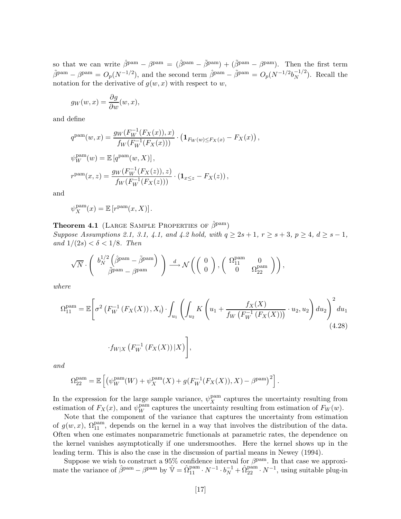so that we can write  $\hat{\beta}^{pam} - \beta^{pam} = (\hat{\beta}^{pam} - \tilde{\beta}^{pam}) + (\tilde{\beta}^{pam} - \beta^{pam})$ . Then the first term  $\tilde{\beta}^{pam} - \beta^{pam} = O_p(N^{-1/2}),$  and the second term  $\hat{\beta}^{pam} - \tilde{\beta}^{pam} = O_p(N^{-1/2}b_N^{-1/2})$  $\binom{-1/2}{N}$ . Recall the notation for the derivative of  $g(w, x)$  with respect to w,

$$
g_W(w, x) = \frac{\partial g}{\partial w}(w, x),
$$

and define

$$
q^{\text{pam}}(w, x) = \frac{g_W(F_W^{-1}(F_X(x)), x)}{f_W(F_W^{-1}(F_X(x)))} \cdot (\mathbf{1}_{F_W(w) \le F_X(x)} - F_X(x)),
$$
  

$$
\psi_W^{\text{pam}}(w) = \mathbb{E}\left[q^{\text{pam}}(w, X)\right],
$$
  

$$
r^{\text{pam}}(x, z) = \frac{g_W(F_W^{-1}(F_X(z)), z)}{f_W(F_W^{-1}(F_X(z)))} \cdot (\mathbf{1}_{x \le z} - F_X(z)),
$$

and

$$
\psi_X^{\text{pam}}(x) = \mathbb{E}\left[r^{\text{pam}}(x,X)\right].
$$

### **Theorem 4.1** (LARGE SAMPLE PROPERTIES OF  $\hat{\beta}^{\text{pam}}$ )

Suppose Assumptions 2.1, 3.1, 4.1, and 4.2 hold, with  $q \ge 2s + 1$ ,  $r \ge s + 3$ ,  $p \ge 4$ ,  $d \ge s - 1$ , and  $1/(2s) < \delta < 1/8$ . Then

$$
\sqrt{N}\cdot \left(\begin{array}{c} b^{1/2}_N\left(\hat{\beta}^{\mathrm{pam}}-\tilde{\beta}^{\mathrm{pam}}\right)\\ \tilde{\beta}^{\mathrm{pam}}-\beta^{\mathrm{pam}} \end{array}\right)\xrightarrow{d} \mathcal{N}\left(\left(\begin{array}{c} 0\\ 0 \end{array}\right),\left(\begin{array}{cc} \Omega_{11}^{\mathrm{pam}}&0\\ 0&\Omega_{22}^{\mathrm{pam}} \end{array}\right)\right),
$$

where

$$
\Omega_{11}^{\text{pam}} = \mathbb{E}\Bigg[\sigma^2\left(F_W^{-1}\left(F_X(X)\right), X_i\right) \cdot \int_{u_1} \left(\int_{u_2} K\left(u_1 + \frac{f_X(X)}{f_W\left(F_W^{-1}\left(F_X(X)\right)\right)} \cdot u_2, u_2\right) du_2\right)^2 du_1
$$
\n
$$
\cdot f_{W|X}\left(F_W^{-1}\left(F_X(X)\right)|X\right)\Bigg],\tag{4.28}
$$

and

$$
\Omega_{22}^{\text{pam}} = \mathbb{E}\left[ \left( \psi_W^{\text{pam}}(W) + \psi_X^{\text{pam}}(X) + g(F_W^{-1}(F_X(X)), X) - \beta^{\text{pam}} \right)^2 \right].
$$

In the expression for the large sample variance,  $\psi_X^{\text{pam}}$  captures the uncertainty resulting from estimation of  $F_X(x)$ , and  $\psi_W^{\text{pam}}$  captures the uncertainty resulting from estimation of  $F_W(w)$ .

Note that the component of the variance that captures the uncertainty from estimation of  $g(w, x)$ ,  $\Omega_{11}^{\text{pam}}$ , depends on the kernel in a way that involves the distribution of the data. Often when one estimates nonparametric functionals at parametric rates, the dependence on the kernel vanishes asymptotically if one undersmoothes. Here the kernel shows up in the leading term. This is also the case in the discussion of partial means in Newey (1994).

Suppose we wish to construct a 95% confidence interval for  $\beta^{\text{pam}}$ . In that case we approximate the variance of  $\hat{\beta}^{pam} - \beta^{pam}$  by  $\hat{\mathbb{V}} = \hat{\Omega}_{11}^{pam} \cdot N^{-1} \cdot b_N^{-1} + \hat{\Omega}_{22}^{pam} \cdot N^{-1}$ , using suitable plug-in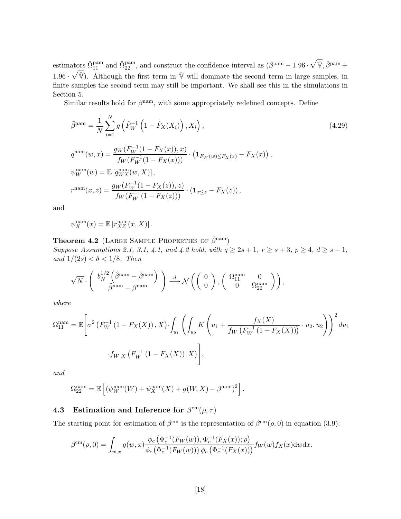estimators  $\hat{\Omega}_{11}^{\text{pam}}$  and  $\hat{\Omega}_{22}^{\text{pam}}$ , and construct the confidence interval as  $(\hat{\beta}^{\text{pam}}-1.96\cdot\sqrt{\hat{\mathbb{V}}},\hat{\beta}^{\text{pam}}+$ 1.96  $\cdot$   $\sqrt{\hat{V}}$ ). Although the first term in  $\hat{V}$  will dominate the second term in large samples, in finite samples the second term may still be important. We shall see this in the simulations in Section 5.

Similar results hold for  $\beta^{\text{nam}}$ , with some appropriately redefined concepts. Define

$$
\tilde{\beta}^{\text{nam}} = \frac{1}{N} \sum_{i=1}^{N} g\left(\hat{F}_{W}^{-1} \left(1 - \hat{F}_{X}(X_{i})\right), X_{i}\right),\tag{4.29}
$$

$$
q^{\text{nam}}(w, x) = \frac{g_W(F_W^{-1}(1 - F_X(x)), x)}{f_W(F_W^{-1}(1 - F_X(x)))} \cdot (\mathbf{1}_{F_W(w) \le F_X(x)} - F_X(x)),
$$
  

$$
\psi_W^{\text{nam}}(w) = \mathbb{E}\left[q_{WX}^{\text{nam}}(w, X)\right],
$$
  

$$
r^{\text{nam}}(x, z) = \frac{g_W(F_W^{-1}(1 - F_X(z)), z)}{f_W(F_W^{-1}(1 - F_X(z)))} \cdot (\mathbf{1}_{x \le z} - F_X(z)),
$$

and

$$
\psi_X^{\text{nam}}(x) = \mathbb{E}\left[r_{XZ}^{\text{nam}}(x,X)\right].
$$

**Theorem 4.2** (LARGE SAMPLE PROPERTIES OF  $\hat{\beta}^{\text{nam}}$ ) Suppose Assumptions 2.1, 3.1, 4.1, and 4.2 hold, with  $q \ge 2s + 1$ ,  $r \ge s + 3$ ,  $p \ge 4$ ,  $d \ge s - 1$ , and  $1/(2s) < \delta < 1/8$ . Then

$$
\sqrt{N}\cdot \left(\begin{array}{c} b^{1/2}_N\left( \hat{\beta}^{\mathrm{nam}} - \tilde{\beta}^{\mathrm{nam}} \right) \\ \tilde{\beta}^{\mathrm{nam}} - \beta^{\mathrm{nam}} \end{array}\right) \xrightarrow{d} \mathcal{N}\left(\left(\begin{array}{c} 0 \\ 0 \end{array}\right), \left(\begin{array}{cc} \Omega_{11}^{\mathrm{nam}} & 0 \\ 0 & \Omega_{22}^{\mathrm{nam}} \end{array}\right) \right),
$$

where

$$
\Omega_{11}^{\text{nam}} = \mathbb{E}\Bigg[\sigma^2 \left(F_W^{-1} \left(1 - F_X(X)\right), X\right) \cdot \int_{u_1} \left(\int_{u_2} K\left(u_1 + \frac{f_X(X)}{f_W\left(F_W^{-1} \left(1 - F_X(X)\right)\right)} \cdot u_2, u_2\right)\right)^2 du_1
$$

$$
\cdot f_{W|X} \left(F_W^{-1} \left(1 - F_X(X)\right)|X\right)\Bigg],
$$

and

$$
\Omega_{22}^{\text{nam}} = \mathbb{E}\left[ \left( \psi_W^{\text{nam}}(W) + \psi_X^{\text{nam}}(X) + g(W, X) - \beta^{\text{nam}} \right)^2 \right].
$$

## 4.3 Estimation and Inference for  $\beta^{\rm cm}(\rho, \tau)$

The starting point for estimation of  $\beta^{\rm cm}$  is the representation of  $\beta^{\rm cm}(\rho,0)$  in equation (3.9):

$$
\beta^{\rm cm}(\rho,0) = \int_{w,x} g(w,x) \frac{\phi_c(\Phi_c^{-1}(F_W(w)), \Phi_c^{-1}(F_X(x)); \rho)}{\phi_c(\Phi_c^{-1}(F_W(w))) \phi_c(\Phi_c^{-1}(F_X(x)))} f_W(w) f_X(x) \, dw \, dx.
$$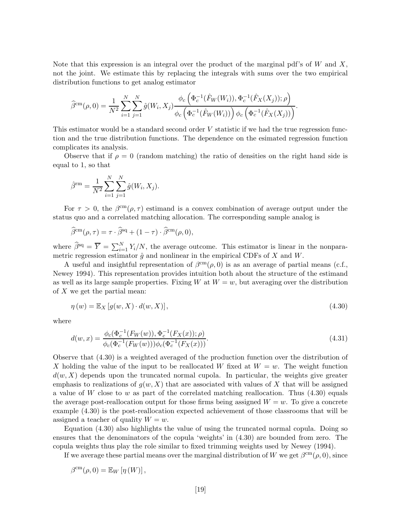Note that this expression is an integral over the product of the marginal pdf's of  $W$  and  $X$ , not the joint. We estimate this by replacing the integrals with sums over the two empirical distribution functions to get analog estimator

$$
\widehat{\beta}^{\rm cm}(\rho,0) = \frac{1}{N^2} \sum_{i=1}^N \sum_{j=1}^N \widehat{g}(W_i, X_j) \frac{\phi_c(\Phi_c^{-1}(\widehat{F}_W(W_i)), \Phi_c^{-1}(\widehat{F}_X(X_j)); \rho)}{\phi_c(\Phi_c^{-1}(\widehat{F}_W(W_i))) \phi_c(\Phi_c^{-1}(\widehat{F}_X(X_j)))}.
$$

This estimator would be a standard second order V statistic if we had the true regression function and the true distribution functions. The dependence on the esimated regression function complicates its analysis.

Observe that if  $\rho = 0$  (random matching) the ratio of densities on the right hand side is equal to 1, so that

$$
\hat{\beta}^{\text{rm}} = \frac{1}{N^2} \sum_{i=1}^{N} \sum_{j=1}^{N} \hat{g}(W_i, X_j).
$$

For  $\tau > 0$ , the  $\beta^{\rm cm}(\rho, \tau)$  estimand is a convex combination of average output under the status quo and a correlated matching allocation. The corresponding sample analog is

$$
\widehat{\beta}^{\rm cm}(\rho,\tau) = \tau \cdot \widehat{\beta}^{\rm sq} + (1 - \tau) \cdot \widehat{\beta}^{\rm cm}(\rho,0),
$$

where  $\hat{\beta}^{sq} = \overline{Y} = \sum_{i=1}^{N} Y_i/N$ , the average outcome. This estimator is linear in the nonparametric regression estimator  $\hat{g}$  and nonlinear in the empirical CDFs of X and W.

A useful and insightful representation of  $\beta^{\rm cm}(\rho, 0)$  is as an average of partial means (c.f., Newey 1994). This representation provides intuition both about the structure of the estimand as well as its large sample properties. Fixing W at  $W = w$ , but averaging over the distribution of  $X$  we get the partial mean:

$$
\eta(w) = \mathbb{E}_X \left[ g(w, X) \cdot d(w, X) \right],\tag{4.30}
$$

where

$$
d(w,x) = \frac{\phi_c(\Phi_c^{-1}(F_W(w)), \Phi_c^{-1}(F_X(x)); \rho)}{\phi_c(\Phi_c^{-1}(F_W(w)))\phi_c(\Phi_c^{-1}(F_X(x)))}.
$$
\n(4.31)

Observe that (4.30) is a weighted averaged of the production function over the distribution of X holding the value of the input to be reallocated W fixed at  $W = w$ . The weight function  $d(w, X)$  depends upon the truncated normal cupola. In particular, the weights give greater emphasis to realizations of  $g(w, X)$  that are associated with values of X that will be assigned a value of W close to w as part of the correlated matching reallocation. Thus  $(4.30)$  equals the average post-reallocation output for those firms being assigned  $W = w$ . To give a concrete example (4.30) is the post-reallocation expected achievement of those classrooms that will be assigned a teacher of quality  $W = w$ .

Equation (4.30) also highlights the value of using the truncated normal copula. Doing so ensures that the denominators of the copula 'weights' in (4.30) are bounded from zero. The copula weights thus play the role similar to fixed trimming weights used by Newey (1994).

If we average these partial means over the marginal distribution of W we get  $\beta^{\rm cm}(\rho, 0)$ , since

$$
\beta^{\text{cm}}(\rho,0) = \mathbb{E}_W[\eta(W)],
$$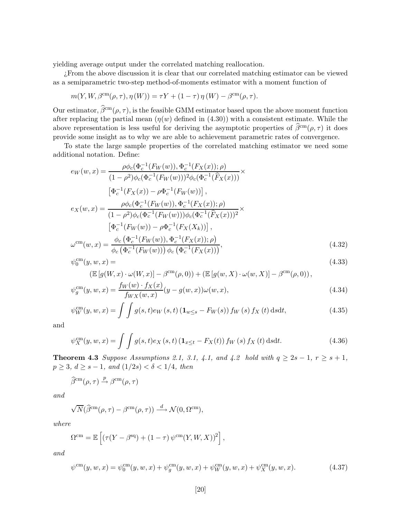yielding average output under the correlated matching reallocation.

¿From the above discussion it is clear that our correlated matching estimator can be viewed as a semiparametric two-step method-of-moments estimator with a moment function of

$$
m(Y, W, \beta^{\text{cm}}(\rho, \tau), \eta(W)) = \tau Y + (1 - \tau) \eta(W) - \beta^{\text{cm}}(\rho, \tau).
$$

Our estimator,  $\hat{\beta}^{\text{cm}}(\rho, \tau)$ , is the feasible GMM estimator based upon the above moment function after replacing the partial mean  $(\eta(w)$  defined in (4.30)) with a consistent estimate. While the above representation is less useful for deriving the asymptotic properties of  $\hat{\beta}^{\text{cm}}(\rho, \tau)$  it does provide some insight as to why we are able to achievement parametric rates of convergence.

To state the large sample properties of the correlated matching estimator we need some additional notation. Define:

$$
e_W(w, x) = \frac{\rho \phi_c(\Phi_c^{-1}(F_W(w)), \Phi_c^{-1}(F_X(x)); \rho)}{(1 - \rho^2)\phi_c(\Phi_c^{-1}(F_W(w)))^2\phi_c(\Phi_c^{-1}(\widehat{F}_X(x)))} \times \frac{[\Phi_c^{-1}(F_X(x)) - \rho \Phi_c^{-1}(F_W(w))]}{[\Phi_c^{-1}(F_X(x)) - \rho \Phi_c^{-1}(F_W(w))],
$$
  
\n
$$
e_X(w, x) = \frac{\rho \phi_c(\Phi_c^{-1}(F_W(w)), \Phi_c^{-1}(F_X(x)); \rho)}{(1 - \rho^2)\phi_c(\Phi_c^{-1}(F_W(w)))\phi_c(\Phi_c^{-1}(\widehat{F}_X(x)))^2} \times \frac{[\Phi_c^{-1}(F_W(w)) - \rho \Phi_c^{-1}(F_X(X_k))]}{[\Phi_c^{-1}(F_W(w)) - \rho \Phi_c^{-1}(F_X(x)); \rho)},
$$
\n
$$
\omega^{cm}(w, x) = \frac{\phi_c(\Phi_c^{-1}(F_W(w))) \Phi_c(\Phi_c^{-1}(F_X(x)))}{\phi_c(\Phi_c^{-1}(F_W(w))) \phi_c(\Phi_c^{-1}(F_X(x)))},
$$
\n(4.32)

$$
\psi_0^{\rm cm}(y, w, x) = \tag{4.33}
$$

$$
(\mathbb{E}\left[g(W,x)\cdot\omega(W,x)\right]-\beta^{\rm cm}(\rho,0))+(\mathbb{E}\left[g(w,X)\cdot\omega(w,X)\right]-\beta^{\rm cm}(\rho,0)),
$$
\n
$$
f_W(w)\cdot f_X(x)
$$

$$
\psi_g^{\rm cm}(y, w, x) = \frac{f_W(w) \cdot f_X(x)}{f_{WX}(w, x)} (y - g(w, x)) \omega(w, x), \tag{4.34}
$$

$$
\psi_{W}^{\rm cm}(y, w, x) = \int \int g(s, t) e_{W}(s, t) \left( \mathbf{1}_{w \le s} - F_{W}(s) \right) f_{W}(s) f_{X}(t) \, \text{d}s \text{d}t, \tag{4.35}
$$

and

$$
\psi_X^{\rm cm}(y, w, x) = \int \int g(s, t) e_X(s, t) \left( \mathbf{1}_{x \le t} - F_X(t) \right) f_W(s) f_X(t) \, ds \, dt. \tag{4.36}
$$

Theorem 4.3 Suppose Assumptions 2.1, 3.1, 4.1, and 4.2 hold with  $q \ge 2s - 1$ ,  $r \ge s + 1$ ,  $p \geq 3, d \geq s - 1, and (1/2s) < \delta < 1/4, then$ 

$$
\widehat{\beta}^{\rm cm}(\rho,\tau) \stackrel{p}{\rightarrow} \beta^{\rm cm}(\rho,\tau)
$$

and

$$
\sqrt{N}(\widehat{\beta}^{\rm cm}(\rho,\tau)-\beta^{\rm cm}(\rho,\tau))\stackrel{d}{\longrightarrow}\mathcal{N}(0,\Omega^{\rm cm}),
$$

where

$$
\Omega^{\text{cm}} = \mathbb{E}\left[ \left( \tau (Y - \beta^{\text{sq}}) + (1 - \tau) \, \psi^{\text{cm}}(Y, W, X) \right)^2 \right],
$$

and

$$
\psi^{\rm cm}(y, w, x) = \psi_0^{\rm cm}(y, w, x) + \psi_g^{\rm cm}(y, w, x) + \psi_W^{\rm cm}(y, w, x) + \psi_X^{\rm cm}(y, w, x). \tag{4.37}
$$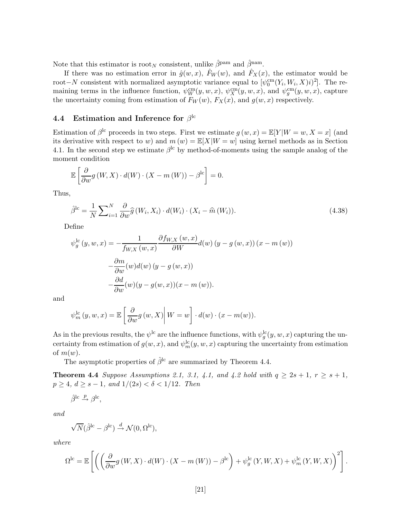Note that this estimator is root<sub>N</sub> consistent, unlike  $\hat{\beta}^{pam}$  and  $\hat{\beta}^{nam}$ .

If there was no estimation error in  $\hat{g}(w, x)$ ,  $\hat{F}_W(w)$ , and  $\hat{F}_X(x)$ , the estimator would be root–N consistent with normalized asymptotic variance equal to  $[\psi_0^{\text{cm}}(Y_i, W_i, X)i)^2]$ . The remaining terms in the influence function,  $\psi_W^{\text{cm}}(y, w, x)$ ,  $\psi_X^{\text{cm}}(y, w, x)$ , and  $\psi_g^{\text{cm}}(y, w, x)$ , capture the uncertainty coming from estimation of  $F_W(w)$ ,  $F_X(x)$ , and  $g(w, x)$  respectively.

### 4.4 Estimation and Inference for  $\beta^{\text{lc}}$

Estimation of  $\beta^{\text{lc}}$  proceeds in two steps. First we estimate  $g(w, x) = \mathbb{E}[Y|W = w, X = x]$  (and its derivative with respect to w) and  $m(w) = \mathbb{E}[X|W=w]$  using kernel methods as in Section 4.1. In the second step we estimate  $\beta^{\text{lc}}$  by method-of-moments using the sample analog of the moment condition

$$
\mathbb{E}\left[\frac{\partial}{\partial w}g(W,X)\cdot d(W)\cdot (X-m(W))-\beta^{\text{lc}}\right]=0.
$$

Thus,

$$
\hat{\beta}^{\text{lc}} = \frac{1}{N} \sum_{i=1}^{N} \frac{\partial}{\partial w} \hat{g}(W_i, X_i) \cdot d(W_i) \cdot (X_i - \hat{m}(W_i)). \tag{4.38}
$$

Define

$$
\psi_g^{\text{lc}}(y, w, x) = -\frac{1}{f_{W,X}(w, x)} \frac{\partial f_{W,X}(w, x)}{\partial W} d(w) (y - g(w, x)) (x - m(w))
$$

$$
-\frac{\partial m}{\partial w}(w) d(w) (y - g(w, x))
$$

$$
-\frac{\partial d}{\partial w}(w) (y - g(w, x)) (x - m(w)).
$$

and

$$
\psi_m^{\rm lc}(y, w, x) = \mathbb{E}\left[\left.\frac{\partial}{\partial w}g(w, X)\right| W = w\right] \cdot d(w) \cdot (x - m(w)).
$$

As in the previous results, the  $\psi^{\text{lc}}$  are the influence functions, with  $\psi_g^{\text{lc}}(y, w, x)$  capturing the uncertainty from estimation of  $g(w, x)$ , and  $\psi_m^{\text{lc}}(y, w, x)$  capturing the uncertainty from estimation of  $m(w)$ .

The asymptotic properties of  $\hat{\beta}^{lc}$  are summarized by Theorem 4.4.

**Theorem 4.4** Suppose Assumptions 2.1, 3.1, 4.1, and 4.2 hold with  $q \geq 2s + 1$ ,  $r \geq s + 1$ ,  $p \geq 4, d \geq s - 1, and 1/(2s) < \delta < 1/12.$  Then

$$
\hat{\beta}^{\mathrm{lc}} \xrightarrow{p} \beta^{\mathrm{lc}},
$$

and

$$
\sqrt{N}(\hat{\beta}^{\mathrm{lc}} - \beta^{\mathrm{lc}}) \stackrel{d}{\rightarrow} \mathcal{N}(0, \Omega^{\mathrm{lc}}),
$$

where

$$
\Omega^{\rm lc} = \mathbb{E}\left[ \left( \left( \frac{\partial}{\partial w} g\left( W, X \right) \cdot d(W) \cdot \left( X - m\left( W \right) \right) - \beta^{\rm lc} \right) + \psi_g^{\rm lc}\left( Y, W, X \right) + \psi_m^{\rm lc}\left( Y, W, X \right) \right)^2 \right].
$$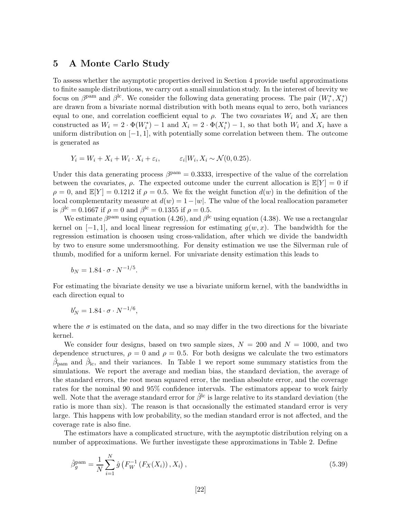## 5 A Monte Carlo Study

To assess whether the asymptotic properties derived in Section 4 provide useful approximations to finite sample distributions, we carry out a small simulation study. In the interest of brevity we focus on  $\beta^{\text{pam}}$  and  $\beta^{\text{lc}}$ . We consider the following data generating process. The pair  $(W_i^*, X_i^*)$ are drawn from a bivariate normal distribution with both means equal to zero, both variances equal to one, and correlation coefficient equal to  $\rho$ . The two covariates  $W_i$  and  $X_i$  are then constructed as  $W_i = 2 \cdot \Phi(W_i^*) - 1$  and  $X_i = 2 \cdot \Phi(X_i^*) - 1$ , so that both  $W_i$  and  $X_i$  have a uniform distribution on  $[-1, 1]$ , with potentially some correlation between them. The outcome is generated as

$$
Y_i = W_i + X_i + W_i \cdot X_i + \varepsilon_i, \qquad \varepsilon_i | W_i, X_i \sim \mathcal{N}(0, 0.25).
$$

Under this data generating process  $\beta^{\text{pam}} = 0.3333$ , irrespective of the value of the correlation between the covariates,  $\rho$ . The expected outcome under the current allocation is  $\mathbb{E}[Y] = 0$  if  $\rho = 0$ , and  $\mathbb{E}[Y] = 0.1212$  if  $\rho = 0.5$ . We fix the weight function  $d(w)$  in the definition of the local complementarity measure at  $d(w) = 1 - |w|$ . The value of the local reallocation parameter is  $\beta^{\rm lc} = 0.1667$  if  $\rho = 0$  and  $\beta^{\rm lc} = 0.1355$  if  $\rho = 0.5$ .

We estimate  $\beta^{\text{pam}}$  using equation (4.26), and  $\beta^{\text{lc}}$  using equation (4.38). We use a rectangular kernel on  $[-1, 1]$ , and local linear regression for estimating  $q(w, x)$ . The bandwidth for the regression estimation is choosen using cross-validation, after which we divide the bandwidth by two to ensure some undersmoothing. For density estimation we use the Silverman rule of thumb, modified for a uniform kernel. For univariate density estimation this leads to

$$
b_N = 1.84 \cdot \sigma \cdot N^{-1/5}.
$$

For estimating the bivariate density we use a bivariate uniform kernel, with the bandwidths in each direction equal to

$$
b'_N = 1.84 \cdot \sigma \cdot N^{-1/6},
$$

where the  $\sigma$  is estimated on the data, and so may differ in the two directions for the bivariate kernel.

We consider four designs, based on two sample sizes,  $N = 200$  and  $N = 1000$ , and two dependence structures,  $\rho = 0$  and  $\rho = 0.5$ . For both designs we calculate the two estimators  $\hat{\beta}_{\text{pam}}$  and  $\hat{\beta}_{\text{lc}}$ , and their variances. In Table 1 we report some summary statistics from the simulations. We report the average and median bias, the standard deviation, the average of the standard errors, the root mean squared error, the median absolute error, and the coverage rates for the nominal 90 and 95% confidence intervals. The estimators appear to work fairly well. Note that the average standard error for  $\hat{\beta}^{lc}$  is large relative to its standard deviation (the ratio is more than six). The reason is that occasionally the estimated standard error is very large. This happens with low probability, so the median standard error is not affected, and the coverage rate is also fine.

The estimators have a complicated structure, with the asymptotic distribution relying on a number of approximations. We further investigate these approximations in Table 2. Define

$$
\hat{\beta}_g^{\text{pam}} = \frac{1}{N} \sum_{i=1}^N \hat{g} \left( F_W^{-1} \left( F_X(X_i) \right), X_i \right), \tag{5.39}
$$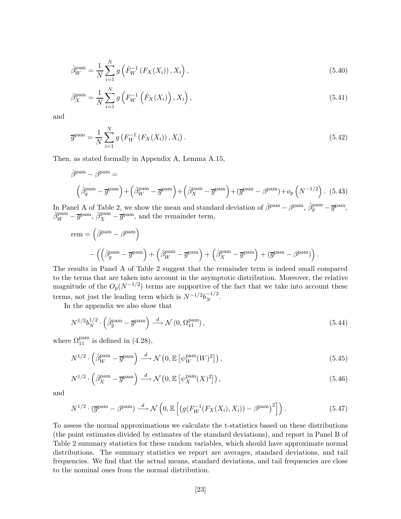$$
\hat{\beta}_W^{\text{pam}} = \frac{1}{N} \sum_{i=1}^N g\left(\hat{F}_W^{-1}\left(F_X(X_i)\right), X_i\right),\tag{5.40}
$$

$$
\hat{\beta}_X^{\text{pam}} = \frac{1}{N} \sum_{i=1}^N g\left(F_W^{-1}\left(\hat{F}_X(X_i)\right), X_i\right),\tag{5.41}
$$

and

$$
\overline{g}^{\text{pam}} = \frac{1}{N} \sum_{i=1}^{N} g\left(F_W^{-1}\left(F_X(X_i)\right), X_i\right). \tag{5.42}
$$

Then, as stated formally in Appendix A, Lemma A.15,

$$
\hat{\beta}^{\text{pam}} - \beta^{\text{pam}} =
$$
\n
$$
\left(\hat{\beta}_g^{\text{pam}} - \overline{g}^{\text{pam}}\right) + \left(\hat{\beta}_W^{\text{pam}} - \overline{g}^{\text{pam}}\right) + \left(\hat{\beta}_X^{\text{pam}} - \overline{g}^{\text{pam}}\right) + \left(\overline{g}^{\text{pam}} - \beta^{\text{pam}}\right) + o_p\left(N^{-1/2}\right). (5.43)
$$

In Panel A of Table 2, we show the mean and standard deviation of  $\hat{\beta}^{pam} - \beta^{pam}$ ,  $\hat{\beta}_g^{pam} - \overline{g}^{pam}$ ,  $\hat{\beta}_W^{\text{pam}} - \overline{g}^{\text{pam}}, \hat{\beta}_X^{\text{pam}} - \overline{g}^{\text{pam}}, \text{ and the remainder term},$ 

rem = 
$$
(\hat{\beta}^{pam} - \beta^{pam})
$$
  
 -  $((\hat{\beta}^{pam} - \overline{g}^{pam}) + (\hat{\beta}^{pam} - \overline{g}^{pam}) + (\hat{\beta}^{pam} - \overline{g}^{pam}) + (\overline{g}^{pam} - \beta^{pam}))$ .

The results in Panel A of Table 2 suggest that the remainder term is indeed small compared to the terms that are taken into account in the asymptotic distribution. Moreover, the relative magnitude of the  $O_p(N^{-1/2})$  terms are supportive of the fact that we take into account these terms, not just the leading term which is  $N^{-1/2}b_N^{-1/2}$  $\frac{-1}{N}$ .

In the appendix we also show that

$$
N^{1/2}b_N^{1/2} \cdot \left(\hat{\beta}_g^{\text{pam}} - \overline{g}^{\text{pam}}\right) \stackrel{d}{\longrightarrow} \mathcal{N}\left(0, \Omega_{11}^{\text{pam}}\right),\tag{5.44}
$$

where  $\Omega_{11}^{\text{pam}}$  is defined in (4.28),

$$
N^{1/2} \cdot \left(\hat{\beta}_W^{\text{pam}} - \overline{g}^{\text{pam}}\right) \xrightarrow{d} \mathcal{N}\left(0, \mathbb{E}\left[\psi_W^{\text{pam}}(W)^2\right]\right),\tag{5.45}
$$

$$
N^{1/2} \cdot \left(\hat{\beta}_X^{\text{pam}} - \overline{g}^{\text{pam}}\right) \xrightarrow{d} \mathcal{N}\left(0, \mathbb{E}\left[\psi_X^{\text{pam}}(X)^2\right]\right),\tag{5.46}
$$

and

$$
N^{1/2} \cdot (\overline{g}^{\text{pam}} - \beta^{\text{pam}}) \xrightarrow{d} \mathcal{N}\left(0, \mathbb{E}\left[\left(g(F_W^{-1}(F_X(X_i), X_i)) - \beta^{\text{pam}}\right)^2\right]\right). \tag{5.47}
$$

To assess the normal approximations we calculate the t-statistics based on these distributions (the point estimates divided by estimates of the standard deviations), and report in Panel B of Table 2 summary statistics for these random variables, which should have approximate normal distributions. The summary statistics we report are averages, standard deviations, and tail frequencies. We find that the actual means, standard deviations, and tail frequencies are close to the nominal ones from the normal distribution.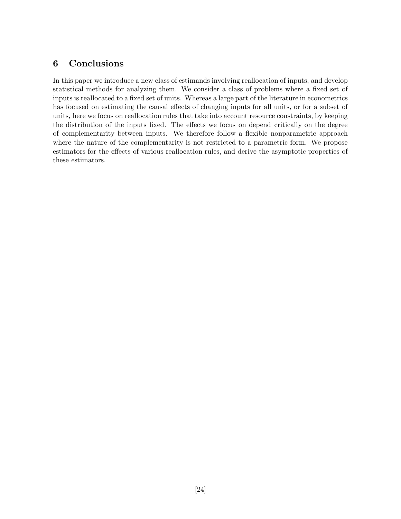## 6 Conclusions

In this paper we introduce a new class of estimands involving reallocation of inputs, and develop statistical methods for analyzing them. We consider a class of problems where a fixed set of inputs is reallocated to a fixed set of units. Whereas a large part of the literature in econometrics has focused on estimating the causal effects of changing inputs for all units, or for a subset of units, here we focus on reallocation rules that take into account resource constraints, by keeping the distribution of the inputs fixed. The effects we focus on depend critically on the degree of complementarity between inputs. We therefore follow a flexible nonparametric approach where the nature of the complementarity is not restricted to a parametric form. We propose estimators for the effects of various reallocation rules, and derive the asymptotic properties of these estimators.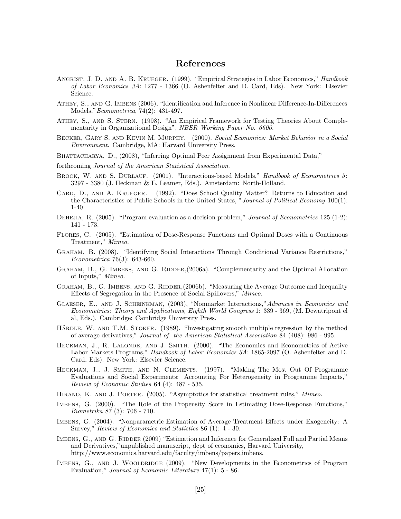## References

- ANGRIST, J. D. AND A. B. KRUEGER. (1999). "Empirical Strategies in Labor Economics," Handbook of Labor Economics 3A: 1277 - 1366 (O. Ashenfelter and D. Card, Eds). New York: Elsevier Science.
- Athey, S., and G. Imbens (2006), "Identification and Inference in Nonlinear Difference-In-Differences Models,"Econometrica, 74(2): 431-497.
- Athey, S., and S. Stern. (1998). "An Empirical Framework for Testing Theories About Complementarity in Organizational Design", NBER Working Paper No. 6600.
- Becker, Gary S. and Kevin M. Murphy. (2000). Social Economics: Market Behavior in a Social Environment. Cambridge, MA: Harvard University Press.
- BHATTACHARYA, D., (2008), "Inferring Optimal Peer Assignment from Experimental Data,"
- forthcoming Journal of the American Statistical Association.
- BROCK, W. AND S. DURLAUF. (2001). "Interactions-based Models," Handbook of Econometrics 5: 3297 - 3380 (J. Heckman & E. Leamer, Eds.). Amsterdam: North-Holland.
- CARD, D., AND A. KRUEGER. (1992). "Does School Quality Matter? Returns to Education and the Characteristics of Public Schools in the United States, "Journal of Political Economy 100(1): 1-40.
- DEHEJIA, R. (2005). "Program evaluation as a decision problem," Journal of Econometrics 125 (1-2): 141 - 173.
- Flores, C. (2005). "Estimation of Dose-Response Functions and Optimal Doses with a Continuous Treatment," Mimeo.
- Graham, B. (2008). "Identifying Social Interactions Through Conditional Variance Restrictions," Econometrica 76(3): 643-660.
- GRAHAM, B., G. IMBENS, AND G. RIDDER, (2006a). "Complementarity and the Optimal Allocation of Inputs," Mimeo.
- GRAHAM, B., G. IMBENS, AND G. RIDDER,(2006b). "Measuring the Average Outcome and Inequality Effects of Segregation in the Presence of Social Spillovers," Mimeo.
- Glaeser, E., and J. Scheinkman, (2003), "Nonmarket Interactions,"Advances in Economics and Econometrics: Theory and Applications, Eighth World Congress 1: 339 - 369, (M. Dewatripont el al, Eds.). Cambridge: Cambridge University Press.
- HÄRDLE, W. AND T.M. STOKER. (1989). "Investigating smooth multiple regression by the method of average derivatives," Journal of the American Statistical Association 84 (408): 986 - 995.
- HECKMAN, J., R. LALONDE, AND J. SMITH. (2000). "The Economics and Econometrics of Active Labor Markets Programs," Handbook of Labor Economics 3A: 1865-2097 (O. Ashenfelter and D. Card, Eds). New York: Elsevier Science.
- Heckman, J., J. Smith, and N. Clements. (1997). "Making The Most Out Of Programme Evaluations and Social Experiments: Accounting For Heterogeneity in Programme Impacts," Review of Economic Studies 64 (4): 487 - 535.
- HIRANO, K. AND J. PORTER. (2005). "Asymptotics for statistical treatment rules," Mimeo.
- Imbens, G. (2000). "The Role of the Propensity Score in Estimating Dose-Response Functions," Biometrika 87 (3): 706 - 710.
- Imbens, G. (2004). "Nonparametric Estimation of Average Treatment Effects under Exogeneity: A Survey," Review of Economics and Statistics 86 (1): 4 - 30.
- IMBENS, G., AND G. RIDDER (2009) "Estimation and Inference for Generalized Full and Partial Means and Derivatives,"unpublished manuscript, dept of economics, Harvard University, http://www.economics.harvard.edu/faculty/imbens/papers imbens.
- IMBENS, G., AND J. WOOLDRIDGE (2009). "New Developments in the Econometrics of Program Evaluation," Journal of Economic Literature 47(1): 5 - 86.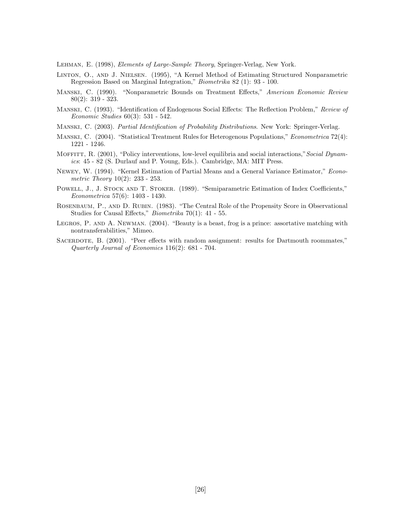Lehman, E. (1998), Elements of Large-Sample Theory, Springer-Verlag, New York.

- Linton, O., and J. Nielsen. (1995), "A Kernel Method of Estimating Structured Nonparametric Regression Based on Marginal Integration," Biometrika 82 (1): 93 - 100.
- Manski, C. (1990). "Nonparametric Bounds on Treatment Effects," American Economic Review 80(2): 319 - 323.
- Manski, C. (1993). "Identification of Endogenous Social Effects: The Reflection Problem," Review of Economic Studies 60(3): 531 - 542.
- Manski, C. (2003). Partial Identification of Probability Distributions. New York: Springer-Verlag.
- Manski, C. (2004). "Statistical Treatment Rules for Heterogenous Populations," Econometrica 72(4): 1221 - 1246.
- MOFFITT, R. (2001), "Policy interventions, low-level equilibria and social interactions," Social Dynamics: 45 - 82 (S. Durlauf and P. Young, Eds.). Cambridge, MA: MIT Press.
- Newey, W. (1994). "Kernel Estimation of Partial Means and a General Variance Estimator," Econometric Theory 10(2): 233 - 253.
- POWELL, J., J. STOCK AND T. STOKER. (1989). "Semiparametric Estimation of Index Coefficients," Econometrica 57(6): 1403 - 1430.
- ROSENBAUM, P., AND D. RUBIN. (1983). "The Central Role of the Propensity Score in Observational Studies for Causal Effects," Biometrika 70(1): 41 - 55.
- LEGROS, P. AND A. NEWMAN. (2004). "Beauty is a beast, frog is a prince: assortative matching with nontransferabilities," Mimeo.
- SACERDOTE, B. (2001). "Peer effects with random assignment: results for Dartmouth roommates," Quarterly Journal of Economics 116(2): 681 - 704.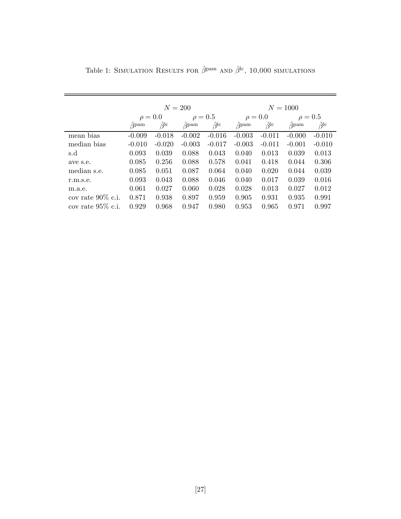|                      |              |                        | $N=200$      |                        | $N = 1000$   |                      |                           |                        |
|----------------------|--------------|------------------------|--------------|------------------------|--------------|----------------------|---------------------------|------------------------|
|                      | $\rho = 0.0$ |                        | $\rho = 0.5$ |                        | $\rho = 0.0$ |                      | $\rho = 0.5$              |                        |
|                      | $\beta$ pam  | $\hat{\beta}^{\rm lc}$ | $\alpha$ pam | $\hat{\beta}^{\rm lc}$ | $\beta$ pam  | $\hat\beta^{\rm lc}$ | $\alpha$ <sub>2</sub> pam | $\hat{\beta}^{\rm lc}$ |
| mean bias            | $-0.009$     | $-0.018$               | $-0.002$     | $-0.016$               | $-0.003$     | $-0.011$             | $-0.000$                  | $-0.010$               |
| median bias          | $-0.010$     | $-0.020$               | $-0.003$     | $-0.017$               | $-0.003$     | $-0.011$             | $-0.001$                  | $-0.010$               |
| s.d                  | 0.093        | 0.039                  | 0.088        | 0.043                  | 0.040        | 0.013                | 0.039                     | 0.013                  |
| ave s.e.             | 0.085        | 0.256                  | 0.088        | 0.578                  | 0.041        | 0.418                | 0.044                     | 0.306                  |
| median s.e.          | 0.085        | 0.051                  | 0.087        | 0.064                  | 0.040        | 0.020                | 0.044                     | 0.039                  |
| r.m.s.e.             | 0.093        | 0.043                  | 0.088        | 0.046                  | 0.040        | 0.017                | 0.039                     | 0.016                  |
| m.a.e.               | 0.061        | 0.027                  | 0.060        | 0.028                  | 0.028        | 0.013                | 0.027                     | 0.012                  |
| cov rate $90\%$ c.i. | 0.871        | 0.938                  | 0.897        | 0.959                  | 0.905        | 0.931                | 0.935                     | 0.991                  |
| cov rate $95\%$ c.i. | 0.929        | 0.968                  | 0.947        | 0.980                  | 0.953        | 0.965                | 0.971                     | 0.997                  |

Table 1: SIMULATION RESULTS FOR  $\hat{\beta}^{\mathrm{pam}}$  and  $\hat{\beta}^{\mathrm{lc}},$  10,000 simulations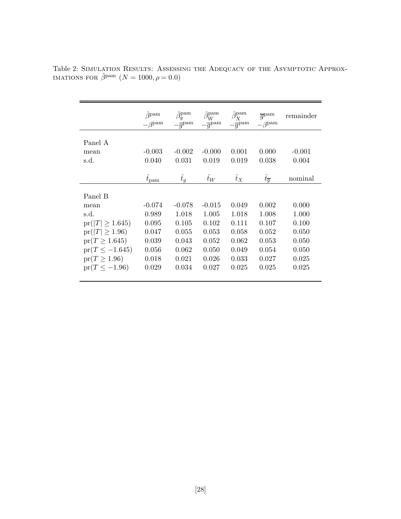|                      | $\hat{A}$ pam<br>$\beta$ pam        | $\hat{\beta}_q^\text{pam}$<br>$-\overline{q}^{\text{pam}}$ | $\hat{\beta}_W^{\mathrm{pam}}$<br>$-\overline{q}^{\text{pam}}$ | $\hat{\beta}_{\mathbf{y}}^{\mathrm{pam}}$<br>$-\overline{g}^{\text{pam}}$ | $\overline{q}$ <sup>pam</sup><br>$-\beta^{\text{pam}}$ | remainder |
|----------------------|-------------------------------------|------------------------------------------------------------|----------------------------------------------------------------|---------------------------------------------------------------------------|--------------------------------------------------------|-----------|
| Panel A              |                                     |                                                            |                                                                |                                                                           |                                                        |           |
| mean                 | $-0.003$                            | $-0.002$                                                   | $-0.000$                                                       | 0.001                                                                     | 0.000                                                  | $-0.001$  |
| s.d.                 | 0.040                               | 0.031                                                      | 0.019                                                          | 0.019                                                                     | 0.038                                                  | 0.004     |
|                      |                                     |                                                            |                                                                |                                                                           |                                                        |           |
|                      | $\hat{t}_{\mbox{\scriptsize{pam}}}$ | $\hat{t}_g$                                                | $\hat{t}_W$                                                    | $\hat{t}_X$                                                               | $\hat{t}_{\overline{q}}$                               | nominal   |
|                      |                                     |                                                            |                                                                |                                                                           |                                                        |           |
| Panel B              |                                     |                                                            |                                                                |                                                                           |                                                        |           |
| mean                 | $-0.074$                            | $-0.078$                                                   | $-0.015$                                                       | 0.049                                                                     | 0.002                                                  | 0.000     |
| s.d.                 | 0.989                               | 1.018                                                      | 1.005                                                          | 1.018                                                                     | 1.008                                                  | 1.000     |
| $pr( T  \geq 1.645)$ | 0.095                               | 0.105                                                      | 0.102                                                          | 0.111                                                                     | 0.107                                                  | 0.100     |
| $pr( T  \ge 1.96)$   | 0.047                               | 0.055                                                      | 0.053                                                          | 0.058                                                                     | 0.052                                                  | 0.050     |
| $pr(T \ge 1.645)$    | 0.039                               | 0.043                                                      | 0.052                                                          | 0.062                                                                     | 0.053                                                  | 0.050     |
| $pr(T \le -1.645)$   | 0.056                               | 0.062                                                      | 0.050                                                          | 0.049                                                                     | 0.054                                                  | 0.050     |
| $pr(T \geq 1.96)$    | 0.018                               | 0.021                                                      | 0.026                                                          | 0.033                                                                     | 0.027                                                  | 0.025     |
| $pr(T \le -1.96)$    | 0.029                               | 0.034                                                      | 0.027                                                          | 0.025                                                                     | 0.025                                                  | 0.025     |
|                      |                                     |                                                            |                                                                |                                                                           |                                                        |           |

Table 2: Simulation Results: Assessing the Adequacy of the Asymptotic Approx-IMATIONS FOR  $\hat{\beta}^{pam}$   $(N = 1000, \rho = 0.0)$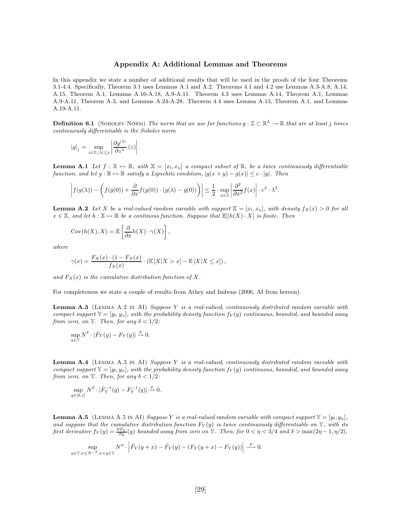### Appendix A: Additional Lemmas and Theorems

In this appendix we state a number of additional results that will be used in the proofs of the four Theorems 3.1-4.4. Specifically, Theorem 3.1 uses Lemmas A.1 and A.2. Theorems 4.1 and 4.2 use Lemmas A.3-A.8, A.14, A.15, Theorem A.1, Lemmas A.16-A.18, A.9-A.11. Theorem 4.3 uses Lemmas A.14, Theorem A.1, Lemmas A.9-A.11, Theorem A.3, and Lemmas A.24-A.28. Theorem 4.4 uses Lemma A.13, Theorem A.1, and Lemmas A.19-A.11.

**Definition 6.1** (SOBOLEV NORM) The norm that we use for functions  $g : \mathbb{Z} \subset \mathbb{R}^L \to \mathbb{R}$  that are at least j times continuously differentiable is the Sobolev norm

$$
\left|g\right|_{j} = \sup_{z \in \mathbb{Z}, |\lambda| \leq j} \left| \frac{\partial g^{|\lambda|}}{\partial z^{\lambda}} \left(z\right) \right|.
$$

**Lemma A.1** Let  $f : \mathbb{X} \mapsto \mathbb{R}$ , with  $\mathbb{X} = [x_l, x_u]$  a compact subset of  $\mathbb{R}$ , be a twice continuously differentiable function, and let  $g : \mathbb{R} \to \mathbb{R}$  satisfy a Lipschitz condition,  $|g(x + y) - g(x)| \leq c \cdot |y|$ . Then

$$
\left| f(g(\lambda)) - \left( f(g(0)) + \frac{\partial}{\partial x} f(g(0)) \cdot (g(\lambda) - g(0)) \right) \right| \leq \frac{1}{2} \cdot \sup_{x \in \mathbb{X}} \left| \frac{\partial^2}{\partial x^2} f(x) \right| \cdot c^2 \cdot \lambda^2.
$$

**Lemma A.2** Let X be a real-valued random variable with support  $X = [x_l, x_u]$ , with density  $f_X(x) > 0$  for all  $x \in \mathbb{X}$ , and let  $h : \mathbb{X} \to \mathbb{R}$  be a continous function. Suppose that  $\mathbb{E}[h(X) \cdot X]$  is finite. Then

$$
Cov(h(X), X) = \mathbb{E}\left[\frac{\partial}{\partial x}h(X) \cdot \gamma(X)\right],
$$

where

$$
\gamma(x) = \frac{F_X(x) \cdot (1 - F_X(x)}{f_X(x)} \cdot (\mathbb{E}[X \mid X > x] - \mathbb{E}[X \mid X \leq x]),
$$

and  $F_X(x)$  is the cumulative distribution function of X.

For completeness we state a couple of results from Athey and Imbens (2006, AI from hereon).

**Lemma A.3** (LEMMA A.2 IN AI) Suppose Y is a real-valued, continuously distributed random variable with compact support  $\mathbb{Y} = [y_l, y_u]$ , with the probability density function  $f_Y(y)$  continuous, bounded, and bounded away from zero, on  $\mathbb{Y}$ . Then, for any  $\delta < 1/2$ :

$$
\sup_{y \in \mathbb{Y}} N^{\delta} \cdot |\hat{F}_Y(y) - F_Y(y)| \xrightarrow{p} 0.
$$

**Lemma A.4** (LEMMA A.3 IN AI) Suppose Y is a real-valued, continuously distributed random variable with compact support  $\mathbb{Y} = [y_l, y_u]$ , with the probability density function  $f_Y(y)$  continuous, bounded, and bounded away from zero, on  $\mathbb{Y}$ . Then, for any  $\delta < 1/2$ :

$$
\sup_{q \in [0,1]} N^{\delta} \cdot |\hat{F}_Y^{-1}(q) - F_Y^{-1}(q)| \xrightarrow{p} 0.
$$

**Lemma A.5** (LEMMA A.5 IN AI) Suppose Y is a real-valued random variable with compact support  $\mathbb{Y} = [y_1, y_u]$ , and suppose that the cumulative distribution function  $F_Y(y)$  is twice continuously differentiable on  $\mathbb{Y}$ , with its first derivative  $f_Y(y) = \frac{\partial F_Y}{\partial y}(y)$  bounded away from zero on Y. Then, for  $0 < \eta < 3/4$  and  $\delta > \max(2\eta - 1, \eta/2)$ ,

$$
\sup_{y \in \mathbb{Y}, x \le N^{-\delta}, x+y \in \mathbb{Y}} N^{\eta} \cdot \left| \hat{F}_Y(y+x) - \hat{F}_Y(y) - (F_Y(y+x) - F_Y(y)) \right| \xrightarrow{p} 0.
$$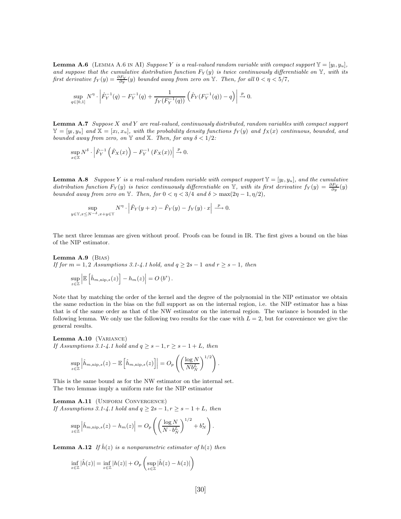**Lemma A.6** (LEMMA A.6 IN AI) Suppose Y is a real-valued random variable with compact support  $\mathbb{Y} = [y_1, y_1]$ , and suppose that the cumulative distribution function  $F_Y(y)$  is twice continuously differentiable on Y, with its first derivative  $f_Y(y) = \frac{\partial F_Y}{\partial y}(y)$  bounded away from zero on Y. Then, for all  $0 < \eta < 5/7$ ,

$$
\sup_{q\in[0,1]}N^{\eta}\cdot \left|\hat{F}_Y^{-1}(q)-F_Y^{-1}(q)+\frac{1}{f_Y(F_Y^{-1}(q))}\left(\hat{F}_Y(F_Y^{-1}(q))-q\right)\right|\xrightarrow[]{p} 0.
$$

**Lemma A.7** Suppose X and Y are real-valued, continuously distributed, random variables with compact support  $\mathbb{Y} = [y_l, y_u]$  and  $\mathbb{X} = [x_l, x_u]$ , with the probability density functions  $f_Y(y)$  and  $f_X(x)$  continuous, bounded, and bounded away from zero, on Y and X. Then, for any  $\delta < 1/2$ :

$$
\sup_{x \in \mathbb{X}} N^{\delta} \cdot \left| \hat{F}_Y^{-1}\left(\hat{F}_X(x)\right) - F_Y^{-1}\left(F_X(x)\right) \right| \xrightarrow{p} 0.
$$

**Lemma A.8** Suppose Y is a real-valued random variable with compact support  $\mathbb{Y} = [y_1, y_1]$ , and the cumulative distribution function  $F_Y(y)$  is twice continuously differentiable on Y, with its first derivative  $f_Y(y) = \frac{\partial F_Y}{\partial y}(y)$ bounded away from zero on Y. Then, for  $0 < \eta < 3/4$  and  $\delta > \max(2\eta - 1, \eta/2)$ ,

$$
\sup_{y \in \mathbb{Y}, x \le N^{-\delta}, x+y \in \mathbb{Y}} N^{\eta} \cdot \left| \hat{F}_Y(y+x) - \hat{F}_Y(y) - f_Y(y) \cdot x \right| \xrightarrow{p} 0.
$$

The next three lemmas are given without proof. Proofs can be found in IR. The first gives a bound on the bias of the NIP estimator.

Lemma A.9 (Bias) If for  $m = 1, 2$  Assumptions 3.1-4.1 hold, and  $q \ge 2s - 1$  and  $r \ge s - 1$ , then

$$
\sup_{z\in\mathbb{Z}}\left|\mathbb{E}\left[\hat{h}_{m,\text{nip},s}(z)\right]-h_m(z)\right|=O\left(b^s\right).
$$

Note that by matching the order of the kernel and the degree of the polynomial in the NIP estimator we obtain the same reduction in the bias on the full support as on the internal region, i.e. the NIP estimator has a bias that is of the same order as that of the NW estimator on the internal region. The variance is bounded in the following lemma. We only use the following two results for the case with  $L = 2$ , but for convenience we give the general results.

Lemma A.10 (VARIANCE) If Assumptions 3.1-4.1 hold and  $q \geq s - 1, r \geq s - 1 + L$ , then

$$
\sup_{z\in\mathbb{Z}}\left|\hat{h}_{m,\text{nip},s}(z)-\mathbb{E}\left[\hat{h}_{m,\text{nip},s}(z)\right]\right|=O_p\left(\left(\frac{\log N}{Nb_N^L}\right)^{1/2}\right).
$$

This is the same bound as for the NW estimator on the internal set. The two lemmas imply a uniform rate for the NIP estimator

Lemma A.11 (UNIFORM CONVERGENCE) If Assumptions 3.1-4.1 hold and  $q \geq 2s - 1, r \geq s - 1 + L$ , then

$$
\sup_{z \in \mathbb{Z}} \left| \hat{h}_{m,\text{nip},s}(z) - h_m(z) \right| = O_p\left( \left( \frac{\log N}{N \cdot b_N^L} \right)^{1/2} + b_N^s \right).
$$

**Lemma A.12** If  $\hat{h}(z)$  is a nonparametric estimator of  $h(z)$  then

$$
\inf_{z \in \mathbb{Z}} |\hat{h}(z)| = \inf_{z \in \mathbb{Z}} |h(z)| + O_p \left( \sup_{z \in \mathbb{Z}} |\hat{h}(z) - h(z)| \right)
$$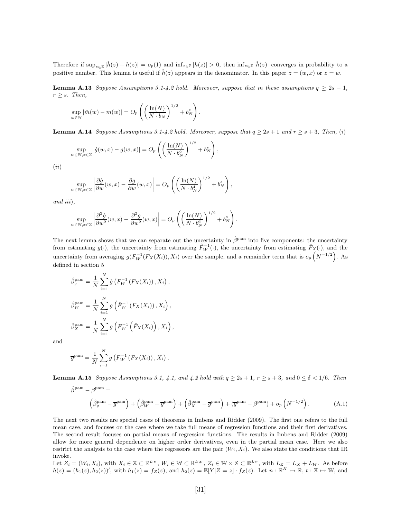Therefore if  $\sup_{z\in\mathbb{Z}}|\hat{h}(z)-h(z)|=o_p(1)$  and  $\inf_{z\in\mathbb{Z}}|h(z)|>0$ , then  $\inf_{z\in\mathbb{Z}}|\hat{h}(z)|$  converges in probability to a positive number. This lemma is useful if  $\hat{h}(z)$  appears in the denominator. In this paper  $z = (w, x)$  or  $z = w$ .

**Lemma A.13** Suppose Assumptions 3.1-4.2 hold. Moreover, suppose that in these assumptions  $q \geq 2s - 1$ ,  $r \geq s$ . Then,

$$
\sup_{w \in \mathbb{W}} |\hat{m}(w) - m(w)| = O_p\left( \left( \frac{\ln(N)}{N \cdot b_N} \right)^{1/2} + b_N^s \right).
$$

**Lemma A.14** Suppose Assumptions 3.1-4.2 hold. Moreover, suppose that  $q \geq 2s + 1$  and  $r \geq s + 3$ , Then, (i)

$$
\sup_{w \in \mathbb{W}, x \in \mathbb{X}} |\hat{g}(w, x) - g(w, x)| = O_p\left( \left( \frac{\ln(N)}{N \cdot b_N^2} \right)^{1/2} + b_N^s \right),\,
$$

 $(ii)$ 

$$
\sup_{w \in \mathbb{W}, x \in \mathbb{X}} \left| \frac{\partial \hat{g}}{\partial w}(w, x) - \frac{\partial g}{\partial w}(w, x) \right| = O_p\left( \left( \frac{\ln(N)}{N \cdot b_N^4} \right)^{1/2} + b_N^s \right),\,
$$

and iii),

$$
\sup_{w \in \mathbb{W}, x \in \mathbb{X}} \left| \frac{\partial^2 \hat{g}}{\partial w^2} (w, x) - \frac{\partial^2 g}{\partial w^2} (w, x) \right| = O_p \left( \left( \frac{\ln(N)}{N \cdot b_N^6} \right)^{1/2} + b_N^s \right).
$$

The next lemma shows that we can separate out the uncertainty in  $\hat{\beta}^{pam}$  into five components: the uncertainty from estimating  $g(\cdot)$ , the uncertainty from estimating  $\hat{F}_W^{-1}(\cdot)$ , the uncertainty from estimating  $\hat{F}_X(\cdot)$ , and the uncertainty from averaging  $g(F_W^{-1}(F_X(X_i)), X_i)$  over the sample, and a remainder term that is  $o_p\left(N^{-1/2}\right)$ . As defined in section 5

$$
\hat{\beta}_g^{\text{pam}} = \frac{1}{N} \sum_{i=1}^N \hat{g} \left( F_W^{-1} \left( F_X(X_i) \right), X_i \right),
$$
  

$$
\hat{\beta}_W^{\text{pam}} = \frac{1}{N} \sum_{i=1}^N g \left( \hat{F}_W^{-1} \left( F_X(X_i) \right), X_i \right),
$$
  

$$
\hat{\beta}_X^{\text{pam}} = \frac{1}{N} \sum_{i=1}^N g \left( F_W^{-1} \left( \hat{F}_X(X_i) \right), X_i \right),
$$

and

$$
\overline{g}^{\text{pam}} = \frac{1}{N} \sum_{i=1}^{N} g(F_{W}^{-1}(F_{X}(X_{i})), X_{i}).
$$

**Lemma A.15** Suppose Assumptions 3.1, 4.1, and 4.2 hold with  $q \ge 2s + 1$ ,  $r \ge s + 3$ , and  $0 \le \delta < 1/6$ . Then

$$
\hat{\beta}^{\text{pam}} - \beta^{\text{pam}} =
$$
\n
$$
\left(\hat{\beta}_g^{\text{pam}} - \overline{g}^{\text{pam}}\right) + \left(\hat{\beta}_W^{\text{pam}} - \overline{g}^{\text{pam}}\right) + \left(\hat{\beta}_X^{\text{pam}} - \overline{g}^{\text{pam}}\right) + \left(\overline{g}^{\text{pam}} - \beta^{\text{pam}}\right) + o_p\left(N^{-1/2}\right). \tag{A.1}
$$

The next two results are special cases of theorems in Imbens and Ridder (2009). The first one refers to the full mean case, and focuses on the case where we take full means of regression functions and their first derivatives. The second result focuses on partial means of regression functions. The results in Imbens and Ridder (2009) allow for more general dependence on higher order derivatives, even in the partial mean case. Here we also restrict the analysis to the case where the regressors are the pair  $(W_i, X_i)$ . We also state the conditions that IR invoke.

Let  $Z_i = (W_i, X_i)$ , with  $X_i \in \mathbb{X} \subset \mathbb{R}^{L_X}$ ,  $W_i \in \mathbb{W} \subset \mathbb{R}^{L_W}$ ,  $Z_i \in \mathbb{W} \times \mathbb{X} \subset \mathbb{R}^{L_Z}$ , with  $L_Z = L_X + L_W$ . As before  $h(z) = (h_1(z), h_2(z))'$ , with  $h_1(z) = f_Z(z)$ , and  $h_2(z) = \mathbb{E}[Y|Z = z] \cdot f_Z(z)$ . Let  $n : \mathbb{R}^K \mapsto \mathbb{R}$ ,  $t : \mathbb{X} \mapsto \mathbb{W}$ , and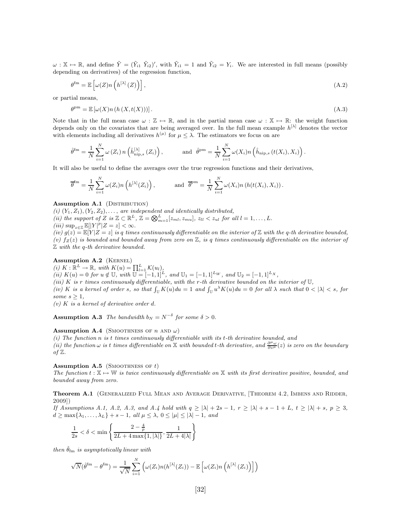$\omega : \mathbb{X} \mapsto \mathbb{R}$ , and define  $\tilde{Y} = (\tilde{Y}_{i1} \tilde{Y}_{i2})'$ , with  $\tilde{Y}_{i1} = 1$  and  $\tilde{Y}_{i2} = Y_i$ . We are interested in full means (possibly depending on derivatives) of the regression function,

$$
\theta^{\text{fm}} = \mathbb{E}\left[\omega(Z)n\left(h^{[\lambda]}\left(Z\right)\right)\right],\tag{A.2}
$$

or partial means,

$$
\theta^{\mathrm{pm}} = \mathbb{E}\left[\omega(X)n\left(h\left(X,t(X)\right)\right)\right].\tag{A.3}
$$

Note that in the full mean case  $\omega : \mathbb{Z} \mapsto \mathbb{R}$ , and in the partial mean case  $\omega : \mathbb{X} \mapsto \mathbb{R}$ : the weight function depends only on the covariates that are being averaged over. In the full mean example  $h^{[\lambda]}$  denotes the vector with elements including all derivatives  $h^{(\mu)}$  for  $\mu \leq \lambda$ . The estimators we focus on are

$$
\hat{\theta}^{\text{fm}} = \frac{1}{N} \sum_{i=1}^{N} \omega(Z_i) n\left(\hat{h}_{\text{nip},s}^{[\lambda]}(Z_i)\right), \quad \text{and} \quad \hat{\theta}^{\text{pm}} = \frac{1}{N} \sum_{i=1}^{N} \omega(X_i) n\left(\hat{h}_{\text{nip},s}(t(X_i), X_i)\right).
$$

It will also be useful to define the averages over the true regression functions and their derivatives,

$$
\overline{\theta}^{\text{fm}} = \frac{1}{N} \sum_{i=1}^{N} \omega(Z_i) n\left(h^{[\lambda]}(Z_i)\right), \quad \text{and} \quad \overline{\theta}^{\text{pm}} = \frac{1}{N} \sum_{i=1}^{N} \omega(X_i) n\left(h(t(X_i), X_i)\right).
$$

#### Assumption A.1 (DISTRIBUTION)

(i)  $(Y_1, Z_1), (Y_2, Z_2), \ldots$ , are independent and identically distributed, (ii) the support of Z is  $\mathbb{Z} \subset \mathbb{R}^L$ ,  $\mathbb{Z} = \bigotimes_{m=1}^L [z_{ml}, z_{mu}]$ ,  $z_{ll} < z_{ul}$  for all  $l = 1, ..., L$ .  $(iii)\ \sup\nolimits_{z\in\mathbb{Z}}\mathbb{E}[|Y|^p|Z=z]<\infty.$ 

(iv)  $g(z) = \mathbb{E}[Y|Z=z]$  is q times continuously differentiable on the interior of Z with the q-th derivative bounded, (v)  $f_Z(z)$  is bounded and bounded away from zero on  $\mathbb{Z}$ , is q times continuously differentiable on the interior of  $Z$  with the q-th derivative bounded.

### Assumption A.2 (KERNEL)

(i)  $K: \mathbb{R}^L \to \mathbb{R}$ , with  $K(u) = \prod_{l=1}^L K(u_l)$ , (ii)  $K(u) = 0$  for  $u \notin U$ , with  $\overline{U} = [-1, 1]^L$ , and  $U_1 = [-1, 1]^{L_W}$ , and  $U_2 = [-1, 1]^{L_X}$ , (iii) K is r times continuously differentiable, with the r-th derivative bounded on the interior of  $\mathbb U$ , (iv) K is a kernel of order s, so that  $\int_{\mathbb{U}} K(u) du = 1$  and  $\int_{\mathbb{U}} u^{\lambda} K(u) du = 0$  for all  $\lambda$  such that  $0 < |\lambda| < s$ , for some  $s \geq 1$ ,

 $(v)$  K is a kernel of derivative order d.

**Assumption A.3** The bandwidth  $b_N = N^{-\delta}$  for some  $\delta > 0$ .

### **Assumption A.4** (SMOOTHNESS OF *n* AND  $\omega$ )

 $(i)$  The function  $n$  is t times continuously differentiable with its  $t$ -th derivative bounded, and (ii) the function  $\omega$  is t times differentiable on X with bounded t-th derivative, and  $\frac{\partial^{\mu}\omega}{\partial z^{\mu}}(z)$  is zero on the boundary of  $\mathbb{Z}$ .

#### **Assumption A.5** (SMOOTHNESS OF  $t$ )

The function  $t : \mathbb{X} \mapsto \mathbb{W}$  is twice continuously differentiable on  $\mathbb{X}$  with its first derivative positive, bounded, and bounded away from zero.

### Theorem A.1 (GENERALIZED FULL MEAN AND AVERAGE DERIVATIVE, [THEOREM 4.2, IMBENS AND RIDDER, 2009])

If Assumptions A.1, A.2, A.3, and A.4 hold with  $q \ge |\lambda| + 2s - 1$ ,  $r \ge |\lambda| + s - 1 + L$ ,  $t \ge |\lambda| + s$ ,  $p \ge 3$ ,  $d \geq \max\{\lambda_1,\ldots,\lambda_L\}+s-1, \ all \ \mu \leq \lambda, \ 0 \leq |\mu| \leq |\lambda|-1, \ and$ 

$$
\frac{1}{2s} < \delta < \min\left\{\frac{2-\frac{4}{p}}{2L+4\max\{1,|\lambda|\}}, \frac{1}{2L+4|\lambda|}\right\}
$$

then  $\hat{\theta}_{\text{fm}}$  is asymptotically linear with

$$
\sqrt{N}(\hat{\theta}^{\text{fm}} - \theta^{\text{fm}}) = \frac{1}{\sqrt{N}} \sum_{i=1}^{N} \left( \omega(Z_i) n(h^{[\lambda]}(Z_i)) - \mathbb{E}\left[ \omega(Z_i) n\left( h^{[\lambda]}(Z_i) \right) \right] \right)
$$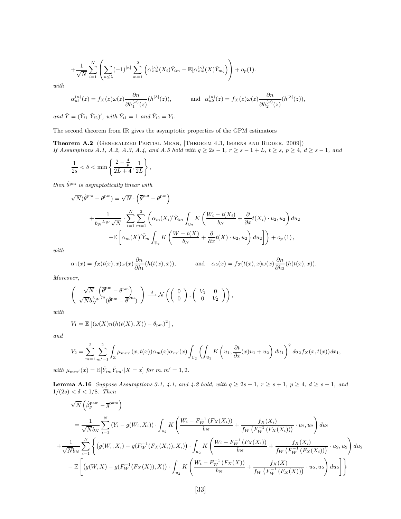$$
+\frac{1}{\sqrt{N}}\sum_{i=1}^N\left(\sum_{\kappa\leq\lambda}(-1)^{|\kappa|}\sum_{m=1}^2\left(\alpha_{\kappa m}^{(\kappa)}(X_i)\tilde{Y}_{im}-\mathbb{E}[\alpha_{\kappa m}^{(\kappa)}(X)\tilde{Y}_m]\right)\right)+o_p(1).
$$

with

$$
\alpha_{\kappa 1}^{(\kappa)}(z) = f_X(z)\omega(z)\frac{\partial n}{\partial h_1^{(\kappa)}(z)}(h^{[\lambda]}(z)), \quad \text{and} \quad \alpha_{\kappa 2}^{(\kappa)}(z) = f_X(z)\omega(z)\frac{\partial n}{\partial h_2^{(\kappa)}(z)}(h^{[\lambda]}(z)),
$$

and  $\tilde{Y} = (\tilde{Y}_{i1} \tilde{Y}_{i2})'$ , with  $\tilde{Y}_{i1} = 1$  and  $\tilde{Y}_{i2} = Y_i$ .

The second theorem from IR gives the asymptotic properties of the GPM estimators

Theorem A.2 (GENERALIZED PARTIAL MEAN, [THEOREM 4.3, IMBENS AND RIDDER, 2009]) If Assumptions A.1, A.2, A.3, A.4, and A.5 hold with  $q \geq 2s - 1$ ,  $r \geq s - 1 + L$ ,  $t \geq s$ ,  $p \geq 4$ ,  $d \geq s - 1$ , and

$$
\frac{1}{2s} < \delta < \min\left\{\frac{2-\frac{4}{p}}{2L+4}, \frac{1}{2L}\right\},\
$$

then  $\hat{\theta}^{\mathrm{pm}}$  is asymptotically linear with

$$
\sqrt{N}(\hat{\theta}^{\text{pm}} - \theta^{\text{pm}}) = \sqrt{N} \cdot \left(\overline{\theta}^{\text{pm}} - \theta^{\text{pm}}\right)
$$
  
+ 
$$
\frac{1}{b_N L_W \sqrt{N}} \cdot \sum_{i=1}^N \sum_{m=1}^2 \left(\alpha_m(X_i)'\tilde{Y}_{im} \int_{\mathbb{U}_2} K\left(\frac{W_i - t(X_i)}{b_N} + \frac{\partial}{\partial x}t(X_i) \cdot u_2, u_2\right) du_2 - \mathbb{E}\left[\alpha_m(X)'\tilde{Y}_m \int_{\mathbb{U}_2} K\left(\frac{W - t(X)}{b_N} + \frac{\partial}{\partial x}t(X) \cdot u_2, u_2\right) du_2\right]\right) + o_p(1),
$$

with

$$
\alpha_1(x) = f_Z(t(x), x)\omega(x)\frac{\partial n}{\partial h_1}(h(t(x), x)), \quad \text{and} \quad \alpha_2(x) = f_Z(t(x), x)\omega(x)\frac{\partial n}{\partial h_2}(h(t(x), x)).
$$

Moreover,

$$
\left(\begin{array}{c}\n\sqrt{N}\cdot\left(\overline{\theta}^{\text{pm}}-\theta^{\text{pm}}\right) \\
\sqrt{N}b_N^{L_W/2}(\hat{\theta}^{\text{pm}}-\overline{\theta}^{\text{pm}})\n\end{array}\right) \stackrel{d}{\longrightarrow} \mathcal{N}\left(\begin{array}{cc} 0 \\ 0 \end{array}\right), \begin{array}{cc} V_1 & 0 \\ 0 & V_2 \end{array}\right),
$$

with

$$
V_1 = \mathbb{E}\left[ (\omega(X)n(h(t(X),X)) - \theta_{\text{pm}})^2 \right],
$$

and

$$
V_2 = \sum_{m=1}^2 \sum_{m'=1}^2 \int_{\mathbb{X}} \mu_{mm'}(x,t(x)) \alpha_m(x) \alpha_{m'}(x) \int_{\mathbb{U}_2} \left( \int_{\mathbb{U}_1} K\left(u_1, \frac{\partial t}{\partial x}(x)u_1 + u_2\right) du_1 \right)^2 du_2 f_X(x,t(x)) dx_1,
$$

with  $\mu_{mm'}(x) = \mathbb{E}[\tilde{Y}_{im}\tilde{Y}_{im'}|X=x]$  for  $m, m'=1,2$ .

**Lemma A.16** Suppose Assumptions 3.1, 4.1, and 4.2 hold, with  $q \ge 2s - 1$ ,  $r \ge s + 1$ ,  $p \ge 4$ ,  $d \ge s - 1$ , and  $1/(2s) < \delta < 1/8$ . Then

$$
\sqrt{N} \left( \hat{\beta}_g^{\text{pam}} - \overline{g}^{\text{pam}} \right)
$$
\n
$$
= \frac{1}{\sqrt{N}b_N} \sum_{i=1}^N (Y_i - g(W_i, X_i)) \cdot \int_{u_2} K \left( \frac{W_i - F_W^{-1} (F_X(X_i))}{b_N} + \frac{f_X(X_i)}{f_W (F_W^{-1} (F_X(X_i)))} \cdot u_2, u_2 \right) du_2
$$
\n
$$
+ \frac{1}{\sqrt{N}b_N} \sum_{i=1}^N \left\{ \left( g(W_i, X_i) - g(F_W^{-1} (F_X(X_i)), X_i) \right) \cdot \int_{u_2} K \left( \frac{W_i - F_W^{-1} (F_X(X_i))}{b_N} + \frac{f_X(X_i)}{f_W (F_W^{-1} (F_X(X_i)))} \cdot u_2, u_2 \right) du_2 \right\}
$$
\n
$$
- \mathbb{E} \left[ \left( g(W, X) - g(F_W^{-1} (F_X(X)), X) \right) \cdot \int_{u_2} K \left( \frac{W_i - F_W^{-1} (F_X(X))}{b_N} + \frac{f_X(X)}{f_W (F_W^{-1} (F_X(X)))} \cdot u_2, u_2 \right) du_2 \right] \right\}
$$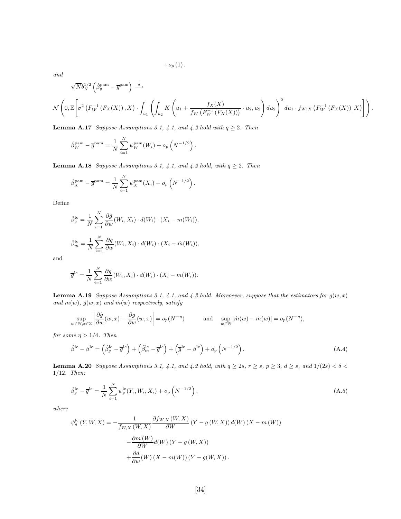$+o_{p} (1)$ .

and

$$
\sqrt{N}b_N^{1/2}\left(\hat{\beta}_g^{\text{pam}} - \overline{g}^{\text{pam}}\right) \stackrel{d}{\longrightarrow}
$$
  

$$
\mathcal{N}\left(0, \mathbb{E}\left[\sigma^2\left(F_W^{-1}\left(F_X(X)\right), X\right) \cdot \int_{u_1} \left(\int_{u_2} K\left(u_1 + \frac{f_X(X)}{f_W\left(F_W^{-1}\left(F_X(X)\right)\right)} \cdot u_2, u_2\right) du_2\right)^2 du_1 \cdot f_{W|X}\left(F_W^{-1}\left(F_X(X)\right)|X\right)\right)\right)
$$

.

**Lemma A.17** Suppose Assumptions 3.1, 4.1, and 4.2 hold with  $q \ge 2$ . Then

$$
\hat{\beta}_W^{\text{pam}} - \overline{g}^{\text{pam}} = \frac{1}{N} \sum_{i=1}^N \psi_W^{\text{pam}}(W_i) + o_p\left(N^{-1/2}\right).
$$

**Lemma A.18** Suppose Assumptions 3.1, 4.1, and 4.2 hold, with  $q \ge 2$ . Then

$$
\hat{\beta}_X^{\text{pam}} - \overline{g}^{\text{pam}} = \frac{1}{N} \sum_{i=1}^N \psi_X^{\text{pam}}(X_i) + o_p\left(N^{-1/2}\right).
$$

Define

$$
\hat{\beta}_g^{\text{lc}} = \frac{1}{N} \sum_{i=1}^N \frac{\partial \hat{g}}{\partial w}(W_i, X_i) \cdot d(W_i) \cdot (X_i - m(W_i)),
$$
  

$$
\hat{\beta}_m^{\text{lc}} = \frac{1}{N} \sum_{i=1}^N \frac{\partial g}{\partial w}(W_i, X_i) \cdot d(W_i) \cdot (X_i - \hat{m}(W_i)),
$$

and

$$
\overline{g}^{lc} = \frac{1}{N} \sum_{i=1}^{N} \frac{\partial g}{\partial w}(W_i, X_i) \cdot d(W_i) \cdot (X_i - m(W_i)).
$$

**Lemma A.19** Suppose Assumptions 3.1, 4.1, and 4.2 hold. Moreoever, suppose that the estimators for  $g(w, x)$ and  $m(w)$ ,  $\hat{g}(w, x)$  and  $\hat{m}(w)$  respectively, satisfy

$$
\sup_{w \in \mathbb{W}, x \in \mathbb{X}} \left| \frac{\partial \hat{g}}{\partial w}(w, x) - \frac{\partial g}{\partial w}(w, x) \right| = o_p(N^{-\eta}) \quad \text{and} \quad \sup_{w \in \mathbb{W}} |\hat{m}(w) - m(w)| = o_p(N^{-\eta}),
$$

for some  $\eta > 1/4$ . Then

$$
\hat{\beta}^{\text{lc}} - \beta^{\text{lc}} = \left(\hat{\beta}_g^{\text{lc}} - \overline{g}^{\text{lc}}\right) + \left(\hat{\beta}_m^{\text{lc}} - \overline{g}^{\text{lc}}\right) + \left(\overline{g}^{\text{lc}} - \beta^{\text{lc}}\right) + o_p\left(N^{-1/2}\right). \tag{A.4}
$$

**Lemma A.20** Suppose Assumptions 3.1, 4.1, and 4.2 hold, with  $q \ge 2s$ ,  $r \ge s$ ,  $p \ge 3$ ,  $d \ge s$ , and  $1/(2s) < \delta <$ 1/12. Then:

$$
\hat{\beta}_g^{\text{lc}} - \overline{g}^{\text{lc}} = \frac{1}{N} \sum_{i=1}^N \psi_g^{\text{lc}}(Y_i, W_i, X_i) + o_p\left(N^{-1/2}\right),\tag{A.5}
$$

where

$$
\psi_g^{\text{lc}}(Y, W, X) = -\frac{1}{f_{W, X}(W, X)} \frac{\partial f_{W, X}(W, X)}{\partial W} (Y - g(W, X)) d(W) (X - m(W))
$$

$$
-\frac{\partial m(W)}{\partial W} d(W) (Y - g(W, X))
$$

$$
+\frac{\partial d}{\partial w}(W) (X - m(W)) (Y - g(W, X)).
$$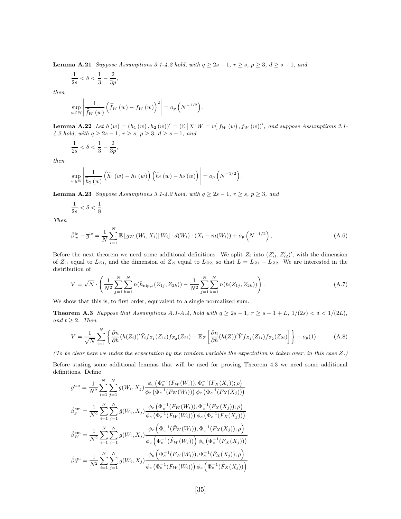**Lemma A.21** Suppose Assumptions 3.1-4.2 hold, with  $q \geq 2s - 1$ ,  $r \geq s$ ,  $p \geq 3$ ,  $d \geq s - 1$ , and

$$
\frac{1}{2s} < \delta < \frac{1}{3} - \frac{2}{3p},
$$

then

$$
\sup_{w \in \mathbb{W}} \left| \frac{1}{\widehat{f}_W(w)} \left( \widehat{f}_W(w) - f_W(w) \right)^2 \right| = o_p\left( N^{-1/2} \right).
$$

**Lemma A.22** Let  $h(w) = (h_1(w), h_2(w))' = (\mathbb{E}[X | W = w] f_W(w), f_W(w))'$ , and suppose Assumptions 3.1-4.2 hold, with  $q \ge 2s - 1$ ,  $r \ge s$ ,  $p \ge 3$ ,  $d \ge s - 1$ , and

$$
\frac{1}{2s} < \delta < \frac{1}{3} - \frac{2}{3p},
$$

then

$$
\sup_{w \in \mathbb{W}} \left| \frac{1}{\widehat{h}_2\left(w\right)} \left(\widehat{h}_1\left(w\right) - h_1\left(w\right)\right) \left(\widehat{h}_2\left(w\right) - h_2\left(w\right)\right) \right| = o_p\left(N^{-1/2}\right).
$$

**Lemma A.23** Suppose Assumptions 3.1-4.2 hold, with  $q \geq 2s - 1$ ,  $r \geq s$ ,  $p \geq 3$ , and

$$
\frac{1}{2s} < \delta < \frac{1}{8}.
$$

Then

$$
\hat{\beta}_{m}^{\text{lc}} - \overline{g}^{\text{lc}} = \frac{1}{N} \sum_{i=1}^{N} \mathbb{E} \left[ g_{W} \left( W_{i}, X_{i} \right) | W_{i} \right] \cdot d(W_{i}) \cdot (X_{i} - m(W_{i})) + o_{p} \left( N^{-1/2} \right), \tag{A.6}
$$

Before the next theorem we need some additional definitions. We split  $Z_i$  into  $(Z'_{i1}, Z'_{i2})'$ , with the dimension of  $Z_{i1}$  equal to  $L_{Z1}$ , and the dimension of  $Z_{i2}$  equal to  $L_{Z2}$ , so that  $L = L_{Z1} + L_{Z2}$ . We are interested in the distribution of

$$
V = \sqrt{N} \cdot \left( \frac{1}{N^2} \sum_{j=1}^{N} \sum_{k=1}^{N} n(\hat{h}_{\text{nip},s}(Z_{1j}, Z_{2k})) - \frac{1}{N^2} \sum_{j=1}^{N} \sum_{k=1}^{N} n(h(Z_{1j}, Z_{2k})) \right).
$$
(A.7)

We show that this is, to first order, equivalent to a single normalized sum.

Theorem A.3 Suppose that Assumptions A.1-A.4, hold with  $q \geq 2s - 1$ ,  $r \geq s - 1 + L$ ,  $1/(2s) < \delta < 1/(2L)$ , and  $t \geq 2$ . Then

$$
V = \frac{1}{\sqrt{N}} \sum_{i=1}^{N} \left\{ \frac{\partial n}{\partial h} (h(Z_i))^{\prime} \tilde{Y}_i f_{Z_1}(Z_{1i}) f_{Z_2}(Z_{2i}) - \mathbb{E}_Z \left[ \frac{\partial n}{\partial h} (h(Z))^{\prime} \tilde{Y} f_{Z_1}(Z_{1i}) f_{Z_2}(Z_{2i}) \right] \right\} + o_p(1).
$$
 (A.8)

(To be clear here we index the expectation by the random variable the expectation is taken over, in this case Z.)

Before stating some additional lemmas that will be used for proving Theorem 4.3 we need some additional definitions. Define

$$
\overline{g}^{\text{cm}} = \frac{1}{N^2} \sum_{i=1}^{N} \sum_{j=1}^{N} g(W_i, X_j) \frac{\phi_c \left( \Phi_c^{-1} (F_W(W_i)), \Phi_c^{-1} (F_X(X_j)); \rho \right)}{\phi_c \left( \Phi_c^{-1} (F_W(W_i)) \right) \phi_c \left( \Phi_c^{-1} (F_X(X_j)) \right)}
$$
\n
$$
\hat{\beta}_g^{\text{cm}} = \frac{1}{N^2} \sum_{i=1}^{N} \sum_{j=1}^{N} \hat{g}(W_i, X_j) \frac{\phi_c \left( \Phi_c^{-1} (F_W(W_i)), \Phi_c^{-1} (F_X(X_j)); \rho \right)}{\phi_c \left( \Phi_c^{-1} (F_W(W_i)) \right) \phi_c \left( \Phi_c^{-1} (F_X(X_j)) \right)}
$$
\n
$$
\hat{\beta}_W^{\text{cm}} = \frac{1}{N^2} \sum_{i=1}^{N} \sum_{j=1}^{N} g(W_i, X_j) \frac{\phi_c \left( \Phi_c^{-1} (\hat{F}_W(W_i)), \Phi_c^{-1} (F_X(X_j)); \rho \right)}{\phi_c \left( \Phi_c^{-1} (\hat{F}_W(W_i)) \right) \phi_c \left( \Phi_c^{-1} (F_X(X_j)) \right)}
$$
\n
$$
\hat{\beta}_X^{\text{cm}} = \frac{1}{N^2} \sum_{i=1}^{N} \sum_{j=1}^{N} g(W_i, X_j) \frac{\phi_c \left( \Phi_c^{-1} (F_W(W_i)), \Phi_c^{-1} (\hat{F}_X(X_j)); \rho \right)}{\phi_c \left( \Phi_c^{-1} (F_W(W_i)) \right) \phi_c \left( \Phi_c^{-1} (\hat{F}_X(X_j)); \rho \right)}
$$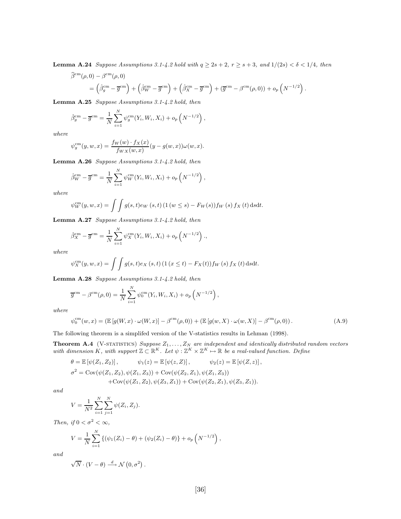**Lemma A.24** Suppose Assumptions 3.1-4.2 hold with  $q \ge 2s + 2$ ,  $r \ge s + 3$ , and  $1/(2s) < \delta < 1/4$ , then

$$
\widehat{\beta}^{\text{cm}}(\rho,0) - \beta^{\text{cm}}(\rho,0) = \left(\widehat{\beta}_g^{\text{cm}} - \overline{g}^{\text{cm}}\right) + \left(\widehat{\beta}_W^{\text{cm}} - \overline{g}^{\text{cm}}\right) + \left(\widehat{\beta}_X^{\text{cm}} - \overline{g}^{\text{cm}}\right) + \left(\overline{g}^{\text{cm}} - \beta^{\text{cm}}(\rho,0)\right) + o_p\left(N^{-1/2}\right).
$$

Lemma A.25 Suppose Assumptions 3.1-4.2 hold, then

$$
\hat{\beta}_g^{\text{cm}} - \overline{g}^{\text{cm}} = \frac{1}{N} \sum_{i=1}^N \psi_g^{\text{cm}}(Y_i, W_i, X_i) + o_p\left(N^{-1/2}\right),
$$

where

$$
\psi_g^{\rm cm}(y, w, x) = \frac{f_W(w) \cdot f_X(x)}{f_{WX}(w, x)} (y - g(w, x)) \omega(w, x).
$$

Lemma A.26 Suppose Assumptions 3.1-4.2 hold, then

$$
\hat{\beta}_W^{\text{cm}} - \overline{g}^{\text{cm}} = \frac{1}{N} \sum_{i=1}^N \psi_W^{\text{cm}}(Y_i, W_i, X_i) + o_p\left(N^{-1/2}\right),
$$

where

$$
\psi_W^{\text{cm}}(y, w, x) = \int \int g(s, t) e_W(s, t) \left(1 \left(w \le s\right) - F_W(s)\right) f_W(s) \, f_X(t) \, \text{d}s \text{d}t.
$$

Lemma A.27 Suppose Assumptions 3.1-4.2 hold, then

$$
\hat{\beta}_X^{\text{cm}} - \overline{g}^{\text{cm}} = \frac{1}{N} \sum_{i=1}^N \psi_X^{\text{cm}}(Y_i, W_i, X_i) + o_p\left(N^{-1/2}\right),
$$

where

$$
\psi_X^{\rm cm}(y, w, x) = \int \int g(s, t) e_X(s, t) \left(1 \left(x \le t\right) - F_X(t)\right) f_W(s) \, f_X(t) \, ds \, dt.
$$

Lemma A.28 Suppose Assumptions 3.1-4.2 hold, then

$$
\overline{g}^{\text{cm}} - \beta^{\text{cm}}(\rho, 0) = \frac{1}{N} \sum_{i=1}^{N} \psi_0^{\text{cm}}(Y_i, W_i, X_i) + o_p\left(N^{-1/2}\right),
$$

where

$$
\psi_0^{\text{cm}}(w,x) = \left( \mathbb{E}\left[g(W,x)\cdot\omega(W,x)\right] - \beta^{\text{cm}}(\rho,0) \right) + \left( \mathbb{E}\left[g(w,X)\cdot\omega(w,X)\right] - \beta^{\text{cm}}(\rho,0) \right). \tag{A.9}
$$

The following theorem is a simplifed version of the V-statistics results in Lehman (1998).

**Theorem A.4** (V-STATISTICS) Suppose  $Z_1, \ldots, Z_N$  are independent and identically distributed random vectors with dimension K, with support  $\mathbb{Z} \subset \mathbb{R}^K$ . Let  $\psi : \mathbb{Z}^K \times \mathbb{Z}^K \to \mathbb{R}$  be a real-valued function. Define

$$
\theta = \mathbb{E} [\psi(Z_1, Z_2)], \qquad \psi_1(z) = \mathbb{E} [\psi(z, Z)], \qquad \psi_2(z) = \mathbb{E} [\psi(Z, z)],
$$
  

$$
\sigma^2 = \text{Cov}(\psi(Z_1, Z_2), \psi(Z_1, Z_3)) + \text{Cov}(\psi(Z_2, Z_1), \psi(Z_1, Z_3)) + \text{Cov}(\psi(Z_2, Z_1), \psi(Z_3, Z_1)).
$$

and

$$
V = \frac{1}{N^2} \sum_{i=1}^{N} \sum_{j=1}^{N} \psi(Z_i, Z_j).
$$

Then, if  $0 < \sigma^2 < \infty$ ,

$$
V = \frac{1}{N} \sum_{i=1}^{N} \left\{ (\psi_1(Z_i) - \theta) + (\psi_2(Z_i) - \theta) \right\} + o_p \left( N^{-1/2} \right),
$$

and

$$
\sqrt{N}\cdot(V-\theta)\stackrel{d}{\longrightarrow}\mathcal{N}\left(0,\sigma^{2}\right).
$$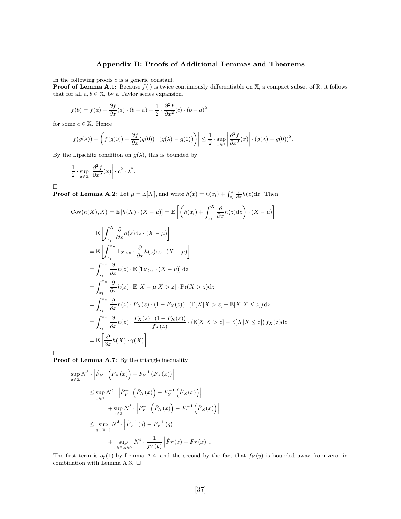## Appendix B: Proofs of Additional Lemmas and Theorems

In the following proofs  $c$  is a generic constant.

**Proof of Lemma A.1:** Because  $f(\cdot)$  is twice continuously differentiable on X, a compact subset of R, it follows that for all  $a, b \in \mathbb{X}$ , by a Taylor series expansion,

$$
f(b) = f(a) + \frac{\partial f}{\partial x}(a) \cdot (b - a) + \frac{1}{2} \cdot \frac{\partial^2 f}{\partial x^2}(c) \cdot (b - a)^2,
$$

for some  $c \in \mathbb{X}$ . Hence

$$
\left|f(g(\lambda)) - \left(f(g(0)) + \frac{\partial f}{\partial x}(g(0)) \cdot (g(\lambda) - g(0))\right)\right| \leq \frac{1}{2} \cdot \sup_{x \in \mathbb{X}} \left|\frac{\partial^2 f}{\partial x^2}(x)\right| \cdot (g(\lambda) - g(0))^2.
$$

By the Lipschitz condition on  $g(\lambda)$ , this is bounded by

$$
\frac{1}{2} \cdot \sup_{x \in \mathbb{X}} \left| \frac{\partial^2 f}{\partial x^2}(x) \right| \cdot c^2 \cdot \lambda^2.
$$

 $\Box$ 

**Proof of Lemma A.2:** Let  $\mu = \mathbb{E}[X]$ , and write  $h(x) = h(x_l) + \int_{x_l}^x \frac{\partial}{\partial x} h(z) dz$ . Then:

$$
\begin{split}\n\text{Cov}(h(X), X) &= \mathbb{E}\left[h(X) \cdot (X - \mu)\right] = \mathbb{E}\left[\left(h(x_l) + \int_{x_l}^X \frac{\partial}{\partial x} h(z) \,dz\right) \cdot (X - \mu)\right] \\
&= \mathbb{E}\left[\int_{x_l}^X \frac{\partial}{\partial x} h(z) \,dz \cdot (X - \mu)\right] \\
&= \mathbb{E}\left[\int_{x_l}^{x_u} \mathbf{1}_{X > z} \cdot \frac{\partial}{\partial x} h(z) \,dz \cdot (X - \mu)\right] \\
&= \int_{x_l}^{x_u} \frac{\partial}{\partial x} h(z) \cdot \mathbb{E}\left[\mathbf{1}_{X > z} \cdot (X - \mu)\right] \,dz \\
&= \int_{x_l}^{x_u} \frac{\partial}{\partial x} h(z) \cdot \mathbb{E}\left[X - \mu | X > z\right] \cdot \Pr(X > z) \,dz \\
&= \int_{x_l}^{x_u} \frac{\partial}{\partial x} h(z) \cdot F_X(z) \cdot (1 - F_X(z)) \cdot (\mathbb{E}[X | X > z] - \mathbb{E}[X | X \le z]) \,dz \\
&= \int_{x_l}^{x_u} \frac{\partial}{\partial x} h(z) \cdot \frac{F_X(z) \cdot (1 - F_X(z))}{f_X(z)} \cdot (\mathbb{E}[X | X > z] - \mathbb{E}[X | X \le z]) \,f_X(z) \,dz \\
&= \mathbb{E}\left[\frac{\partial}{\partial x} h(X) \cdot \gamma(X)\right].\n\end{split}
$$

 $\Box$ 

Proof of Lemma A.7: By the triangle inequality

$$
\sup_{x \in \mathbb{X}} N^{\delta} \cdot \left| \hat{F}_{Y}^{-1} \left( \hat{F}_{X}(x) \right) - F_{Y}^{-1} \left( F_{X}(x) \right) \right|
$$
\n
$$
\leq \sup_{x \in \mathbb{X}} N^{\delta} \cdot \left| \hat{F}_{Y}^{-1} \left( \hat{F}_{X}(x) \right) - F_{Y}^{-1} \left( \hat{F}_{X}(x) \right) \right|
$$
\n
$$
+ \sup_{x \in \mathbb{X}} N^{\delta} \cdot \left| F_{Y}^{-1} \left( \hat{F}_{X}(x) \right) - F_{Y}^{-1} \left( \hat{F}_{X}(x) \right) \right|
$$
\n
$$
\leq \sup_{q \in [0,1]} N^{\delta} \cdot \left| \hat{F}_{Y}^{-1} \left( q \right) - F_{Y}^{-1} \left( q \right) \right|
$$
\n
$$
+ \sup_{x \in \mathbb{X}, y \in \mathbb{Y}} N^{\delta} \cdot \frac{1}{f_{Y}(y)} \left| \hat{F}_{X}(x) - F_{X}(x) \right|.
$$

The first term is  $o_p(1)$  by Lemma A.4, and the second by the fact that  $f_Y(y)$  is bounded away from zero, in combination with Lemma A.3.  $\Box$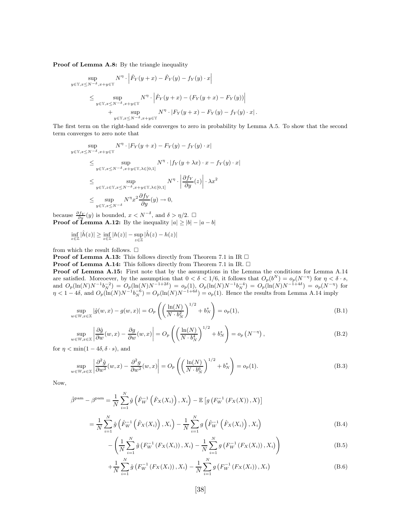Proof of Lemma A.8: By the triangle inequality

$$
\sup_{y \in \mathbb{Y}, x \le N^{-\delta}, x+y \in \mathbb{Y}} N^{\eta} \cdot \left| \hat{F}_Y(y+x) - \hat{F}_Y(y) - f_Y(y) \cdot x \right|
$$
\n
$$
\le \sup_{y \in \mathbb{Y}, x \le N^{-\delta}, x+y \in \mathbb{Y}} N^{\eta} \cdot \left| \hat{F}_Y(y+x) - (F_Y(y+x) - F_Y(y)) \right|
$$
\n
$$
+ \sup_{y \in \mathbb{Y}, x \le N^{-\delta}, x+y \in \mathbb{Y}} N^{\eta} \cdot \left| F_Y(y+x) - F_Y(y) - f_Y(y) \cdot x \right|.
$$

The first term on the right-hand side converges to zero in probability by Lemma A.5. To show that the second term converges to zero note that

$$
\sup_{y \in \mathbb{Y}, x \le N^{-\delta}, x+y \in \mathbb{Y}} N^{\eta} \cdot |F_Y(y+x) - F_Y(y) - f_Y(y) \cdot x|
$$
\n
$$
\le \sup_{y \in \mathbb{Y}, x \le N^{-\delta}, x+y \in \mathbb{Y}, \lambda \in [0,1]} N^{\eta} \cdot |f_Y(y+\lambda x) \cdot x - f_Y(y) \cdot x|
$$
\n
$$
\le \sup_{y \in \mathbb{Y}, z \in \mathbb{Y}, x \le N^{-\delta}, x+y \in \mathbb{Y}, \lambda \in [0,1]} N^{\eta} \cdot \left| \frac{\partial f_Y}{\partial y}(z) \right| \cdot \lambda x^2
$$
\n
$$
\le \sup_{y \in \mathbb{Y}, x \le N^{-\delta}} N^{\eta} x^2 \frac{\partial f_Y}{\partial y}(y) \to 0,
$$

because  $\frac{\partial f_Y}{\partial y}(y)$  is bounded,  $x < N^{-\delta}$ , and  $\delta > \eta/2$ .  $\Box$ **Proof of Lemma A.12:** By the inequality  $|a| \ge |b| - |a - b|$ 

$$
\inf_{z\in\mathbb{Z}}|\hat{h}(z)| \ge \inf_{z\in\mathbb{Z}}|h(z)| - \sup_{z\in\mathbb{Z}}|\hat{h}(z) - h(z)|
$$

from which the result follows.  $\square$ 

**Proof of Lemma A.13:** This follows directly from Theorem 7.1 in IR  $\Box$ 

**Proof of Lemma A.14:** This follows directly from Theorem 7.1 in IR.  $\Box$ 

Proof of Lemma A.15: First note that by the assumptions in the Lemma the conditions for Lemma A.14 are satisfied. Moreoever, by the assumption that  $0 < \delta < 1/6$ , it follows that  $O_p(b^N) = o_p(N^{-\eta})$  for  $\eta < \delta \cdot s$ , and  $O_p(\ln(N)N^{-1}b_N^{-2}) = O_p(\ln(N)N^{-1+2\delta}) = o_p(1)$ ,  $O_p(\ln(N)N^{-1}b_N^{-4}) = O_p(\ln(N)N^{-1+4\delta}) = o_p(N^{-\eta})$  for  $\eta < 1-4\delta$ , and  $O_p(\ln(N)N^{-1}b_N^{-6}) = O_p(\ln(N)N^{-1+6\delta}) = o_p(1)$ . Hence the results from Lemma A.14 imply

$$
\sup_{w \in \mathbb{W}, x \in \mathbb{X}} |\hat{g}(w, x) - g(w, x)| = O_p\left( \left( \frac{\ln(N)}{N \cdot b_N^2} \right)^{1/2} + b_N^s \right) = o_p(1),\tag{B.1}
$$

$$
\sup_{w \in \mathbb{W}, x \in \mathbb{X}} \left| \frac{\partial \hat{g}}{\partial w}(w, x) - \frac{\partial g}{\partial w}(w, x) \right| = O_p \left( \left( \frac{\ln(N)}{N \cdot b_N^4} \right)^{1/2} + b_N^s \right) = o_p \left( N^{-\eta} \right),\tag{B.2}
$$

for  $\eta < \min(1 - 4\delta, \delta \cdot s)$ , and

$$
\sup_{w \in \mathbb{W}, x \in \mathbb{X}} \left| \frac{\partial^2 \hat{g}}{\partial w^2}(w, x) - \frac{\partial^2 g}{\partial w^2}(w, x) \right| = O_p\left( \left( \frac{\ln(N)}{N \cdot b_N^6} \right)^{1/2} + b_N^s \right) = o_p(1). \tag{B.3}
$$

Now,

$$
\hat{\beta}^{\text{pam}} - \beta^{\text{pam}} = \frac{1}{N} \sum_{i=1}^{N} \hat{g} \left( \hat{F}_{W}^{-1} \left( \hat{F}_{X}(X_{i}) \right), X_{i} \right) - \mathbb{E} \left[ g \left( F_{W}^{-1} \left( F_{X}(X) \right), X \right) \right]
$$

$$
= \frac{1}{N} \sum_{i=1}^{N} \hat{g} \left( \hat{F}_{W}^{-1} \left( \hat{F}_{X}(X_{i}) \right), X_{i} \right) - \frac{1}{N} \sum_{i=1}^{N} g \left( \hat{F}_{W}^{-1} \left( \hat{F}_{X}(X_{i}) \right), X_{i} \right)
$$
(B.4)

$$
-\left(\frac{1}{N}\sum_{i=1}^{N}\hat{g}\left(F_{W}^{-1}\left(F_{X}(X_{i})\right),X_{i}\right)-\frac{1}{N}\sum_{i=1}^{N}g\left(F_{W}^{-1}\left(F_{X}(X_{i})\right),X_{i}\right)\right) \tag{B.5}
$$

$$
+\frac{1}{N}\sum_{i=1}^{N}\hat{g}\left(F_{W}^{-1}\left(F_{X}(X_{i})\right),X_{i}\right)-\frac{1}{N}\sum_{i=1}^{N}g\left(F_{W}^{-1}\left(F_{X}(X_{i})\right),X_{i}\right)
$$
(B.6)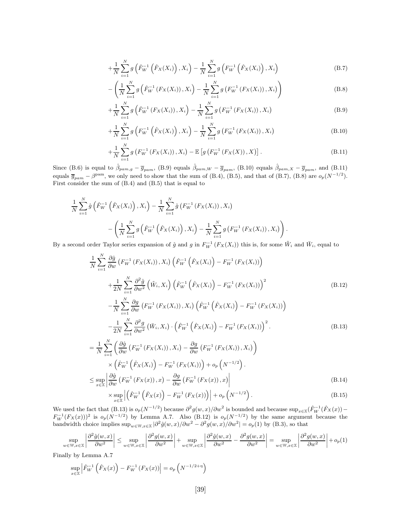$$
+\frac{1}{N}\sum_{i=1}^{N}g\left(\hat{F}_{W}^{-1}\left(\hat{F}_{X}(X_{i})\right),X_{i}\right)-\frac{1}{N}\sum_{i=1}^{N}g\left(F_{W}^{-1}\left(\hat{F}_{X}(X_{i})\right),X_{i}\right)
$$
(B.7)

$$
-\left(\frac{1}{N}\sum_{i=1}^{N}g\left(\hat{F}_{W}^{-1}\left(F_{X}(X_{i})\right),X_{i}\right)-\frac{1}{N}\sum_{i=1}^{N}g\left(F_{W}^{-1}\left(F_{X}(X_{i})\right),X_{i}\right)\right) \tag{B.8}
$$

$$
+\frac{1}{N}\sum_{i=1}^{N}g\left(\hat{F}_{W}^{-1}\left(F_{X}(X_{i})\right),X_{i}\right)-\frac{1}{N}\sum_{i=1}^{N}g\left(F_{W}^{-1}\left(F_{X}(X_{i})\right),X_{i}\right)
$$
(B.9)

$$
+\frac{1}{N}\sum_{i=1}^{N}g\left(F_{W}^{-1}\left(\hat{F}_{X}(X_{i})\right),X_{i}\right)-\frac{1}{N}\sum_{i=1}^{N}g\left(F_{W}^{-1}\left(F_{X}(X_{i})\right),X_{i}\right) \tag{B.10}
$$

$$
+\frac{1}{N}\sum_{i=1}^{N}g\left(F_{W}^{-1}\left(F_{X}(X_{i})\right),X_{i}\right)-\mathbb{E}\left[g\left(F_{W}^{-1}\left(F_{X}(X)\right),X\right)\right].
$$
\n(B.11)

Since (B.6) is equal to  $\hat{\beta}_{pam,g} - \overline{g}_{pam}$ , (B.9) equals  $\hat{\beta}_{pam,W} - \overline{g}_{pam}$ , (B.10) equals  $\hat{\beta}_{pam,X} - \overline{g}_{pam}$ , and (B.11) equals  $\overline{g}_{pam} - \beta^{pam}$ , we only need to show that the sum of (B.4), (B.5), and that of (B.7), (B.8) are  $o_p(N^{-1/2})$ . First consider the sum of (B.4) and (B.5) that is equal to

$$
\frac{1}{N} \sum_{i=1}^{N} \hat{g} \left( \hat{F}_{W}^{-1} \left( \hat{F}_{X}(X_{i}) \right), X_{i} \right) - \frac{1}{N} \sum_{i=1}^{N} \hat{g} \left( F_{W}^{-1} \left( F_{X}(X_{i}) \right), X_{i} \right) \n- \left( \frac{1}{N} \sum_{i=1}^{N} g \left( \hat{F}_{W}^{-1} \left( \hat{F}_{X}(X_{i}) \right), X_{i} \right) - \frac{1}{N} \sum_{i=1}^{N} g \left( F_{W}^{-1} \left( F_{X}(X_{i}) \right), X_{i} \right) \right).
$$

By a second order Taylor series expansion of  $\hat{g}$  and  $g$  in  $F_W^{-1}(F_X(X_i))$  this is, for some  $\tilde{W}_i$  and  $\bar{W}_i$ , equal to

$$
\frac{1}{N} \sum_{i=1}^{N} \frac{\partial \hat{g}}{\partial w} \left( F_{W}^{-1} \left( F_{X}(X_{i}) \right), X_{i} \right) \left( \hat{F}_{W}^{-1} \left( \hat{F}_{X}(X_{i}) \right) - F_{W}^{-1} \left( F_{X}(X_{i}) \right) \right) \n+ \frac{1}{2N} \sum_{i=1}^{N} \frac{\partial^{2} \hat{g}}{\partial w^{2}} \left( \tilde{W}_{i}, X_{i} \right) \left( \hat{F}_{W}^{-1} \left( \hat{F}_{X}(X_{i}) \right) - F_{W}^{-1} \left( F_{X}(X_{i}) \right) \right)^{2} \n- \frac{1}{N} \sum_{i=1}^{N} \frac{\partial g}{\partial w} \left( F_{W}^{-1} \left( F_{X}(X_{i}) \right), X_{i} \right) \left( \hat{F}_{W}^{-1} \left( \hat{F}_{X}(X_{i}) \right) - F_{W}^{-1} \left( F_{X}(X_{i}) \right) \right) \n- \frac{1}{2N} \sum_{i=1}^{N} \frac{\partial^{2} g}{\partial w^{2}} \left( \bar{W}_{i}, X_{i} \right) \cdot \left( \hat{F}_{W}^{-1} \left( \hat{F}_{X}(X_{i}) \right) - F_{W}^{-1} \left( F_{X}(X_{i}) \right) \right)^{2} . \tag{B.13}
$$
\n
$$
= \frac{1}{N} \sum_{i=1}^{N} \left( \frac{\partial \hat{g}}{\partial w} \left( F_{W}^{-1} \left( F_{X}(X_{i}) \right), X_{i} \right) - \frac{\partial g}{\partial w} \left( F_{W}^{-1} \left( F_{X}(X_{i}) \right), X_{i} \right) \right) \n\times \left( \hat{F}_{W}^{-1} \left( \hat{F}_{X}(X_{i}) \right) - F_{W}^{-1} \left( F_{X}(X_{i}) \right) \right) + o_{p} \left( N^{-1/2} \right) .
$$
\n
$$
\leq \sup_{x \in \mathbb{X}} \left| \frac{\partial \hat{g}}{\partial w} \left( F_{W}^{-1} \left( F_{X}(x) \right), x \right) - \frac{\partial g}{\partial w} \left( F_{W}^{-1}
$$

$$
\times \sup_{x \in \mathbb{X}} \left| \left( \hat{F}_W^{-1} \left( \hat{F}_X(x) \right) - F_W^{-1} \left( F_X(x) \right) \right) \right| + o_p \left( N^{-1/2} \right). \tag{B.15}
$$

We used the fact that  $(B.13)$  is  $o_p(N^{-1/2})$  because  $\partial^2 g(w, x)/\partial w^2$  is bounded and because  $\sup_{x \in \mathbb{X}} (\hat{F}_W^{-1}(\hat{F}_X(x)) F_W^{-1}(F_X(x)))^2$  is  $o_p(N^{-1/2})$  by Lemma A.7. Also (B.12) is  $o_p(N^{-1/2})$  by the same argument because the bandwidth choice implies  $\sup_{w \in \mathbb{W}, x \in \mathbb{X}} |\partial^2 \hat{g}(w, x)/\partial w^2 - \partial^2 g(w, x)/\partial w^2| = o_p(1)$  by (B.3), so that

$$
\sup_{w \in \mathbb{W}, x \in \mathbb{X}} \left| \frac{\partial^2 \hat{g}(w, x)}{\partial w^2} \right| \le \sup_{w \in \mathbb{W}, x \in \mathbb{X}} \left| \frac{\partial^2 g(w, x)}{\partial w^2} \right| + \sup_{w \in \mathbb{W}, x \in \mathbb{X}} \left| \frac{\partial^2 \hat{g}(w, x)}{\partial w^2} - \frac{\partial^2 g(w, x)}{\partial w^2} \right| = \sup_{w \in \mathbb{W}, x \in \mathbb{X}} \left| \frac{\partial^2 g(w, x)}{\partial w^2} \right| + o_p(1)
$$

Finally by Lemma A.7

$$
\sup_{x \in \mathbb{X}} \left| \hat{F}_{W}^{-1} \left( \hat{F}_{X}(x) \right) - F_{W}^{-1} \left( F_{X}(x) \right) \right| = o_{p} \left( N^{-1/2 + \eta} \right)
$$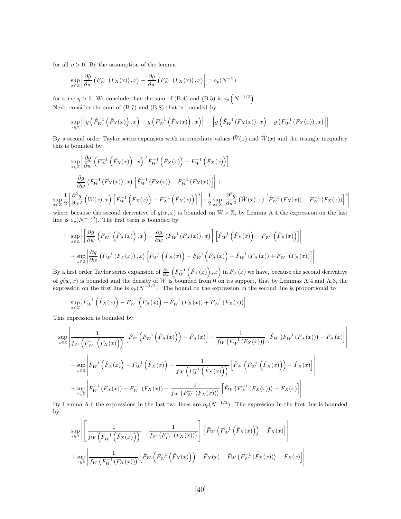for all  $\eta > 0$ . By the assumption of the lemma

$$
\sup_{x \in \mathbb{X}} \left| \frac{\partial \hat{g}}{\partial w} \left( F_W^{-1} \left( F_X(x) \right), x \right) - \frac{\partial g}{\partial w} \left( F_W^{-1} \left( F_X(x) \right), x \right) \right| = o_p(N^{-\eta})
$$

for some  $\eta > 0$ . We conclude that the sum of (B.4) and (B.5) is  $o_p\left(N^{-1/2}\right)$ . Next, consider the sum of (B.7) and (B.8) that is bounded by

$$
\sup_{x \in \mathbb{X}}\left|\left[g\left(\hat{F}_{W}^{-1}\left(\hat{F}_{X}(x)\right),x\right)-g\left(F_{W}^{-1}\left(\hat{F}_{X}(x)\right),x\right)\right]-\left[g\left(\hat{F}_{W}^{-1}\left(F_{X}(x)\right),x\right)-g\left(F_{W}^{-1}\left(F_{X}(x)\right),x\right)\right]\right|
$$

By a second order Taylor series expansion with intermediate values  $\tilde{W}(x)$  and  $\tilde{W}(x)$  and the triangle inequality this is bounded by

$$
\sup_{x \in \mathbb{X}} \left| \frac{\partial g}{\partial w} \left( F_W^{-1} \left( \hat{F}_X(x) \right), x \right) \left[ \hat{F}_W^{-1} \left( \hat{F}_X(x) \right) - F_W^{-1} \left( \hat{F}_X(x) \right) \right] \right|
$$
  
 
$$
- \frac{\partial g}{\partial w} \left( F_W^{-1} \left( F_X(x) \right), x \right) \left[ \hat{F}_W^{-1} \left( F_X(x) \right) - F_W^{-1} \left( F_X(x) \right) \right] \right| +
$$
  

$$
\left| \frac{\partial^2 g}{\partial w^2} \left( \tilde{W}(x), x \right) \left[ \hat{F}_W^{-1} \left( \hat{F}_X(x) \right) - F_W^{-1} \left( \hat{F}_X(x) \right) \right]^2 \right| + \frac{1}{2} \sup_{x \in \mathbb{X}} \left| \frac{\partial^2 g}{\partial w^2} \left( \tilde{W}(x), x \right) \left[ \hat{F}_W^{-1} \left( F_X(x) \right) - F_W^{-1} \left( F_X(x) \right) \right]^2 \right|
$$

where because the second derivative of  $g(w, x)$  is bounded on  $W \times X$ , by Lemma A.4 the expression on the last line is  $o_p(N^{-1/2})$ . The first term is bounded by

$$
\sup_{x \in \mathbb{X}} \left| \left[ \frac{\partial g}{\partial w} \left( F_W^{-1} \left( \hat{F}_X(x) \right), x \right) - \frac{\partial g}{\partial w} \left( F_W^{-1} \left( F_X(x) \right), x \right) \right] \left[ \hat{F}_W^{-1} \left( \hat{F}_X(x) \right) - F_W^{-1} \left( \hat{F}_X(x) \right) \right] \right|
$$
  
+ 
$$
\sup_{x \in \mathbb{X}} \left| \frac{\partial g}{\partial w} \left( F_W^{-1} \left( F_X(x) \right), x \right) \left[ \hat{F}_W^{-1} \left( \hat{F}_X(x) \right) - F_W^{-1} \left( \hat{F}_X(x) \right) - \hat{F}_W^{-1} \left( F_X(x) \right) + F_W^{-1} \left( F_X(x) \right) \right] \right|
$$

By a first order Taylor series expansion of  $\frac{\partial g}{\partial w}\left(F_W^{-1}\left(\hat{F}_X(x)\right),x\right)$  in  $F_X(x)$  we have, because the second derivative of  $g(w, x)$  is bounded and the density of W is bounded from 0 on its support, that by Lemmas A.4 and A.3, the expression on the first line is  $o_p(N^{-1/2})$ . The bound on the expression in the second line is proportional to

$$
\sup_{x \in \mathbb{X}} \left| \hat{F}_{W}^{-1} \left( \hat{F}_{X}(x) \right) - F_{W}^{-1} \left( \hat{F}_{X}(x) \right) - \hat{F}_{W}^{-1} \left( F_{X}(x) \right) + F_{W}^{-1} \left( F_{X}(x) \right) \right|
$$

This expression is bounded by

sup x∈X 1 2

$$
\sup_{x \in \mathbb{X}} \left| \frac{1}{f_W \left( F_W^{-1} \left( \hat{F}_X(x) \right) \right)} \left[ \hat{F}_W \left( F_W^{-1} \left( \hat{F}_X(x) \right) \right) - \hat{F}_X(x) \right] - \frac{1}{f_W \left( F_W^{-1} \left( F_X(x) \right) \right)} \left[ \hat{F}_W \left( F_W^{-1} \left( F_X(x) \right) \right) - F_X(x) \right] \right|
$$
  
+ 
$$
\sup_{x \in \mathbb{X}} \left| \hat{F}_W^{-1} \left( \hat{F}_X(x) \right) - F_W^{-1} \left( \hat{F}_X(x) \right) - \frac{1}{f_W \left( F_W^{-1} \left( \hat{F}_X(x) \right) \right)} \left[ \hat{F}_W \left( F_W^{-1} \left( \hat{F}_X(x) \right) \right) - \hat{F}_X(x) \right] \right|
$$
  
+ 
$$
\sup_{x \in \mathbb{X}} \left| \hat{F}_W^{-1} \left( F_X(x) \right) - F_W^{-1} \left( F_X(x) \right) - \frac{1}{f_W \left( F_W^{-1} \left( F_X(x) \right) \right)} \left[ \hat{F}_W \left( F_W^{-1} \left( F_X(x) \right) \right) - F_X(x) \right] \right|
$$

By Lemma A.6 the expressions in the last two lines are  $o_p(N^{-1/2})$ . The expression in the first line is bounded by

$$
\sup_{x \in \mathbb{X}} \left| \left[ \frac{1}{f_W \left( F_W^{-1} \left( \hat{F}_X(x) \right) \right)} - \frac{1}{f_W \left( F_W^{-1} \left( F_X(x) \right) \right)} \right] \left[ \hat{F}_W \left( F_W^{-1} \left( \hat{F}_X(x) \right) \right) - \hat{F}_X(x) \right] \right|
$$
  
+ 
$$
\sup_{x \in \mathbb{X}} \left| \frac{1}{f_W \left( F_W^{-1} \left( F_X(x) \right) \right)} \left[ \hat{F}_W \left( F_W^{-1} \left( \hat{F}_X(x) \right) \right) - \hat{F}_X(x) - \hat{F}_W \left( F_W^{-1} \left( F_X(x) \right) \right) + F_X(x) \right] \right|
$$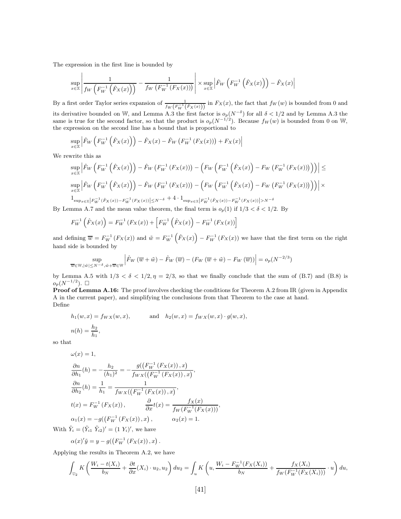The expression in the first line is bounded by

$$
\sup_{x \in \mathbb{X}} \left| \frac{1}{f_W\left(F_W^{-1}\left(\hat{F}_X(x)\right)\right)} - \frac{1}{f_W\left(F_W^{-1}\left(F_X(x)\right)\right)} \right| \times \sup_{x \in \mathbb{X}} \left| \hat{F}_W\left(F_W^{-1}\left(\hat{F}_X(x)\right)\right) - \hat{F}_X(x) \right|
$$

By a first order Taylor series expansion of  $\frac{1}{f_W(F_W^{-1}(\hat{F}_X(x)))}$  in  $F_X(x)$ , the fact that  $f_W(w)$  is bounded from 0 and its derivative bounded on W, and Lemma A.3 the first factor is  $o_p(N^{-\delta})$  for all  $\delta < 1/2$  and by Lemma A.3 the same is true for the second factor, so that the product is  $o_p(N^{-1/2})$ . Because  $f_W(w)$  is bounded from 0 on W, the expression on the second line has a bound that is proportional to

$$
\sup_{x \in \mathbb{X}} \left| \hat{F}_W \left( F_W^{-1} \left( \hat{F}_X(x) \right) \right) - \hat{F}_X(x) - \hat{F}_W \left( F_W^{-1} \left( F_X(x) \right) \right) + F_X(x) \right|
$$

We rewrite this as

$$
\sup_{x\in\mathbb{X}}\left|\hat{F}_{W}\left(F_{W}^{-1}\left(\hat{F}_{X}(x)\right)\right)-\hat{F}_{W}\left(F_{W}^{-1}\left(F_{X}(x)\right)\right)-\left(F_{W}\left(F_{W}^{-1}\left(\hat{F}_{X}(x)\right)-F_{W}\left(F_{W}^{-1}\left(F_{X}(x)\right)\right)\right)\right)\right|\leq
$$
\n
$$
\sup_{x\in\mathbb{X}}\left|\hat{F}_{W}\left(F_{W}^{-1}\left(\hat{F}_{X}(x)\right)\right)-\hat{F}_{W}\left(F_{W}^{-1}\left(F_{X}(x)\right)\right)-\left(F_{W}\left(F_{W}^{-1}\left(\hat{F}_{X}(x)\right)-F_{W}\left(F_{W}^{-1}\left(F_{X}(x)\right)\right)\right)\right)\right|\times
$$
\n
$$
\frac{1}{2}\sup_{x\in\mathbb{X}}\left|F_{W}^{-1}(\hat{F}_{X}(x))-F_{W}^{-1}(F_{X}(x))\right|\leq N^{-\delta}+4\cdot\mathbf{1}_{\sup_{x\in\mathbb{X}}\left|F_{W}^{-1}(\hat{F}_{X}(x))-F_{W}^{-1}(F_{X}(x))\right|>\mathbf{1}_{\sup_{x\in\mathbb{X}}\left|F_{W}^{-1}(\hat{F}_{X}(x))-F_{W}^{-1}(F_{X}(x))\right|\leq N^{-\delta}+4\cdot\mathbf{1}_{\sup_{x\in\mathbb{X}}\left|F_{W}^{-1}(\hat{F}_{X}(x))\right|>\mathbf{1}_{\mathbf{1}_{\mathbf{1}_{\mathbf{1}_{\mathbf{1}}\cap\mathbf{1}}\leq N}
$$

 $-\frac{1}{W}(\hat{F}_X(x)) - F_W^{-1}(F_X(x))$  > N−δ By Lemma A.7 and the mean value theorem, the final term is  $o_p(1)$  if  $1/3 < \delta < 1/2$ . By

$$
F_W^{-1}(\hat{F}_X(x)) = F_W^{-1}(F_X(x)) + [F_W^{-1}(\hat{F}_X(x)) - F_W^{-1}(F_X(x))]
$$

and defining  $\overline{w} = F_W^{-1}(F_X(x))$  and  $\tilde{w} = F_W^{-1}(\hat{F}_X(x)) - F_W^{-1}(F_X(x))$  we have that the first term on the right hand side is bounded by

$$
\sup_{\overline{w}\in\mathbb{W},|\tilde{w}|\leq N^{-\delta},\tilde{w}+\overline{w}\in\mathbb{W}}\left|\hat{F}_W\left(\overline{w}+\tilde{w}\right)-\hat{F}_W\left(\overline{w}\right)-\left(F_W\left(\overline{w}+\tilde{w}\right)-F_W\left(\overline{w}\right)\right)\right|=o_p(N^{-2/3})
$$

by Lemma A.5 with  $1/3 < \delta < 1/2, \eta = 2/3$ , so that we finally conclude that the sum of (B.7) and (B.8) is  $o_p(N^{-1/2})$ .  $\Box$ 

**Proof of Lemma A.16:** The proof involves checking the conditions for Theorem A.2 from IR (given in Appendix A in the current paper), and simplifying the conclusions from that Theorem to the case at hand. Define

$$
h_1(w,x) = f_{WX}(w,x), \qquad \text{and} \quad h_2(w,x) = f_{WX}(w,x) \cdot g(w,x),
$$
  

$$
n(h) = \frac{h_2}{h_1},
$$

so that

$$
\omega(x) = 1,
$$
  
\n
$$
\frac{\partial n}{\partial h_1}(h) = -\frac{h_2}{(h_1)^2} = -\frac{g((F_W^{-1}(F_X(x)), x)}{f_{WX}((F_W^{-1}(F_X(x)), x)},
$$
  
\n
$$
\frac{\partial n}{\partial h_2}(h) = \frac{1}{h_1} = \frac{1}{f_{WX}((F_W^{-1}(F_X(x)), x)},
$$
  
\n
$$
t(x) = F_W^{-1}(F_X(x)), \qquad \frac{\partial}{\partial x}t(x) = \frac{f_X(x)}{f_W(F_W^{-1}(F_X(x)))},
$$
  
\n
$$
\alpha_1(x) = -g((F_W^{-1}(F_X(x)), x), \qquad \alpha_2(x) = 1.
$$

With  $\tilde{Y}_i = (\tilde{Y}_{i1} \ \tilde{Y}_{i2})' = (1 \ Y_i)'$ , we have

$$
\alpha(x)'\tilde{y} = y - g(\left(F_W^{-1}\left(F_X(x)\right), x\right).
$$

Applying the results in Theorem A.2, we have

$$
\int_{\mathbb{U}_2} K\left(\frac{W_i - t(X_i)}{b_N} + \frac{\partial t}{\partial x}(X_i) \cdot u_2, u_2\right) du_2 = \int_u K\left(u, \frac{W_i - F_W^{-1}(F_X(X_i))}{b_N} + \frac{f_X(X_i)}{f_W(F_W^{-1}(F_X(X_i)))} \cdot u\right) du,
$$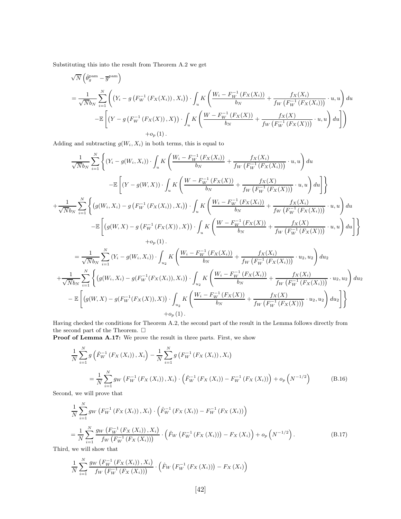Substituting this into the result from Theorem A.2 we get

$$
\sqrt{N} \left( \hat{\theta}_g^{\text{pam}} - \overline{g}^{\text{pam}} \right)
$$
\n
$$
= \frac{1}{\sqrt{N}b_N} \sum_{i=1}^N \left( \left( Y_i - g \left( F_W^{-1} \left( F_X(X_i) \right), X_i \right) \right) \cdot \int_u K \left( \frac{W_i - F_W^{-1} \left( F_X(X_i) \right)}{b_N} + \frac{f_X(X_i)}{f_W \left( F_W^{-1} \left( F_X(X_i) \right) \right)} \cdot u, u \right) du - \mathbb{E} \left[ \left( Y - g \left( F_W^{-1} \left( F_X(X) \right), X \right) \right) \cdot \int_u K \left( \frac{W - F_W^{-1} \left( F_X(X) \right)}{b_N} + \frac{f_X(X)}{f_W \left( F_W^{-1} \left( F_X(X) \right) \right)} \cdot u, u \right) du \right] + o_p(1).
$$

Adding and subtracting  $g(W_i, X_i)$  in both terms, this is equal to

$$
\frac{1}{\sqrt{N}b_N} \sum_{i=1}^{N} \left\{ (Y_i - g(W_i, X_i)) \cdot \int_u K \left( \frac{W_i - F_W^{-1} (F_X(X_i))}{b_N} + \frac{f_X(X_i)}{f_W (F_W^{-1} (F_X(X_i)))} \cdot u, u \right) du \right\}
$$
  
\n
$$
- \mathbb{E} \left[ (Y - g(W, X)) \cdot \int_u K \left( \frac{W - F_W^{-1} (F_X(X))}{b_N} + \frac{f_X(X)}{f_W (F_W^{-1} (F_X(X)))} \cdot u, u \right) du \right] \right\}
$$
  
\n
$$
+ \frac{1}{\sqrt{N}b_N} \sum_{i=1}^{N} \left\{ (g(W_i, X_i) - g (F_W^{-1} (F_X(X_i)), X_i)) \cdot \int_u K \left( \frac{W_i - F_W^{-1} (F_X(X_i))}{b_N} + \frac{f_X(X_i)}{f_W (F_W^{-1} (F_X(X_i)))} \cdot u, u \right) du \right\}
$$
  
\n
$$
- \mathbb{E} \left[ (g(W, X) - g (F_W^{-1} (F_X(X)), X)) \cdot \int_u K \left( \frac{W - F_W^{-1} (F_X(X))}{b_N} + \frac{f_X(X)}{f_W (F_W^{-1} (F_X(X)))} \cdot u, u \right) du \right] \right\}
$$
  
\n
$$
+ o_p(1).
$$
  
\n
$$
= \frac{1}{\sqrt{N}b_N} \sum_{i=1}^{N} (Y_i - g(W_i, X_i)) \cdot \int_{u_2} K \left( \frac{W_i - F_W^{-1} (F_X(X_i))}{b_N} + \frac{f_X(X_i)}{f_W (F_W^{-1} (F_X(X_i)))} \cdot u_2, u_2 \right) du_2
$$
  
\n
$$
+ \frac{1}{\sqrt{N}b_N} \sum_{i=1}^{N} \left\{ (g(W_i, X_i) - g(F_W^{-1} (F_X(X_i)), X_i)) \cdot \int_{u_2} K \left( \frac{W_i - F_W^{-1} (F_X(X_i))}{b_N} + \frac{f_X(X_i)}{f_W (F_W^{-1} (F_X(X_i)))} \cdot u_2, u_2 \right) du_2 \right\}
$$

$$
\mathcal{N}_{NN} \left\{ \begin{bmatrix} 1 & 0 & 0 \\ \frac{1}{2} & 0 & 0 \\ 0 & 0 & 0 \\ 0 & 0 & 0 \end{bmatrix} \right\} \right\}
$$
\n
$$
- \mathbb{E} \left[ \left( g(W, X) - g(F_W^{-1}(F_X(X)), X) \right) \cdot \int_{u_2} K \left( \frac{W_i - F_W^{-1}(F_X(X))}{b_N} + \frac{f_X(X)}{f_W(F_W^{-1}(F_X(X)))} \cdot u_2, u_2 \right) du_2 \right] \right\}
$$
\n
$$
+ o_p(1).
$$

Having checked the conditions for Theorem A.2, the second part of the result in the Lemma follows directly from the second part of the Theorem.  $\Box$ 

Proof of Lemma A.17: We prove the result in three parts. First, we show

$$
\frac{1}{N} \sum_{i=1}^{N} g\left(\hat{F}_{W}^{-1}\left(F_{X}\left(X_{i}\right)\right), X_{i}\right) - \frac{1}{N} \sum_{i=1}^{N} g\left(F_{W}^{-1}\left(F_{X}\left(X_{i}\right)\right), X_{i}\right)
$$
\n
$$
= \frac{1}{N} \sum_{i=1}^{N} g_{W}\left(F_{W}^{-1}\left(F_{X}\left(X_{i}\right)\right), X_{i}\right) \cdot \left(\hat{F}_{W}^{-1}\left(F_{X}\left(X_{i}\right)\right) - F_{W}^{-1}\left(F_{X}\left(X_{i}\right)\right)\right) + o_{p}\left(N^{-1/2}\right) \tag{B.16}
$$

Second, we will prove that

$$
\frac{1}{N} \sum_{i=1}^{N} g_W \left( F_W^{-1} \left( F_X \left( X_i \right) \right), X_i \right) \cdot \left( \hat{F}_W^{-1} \left( F_X \left( X_i \right) \right) - F_W^{-1} \left( F_X \left( X_i \right) \right) \right) \n= \frac{1}{N} \sum_{i=1}^{N} \frac{g_W \left( F_W^{-1} \left( F_X \left( X_i \right) \right), X_i \right)}{f_W \left( F_W^{-1} \left( F_X \left( X_i \right) \right) \right)} \cdot \left( \hat{F}_W \left( F_W^{-1} \left( F_X \left( X_i \right) \right) \right) - F_X \left( X_i \right) \right) + o_p \left( N^{-1/2} \right).
$$
\n(B.17)

Third, we will show that

$$
\frac{1}{N}\sum_{i=1}^N \frac{g_W\left(F_W^{-1}\left(F_X\left(X_i\right)\right), X_i\right)}{f_W\left(F_W^{-1}\left(F_X\left(X_i\right)\right)\right)} \cdot \left(\hat{F}_W\left(F_W^{-1}\left(F_X\left(X_i\right)\right)\right) - F_X\left(X_i\right)\right)
$$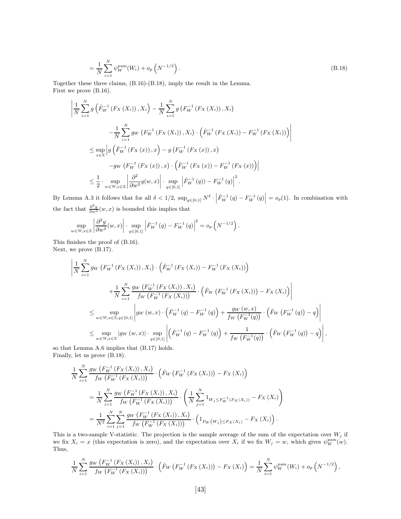$$
= \frac{1}{N} \sum_{i=1}^{N} \psi_W^{\text{pam}}(W_i) + o_p\left(N^{-1/2}\right).
$$
\n(B.18)

Together these three claims, (B.16)-(B.18), imply the result in the Lemma. First we prove (B.16).

$$
\left| \frac{1}{N} \sum_{i=1}^{N} g\left( \hat{F}_{W}^{-1} \left( F_{X} \left( X_{i} \right) \right), X_{i} \right) - \frac{1}{N} \sum_{i=1}^{N} g\left( F_{W}^{-1} \left( F_{X} \left( X_{i} \right) \right), X_{i} \right) - \frac{1}{N} \sum_{i=1}^{N} g_{W} \left( F_{W}^{-1} \left( F_{X} \left( X_{i} \right) \right), X_{i} \right) \cdot \left( \hat{F}_{W}^{-1} \left( F_{X} \left( X_{i} \right) \right) - F_{W}^{-1} \left( F_{X} \left( X_{i} \right) \right) \right) \right|
$$
  
\n
$$
\leq \sup_{x \in \mathbb{X}} \left| g\left( \hat{F}_{W}^{-1} \left( F_{X} \left( x \right) \right), x \right) - g\left( F_{W}^{-1} \left( F_{X} \left( x \right) \right), x \right) - g_{W} \left( F_{W}^{-1} \left( F_{X} \left( x \right) \right), x \right) \right|
$$
  
\n
$$
- g_{W} \left( F_{W}^{-1} \left( F_{X} \left( x \right) \right), x \right) \cdot \left( \hat{F}_{W}^{-1} \left( F_{X} \left( x \right) \right) - F_{W}^{-1} \left( F_{X} \left( x \right) \right) \right) \right|
$$
  
\n
$$
\leq \frac{1}{2} \cdot \sup_{w \in \mathbb{W}, x \in \mathbb{X}} \left| \frac{\partial^{2}}{\partial w^{2}} g(w, x) \right| \cdot \sup_{q \in [0, 1]} \left| \hat{F}_{W}^{-1} \left( q \right) \right| - F_{W}^{-1} \left( q \right) \right|^{2}.
$$

By Lemma A.3 it follows that for all  $\delta < 1/2$ ,  $\sup_{q \in [0,1]} N^{\delta}$ .  $\left| \hat{F}_{W}^{-1}(q) - F_{W}^{-1}(q) \right| = o_p(1)$ . In combination with the fact that  $\frac{\partial^2 g}{\partial w^2}(w, x)$  is bounded this implies that

$$
\sup_{w \in \mathbb{W}, x \in \mathbb{X}} \left| \frac{\partial^2 g}{\partial w^2}(w, x) \right| \cdot \sup_{q \in [0, 1]} \left| \hat{F}_W^{-1}(q) - F_W^{-1}(q) \right|^2 = o_p\left(N^{-1/2}\right).
$$

This finishes the proof of (B.16). Next, we prove (B.17).

$$
\left| \frac{1}{N} \sum_{i=1}^{N} g_{W} \left( F_{W}^{-1} \left( F_{X} \left( X_{i} \right) \right), X_{i} \right) \cdot \left( \hat{F}_{W}^{-1} \left( F_{X} \left( X_{i} \right) \right) - F_{W}^{-1} \left( F_{X} \left( X_{i} \right) \right) \right) \right|
$$
\n
$$
+ \frac{1}{N} \sum_{i=1}^{N} \frac{g_{W} \left( F_{W}^{-1} \left( F_{X} \left( X_{i} \right) \right), X_{i} \right)}{f_{W} \left( F_{W}^{-1} \left( F_{X} \left( X_{i} \right) \right) \right)} \cdot \left( \hat{F}_{W} \left( F_{W}^{-1} \left( F_{X} \left( X_{i} \right) \right) \right) - F_{X} \left( X_{i} \right) \right) \right|
$$
\n
$$
\leq \sup_{w \in \mathbb{W}, x \in \mathbb{X}, q \in [0,1]} \left| g_{W} \left( w, x \right) \cdot \left( \hat{F}_{W}^{-1} \left( q \right) - F_{W}^{-1} \left( q \right) \right) + \frac{g_{W} \left( w, x \right)}{f_{W} \left( F_{W}^{-1} \left( q \right) \right)} \cdot \left( \hat{F}_{W} \left( F_{W}^{-1} \left( q \right) \right) - q \right) \right|
$$
\n
$$
\leq \sup_{w \in \mathbb{W}, x \in \mathbb{X}} \left| g_{W} \left( w, x \right) \right| \cdot \sup_{q \in [0,1]} \left| \left( \hat{F}_{W}^{-1} \left( q \right) - F_{W}^{-1} \left( q \right) \right) + \frac{1}{f_{W} \left( F_{W}^{-1} \left( q \right) \right)} \cdot \left( \hat{F}_{W} \left( F_{W}^{-1} \left( q \right) \right) - q \right) \right|,
$$
\n
$$
\vdash \text{I} \text{cmms A 6 implies that (B.17) holds.}
$$

so that Lemma A.6 implies that (B.17) holds. Finally, let us prove (B.18).

$$
\frac{1}{N} \sum_{i=1}^{N} \frac{g_W\left(F_W^{-1}\left(F_X\left(X_i\right)\right), X_i\right)}{f_W\left(F_W^{-1}\left(F_X\left(X_i\right)\right)\right)} \cdot \left(\hat{F}_W\left(F_W^{-1}\left(F_X\left(X_i\right)\right)\right) - F_X\left(X_i\right)\right)
$$
\n
$$
= \frac{1}{N} \sum_{i=1}^{N} \frac{g_W\left(F_W^{-1}\left(F_X\left(X_i\right)\right), X_i\right)}{f_W\left(F_W^{-1}\left(F_X\left(X_i\right)\right)\right)} \cdot \left(\frac{1}{N} \sum_{j=1}^{N} 1_{W_j \leq F_W^{-1}\left(F_X\left(X_i\right)\right)} - F_X\left(X_i\right)\right)
$$
\n
$$
= \frac{1}{N^2} \sum_{i=1}^{N} \sum_{j=1}^{N} \frac{g_W\left(F_W^{-1}\left(F_X\left(X_i\right)\right), X_i\right)}{f_W\left(F_W^{-1}\left(F_X\left(X_i\right)\right)\right)} \cdot \left(1_{F_W\left(W_j\right) \leq F_X\left(X_i\right)} - F_X\left(X_i\right)\right).
$$

This is a two-sample V-statistic. The projection is the sample average of the sum of the expectation over  $W_j$  if we fix  $X_i = x$  (this expectation is zero), and the expectation over  $X_i$  if we fix  $W_j = w$ , which gives  $\psi_W^{\text{pam}}(w)$ . Thus,

$$
\frac{1}{N} \sum_{i=1}^{N} \frac{g_W\left(F_W^{-1}\left(F_X\left(X_i\right)\right), X_i\right)}{f_W\left(F_W^{-1}\left(F_X\left(X_i\right)\right)\right)} \cdot \left(\hat{F}_W\left(F_W^{-1}\left(F_X\left(X_i\right)\right)\right) - F_X\left(X_i\right)\right) = \frac{1}{N} \sum_{i=1}^{N} \psi_W^{\text{pam}}(W_i) + o_p\left(N^{-1/2}\right),
$$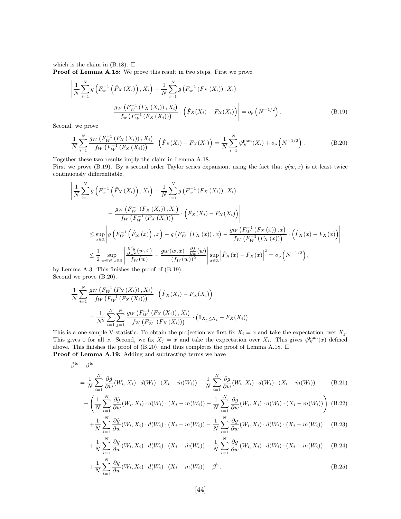which is the claim in (B.18).  $\square$ 

Proof of Lemma A.18: We prove this result in two steps. First we prove

$$
\left| \frac{1}{N} \sum_{i=1}^{N} g\left( F_w^{-1} \left( \hat{F}_X \left( X_i \right) \right), X_i \right) - \frac{1}{N} \sum_{i=1}^{N} g\left( F_w^{-1} \left( F_X \left( X_i \right) \right), X_i \right) - \frac{g_W \left( F_w^{-1} \left( F_X \left( X_i \right) \right), X_i \right)}{f_w \left( F_W^{-1} \left( F_X \left( X_i \right) \right) \right)} \cdot \left( \hat{F}_X (X_i) - F_X (X_i) \right) \right| = o_p \left( N^{-1/2} \right). \tag{B.19}
$$

Second, we prove

$$
\frac{1}{N} \sum_{i=1}^{N} \frac{g_W\left(F_W^{-1}\left(F_X\left(X_i\right)\right), X_i\right)}{f_W\left(F_W^{-1}\left(F_X\left(X_i\right)\right)\right)} \cdot \left(\hat{F}_X(X_i) - F_X(X_i)\right) = \frac{1}{N} \sum_{i=1}^{N} \psi_X^{\text{pam}}(X_i) + o_p\left(N^{-1/2}\right). \tag{B.20}
$$

Together these two results imply the claim in Lemma A.18.

First we prove (B.19). By a second order Taylor series expansion, using the fact that  $g(w, x)$  is at least twice continuously differentiable,

$$
\left| \frac{1}{N} \sum_{i=1}^{N} g\left( F_w^{-1} \left( \hat{F}_X \left( X_i \right) \right), X_i \right) - \frac{1}{N} \sum_{i=1}^{N} g\left( F_w^{-1} \left( F_X \left( X_i \right) \right), X_i \right) \right|
$$
\n
$$
- \frac{g_W \left( F_W^{-1} \left( F_X \left( X_i \right) \right), X_i \right)}{f_W \left( F_W^{-1} \left( F_X \left( X_i \right) \right) \right)} \cdot \left( \hat{F}_X \left( X_i \right) - F_X \left( X_i \right) \right) \right|
$$
\n
$$
\leq \sup_{x \in \mathbb{X}} \left| g \left( F_W^{-1} \left( \hat{F}_X \left( x \right) \right), x \right) - g \left( F_W^{-1} \left( F_X \left( x \right) \right), x \right) - \frac{g_W \left( F_W^{-1} \left( F_X \left( x \right) \right), x \right)}{f_W \left( F_W^{-1} \left( F_X \left( x \right) \right) \right)} \cdot \left( \hat{F}_X \left( x \right) - F_X \left( x \right) \right) \right|
$$
\n
$$
\leq \frac{1}{2} \sup_{w \in \mathbb{W}, x \in \mathbb{X}} \left| \frac{\frac{\partial^2 g}{\partial w^2} (w, x)}{f_W(w)} - \frac{g_W(w, x) \cdot \frac{\partial f}{\partial w}(w)}{(f_W(w))^2} \right| \sup_{x \in \mathbb{X}} \left| \hat{F}_X \left( x \right) - F_X \left( x \right) \right|^2 = o_p \left( N^{-1/2} \right),
$$

by Lemma A.3. This finishes the proof of (B.19). Second we prove (B.20).

$$
\frac{1}{N} \sum_{i=1}^{N} \frac{g_W\left(F_W^{-1}\left(F_X\left(X_i\right)\right), X_i\right)}{f_W\left(F_W^{-1}\left(F_X\left(X_i\right)\right)\right)} \cdot \left(\hat{F}_X(X_i) - F_X(X_i)\right)
$$
\n
$$
= \frac{1}{N^2} \sum_{i=1}^{N} \sum_{j=1}^{N} \frac{g_W\left(F_W^{-1}\left(F_X\left(X_i\right)\right), X_i\right)}{f_W\left(F_W^{-1}\left(F_X\left(X_i\right)\right)\right)} \cdot \left(\mathbf{1}_{X_j \le X_i} - F_X(X_i)\right)
$$

This is a one-sample V-statistic. To obtain the projection we first fix  $X_i = x$  and take the expectation over  $X_j$ . This gives 0 for all x. Second, we fix  $X_j = x$  and take the expectation over  $X_i$ . This gives  $\psi_X^{\text{pam}}(x)$  defined above. This finishes the proof of (B.20), and thus completes the proof of Lemma A.18.  $\Box$ Proof of Lemma A.19: Adding and subtracting terms we have

$$
\hat{\beta}^{\mathrm{lc}}-\beta^{\mathrm{lc}}
$$

$$
= \frac{1}{N} \sum_{i=1}^{N} \frac{\partial \hat{g}}{\partial w}(W_i, X_i) \cdot d(W_i) \cdot (X_i - \hat{m}(W_i)) - \frac{1}{N} \sum_{i=1}^{N} \frac{\partial g}{\partial w}(W_i, X_i) \cdot d(W_i) \cdot (X_i - \hat{m}(W_i))
$$
(B.21)

$$
-\left(\frac{1}{N}\sum_{i=1}^{N}\frac{\partial\hat{g}}{\partial w}(W_i,X_i)\cdot d(W_i)\cdot(X_i-m(W_i))-\frac{1}{N}\sum_{i=1}^{N}\frac{\partial g}{\partial w}(W_i,X_i)\cdot d(W_i)\cdot(X_i-m(W_i))\right)
$$
(B.22)

$$
+\frac{1}{N}\sum_{i=1}^{N}\frac{\partial\hat{g}}{\partial w}(W_i,X_i)\cdot d(W_i)\cdot(X_i-m(W_i))-\frac{1}{N}\sum_{i=1}^{N}\frac{\partial g}{\partial w}(W_i,X_i)\cdot d(W_i)\cdot(X_i-m(W_i))\tag{B.23}
$$

$$
+\frac{1}{N}\sum_{i=1}^{N}\frac{\partial g}{\partial w}(W_i,X_i)\cdot d(W_i)\cdot (X_i-\hat{m}(W_i))-\frac{1}{N}\sum_{i=1}^{N}\frac{\partial g}{\partial w}(W_i,X_i)\cdot d(W_i)\cdot (X_i-m(W_i))\tag{B.24}
$$

$$
+\frac{1}{N}\sum_{i=1}^{N}\frac{\partial g}{\partial w}(W_i,X_i)\cdot d(W_i)\cdot (X_i-m(W_i))-\beta^{\rm lc}.
$$
\n(B.25)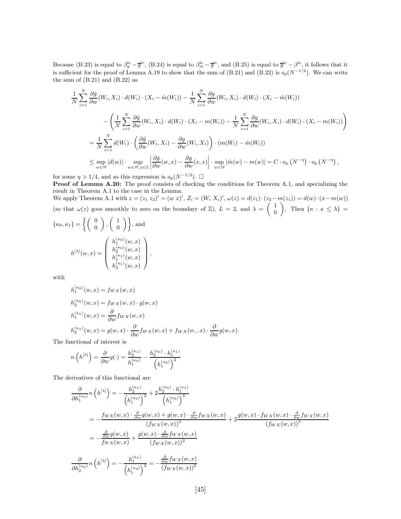Because (B.23) is equal to  $\beta_g^{\text{lc}} - \bar{g}^{\text{lc}}$ , (B.24) is equal to  $\beta_m^{\text{lc}} - \bar{g}^{\text{lc}}$ , and (B.25) is equal to  $\bar{g}^{\text{lc}} - \beta^{\text{lc}}$ , it follows that it is sufficient for the proof of Lemma A.19 to show that the sum of (B.21) and (B.22) is  $o_p(N^{-1/2})$ . We can write the sum of  $(B.21)$  and  $(B.22)$  as

$$
\frac{1}{N} \sum_{i=1}^{N} \frac{\partial \hat{g}}{\partial w}(W_i, X_i) \cdot d(W_i) \cdot (X_i - \hat{m}(W_i)) - \frac{1}{N} \sum_{i=1}^{N} \frac{\partial g}{\partial w}(W_i, X_i) \cdot d(W_i) \cdot (X_i - \hat{m}(W_i))
$$
\n
$$
- \left( \frac{1}{N} \sum_{i=1}^{N} \frac{\partial \hat{g}}{\partial w}(W_i, X_i) \cdot d(W_i) \cdot (X_i - m(W_i)) - \frac{1}{N} \sum_{i=1}^{N} \frac{\partial g}{\partial w}(W_i, X_i) \cdot d(W_i) \cdot (X_i - m(W_i)) \right)
$$
\n
$$
= \frac{1}{N} \sum_{i=1}^{N} d(W_i) \cdot \left( \frac{\partial \hat{g}}{\partial w}(W_i, X_i) - \frac{\partial g}{\partial w}(W_i, X_i) \right) \cdot (m(W_i) - \hat{m}(W_i))
$$
\n
$$
\leq \sup_{w \in W} |d(w)| \cdot \sup_{w \in W, x \in \mathbb{X}} \left| \frac{\partial \hat{g}}{\partial w}(w, x) - \frac{\partial g}{\partial w}(x, x) \right| \cdot \sup_{w \in W} |\hat{m}(w) - m(w)| = C \cdot o_p(N^{-\eta}) \cdot o_p(N^{-\eta}),
$$

for some  $\eta > 1/4$ , and so this expression is  $o_p(N^{-1/2})$ .  $\Box$ 

Proof of Lemma A.20: The proof consists of checking the conditions for Theorem A.1, and specializing the result in Theorem A.1 to the case in the Lemma. We apply Theorem A.1 with  $z = (z_1 \ z_2)' = (w \ x)'$ ,  $Z_i = (W_i \ X_i)'$ ,  $\omega(z) = d(z_1) \cdot (z_2 - m(z_1)) = d(w) \cdot (x - m(w))$ 

(so that  $\omega(z)$  goes smoothly to zero on the boundary of  $\mathbb{Z}$ ),  $L = 2$ , and  $\lambda = \begin{pmatrix} 1 & 1 \\ 0 & 1 \end{pmatrix}$  $\boldsymbol{0}$ ). Then  $\{\kappa : \kappa \leq \lambda\}$  =

$$
\{\kappa_0, \kappa_1\} = \left\{ \begin{pmatrix} 0 \\ 0 \end{pmatrix}, \begin{pmatrix} 1 \\ 0 \end{pmatrix} \right\}, \text{ and}
$$

$$
h^{[\lambda]}(w, x) = \begin{pmatrix} h_1^{(\kappa_0)}(w, x) \\ h_2^{(\kappa_0)}(w, x) \\ h_1^{(\kappa_1)}(w, x) \\ h_2^{(\kappa_1)}(w, x) \end{pmatrix},
$$

with

$$
h_1^{(\kappa_0)}(w, x) = f_{WX}(w, x)
$$
  
\n
$$
h_2^{(\kappa_0)}(w, x) = f_{WX}(w, x) \cdot g(w, x)
$$
  
\n
$$
h_1^{(\kappa_1)}(w, x) = \frac{\partial}{\partial w} f_{WX}(w, x)
$$
  
\n
$$
h_2^{(\kappa_1)}(w, x) = g(w, x) \cdot \frac{\partial}{\partial w} f_{WX}(w, x) + f_{WX}(w, x) \cdot \frac{\partial}{\partial w} g(w, x).
$$

The functional of interest is

$$
n\left(h^{[\lambda]}\right) = \frac{\partial}{\partial w}g(\cdot) = \frac{h_2^{(\kappa_1)}}{h_1^{(\kappa_0)}} - \frac{h_2^{(\kappa_0)} \cdot h_1^{(\kappa_1)}}{\left(h_1^{(\kappa_0)}\right)^2}
$$

The derivatives of this functional are

$$
\frac{\partial}{\partial h_1^{(\kappa_0)}} n(h^{[\lambda]}) = -\frac{h_2^{(\kappa_1)}}{(h_1^{(\kappa_0)})^2} + 2\frac{h_2^{(\kappa_0)} \cdot h_1^{(\kappa_1)}}{(h_1^{(\kappa_0)})^3} \n= -\frac{f_{WX}(w, x) \cdot \frac{\partial}{\partial w} g(w, x) + g(w, x) \cdot \frac{\partial}{\partial w} f_{WX}(w, x)}{(f_{WX}(w, x))^2} + 2\frac{g(w, x) \cdot f_{WX}(w, x) \cdot \frac{\partial}{\partial w} f_{WX}(w, x)}{(f_{WX}(w, x))^3} \n= -\frac{\frac{\partial}{\partial w} g(w, x)}{f_{WX}(w, x)} + \frac{g(w, x) \cdot \frac{\partial}{\partial w} f_{WX}(w, x)}{(f_{WX}(w, x))^2} \n\frac{\partial}{\partial h_2^{(\kappa_0)}} n(h^{[\lambda]}) = -\frac{h_1^{(\kappa_1)}}{(h_1^{(\kappa_0)})^2} = -\frac{\frac{\partial}{\partial w} f_{WX}(w, x)}{(f_{WX}(w, x))^2}
$$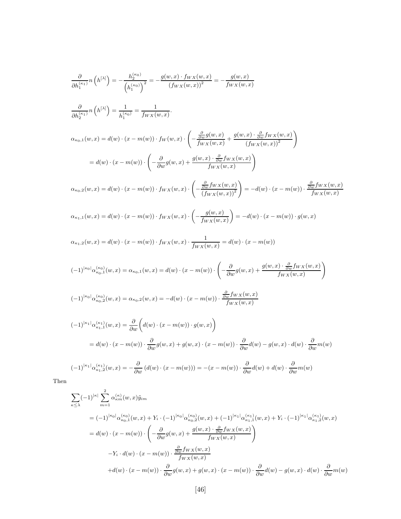$$
\frac{\partial}{\partial h_1^{(\kappa_1)}} n(h^{[\lambda]}) = -\frac{h_2^{(\kappa_0)}}{(h_1^{(\kappa_0)})^2} = -\frac{g(w, x) \cdot f_{WX}(w, x)}{(f_{WX}(w, x))^2} = -\frac{g(w, x)}{f_{WX}(w, x)}
$$
\n
$$
\frac{\partial}{\partial h_2^{(\kappa_1)}} n(h^{[\lambda]}) = \frac{1}{h_1^{(\kappa_0)}} = \frac{1}{f_{WX}(w, x)}.
$$
\n
$$
\alpha_{\kappa_0,1}(w, x) = d(w) \cdot (x - m(w)) \cdot f_{W}(w, x) \cdot \left( -\frac{\frac{\partial}{\partial w} g(w, x)}{f_{WX}(w, x)} + \frac{g(w, x) \cdot \frac{\partial}{\partial w} f_{WX}(w, x)}{(f_{WX}(w, x))^2} \right)
$$
\n
$$
= d(w) \cdot (x - m(w)) \cdot \left( -\frac{\partial}{\partial w} g(w, x) + \frac{g(w, x) \cdot \frac{\partial}{\partial w} f_{WX}(w, x)}{f_{WX}(w, x)} \right)
$$
\n
$$
\alpha_{\kappa_0,2}(w, x) = d(w) \cdot (x - m(w)) \cdot f_{WX}(w, x) \cdot \left( -\frac{\frac{\partial}{\partial w} f_{WX}(w, x)}{(f_{WX}(w, x))^2} \right) = -d(w) \cdot (x - m(w)) \cdot \frac{\frac{\partial}{\partial w} f_{WX}(w, x)}{f_{WX}(w, x)} \alpha_{\kappa_1,1}(w, x) = d(w) \cdot (x - m(w)) \cdot f_{WX}(w, x) \cdot \left( -\frac{g(w, x)}{f_{WX}(w, x)} \right) = -d(w) \cdot (x - m(w)) \cdot g(w, x) \alpha_{\kappa_1,2}(w, x) = d(w) \cdot (x - m(w)) \cdot f_{WX}(w, x) \cdot \frac{1}{f_{WX}(w, x)} = d(w) \cdot (x - m(w))
$$
\n
$$
(-1)^{|\kappa_0|} \alpha_{\kappa_0,1}^{(\kappa_0)}(w, x) = \alpha_{\kappa_0,1}(w, x) = d(w) \cdot (x - m(w)) \cdot \left( -\frac{\partial}{\partial w} g(w, x) + \frac{g(w, x) \cdot
$$

$$
(-1)^{|k_1|} \alpha_{k_1,2}^{(k_1)}(w,x) = -\frac{\partial}{\partial w} \left( d(w) \cdot (x - m(w)) \right) = -(x - m(w)) \cdot \frac{\partial}{\partial w} d(w) + d(w) \cdot \frac{\partial}{\partial w} m(w)
$$

Then

$$
\sum_{\kappa \leq \lambda} (-1)^{|\kappa|} \sum_{m=1}^{2} \alpha_{\kappa m}^{(\kappa)}(w, x) \tilde{y}_{im}
$$
\n
$$
= (-1)^{|\kappa_0|} \alpha_{\kappa_0,1}^{(\kappa_0)}(w, x) + Y_i \cdot (-1)^{|\kappa_0|} \alpha_{\kappa_0,2}^{(\kappa_0)}(w, x) + (-1)^{|\kappa_1|} \alpha_{\kappa_1,1}^{(\kappa_1)}(w, x) + Y_i \cdot (-1)^{|\kappa_1|} \alpha_{\kappa_1,2}^{(\kappa_1)}(w, x)
$$
\n
$$
= d(w) \cdot (x - m(w)) \cdot \left( -\frac{\partial}{\partial w} g(w, x) + \frac{g(w, x) \cdot \frac{\partial}{\partial w} f_{W X}(w, x)}{f_{W X}(w, x)} \right)
$$
\n
$$
-Y_i \cdot d(w) \cdot (x - m(w)) \cdot \frac{\partial}{\partial w} f_{W X}(w, x)
$$
\n
$$
+ d(w) \cdot (x - m(w)) \cdot \frac{\partial}{\partial w} g(w, x) + g(w, x) \cdot (x - m(w)) \cdot \frac{\partial}{\partial w} d(w) - g(w, x) \cdot d(w) \cdot \frac{\partial}{\partial w} m(w)
$$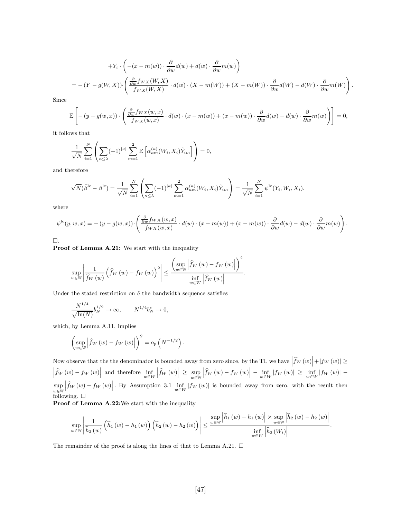+
$$
+Y_i \cdot \left( -(x - m(w)) \cdot \frac{\partial}{\partial w} d(w) + d(w) \cdot \frac{\partial}{\partial w} m(w) \right)
$$
  
= 
$$
-(Y - g(W, X)) \cdot \left( \frac{\frac{\partial}{\partial w} f_{WX}(W, X)}{f_{WX}(W, X)} \cdot d(w) \cdot (X - m(W)) + (X - m(W)) \cdot \frac{\partial}{\partial w} d(W) - d(W) \cdot \frac{\partial}{\partial w} m(W) \right).
$$

Since

$$
\mathbb{E}\left[ -(y - g(w, x)) \cdot \left( \frac{\frac{\partial}{\partial w} f_{WX}(w, x)}{f_{WX}(w, x)} \cdot d(w) \cdot (x - m(w)) + (x - m(w)) \cdot \frac{\partial}{\partial w} d(w) - d(w) \cdot \frac{\partial}{\partial w} m(w) \right) \right] = 0,
$$

it follows that

$$
\frac{1}{\sqrt{N}}\sum_{i=1}^N\left(\sum_{\kappa\leq\lambda}(-1)^{|\kappa|}\sum_{m=1}^2\mathbb{E}\left[\alpha_{\kappa m}^{(\kappa)}(W_i,X_i)\tilde{Y}_{im}\right]\right)=0,
$$

and therefore

$$
\sqrt{N}(\hat{\beta}^{lc} - \beta^{lc}) = \frac{1}{\sqrt{N}} \sum_{i=1}^N \left( \sum_{\kappa \leq \lambda} (-1)^{|\kappa|} \sum_{m=1}^2 \alpha_{\kappa m}^{(\kappa)}(W_i, X_i) \tilde{Y}_{im} \right) = \frac{1}{\sqrt{N}} \sum_{i=1}^N \psi^{lc}(Y_i, W_i, X_i).
$$

where

$$
\psi^{\text{lc}}(y, w, x) = -(y - g(w, x)) \cdot \left( \frac{\frac{\partial}{\partial w} f_{WX}(w, x)}{f_{WX}(w, x)} \cdot d(w) \cdot (x - m(w)) + (x - m(w)) \cdot \frac{\partial}{\partial w} d(w) - d(w) \cdot \frac{\partial}{\partial w} m(w) \right).
$$

 $\square$  .

Proof of Lemma A.21: We start with the inequality

$$
\sup_{w \in \mathbb{W}} \left| \frac{1}{\widehat{f}_W\left(w\right)} \left(\widehat{f}_W\left(w\right) - f_W\left(w\right)\right)^2 \right| \leq \frac{\left(\sup_{w \in \mathbb{W}} \left|\widehat{f}_W\left(w\right) - f_W\left(w\right)\right|\right)^2}{\inf_{w \in W} \left|\widehat{f}_W\left(w\right)\right|}.
$$

Under the stated restriction on  $\delta$  the bandwidth sequence satisfies

$$
\frac{N^{1/4}}{\sqrt{\ln(N)}} b_N^{1/2} \to \infty, \qquad N^{1/4} b_N^s \to 0,
$$

which, by Lemma A.11, implies

$$
\left(\sup_{w\in W}\left|\widehat{f}_W\left(w\right)-f_W\left(w\right)\right|\right)^2=o_p\left(N^{-1/2}\right).
$$

Now observe that the the denominator is bounded away from zero since, by the TI, we have  $\left| \hat{f}_W(w) \right| + \left| f_W(w) \right| \ge \left| \hat{f}_W(w) - f_W(w) \right|$  and therefore  $\inf_{w \in W} \left| \hat{f}_W(w) \right| \ge \sup_{w \in W} \left| \hat{f}_W(w) - f_W(w) \right| - \inf_{w \in W} \left| f_W(w) \$  $\left| \widehat{f}_W \left( w \right) \right| \geq \sup_{w \in \mathbb{W}}$  $\left| \widehat{f}_W \left( w \right) - f_W \left( w \right) \right| \, - \, \inf_{w \in W} \left| f_W \left( w \right) \right| \, \ge \, \inf_{w \in W} \left| f_W \left( w \right) \right| \, - \,$ sup w∈W  $\left|\hat{f}_W(w)-f_W(w)\right|$ . By Assumption 3.1  $\inf_{w\in W}|f_W(w)|$  is bounded away from zero, with the result then following.  $\square$ 

Proof of Lemma A.22: We start with the inequality

$$
\sup_{w \in \mathbb{W}} \left| \frac{1}{\widehat{h}_2\left(w\right)} \left(\widehat{h}_1\left(w\right) - h_1\left(w\right)\right) \left(\widehat{h}_2\left(w\right) - h_2\left(w\right)\right) \right| \leq \frac{\sup\limits_{w \in \mathbb{W}} \left| \widehat{h}_1\left(w\right) - h_1\left(w\right) \right| \times \sup\limits_{w \in \mathbb{W}} \left| \widehat{h}_2\left(w\right) - h_2\left(w\right) \right|}{\inf\limits_{w \in \mathbb{W}} \left| \widehat{h}_2\left(W_i\right) \right|}.
$$

The remainder of the proof is along the lines of that to Lemma A.21.  $\Box$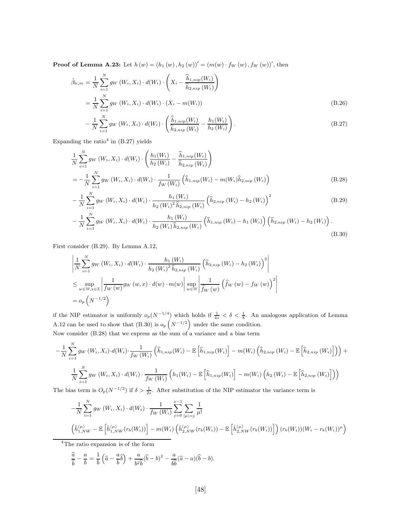**Proof of Lemma A.23:** Let  $h(w) = (h_1(w), h_2(w))' = (m(w) \cdot f_W(w), f_W(w))'$ , then

$$
\hat{\beta}_{1c,m} = \frac{1}{N} \sum_{i=1}^{N} g_W(W_i, X_i) \cdot d(W_i) \cdot \left( X_i - \frac{\hat{h}_{1,nip}(W_i)}{\hat{h}_{2,nip}(W_i)} \right)
$$
\n
$$
= \frac{1}{N} \sum_{i=1}^{N} g_W(W_i, X_i) \cdot d(W_i) \cdot (X_i - m(W_i))
$$
\n
$$
- \frac{1}{N} \sum_{i=1}^{N} g_W(W_i, X_i) \cdot d(W_i) \cdot \left( \frac{\hat{h}_{1,nip}(W_i)}{\hat{h}_{2,nip}(W_i)} - \frac{h_1(W_i)}{h_2(W_i)} \right).
$$
\n(B.27)

 $h_2\left(W_i\right)$ 

Expanding the ratio<sup>4</sup> in  $(B.27)$  yields

N

$$
\frac{1}{N} \sum_{i=1}^{N} g_W(W_i, X_i) \cdot d(W_i) \cdot \left( \frac{h_1(W_i)}{h_2(W_i)} - \frac{\widehat{h}_{1,nip}(W_i)}{\widehat{h}_{2,nip}(W_i)} \right)
$$
\n
$$
= -\frac{1}{N} \sum_{i=1}^{N} g_W(W_i, X_i) \cdot d(W_i) \cdot \frac{1}{f_W(W_i)} \left( \widehat{h}_{1,nip}(W_i) - m(W_i)\widehat{h}_{2,nip}(W_i) \right)
$$
\n(B.28)

$$
-\frac{1}{N}\sum_{i=1}^{N}g_{W}\left(W_{i},X_{i}\right)\cdot d(W_{i})\cdot \frac{h_{1}\left(W_{i}\right)}{h_{2}\left(W_{i}\right)^{2}\hat{h}_{2,nip}\left(W_{i}\right)}\left(\hat{h}_{2,nip}\left(W_{i}\right)-h_{2}\left(W_{i}\right)\right)^{2} \tag{B.29}
$$

$$
-\frac{1}{N}\sum_{i=1}^{N}g_{W}\left(W_{i},X_{i}\right)\cdot d(W_{i})\cdot \frac{h_{1}\left(W_{i}\right)}{h_{2}\left(W_{i}\right)\hat{h}_{2,nip}\left(W_{i}\right)}\left(\hat{h}_{1,nip}\left(W_{i}\right)-h_{1}\left(W_{i}\right)\right)\left(\hat{h}_{2,nip}\left(W_{i}\right)-h_{2}\left(W_{i}\right)\right).
$$
\n(B.30)

First consider (B.29). By Lemma A.12,

$$
\left| \frac{1}{N} \sum_{i=1}^{N} g_{W} \left( W_{i}, X_{i} \right) \cdot d(W_{i}) \cdot \frac{h_{1} \left( W_{i} \right)}{h_{2} \left( W_{i} \right)^{2} \hat{h}_{2, nip} \left( W_{i} \right)} \left( \hat{h}_{2, nip} \left( W_{i} \right) - h_{2} \left( W_{i} \right) \right)^{2} \right|
$$
\n
$$
\leq \sup_{w \in \mathbb{W}, x \in \mathbb{X}} \left| \frac{1}{f_{W} \left( w \right)} g_{W} \left( w, x \right) \cdot d(w) \cdot m(w) \right| \sup_{w \in \mathbb{W}} \left| \frac{1}{\hat{f}_{W} \left( w \right)} \left( \hat{f}_{W} \left( w \right) - f_{W} \left( w \right) \right)^{2} \right|
$$
\n
$$
= o_{p} \left( N^{-1/2} \right)
$$

if the NIP estimator is uniformly  $o_p(N^{-1/4})$  which holds if  $\frac{1}{4s} < \delta < \frac{1}{8}$ . An analogous application of Lemma A.12 can be used to show that (B.30) is  $o_p\left(N^{-1/2}\right)$  under the same condition.

Now consider (B.28) that we express as the sum of a variance and a bias term

$$
-\frac{1}{N}\sum_{i=1}^{N}g_{W}\left(W_{i},X_{i}\right)\cdot d(W_{i})\cdot \frac{1}{f_{W}\left(W_{i}\right)}\left(\widehat{h}_{1,nip}\left(W_{i}\right)-\mathbb{E}\left[\widehat{h}_{1,nip}\left(W_{i}\right)\right]-m(W_{i})\left(\widehat{h}_{2,nip}\left(W_{i}\right)-\mathbb{E}\left[\widehat{h}_{2,nip}\left(W_{i}\right)\right]\right)\right)+\frac{1}{N}\sum_{i=1}^{N}g_{W}\left(W_{i},X_{i}\right)\cdot d(W_{i})\cdot \frac{1}{f_{W}\left(W_{i}\right)}\left(h_{1}\left(W_{i}\right)-\mathbb{E}\left[\widehat{h}_{1,nip}\left(W_{i}\right)\right]-m(W_{i})\left(h_{2}\left(W_{i}\right)-\mathbb{E}\left[\widehat{h}_{2,nip}\left(W_{i}\right)\right]\right)\right)
$$

The bias term is  $O_p(N^{-1/2})$  if  $\delta > \frac{1}{2s}$ . After substitution of the NIP estimator the variance term is

$$
-\frac{1}{N} \sum_{i=1}^{N} g_{W} (W_{i}, X_{i}) \cdot d(W_{i}) \cdot \frac{1}{f_{W} (W_{i})} \sum_{j=0}^{s-1} \sum_{|\mu|=j} \frac{1}{\mu!} \n\left(\hat{h}_{1,NW}^{(\mu)} - \mathbb{E}\left[\hat{h}_{1,NW}^{(\mu)} (r_{b}(W_{i}))\right] - m(W_{i}) \left(\hat{h}_{2,NW}^{(\mu)} (r_{b}(W_{i})) - \mathbb{E}\left[\hat{h}_{2,NW}^{(\mu)} (r_{b}(W_{i}))\right]\right) (r_{b}(W_{i})) (W_{i} - r_{b}(W_{i}))^{\mu})
$$
\n<sup>4</sup>The ratio expansion is of the form

$$
\frac{\widehat{a}}{\widehat{b}} - \frac{a}{b} = \frac{1}{b} \left( \widehat{a} - \frac{a}{b} \widehat{b} \right) + \frac{a}{b^2 \widehat{b}} (\widehat{b} - b)^2 - \frac{a}{b \widehat{b}} (\widehat{a} - a) (\widehat{b} - b).
$$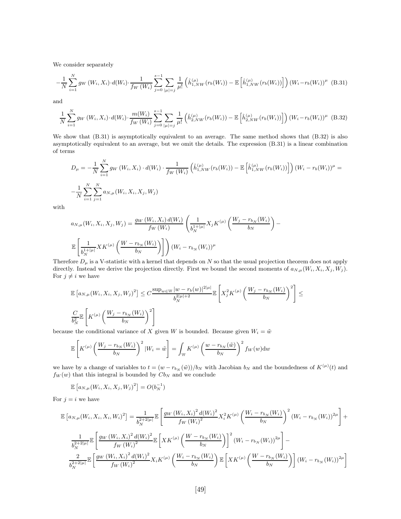We consider separately

$$
-\frac{1}{N}\sum_{i=1}^{N} g_{W}\left(W_{i}, X_{i}\right) \cdot d(W_{i}) \cdot \frac{1}{f_{W}\left(W_{i}\right)} \sum_{j=0}^{s-1} \sum_{|\mu|=j} \frac{1}{\mu!} \left(\hat{h}_{1, NW}^{(\mu)}(r_{b}(W_{i})) - \mathbb{E}\left[\hat{h}_{1, NW}^{(\mu)}(r_{b}(W_{i}))\right]\right) \left(W_{i} - r_{b}(W_{i})\right)^{\mu} (B.31)
$$

and

$$
\frac{1}{N} \sum_{i=1}^{N} g_W(W_i, X_i) \cdot d(W_i) \cdot \frac{m(W_i)}{f_W(W_i)} \sum_{j=0}^{s-1} \sum_{|\mu|=j} \frac{1}{\mu!} \left( \hat{h}_{2,NW}^{(\mu)}(r_b(W_i)) - \mathbb{E}\left[ \hat{h}_{2,NW}^{(\mu)}(r_b(W_i)) \right] \right) (W_i - r_b(W_i))^{\mu} \tag{B.32}
$$

We show that (B.31) is asymptotically equivalent to an average. The same method shows that (B.32) is also asymptotically equivalent to an average, but we omit the details. The expression (B.31) is a linear combination of terms

$$
D_{\mu} = -\frac{1}{N} \sum_{i=1}^{N} g_{W} (W_{i}, X_{i}) \cdot d(W_{i}) \cdot \frac{1}{f_{W} (W_{i})} \left( \hat{h}_{1, NW}^{(\mu)} (r_{b}(W_{i})) - \mathbb{E} \left[ \hat{h}_{1, NW}^{(\mu)} (r_{b}(W_{i})) \right] \right) (W_{i} - r_{b}(W_{i}))^{\mu} = -\frac{1}{N} \sum_{i=1}^{N} \sum_{j=1}^{N} a_{N, \mu} (W_{i}, X_{i}, X_{j}, W_{j})
$$

with

$$
a_{N,\mu}(W_i, X_i, X_j, W_j) = \frac{g_W(W_i, X_i) d(W_i)}{f_W(W_i)} \left(\frac{1}{b_N^{1+|\mu|}} X_j K^{(\mu)}\left(\frac{W_j - r_{b_N}(W_i)}{b_N}\right) - \frac{1}{b_N^{1+|\mu|}} X_K^{(\mu)}\left(\frac{W - r_{b_N}(W_i)}{b_N}\right)\right)
$$
  

$$
\mathbb{E}\left[\frac{1}{b_N^{1+|\mu|}} X_K^{(\mu)}\left(\frac{W - r_{b_N}(W_i)}{b_N}\right)\right] (W_i - r_{b_N}(W_i))^{\mu}
$$

Therefore  $D_{\mu}$  is a V-statistic with a kernel that depends on N so that the usual projection theorem does not apply directly. Instead we derive the projection directly. First we bound the second moments of  $a_{N,\mu}(W_i, X_i, X_j, W_j)$ . For  $j \neq i$  we have

$$
\mathbb{E}\left[a_{N,\mu}(W_i, X_i, X_j, W_j)^2\right] \leq C \frac{\sup_{w \in \mathbb{W}} |w - r_b(w)|^{2|\mu|}}{b_N^{2|\mu|+2}} \mathbb{E}\left[X_j^2 K^{(\mu)}\left(\frac{W_j - r_{b_N}(W_i)}{b_N}\right)^2\right] \leq
$$
  

$$
\frac{C}{b_N^2} \mathbb{E}\left[K^{(\mu)}\left(\frac{W_j - r_{b_N}(W_i)}{b_N}\right)^2\right]
$$

because the conditional variance of X given W is bounded. Because given  $W_i = \tilde{w}$ 

$$
\mathbb{E}\left[K^{(\mu)}\left(\frac{W_j - r_{b_N}(W_i)}{b_N}\right)^2 | W_i = \tilde{w} \right] = \int_{\mathbb{W}} K^{(\mu)}\left(\frac{w - r_{b_N}(\tilde{w})}{b_N}\right)^2 f_W(w) \, dw
$$

we have by a change of variables to  $t = (w - r_{b_N}(\tilde{w}))/b_N$  with Jacobian  $b_N$  and the boundedness of  $K^{(\mu)}(t)$  and  $f_W(w)$  that this integral is bounded by  $Cb_N$  and we conclude

$$
\mathbb{E}\left[a_{N,\mu}(W_i,X_i,X_j,W_j)^2\right] = O(b_N^{-1})
$$

For  $j = i$  we have

$$
\mathbb{E}\left[a_{N,\mu}(W_{i},X_{i},X_{i},W_{i})^{2}\right] = \frac{1}{b_{N}^{2+2|\mu|}}\mathbb{E}\left[\frac{g_{W}\left(W_{i},X_{i}\right)^{2}d(W_{i})^{2}}{f_{W}\left(W_{i}\right)^{2}}X_{i}^{2}K^{(\mu)}\left(\frac{W_{i}-r_{b_{N}}\left(W_{i}\right)}{b_{N}}\right)^{2}\left(W_{i}-r_{b_{N}}\left(W_{i}\right)\right)^{2\mu}\right] + \frac{1}{b_{N}^{2+2|\mu|}}\mathbb{E}\left[\frac{g_{W}\left(W_{i},X_{i}\right)^{2}d(W_{i})^{2}}{f_{W}\left(W_{i}\right)^{2}}\mathbb{E}\left[XK^{(\mu)}\left(\frac{W-r_{b_{N}}\left(W_{i}\right)}{b_{N}}\right)\right]^{2}\left(W_{i}-r_{b_{N}}\left(W_{i}\right)\right)^{2\mu}\right] - \frac{2}{b_{N}^{2+2|\mu|}}\mathbb{E}\left[\frac{g_{W}\left(W_{i},X_{i}\right)^{2}d(W_{i})^{2}}{f_{W}\left(W_{i}\right)^{2}}X_{i}K^{(\mu)}\left(\frac{W_{i}-r_{b_{N}}\left(W_{i}\right)}{b_{N}}\right)\mathbb{E}\left[XK^{(\mu)}\left(\frac{W-r_{b_{N}}\left(W_{i}\right)}{b_{N}}\right)\right]\left(W_{i}-r_{b_{N}}\left(W_{i}\right)\right)^{2\mu}\right]
$$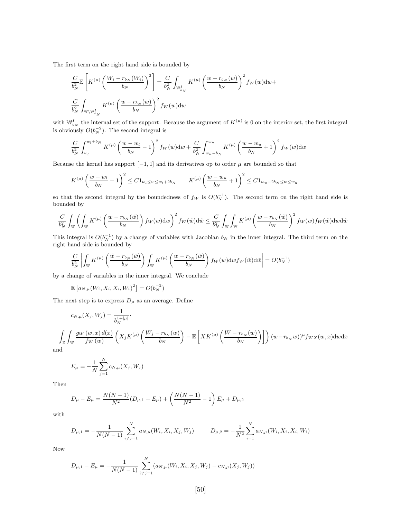The first term on the right hand side is bounded by

$$
\frac{C}{b_N^2} \mathbb{E}\left[ K^{(\mu)} \left( \frac{W_i - r_{b_N}(W_i)}{b_N} \right)^2 \right] = \frac{C}{b_N^2} \int_{\mathbb{W}_{b_N}^I} K^{(\mu)} \left( \frac{w - r_{b_N}(w)}{b_N} \right)^2 f_W(w) dw +
$$
  

$$
\frac{C}{b_N^2} \int_{\mathbb{W} \backslash \mathbb{W}_{b_N}^I} K^{(\mu)} \left( \frac{w - r_{b_N}(w)}{b_N} \right)^2 f_W(w) dw
$$

with  $\mathbb{W}_{b_N}^I$  the internal set of the support. Because the argument of  $K^{(\mu)}$  is 0 on the interior set, the first integral is obviously  $O(b_N^{-2})$ . The second integral is

$$
\frac{C}{b_N^2} \int_{w_l}^{w_l + b_N} K^{(\mu)} \left(\frac{w - w_l}{b_N} - 1\right)^2 f_W(w) dw + \frac{C}{b_N^2} \int_{w_u - b_N}^{w_u} K^{(\mu)} \left(\frac{w - w_u}{b_N} + 1\right)^2 f_W(w) dw
$$

Because the kernel has support  $[-1, 1]$  and its derivatives op to order  $\mu$  are bounded so that

$$
K^{(\mu)}\left(\frac{w - w_l}{b_N} - 1\right)^2 \le C1_{w_l \le w \le w_l + 2b_N} \qquad K^{(\mu)}\left(\frac{w - w_u}{b_N} + 1\right)^2 \le C1_{w_u - 2b_N \le w \le w_u}
$$

so that the second integral by the boundedness of  $f_W$  is  $O(b_N^{-1})$ . The second term on the right hand side is bounded by

$$
\frac{C}{b_N^2} \int_{\mathbb{W}} \left( \int_{\mathbb{W}} K^{(\mu)} \left( \frac{w - r_{b_N}(\tilde{w})}{b_N} \right) f_W(w) \, dw \right)^2 f_W(\tilde{w}) \, d\tilde{w} \le \frac{C}{b_N^2} \int_{\mathbb{W}} \int_{\mathbb{W}} K^{(\mu)} \left( \frac{w - r_{b_N}(\tilde{w})}{b_N} \right)^2 f_W(w) f_W(\tilde{w}) \, dw \, d\tilde{w}
$$

This integral is  $O(b_N^{-1})$  by a change of variables with Jacobian  $b_N$  in the inner integral. The third term on the right hand side is bounded by

$$
\frac{C}{b_N^2}\left|\int_\mathbb{W} K^{(\mu)}\left(\frac{\tilde{w}-r_{b_N}(\tilde{w})}{b_N}\right)\int_\mathbb{W} K^{(\mu)}\left(\frac{w-r_{b_N}(\tilde{w})}{b_N}\right)f_W(w)\mathrm{d} w f_W(\tilde{w})\mathrm{d}\tilde{w}\right|=O(b_N^{-1})
$$

by a change of variables in the inner integral. We conclude

$$
\mathbb{E}\left[a_{N,\mu}(W_i,X_i,X_i,W_i)^2\right] = O(b_N^{-2})
$$

The next step is to express  $D_{\mu}$  as an average. Define

$$
c_{N,\mu}(X_j, W_j) = \frac{1}{b_N^{1+|\mu|}}.
$$
  

$$
\int_{\mathbb{X}} \int_{\mathbb{W}} \frac{g_W(w, x) d(x)}{f_W(w)} \left(X_j K^{(\mu)}\left(\frac{W_j - r_{b_N}(w)}{b_N}\right) - \mathbb{E}\left[ X K^{(\mu)}\left(\frac{W - r_{b_N}(w)}{b_N}\right) \right]\right) (w - r_{b_N}w))^{\mu} f_{WX}(w, x) \, dw \, dx
$$

and

$$
E_{\mu} = -\frac{1}{N} \sum_{j=1}^{N} c_{N,\mu}(X_j, W_j)
$$

Then

$$
D_{\mu} - E_{\mu} = \frac{N(N-1)}{N^2} (D_{\mu,1} - E_{\mu}) + \left(\frac{N(N-1)}{N^2} - 1\right) E_{\mu} + D_{\mu,2}
$$

with

$$
D_{\mu,1} = -\frac{1}{N(N-1)} \sum_{i \neq j=1}^{N} a_{N,\mu}(W_i, X_i, X_j, W_j) \qquad D_{\mu,2} = -\frac{1}{N^2} \sum_{i=1}^{N} a_{N,\mu}(W_i, X_i, X_i, W_i)
$$

Now

$$
D_{\mu,1} - E_{\mu} = -\frac{1}{N(N-1)} \sum_{i \neq j=1}^{N} (a_{N,\mu}(W_i, X_i, X_j, W_j) - c_{N,\mu}(X_j, W_j))
$$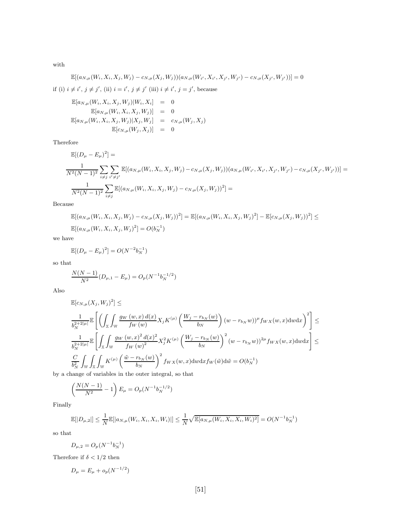with

$$
\mathbb{E}[(a_{N,\mu}(W_i,X_i,X_j,W_j)-c_{N,\mu}(X_j,W_j))(a_{N,\mu}(W_{i'},X_{i'},X_{j'},W_{j'})-c_{N,\mu}(X_{j'},W_{j'}))]=0
$$

if (i)  $i \neq i'$ ,  $j \neq j'$ , (ii)  $i = i'$ ,  $j \neq j'$  (iii)  $i \neq i'$ ,  $j = j'$ , because

$$
\mathbb{E}[a_{N,\mu}(W_i, X_i, X_j, W_j)|W_i, X_i] = 0\n\mathbb{E}[a_{N,\mu}(W_i, X_i, X_j, W_j)] = 0\n\mathbb{E}[a_{N,\mu}(W_i, X_i, X_j, W_j)|X_j, W_j] = c_{N,\mu}(W_j, X_j)\n\mathbb{E}[c_{N,\mu}(W_j, X_j)] = 0
$$

Therefore

$$
\mathbb{E}[(D_{\mu} - E_{\mu})^{2}] =
$$
\n
$$
\frac{1}{N^{2}(N-1)^{2}} \sum_{i \neq j} \sum_{i' \neq j'} \mathbb{E}[(a_{N,\mu}(W_{i}, X_{i}, X_{j}, W_{j}) - c_{N,\mu}(X_{j}, W_{j}))(a_{N,\mu}(W_{i'}, X_{i'}, X_{j'}, W_{j'}) - c_{N,\mu}(X_{j'}, W_{j'}))] =
$$
\n
$$
\frac{1}{N^{2}(N-1)^{2}} \sum_{i \neq j} \mathbb{E}[(a_{N,\mu}(W_{i}, X_{i}, X_{j}, W_{j}) - c_{N,\mu}(X_{j}, W_{j}))^{2}] =
$$

Because

$$
\mathbb{E}[(a_{N,\mu}(W_i, X_i, X_j, W_j) - c_{N,\mu}(X_j, W_j))^2] = \mathbb{E}[(a_{N,\mu}(W_i, X_i, X_j, W_j)^2] - \mathbb{E}[c_{N,\mu}(X_j, W_j))^2] \le \mathbb{E}[(a_{N,\mu}(W_i, X_i, X_j, W_j)^2] = O(b_N^{-1})
$$

we have

$$
\mathbb{E}[(D_{\mu} - E_{\mu})^2] = O(N^{-2}b_N^{-1})
$$

so that

$$
\frac{N(N-1)}{N^2}(D_{\mu,1}-E_{\mu})=O_p(N^{-1}b_N^{-1/2})
$$

Also

$$
\mathbb{E}[c_{N,\mu}(X_j, W_j)^2] \le
$$
\n
$$
\frac{1}{b_N^{2+2|\mu|}} \mathbb{E}\left[\left(\int_{\mathbb{X}} \int_{\mathbb{W}} \frac{g_W(w, x) d(x)}{f_W(w)} X_j K^{(\mu)}\left(\frac{W_j - r_{b_N}(w)}{b_N}\right) (w - r_{b_N}w))^{\mu} f_{WX}(w, x) \, dw \, dx\right)^2\right] \le
$$
\n
$$
\frac{1}{b_N^{2+2|\mu|}} \mathbb{E}\left[\int_{\mathbb{X}} \int_{\mathbb{W}} \frac{g_W(w, x)^2 d(x)^2}{f_W(w)^2} X_j^2 K^{(\mu)}\left(\frac{W_j - r_{b_N}(w)}{b_N}\right)^2 (w - r_{b_N}w))^{2\mu} f_{WX}(w, x) \, dw \, dx\right] \le
$$
\n
$$
\frac{C}{b_N^2} \int_{\mathbb{W}} \int_{\mathbb{X}} \int_{\mathbb{W}} K^{(\mu)}\left(\frac{\tilde{w} - r_{b_N}(w)}{b_N}\right)^2 f_{WX}(w, x) \, dw \, dx f_W(\tilde{w}) \, d\tilde{w} = O(b_N^{-1})
$$
\nwhere of variables in the outer interval, so that

by a change of variables in the outer integral, so that

$$
\left(\frac{N(N-1)}{N^2} - 1\right) E_{\mu} = O_p(N^{-1}b_N^{-1/2})
$$

Finally

$$
\mathbb{E}[|D_{\mu,2}|] \leq \frac{1}{N} \mathbb{E}[|a_{N,\mu}(W_i, X_i, X_i, W_i)|] \leq \frac{1}{N} \sqrt{\mathbb{E}[a_{N,\mu}(W_i, X_i, X_i, W_i)^2]} = O(N^{-1}b_N^{-1})
$$

so that

$$
D_{\mu,2} = O_p(N^{-1}b_N^{-1})
$$

Therefore if  $\delta < 1/2$  then

$$
D_{\mu} = E_{\mu} + o_p(N^{-1/2})
$$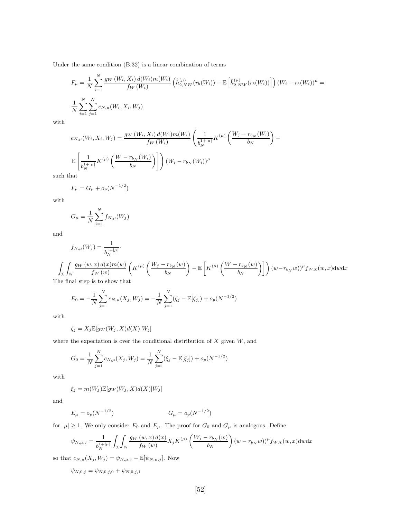Under the same condition (B.32) is a linear combination of terms

$$
F_{\mu} = \frac{1}{N} \sum_{i=1}^{N} \frac{g_W(W_i, X_i) d(W_i) m(W_i)}{f_W(W_i)} \left( \hat{h}_{2,NW}^{(\mu)}(r_b(W_i)) - \mathbb{E}\left[ \hat{h}_{2,NW}^{(\mu)}(r_b(W_i)) \right] \right) (W_i - r_b(W_i))^{\mu} = \frac{1}{N} \sum_{i=1}^{N} \sum_{j=1}^{N} e_{N,\mu}(W_i, X_i, W_j)
$$

with

$$
e_{N,\mu}(W_i, X_i, W_j) = \frac{g_W(W_i, X_i) d(W_i) m(W_i)}{f_W(W_i)} \left(\frac{1}{b_N^{1+|\mu|}} K^{(\mu)}\left(\frac{W_j - r_{b_N}(W_i)}{b_N}\right) - \frac{1}{b_N^{1+|\mu|}} K^{(\mu)}\left(\frac{W - r_{b_N}(W_i)}{b_N}\right)\right)
$$
  

$$
\mathbb{E}\left[\frac{1}{b_N^{1+|\mu|}} K^{(\mu)}\left(\frac{W - r_{b_N}(W_i)}{b_N}\right)\right] (W_i - r_{b_N}(W_i))^{\mu}
$$

such that

$$
F_{\mu} = G_{\mu} + o_p(N^{-1/2})
$$

with

$$
G_{\mu} = \frac{1}{N} \sum_{i=1}^{N} f_{N,\mu}(W_j)
$$

and

$$
f_{N,\mu}(W_j) = \frac{1}{b_N^{1+|\mu|}}.
$$
  

$$
\int_{\mathbb{X}} \int_{\mathbb{W}} \frac{g_W(w, x) d(x) m(w)}{f_W(w)} \left( K^{(\mu)} \left( \frac{W_j - r_{b_N}(w)}{b_N} \right) - \mathbb{E} \left[ K^{(\mu)} \left( \frac{W - r_{b_N}(w)}{b_N} \right) \right] \right) (w - r_{b_N}w))^{\mu} f_{WX}(w, x) \, dw \, dx
$$

The final step is to show that

$$
E_0 = -\frac{1}{N} \sum_{j=1}^{N} c_{N,\mu}(X_j, W_j) = -\frac{1}{N} \sum_{j=1}^{N} (\zeta_j - \mathbb{E}[\zeta_j]) + o_p(N^{-1/2})
$$

with

$$
\zeta_j = X_j \mathbb{E}[g_W(W_j, X)d(X)|W_j]
$$

where the expectation is over the conditional distribution of  $X$  given  $W$ , and

$$
G_0 = \frac{1}{N} \sum_{j=1}^{N} c_{N,\mu}(X_j, W_j) = \frac{1}{N} \sum_{j=1}^{N} (\xi_j - \mathbb{E}[\xi_j]) + o_p(N^{-1/2})
$$

with

 $\xi_j = m(W_j) \mathbb{E}[g_W(W_j, X) d(X)|W_j]$ 

and

$$
E_{\mu} = o_p(N^{-1/2}) \qquad G_{\mu} = o_p(N^{-1/2})
$$

for  $|\mu| \geq 1$ . We only consider  $E_0$  and  $E_\mu$ . The proof for  $G_0$  and  $G_\mu$  is analogous. Define

$$
\psi_{N,\mu,j} = \frac{1}{b_N^{1+|\mu|}} \int_{\mathbb{X}} \int_{\mathbb{W}} \frac{g_W(w,x) d(x)}{f_W(w)} X_j K^{(\mu)}\left(\frac{W_j - r_{b_N}(w)}{b_N}\right) (w - r_{b_N}w))^{\mu} f_{WX}(w,x) \, dw \, dx
$$

so that  $c_{N,\mu}(X_j, W_j) = \psi_{N,\mu,j} - \mathbb{E}[\psi_{N,\mu,j}]$ . Now

 $\psi_{N,0,j} = \psi_{N,0,j,0} + \psi_{N,0,j,1}$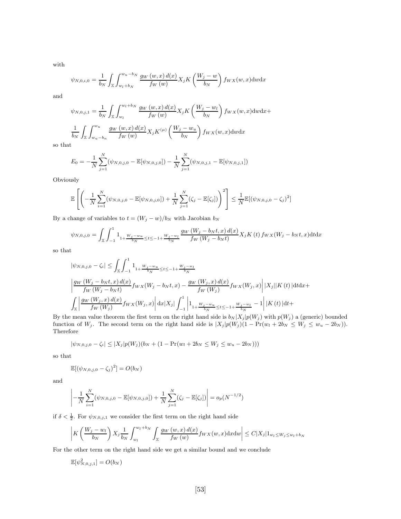with

$$
\psi_{N,0,i,0} = \frac{1}{b_N} \int_{\mathbb{X}} \int_{w_l + b_N}^{w_u - b_N} \frac{g_W(w, x) d(x)}{f_W(w)} X_j K\left(\frac{W_j - w}{b_N}\right) f_{WX}(w, x) \, dw \, dx
$$

and

$$
\psi_{N,0,j,1} = \frac{1}{b_N} \int_{\mathbb{X}} \int_{w_l}^{w_l + b_N} \frac{g_W(w, x) d(x)}{f_W(w)} X_j K\left(\frac{W_j - w_l}{b_N}\right) f_{WX}(w, x) \, dw \, dx +
$$
\n
$$
\frac{1}{b_N} \int_{\mathbb{X}} \int_{w_u - b_n}^{w_u} \frac{g_W(w, x) d(x)}{f_W(w)} X_j K^{(\mu)}\left(\frac{W_j - w_u}{b_N}\right) f_{WX}(w, x) \, dw \, dx
$$

so that

$$
E_0 = -\frac{1}{N} \sum_{j=1}^N (\psi_{N,0,j,0} - \mathbb{E}[\psi_{N,0,j,0}]) - \frac{1}{N} \sum_{j=1}^N (\psi_{N,0,j,1} - \mathbb{E}[\psi_{N,0,j,1}])
$$

Obviously

$$
\mathbb{E}\left[\left(-\frac{1}{N}\sum_{i=1}^{N}(\psi_{N,0,j,0}-\mathbb{E}[\psi_{N,0,j,0}])+\frac{1}{N}\sum_{j=1}^{N}(\zeta_{j}-\mathbb{E}[\zeta_{j}])\right)^{2}\right] \leq \frac{1}{N}\mathbb{E}[(\psi_{N,0,j,0}-\zeta_{j})^{2}]
$$

By a change of variables to  $t = (W_j - w)/b_N$  with Jacobian  $b_N$ 

$$
\psi_{N,0,j,0} = \int_{\mathbb{X}} \int_{-1}^{1} 1_{1+\frac{W_j - w_u}{b_N} \le t \le -1+\frac{W_j - w_l}{b_N}} \frac{g_W \left(W_j - b_N t, x\right) d(x)}{f_W \left(W_j - b_N t\right)} X_j K\left(t\right) f_{WX}\left(W_j - b_N t, x\right) \mathrm{d}t \mathrm{d}x
$$

so that

$$
\begin{aligned} &|\psi_{N,0,j,0} - \zeta_i| \leq \int_{\mathbb{X}} \int_{-1}^1 \mathbf{1}_{1+\frac{W_j - w_u}{b_N} \leq t \leq -1+\frac{W_j - w_l}{b_N}} \\ &\left| \frac{gw\left(W_j - b_N t, x\right) d(x)}{fw\left(W_j - b_N t\right)} f_{W X}(W_j - b_N t, x) - \frac{gw\left(W_j, x\right) d(x)}{fw\left(W_j\right)} f_{W X}(W_j, x) \right| |X_j| |K\left(t\right) | \text{d} t \text{d} x + \\ &\int_{\mathbb{X}} \left| \frac{gw\left(W_j, x\right) d(x)}{fw\left(W_j\right)} f_{W X}(W_j, x) \right| \text{d} x |X_j| \int_{-1}^1 \left| \mathbf{1}_{1+\frac{W_j - w_u}{b_N} \leq t \leq -1+\frac{W_j - w_l}{b_N}} - 1 \right| |K\left(t\right) | \text{d} t + \right. \end{aligned}
$$

By the mean value theorem the first term on the right hand side is  $b_N |X_j| p(W_j)$  with  $p(W_j)$  a (generic) bounded function of W<sub>j</sub>. The second term on the right hand side is  $|X_j|p(W_j)(1 - Pr(w_l + 2b_N \leq W_j \leq w_u - 2b_N)).$ Therefore

$$
|\psi_{N,0,j,0} - \zeta_i| \leq |X_j| p(W_j) (b_N + (1 - \Pr(w_l + 2b_N \leq W_j \leq w_u - 2b_N)))
$$

so that

$$
\mathbb{E}[(\psi_{N,0,j,0}-\zeta_j)^2]=O(b_N)
$$

and

$$
\left| -\frac{1}{N} \sum_{i=1}^{N} (\psi_{N,0,j,0} - \mathbb{E}[\psi_{N,0,j,0}]) + \frac{1}{N} \sum_{j=1}^{N} (\zeta_j - \mathbb{E}[\zeta_j]) \right| = o_p(N^{-1/2})
$$

if  $\delta < \frac{1}{2}$ . For  $\psi_{N,0,j,1}$  we consider the first term on the right hand side

$$
\left|K\left(\frac{W_j-w_l}{b_N}\right)X_j\frac{1}{b_N}\int_{w_l}^{w_l+b_N}\int_{\mathbb{X}}\frac{g_W\left(w,x\right)d(x)}{f_W\left(w\right)}f_{WX}(w,x)\mathrm{d}x\mathrm{d}w\right|\leq C|X_j|1_{w_l\leq W_j\leq w_l+b_N}
$$

For the other term on the right hand side we get a similar bound and we conclude

$$
\mathbb{E}[\psi_{N,0,j,1}^2] = O(b_N)
$$

2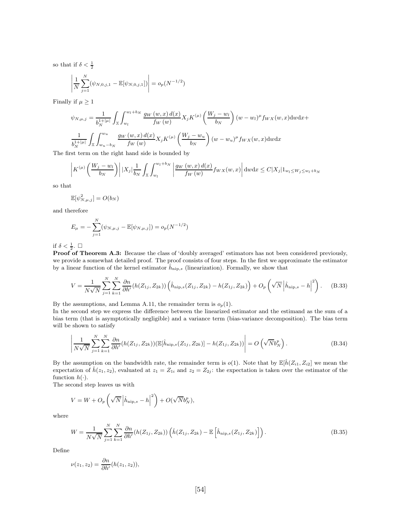so that if  $\delta < \frac{1}{2}$ 

$$
\left| \frac{1}{N} \sum_{j=1}^{N} (\psi_{N,0,j,1} - \mathbb{E}[\psi_{N,0,j,1}]) \right| = o_p(N^{-1/2})
$$

Finally if  $\mu \geq 1$ 

$$
\psi_{N,\mu,j} = \frac{1}{b_N^{1+|\mu|}} \int_{\mathbb{X}} \int_{w_l}^{w_l+b_N} \frac{g_W(w,x) d(x)}{f_W(w)} X_j K^{(\mu)} \left(\frac{W_j - w_l}{b_N}\right) (w - w_l)^{\mu} f_{WX}(w, x) \, dw \, dx +
$$

$$
\frac{1}{b_N^{1+|\mu|}} \int_{\mathbb{X}} \int_{w_u-b_N}^{w_u} \frac{g_W(w,x) d(x)}{f_W(w)} X_j K^{(\mu)} \left(\frac{W_j - w_u}{b_N}\right) (w - w_u)^{\mu} f_{WX}(w, x) \, dw \, dx
$$

The first term on the right hand side is bounded by

$$
\left| K^{(\mu)}\left(\frac{W_j - w_l}{b_N}\right) \right| |X_j| \frac{1}{b_N} \int_{\mathbb{X}} \int_{w_l}^{w_l + b_N} \left| \frac{g_W(w, x) d(x)}{f_W(w)} f_{WX}(w, x) \right| dw dx \leq C |X_j| \mathbb{1}_{w_l \leq W_j \leq w_l + b_N}
$$

so that

$$
\mathbb{E}[\psi_{N,\mu,j}^2] = O(b_N)
$$

and therefore

$$
E_{\mu} = -\sum_{j=1}^{N} (\psi_{N,\mu,j} - \mathbb{E}[\psi_{N,\mu,j}]) = o_p(N^{-1/2})
$$

if  $\delta < \frac{1}{2}$ .  $\Box$ 

Proof of Theorem A.3: Because the class of 'doubly averaged' estimators has not been considered previously, we provide a somewhat detailed proof. The proof consists of four steps. In the first we approximate the estimator by a linear function of the kernel estimator  $\hat{h}_{\text{nip},s}$  (linearization). Formally, we show that

$$
V = \frac{1}{N\sqrt{N}} \sum_{j=1}^{N} \sum_{k=1}^{N} \frac{\partial n}{\partial h'} (h(Z_{1j}, Z_{2k})) \left( \hat{h}_{\text{nip},s}(Z_{1j}, Z_{2k}) - h(Z_{1j}, Z_{2k}) \right) + O_p\left(\sqrt{N} \left| \hat{h}_{\text{nip},s} - h \right|^{2}\right).
$$
 (B.33)

By the assumptions, and Lemma A.11, the remainder term is  $o_p(1)$ .

In the second step we express the difference between the linearized estimator and the estimand as the sum of a bias term (that is asymptotically negligible) and a variance term (bias-variance decomposition). The bias term will be shown to satisfy

$$
\left| \frac{1}{N\sqrt{N}} \sum_{j=1}^{N} \sum_{k=1}^{N} \frac{\partial n}{\partial h'} (h(Z_{1j}, Z_{2k})) (\mathbb{E}[\hat{h}_{\text{nip},s}(Z_{1j}, Z_{2k})] - h(Z_{1j}, Z_{2k})) \right| = O\left(\sqrt{N} b_{N}^{p}\right).
$$
\n(B.34)

By the assumption on the bandwidth rate, the remainder term is  $o(1)$ . Note that by  $\mathbb{E}[\hat{h}(Z_{i1}, Z_{i2}]$  we mean the expectation of  $\hat{h}(z_1, z_2)$ , evaluated at  $z_1 = Z_{1i}$  and  $z_2 = Z_{2j}$ : the expectation is taken over the estimator of the function  $h(\cdot)$ .

The second step leaves us with

$$
V = W + O_p\left(\sqrt{N}\left|\hat{h}_{\text{nip},s} - h\right|^2\right) + O(\sqrt{N}b_N^p),
$$

where

$$
W = \frac{1}{N\sqrt{N}} \sum_{j=1}^{N} \sum_{k=1}^{N} \frac{\partial n}{\partial h'} (h(Z_{1j}, Z_{2k})) \left( \hat{h}(Z_{1j}, Z_{2k}) - \mathbb{E}\left[\hat{h}_{\text{nip},s}(Z_{1j}, Z_{2k})\right] \right).
$$
(B.35)

Define

$$
\nu(z_1, z_2) = \frac{\partial n}{\partial h'}(h(z_1, z_2)),
$$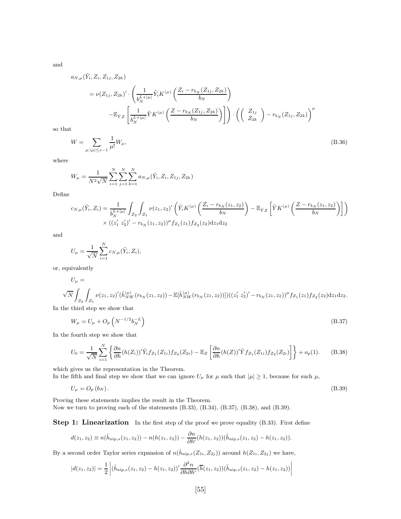and

$$
a_{N,\mu}(\tilde{Y}_i, Z_i, Z_{1j}, Z_{2k})
$$
  
=  $\nu(Z_{1j}, Z_{2k})' \cdot \left( \frac{1}{b_N^{L+|\mu|}} \tilde{Y}_i K^{(\mu)} \left( \frac{Z_i - r_{b_N}(Z_{1j}, Z_{2k})}{b_N} \right) - \mathbb{E}_{\tilde{Y}Z} \left[ \frac{1}{b_N^{L+|\mu|}} \tilde{Y} K^{(\mu)} \left( \frac{Z - r_{b_N}(Z_{1j}, Z_{2k})}{b_N} \right) \right] \right) \cdot \left( \left( \begin{array}{c} Z_{1j} \\ Z_{2k} \end{array} \right) - r_{b_N}(Z_{1j}, Z_{2k}) \right)^{\mu}$ 

so that

$$
W = \sum_{\mu : |\mu| \le s-1} \frac{1}{\mu!} W_{\mu},\tag{B.36}
$$

where

$$
W_{\mu} = \frac{1}{N^2 \sqrt{N}} \sum_{i=1}^{N} \sum_{j=1}^{N} \sum_{k=1}^{N} a_{N,\mu}(\tilde{Y}_i, Z_i, Z_{1j}, Z_{2k})
$$

Define

$$
c_{N,\mu}(\tilde{Y}_i, Z_i) = \frac{1}{b_N^{L+|\mu|}} \int_{\mathcal{Z}_2} \int_{\mathcal{Z}_1} \nu(z_1, z_2)' \left( \tilde{Y}_i K^{(\mu)} \left( \frac{Z_i - r_{b_N}(z_1, z_2)}{b_N} \right) - \mathbb{E}_{\tilde{Y}Z} \left[ \tilde{Y} K^{(\mu)} \left( \frac{Z - r_{b_N}(z_1, z_2)}{b_N} \right) \right] \right)
$$
  
 
$$
\times \left( (z_1' z_2')' - r_{b_N}(z_1, z_2) \right)^{\mu} f_{\mathcal{Z}_1}(z_1) f_{\mathcal{Z}_2}(z_2) dz_1 dz_2
$$

and

$$
U_{\mu} = \frac{1}{\sqrt{N}} \sum_{i=1}^{N} c_{N,\mu}(\tilde{Y}_i, Z_i),
$$

or, equivalently

$$
U_{\mu} = \sqrt{N} \int_{\mathcal{Z}_2} \int_{\mathcal{Z}_1} \nu(z_1, z_2)'(\hat{h}_{NW}^{(\mu)}(r_{b_N}(z_1, z_2)) - \mathbb{E}[\hat{h}_{NW}^{(\mu)}(r_{b_N}(z_1, z_2))])((z'_1 z'_2)' - r_{b_N}(z_1, z_2))^{\mu} f_{\mathcal{Z}_1}(z_1) f_{\mathcal{Z}_2}(z_2) dz_1 dz_2.
$$

In the third step we show that

$$
W_{\mu} = U_{\mu} + O_p \left( N^{-1/2} b_N^{-L} \right) \tag{B.37}
$$

In the fourth step we show that

$$
U_0 = \frac{1}{\sqrt{N}} \sum_{i=1}^N \left\{ \frac{\partial n}{\partial h} (h(Z_i))^{\prime} \tilde{Y}_i f_{Z_1}(Z_{1i}) f_{Z_2}(Z_{2i}) - \mathbb{E}_Z \left[ \frac{\partial n}{\partial h} (h(Z))^{\prime} \tilde{Y} f_{Z_1}(Z_{1i}) f_{Z_2}(Z_{2i}) \right] \right\} + o_p(1).
$$
 (B.38)

which gives us the representation in the Theorem.

In the fifth and final step we show that we can ignore  $U_{\mu}$  for  $\mu$  such that  $|\mu| \geq 1$ , because for such  $\mu$ ,

 $U_{\mu} = O_p (b_N)$ . (B.39)

Proving these statements implies the result in the Theorem. Now we turn to proving each of the statements (B.33), (B.34), (B.37), (B.38), and (B.39).

Step 1: Linearization In the first step of the proof we prove equality (B.33). First define

$$
d(z_1, z_2) \equiv n(\hat{h}_{\text{nip},s}(z_1, z_2)) - n(h(z_1, z_2)) - \frac{\partial n}{\partial h'}(h(z_1, z_2))(\hat{h}_{\text{nip},s}(z_1, z_2) - h(z_1, z_2)).
$$

By a second order Taylor series expansion of  $n(\hat{h}_{\text{nip},s}(Z_{1i}, Z_{2j}))$  around  $h(Z_{1i}, Z_{2j})$  we have,

$$
|d(z_1, z_2)| = \frac{1}{2} \left| (\hat{h}_{\text{nip},s}(z_1, z_2) - h(z_1, z_2))' \frac{\partial^2 n}{\partial h \partial h'} (\overline{h}(z_1, z_2)) (\hat{h}_{\text{nip},s}(z_1, z_2) - h(z_1, z_2)) \right|
$$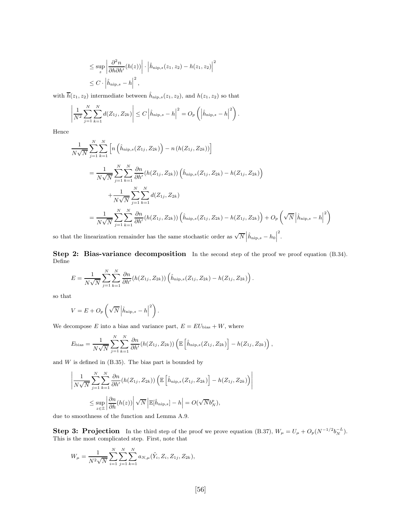$$
\leq \sup_{z} \left| \frac{\partial^2 n}{\partial h \partial h'}(h(z)) \right| \cdot \left| \hat{h}_{\text{nip},s}(z_1, z_2) - h(z_1, z_2) \right|^2
$$
  

$$
\leq C \cdot \left| \hat{h}_{\text{nip},s} - h \right|^2,
$$

with  $\overline{h}(z_1, z_2)$  intermediate between  $\hat{h}_{\text{nip},s}(z_1, z_2)$ , and  $h(z_1, z_2)$  so that

$$
\left| \frac{1}{N^2} \sum_{j=1}^N \sum_{k=1}^N d(Z_{1j}, Z_{2k}) \right| \le C \left| \hat{h}_{\text{nip},s} - h \right|^2 = O_p \left( \left| \hat{h}_{\text{nip},s} - h \right|^2 \right).
$$

Hence

$$
\frac{1}{N\sqrt{N}} \sum_{j=1}^{N} \sum_{k=1}^{N} \left[ n \left( \hat{h}_{\text{nip},s}(Z_{1j}, Z_{2k}) \right) - n \left( h(Z_{1j}, Z_{2k}) \right) \right]
$$
\n
$$
= \frac{1}{N\sqrt{N}} \sum_{j=1}^{N} \sum_{k=1}^{N} \frac{\partial n}{\partial h'} \left( h(Z_{1j}, Z_{2k}) \right) \left( \hat{h}_{\text{nip},s}(Z_{1j}, Z_{2k}) - h(Z_{1j}, Z_{2k}) \right)
$$
\n
$$
+ \frac{1}{N\sqrt{N}} \sum_{j=1}^{N} \sum_{k=1}^{N} d(Z_{1j}, Z_{2k})
$$
\n
$$
= \frac{1}{N\sqrt{N}} \sum_{j=1}^{N} \sum_{k=1}^{N} \frac{\partial n}{\partial h'} \left( h(Z_{1j}, Z_{2k}) \right) \left( \hat{h}_{\text{nip},s}(Z_{1j}, Z_{2k}) - h(Z_{1j}, Z_{2k}) \right) + O_p\left(\sqrt{N} \left| \hat{h}_{\text{nip},s} - h \right|^{2}\right)
$$

so that the linearization remainder has the same stochastic order as  $\sqrt{N}$   $\left| \hat{h}_{\text{nip},s} - h_0 \right|$ 2 .

Step 2: Bias-variance decomposition In the second step of the proof we proof equation (B.34). Define

$$
E = \frac{1}{N\sqrt{N}}\sum_{j=1}^{N}\sum_{k=1}^{N}\frac{\partial n}{\partial h'}(h(Z_{1j}, Z_{2k}))\left(\hat{h}_{\text{nip},s}(Z_{1j}, Z_{2k}) - h(Z_{1j}, Z_{2k})\right).
$$

so that

$$
V = E + O_p \left( \sqrt{N} \left| \hat{h}_{\text{nip},s} - h \right|^2 \right).
$$

We decompose E into a bias and variance part,  $E = EU<sub>bias</sub> + W$ , where

$$
E_{\text{bias}} = \frac{1}{N\sqrt{N}} \sum_{j=1}^{N} \sum_{k=1}^{N} \frac{\partial n}{\partial h'} (h(Z_{1j}, Z_{2k})) \left( \mathbb{E}\left[\hat{h}_{\text{nip},s}(Z_{1j}, Z_{2k})\right] - h(Z_{1j}, Z_{2k})\right),
$$

and  $W$  is defined in  $(B.35)$ . The bias part is bounded by

$$
\left| \frac{1}{N\sqrt{N}} \sum_{j=1}^{N} \sum_{k=1}^{N} \frac{\partial n}{\partial h'} (h(Z_{1j}, Z_{2k})) \left( \mathbb{E}\left[\hat{h}_{\text{nip},s}(Z_{1j}, Z_{2k})\right] - h(Z_{1j}, Z_{2k}) \right) \right|
$$
  

$$
\leq \sup_{z \in \mathbb{Z}} \left| \frac{\partial n}{\partial h}(h(z)) \right| \sqrt{N} \left| \mathbb{E}[\hat{h}_{\text{nip},s}] - h \right| = O(\sqrt{N} b_N^p),
$$

due to smoothness of the function and Lemma A.9.

**Step 3: Projection** In the third step of the proof we prove equation (B.37),  $W_{\mu} = U_{\mu} + O_p(N^{-1/2}b_N^{-L})$ . This is the most complicated step. First, note that

$$
W_{\mu} = \frac{1}{N^2 \sqrt{N}} \sum_{i=1}^{N} \sum_{j=1}^{N} \sum_{k=1}^{N} a_{N,\mu}(\tilde{Y}_i, Z_i, Z_{1j}, Z_{2k}),
$$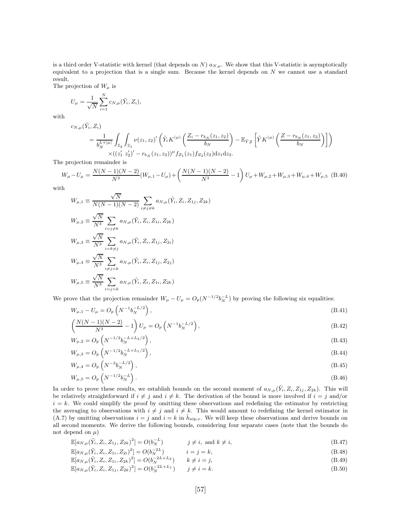is a third order V-statistic with kernel (that depends on N)  $a_{N,\mu}$ . We show that this V-statistic is asymptotically equivalent to a projection that is a single sum. Because the kernel depends on  $N$  we cannot use a standard result.

The projection of  $W_\mu$  is

$$
U_{\mu} = \frac{1}{\sqrt{N}} \sum_{i=1}^{N} c_{N,\mu}(\tilde{Y}_i, Z_i),
$$

with

$$
c_{N,\mu}(\tilde{Y}_i,Z_i
$$

$$
\tilde{Y}_i, Z_i)
$$
\n
$$
= \frac{1}{b_N^{L+|\mu|}} \int_{\mathbb{Z}_2} \int_{\mathbb{Z}_1} \nu(z_1, z_2)' \left( \tilde{Y}_i K^{(\mu)} \left( \frac{Z_i - r_{b_N}(z_1, z_2)}{b_N} \right) - \mathbb{E}_{\tilde{Y}Z} \left[ \tilde{Y} K^{(\mu)} \left( \frac{Z - r_{b_N}(z_1, z_2)}{b_N} \right) \right] \right)
$$
\n
$$
\times \left( (z_1' z_2')' - r_{b_N}(z_1, z_2) \right)^{\mu} f_{Z_1}(z_1) f_{Z_2}(z_2) dz_1 dz_2.
$$

The projection remainder is

$$
W_{\mu} - U_{\mu} = \frac{N(N-1)(N-2)}{N^3} (W_{\mu,1} - U_{\mu}) + \left(\frac{N(N-1)(N-2)}{N^3} - 1\right) U_{\mu} + W_{\mu,2} + W_{\mu,3} + W_{\mu,4} + W_{\mu,5} \tag{B.40}
$$

with

$$
W_{\mu,1} \equiv \frac{\sqrt{N}}{N(N-1)(N-2)} \sum_{i \neq j \neq k} a_{N,\mu}(\tilde{Y}_i, Z_i, Z_{1j}, Z_{2k})
$$
  
\n
$$
W_{\mu,2} \equiv \frac{\sqrt{N}}{N^3} \sum_{i=j \neq k} a_{N,\mu}(\tilde{Y}_i, Z_i, Z_{1i}, Z_{2k})
$$
  
\n
$$
W_{\mu,3} \equiv \frac{\sqrt{N}}{N^3} \sum_{i=k \neq j} a_{N,\mu}(\tilde{Y}_i, Z_i, Z_{1j}, Z_{2i})
$$
  
\n
$$
W_{\mu,4} \equiv \frac{\sqrt{N}}{N^3} \sum_{i \neq j=k} a_{N,\mu}(\tilde{Y}_i, Z_i, Z_{1j}, Z_{2j})
$$
  
\n
$$
W_{\mu,5} \equiv \frac{\sqrt{N}}{N^3} \sum_{i=j=k} a_{N,\mu}(\tilde{Y}_i, Z_i, Z_{1i}, Z_{2k})
$$

We prove that the projection remainder  $W_{\mu} - U_{\mu} = O_p(N^{-1/2} b_N^{-L})$  by proving the following six equalities:

$$
W_{\mu,1} - U_{\mu} = O_p\left(N^{-1}b_N^{-L/2}\right),\tag{B.41}
$$

$$
\left(\frac{N(N-1)(N-2)}{N^3} - 1\right)U_\mu = O_p\left(N^{-1}b_N^{-L/2}\right),\tag{B.42}
$$

$$
W_{\mu,2} = O_p\left(N^{-1/2}b_N^{-L+L_2/2}\right),\tag{B.43}
$$

$$
W_{\mu,3} = O_p\left(N^{-1/2}b_N^{-L+L_1/2}\right),\tag{B.44}
$$

$$
W_{\mu,4} = O_p\left(N^{-3}b_N^{-1/2}\right),\tag{B.45}
$$

$$
W_{\mu,5} = O_p\left(N^{-1/2}b_N^{-L}\right). \tag{B.46}
$$

In order to prove these results, we establish bounds on the second moment of  $a_{N,\mu}(\tilde{Y}_i, Z_i, Z_{1j}, Z_{2k})$ . This will be relatively straightforward if  $i \neq j$  and  $i \neq k$ . The derivation of the bound is more involved if  $i = j$  and/or  $i = k$ . We could simplify the proof by omitting these observations and redefining the estimator by restricting the averaging to observations with  $i \neq j$  and  $i \neq k$ . This would amount to redefining the kernel estimator in (A.7) by omitting observations  $i = j$  and  $i = k$  in  $\hat{h}_{\text{nip},s}$ . We will keep these observations and derive bounds on all second moments. We derive the following bounds, considering four separate cases (note that the bounds do not depend on  $\mu$ )

$$
\mathbb{E}[a_{N,\mu}(\tilde{Y}_i, Z_i, Z_{1j}, Z_{2k})^2] = O(b_N^{-L}) \qquad j \neq i, \text{ and } k \neq i,
$$
\n(B.47)

$$
\mathbb{E}[a_{N,\mu}(\tilde{Y}_i, Z_i, Z_{1i}, Z_{2i})^2] = O(b_N^{-2L}) \qquad i = j = k,
$$
\n(B.48)

$$
\mathbb{E}[a_{N,\mu}(\tilde{Y}_i, Z_i, Z_{1i}, Z_{2k})^2] = O(b_N^{-2L+L_2}) \qquad k \neq i = j,
$$
\n(B.49)

$$
\mathbb{E}[a_{N,\mu}(\tilde{Y}_i, Z_i, Z_{1j}, Z_{2k})^2] = O(b_N^{-2L+L_1}) \qquad j \neq i = k.
$$
\n(B.50)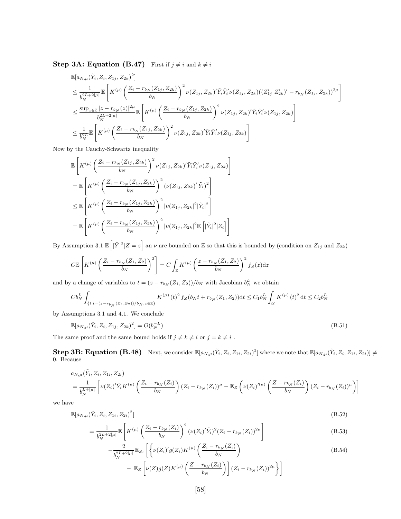**Step 3A: Equation (B.47)** First if  $j \neq i$  and  $k \neq i$ 

$$
\mathbb{E}[a_{N,\mu}(\tilde{Y}_i, Z_i, Z_{1j}, Z_{2k})^2]
$$
\n
$$
\leq \frac{1}{b_N^{2L+2|\mu|}} \mathbb{E}\left[K^{(\mu)}\left(\frac{Z_i - r_{b_N}(Z_{1j}, Z_{2k})}{b_N}\right)^2 \nu(Z_{1j}, Z_{2k})' \tilde{Y}_i \tilde{Y}_i' \nu(Z_{1j}, Z_{2k}) ((Z'_{1j} Z'_{2k})' - r_{b_N}(Z_{1j}, Z_{2k}))^{2\mu}\right]
$$
\n
$$
\leq \frac{\sup_{z \in \mathbb{Z}} |z - r_{b_N}(z)|^{2\mu}}{b_N^{2L+2|\mu|}} \mathbb{E}\left[K^{(\mu)}\left(\frac{Z_i - r_{b_N}(Z_{1j}, Z_{2k})}{b_N}\right)^2 \nu(Z_{1j}, Z_{2k})' \tilde{Y}_i \tilde{Y}_i' \nu(Z_{1j}, Z_{2k})\right]
$$
\n
$$
\leq \frac{1}{b_N^{2L}} \mathbb{E}\left[K^{(\mu)}\left(\frac{Z_i - r_{b_N}(Z_{1j}, Z_{2k})}{b_N}\right)^2 \nu(Z_{1j}, Z_{2k})' \tilde{Y}_i \tilde{Y}_i' \nu(Z_{1j}, Z_{2k})\right]
$$

Now by the Cauchy-Schwartz inequality

$$
\mathbb{E}\left[K^{(\mu)}\left(\frac{Z_{i}-r_{b_{N}}(Z_{1j},Z_{2k})}{b_{N}}\right)^{2}\nu(Z_{1j},Z_{2k})'\tilde{Y}_{i}\tilde{Y}_{i}'\nu(Z_{1j},Z_{2k})\right]
$$
\n
$$
=\mathbb{E}\left[K^{(\mu)}\left(\frac{Z_{i}-r_{b_{N}}(Z_{1j},Z_{2k})}{b_{N}}\right)^{2}\left(\nu(Z_{1j},Z_{2k})'\tilde{Y}_{i}\right)^{2}\right]
$$
\n
$$
\leq \mathbb{E}\left[K^{(\mu)}\left(\frac{Z_{i}-r_{b_{N}}(Z_{1j},Z_{2k})}{b_{N}}\right)^{2}|\nu(Z_{1j},Z_{2k}|^{2}|\tilde{Y}_{i}|^{2}\right]
$$
\n
$$
=\mathbb{E}\left[K^{(\mu)}\left(\frac{Z_{i}-r_{b_{N}}(Z_{1j},Z_{2k})}{b_{N}}\right)^{2}|\nu(Z_{1j},Z_{2k}|^{2}\mathbb{E}\left[|\tilde{Y}_{i}|^{2}|Z_{i}\right]\right]
$$

By Assumption 3.1  $\mathbb{E} \left[ |\tilde{Y}|^2 | Z = z \right]$  an  $\nu$  are bounded on  $\mathbb{Z}$  so that this is bounded by (condition on  $Z_{1j}$  and  $Z_{2k}$ )

$$
C\mathbb{E}\left[K^{(\mu)}\left(\frac{Z_i - r_{b_N}(Z_1, Z_2)}{b_N}\right)^2\right] = C\int_{\mathbb{Z}} K^{(\mu)}\left(\frac{z - r_{b_N}(Z_1, Z_2)}{b_N}\right)^2 f_Z(z)dz
$$

and by a change of variables to  $t = (z - r_{b_N} (Z_1, Z_2)) / b_N$  with Jacobian  $b_N^L$  we obtain

$$
Cb_N^L\int_{\{t\mid t=(z-r_{b_N}(Z_1,Z_2))/b_N,z\in\mathbb{Z}\}}K^{(\mu)}\left(t\right)^2f_Z(b_Nt+r_{b_N}(Z_1,Z_2))\mathrm{d} t\leq C_1b_N^L\int_{\mathcal{U}}K^{(\mu)}\left(t\right)^2\mathrm{d} t\leq C_2b_N^L
$$

by Assumptions 3.1 and 4.1. We conclude

$$
\mathbb{E}[a_{N,\mu}(\tilde{Y}_i, Z_i, Z_{1j}, Z_{2k})^2] = O(b_N^{-L})
$$
\n(B.51)

The same proof and the same bound holds if  $j\neq k\neq i$  or  $j=k\neq i$  .

 $\textbf{Step 3B: Equation (B.48)} \quad \text{Next, we consider } \mathbb{E}[a_{N,\mu}(\tilde{Y}_i, Z_i, Z_{1i}, Z_{2i})^2] \text{ where we note that } \mathbb{E}[a_{N,\mu}(\tilde{Y}_i, Z_i, Z_{1i}, Z_{2i})] \neq 0.$ 0. Because

$$
a_{N,\mu}(\tilde{Y}_i, Z_i, Z_{1i}, Z_{2i})
$$
  
=  $\frac{1}{b_N^{L+|\mu|}} \left[ \nu(Z_i)'\tilde{Y}_i K^{(\mu)}\left(\frac{Z_i - r_{b_N}(Z_i)}{b_N}\right) (Z_i - r_{b_N}(Z_i))^{\mu} - \mathbb{E}_Z \left( \nu(Z_i)^{(\mu)}\left(\frac{Z - r_{b_N}(Z_i)}{b_N}\right) (Z_i - r_{b_N}(Z_i))^{\mu} \right) \right]$ 

we have

$$
\mathbb{E}[a_{N,\mu}(\tilde{Y}_i, Z_i, Z_{1i}, Z_{2i})^2]
$$
\n(B.52)

$$
= \frac{1}{b_N^{2L+2|\mu|}} \mathbb{E}\left[K^{(\mu)}\left(\frac{Z_i - r_{b_N}(Z_i)}{b_N}\right)^2 (\nu(Z_i)'\tilde{Y}_i)^2 (Z_i - r_{b_N}(Z_i))^{2\mu}\right]
$$
(B.53)

$$
-\frac{2}{b_N^{2L+2|\mu|}}\mathbb{E}_{Z_i}\left[\left\{\nu(Z_i)'g(Z_i)K^{(\mu)}\left(\frac{Z_i-r_{b_N}(Z_i)}{b_N}\right)\right.\right.\right.
$$
\n
$$
-\mathbb{E}_Z\left[\nu(Z)g(Z)K^{(\mu)}\left(\frac{Z-r_{b_N}(Z_i)}{b_N}\right)\right](Z_i-r_{b_N}(Z_i))^{2\mu}\right\}\right]
$$
\n(B.54)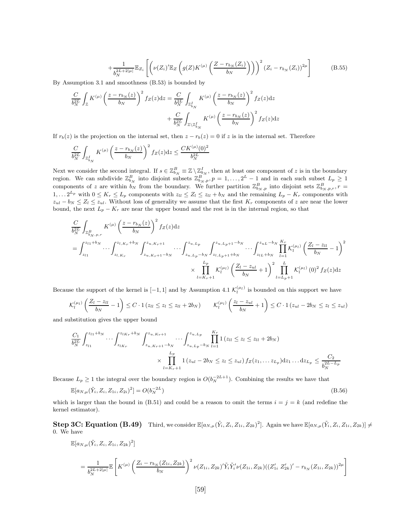$$
+\frac{1}{b_N^{2L+2|\mu|}}\mathbb{E}_{Z_i}\left[\left(\nu(Z_i)'\mathbb{E}_Z\left(g(Z)K^{(\mu)}\left(\frac{Z-r_{b_N}(Z_i)}{b_N}\right)\right)\right)^2\left(Z_i-r_{b_N}(Z_i)\right)^{2\mu}\right]\n\tag{B.55}
$$

By Assumption 3.1 and smoothness (B.53) is bounded by

$$
\frac{C}{b_N^{2L}} \int_{\mathbb{Z}} K^{(\mu)} \left( \frac{z - r_{b_N}(z)}{b_N} \right)^2 f_Z(z) dz = \frac{C}{b_N^{2L}} \int_{\mathbb{Z}_{b_N}^I} K^{(\mu)} \left( \frac{z - r_{b_N}(z)}{b_N} \right)^2 f_Z(z) dz
$$

$$
+ \frac{C}{b_N^{2L}} \int_{\mathbb{Z} \setminus \mathbb{Z}_{b_N}^I} K^{(\mu)} \left( \frac{z - r_{b_N}(z)}{b_N} \right)^2 f_Z(z) dz
$$

If  $r_b(z)$  is the projection on the internal set, then  $z - r_b(z) = 0$  if z is in the internal set. Therefore

$$
\frac{C}{b_N^{2L}} \int_{\mathbb{Z}_{b_N}^I} K^{(\mu)} \left( \frac{z - r_{b_N}(z)}{b_N} \right)^2 f_Z(z) dz \le \frac{C K^{(\mu)}(0)^2}{b_N^{2L}}
$$

Next we consider the second integral. If  $s \in \mathbb{Z}_{b_N}^B \equiv \mathbb{Z} \setminus \mathbb{Z}_{b_N}^I$ , then at least one component of z is in the boundary region. We can subdivide  $\mathbb{Z}_{b_N}^B$  into disjoint subsets  $\mathbb{Z}_{b_N,p}^B, p = 1,\ldots,2^L-1$  and in each such subset  $L_p \geq 1$ components of z are within  $b_N$  from the boundary. We further partition  $\mathbb{Z}_{b_N,p}^B$  into disjoint sets  $\mathbb{Z}_{b_N,p,r}^B$ ,  $r =$  $1, \ldots 2^{L_p}$  with  $0 \le K_r \le L_p$  components with  $z_{ll} \le Z_l \le z_{ll} + b_N$  and the remaining  $L_p - K_r$  components with  $z_{ul} - b_N \leq Z_l \leq z_{ul}$ . Without loss of generality we assume that the first  $K_r$  components of z are near the lower bound, the next  $L_p - K_r$  are near the upper bound and the rest is in the internal region, so that

$$
\frac{C}{b_N^{2L}} \int_{\mathbb{Z}_{b_N,p,r}^R} K^{(\mu)} \left(\frac{z - r_{b_N}(z)}{b_N}\right)^2 f_Z(z) dz
$$
\n
$$
= \int_{z_{l1}}^{z_{l1} + b_N} \cdots \int_{z_{l,K_r}}^{z_{l,K_r} + b_N} \int_{z_{u,K_r+1} - b_N}^{z_{u,K_r+1}} \cdots \int_{z_{u,L_p-b_N}}^{z_{u,L_p}} \int_{z_{l,L_p+1} + b_N}^{z_{u,L_p+1} - b_N} \cdots \int_{z_{lL}+b_N}^{z_{u,L}-b_N} \prod_{l=1}^{K_r} \mathcal{K}_l^{(\mu_l)} \left(\frac{Z_l - z_{ll}}{b_N} - 1\right)^2
$$
\n
$$
\times \prod_{l=K_r+1}^{L_p} \mathcal{K}_l^{(\mu_l)} \left(\frac{Z_l - z_{u_l}}{b_N} + 1\right)^2 \prod_{l=L_p+1}^{L} \mathcal{K}_l^{(\mu_l)}(0)^2 f_Z(z) dz
$$

Because the support of the kernel is  $[-1, 1]$  and by Assumption 4.1  $\mathcal{K}_l^{(\mu_l)}$  is bounded on this support we have

$$
\mathcal{K}_l^{(\mu_l)}\left(\frac{Z_l - z_{ll}}{b_N} - 1\right) \leq C \cdot 1\left(z_{ll} \leq z_l \leq z_{ll} + 2b_N\right) \qquad \mathcal{K}_l^{(\mu_l)}\left(\frac{z_l - z_{ul}}{b_N} + 1\right) \leq C \cdot 1\left(z_{ul} - 2b_N \leq z_l \leq z_{ul}\right)
$$

and substitution gives the upper bound

$$
\frac{C_1}{b_N^{2L}} \int_{z_{l1}}^{z_{l1}+b_N} \cdots \int_{z_{lK_r}}^{z_{lK_r}+b_N} \int_{z_{u,K_r+1}-b_N}^{z_{u,K_r+1}} \cdots \int_{z_{u,L_p}-b_N}^{z_{u,L_p}} \prod_{l=1}^{K_r} 1 (z_{ll} \le z_l \le z_{ll} + 2b_N)
$$
\n
$$
\times \prod_{l=K_r+1}^{L_p} 1 (z_{ul} - 2b_N \le z_l \le z_{ul}) f_Z(z_1, \ldots z_{L_p}) dz_1 \ldots dz_{L_p} \le \frac{C_2}{b_N^{2L-L_p}}
$$

Because  $L_p \geq 1$  the integral over the boundary region is  $O(b_N^{-2L+1})$ . Combining the results we have that

$$
\mathbb{E}[a_{N,\mu}(\tilde{Y}_i, Z_i, Z_{1i}, Z_{2i})^2] = O(b_N^{-2L})
$$
\n(B.56)

which is larger than the bound in (B.51) and could be a reason to omit the terms  $i = j = k$  (and redefine the kernel estimator).

 $\textbf{Step 3C: Equation (B.49)} \quad \text{Third, we consider } \mathbb{E}[a_{N,\mu}(\tilde{Y}_i,Z_i,Z_{1i},Z_{2k})^2]. \text{ Again we have } \mathbb{E}[a_{N,\mu}(\tilde{Y}_i,Z_i,Z_{1i},Z_{2k})] \neq 0.$ 0. We have

$$
\mathbb{E}[a_{N,\mu}(\tilde{Y}_i, Z_i, Z_{1i}, Z_{2k})^2]
$$
\n
$$
= \frac{1}{b_N^{2L+2|\mu|}} \mathbb{E}\left[K^{(\mu)}\left(\frac{Z_i - r_{b_N}(Z_{1i}, Z_{2k})}{b_N}\right)^2 \nu(Z_{1i}, Z_{2k})' \tilde{Y}_i \tilde{Y}_i' \nu(Z_{1i}, Z_{2k})((Z'_{1i} \ Z'_{2k})' - r_{b_N}(Z_{1i}, Z_{2k}))^{2\mu}\right]
$$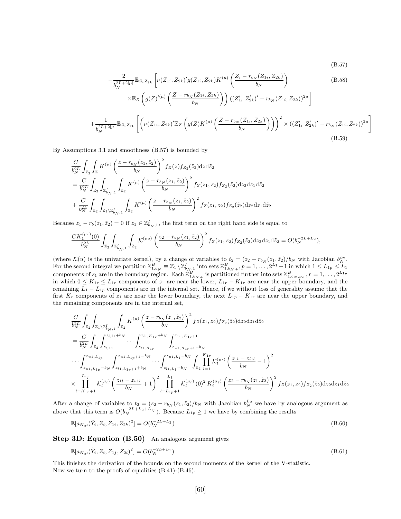(B.57)

$$
-\frac{2}{b_N^{2L+2|\mu|}}\mathbb{E}_{Z_i Z_{2k}}\left[\nu(Z_{1i}, Z_{2k})'g(Z_{1i}, Z_{2k})K^{(\mu)}\left(\frac{Z_i - r_{b_N}(Z_{1i}, Z_{2k})}{b_N}\right) \times \mathbb{E}_Z\left(g(Z)^{(\mu)}\left(\frac{Z - r_{b_N}(Z_{1i}, Z_{2k})}{b_N}\right)\right) \left((Z'_{1i} \ Z'_{2k})' - r_{b_N}(Z_{1i}, Z_{2k})\right)^{2\mu}\right] + \frac{1}{b_N^{2L+2|\mu|}}\mathbb{E}_{Z_i Z_{2k}}\left[\left(\nu(Z_{1i}, Z_{2k})'\mathbb{E}_Z\left(g(Z)K^{(\mu)}\left(\frac{Z - r_{b_N}(Z_{1i}, Z_{2k})}{b_N}\right)\right)\right)^2 \times \left((Z'_{1i} \ Z'_{2k})' - r_{b_N}(Z_{1i}, Z_{2k})\right)^{2\mu}\right] \tag{B.59}
$$

By Assumptions 3.1 and smoothness (B.57) is bounded by

$$
\frac{C}{b_N^{2L}} \int_{\mathbb{Z}_2} \int_{\mathbb{Z}} K^{(\mu)} \left( \frac{z - r_{b_N}(z_1, \tilde{z}_2)}{b_N} \right)^2 f_Z(z) f_{Z_2}(\tilde{z}_2) dz d\tilde{z}_2 \n= \frac{C}{b_N^{2L}} \int_{\mathbb{Z}_2} \int_{\mathbb{Z}_{b_{N,1}}} \int_{\mathbb{Z}_2} K^{(\mu)} \left( \frac{z - r_{b_N}(z_1, \tilde{z}_2)}{b_N} \right)^2 f_Z(z_1, z_2) f_{Z_2}(\tilde{z}_2) dz_2 dz_1 d\tilde{z}_2 \n+ \frac{C}{b_N^{2L}} \int_{\mathbb{Z}_2} \int_{\mathbb{Z}_1 \setminus \mathbb{Z}_{b_{N,1}^I}} \int_{\mathbb{Z}_2} K^{(\mu)} \left( \frac{z - r_{b_N}(z_1, \tilde{z}_2)}{b_N} \right)^2 f_Z(z_1, z_2) f_{Z_2}(\tilde{z}_2) dz_2 dz_1 d\tilde{z}_2
$$

Because  $z_1 - r_b(z_1, \tilde{z}_2) = 0$  if  $z_1 \in \mathbb{Z}_{b_N,1}^I$ , the first term on the right hand side is equal to

$$
\frac{CK_1^{(\mu_1)}(0)}{b_N^{2L}}\int_{\mathbb{Z}_2}\int_{\mathbb{Z}_{b_N,1}^I}\int_{\mathbb{Z}_2}\mathcal{K}^{(\mu_2)}\left(\frac{z_2-r_{b_N}(z_1,\tilde{z}_2)}{b_N}\right)^2f_Z(z_1,z_2)f_{Z_2}(\tilde{z}_2)\mathrm{d}z_2\mathrm{d}z_1\mathrm{d}\tilde{z}_2=O(b_N^{-2L+L_2}),
$$

(where  $\mathcal{K}(u)$  is the univariate kernel), by a change of variables to  $t_2 = (z_2 - r_{b_N}(z_1, \tilde{z}_2)/b_N$  with Jacobian  $b_N^{L_2}$ . For the second integral we partition  $\mathbb{Z}_{1,b_N}^B \equiv \mathbb{Z}_1 \setminus \mathbb{Z}_{b_{N,1}}^I$  into sets  $\mathbb{Z}_{1,b_N,p}^B, p = 1, \ldots, 2^{L_1} - 1$  in which  $1 \le L_{1p} \le L_1$ components of  $z_1$  are in the boundary region. Each  $\mathbb{Z}_{1,b_N,p}^B$  is partitioned further into sets  $\mathbb{Z}_{1,b_N,p,r}^B$ ,  $r = 1,\ldots,2^{L_{1p}}$ in which  $0 \le K_{1r} \le L_{1r}$  components of  $z_1$  are near the lower,  $L_{1r} - K_{1r}$  are near the upper boundary, and the remaining  $L_1 - L_{1p}$  components are in the internal set. Hence, if we without loss of generality assume that the first  $K_r$  components of  $z_1$  are near the lower boundary, the next  $L_{1p} - K_{1r}$  are near the upper boundary, and the remaining components are in the internal set,

$$
\frac{C}{b_N^2 L} \int_{\mathbb{Z}_2} \int_{\mathbb{Z}_1 \setminus \mathbb{Z}_{b_{N,1}}^I} \int_{\mathbb{Z}_2} K^{(\mu)} \left( \frac{z - r_{b_N}(z_1, \tilde{z}_2)}{b_N} \right)^2 f_Z(z_1, z_2) f_{Z_2}(\tilde{z}_2) dz_2 dz_1 d\tilde{z}_2 \n= \frac{C}{b_N^2 L} \int_{\mathbb{Z}_2} \int_{z_{l,11}}^{z_{l,11} + b_N} \cdots \int_{z_{l1, K_{1r}}}^{z_{l1, K_{1r}} + b_N} \int_{z_{u1, K_{1r}+1} - b_N}^{z_{u1, K_{1r}+1}}
$$
\n
$$
\cdots \int_{z_{u1, L_{1p}}}^{z_{u1, L_{1p}}} \int_{z_{u1, L_{1p}+1} - b_N}^{z_{u1, L_{1p}+1} - b_N} \cdots \int_{z_{l1, L_{1}} - b_N}^{z_{u1, L_{1p}+1} - b_N} \int_{\mathbb{Z}_2} \prod_{l=1}^{K_{1r}} K_l^{(\mu_l)} \left( \frac{z_{1l} - z_{11l}}{b_N} - 1 \right)^2 \n\times \prod_{l=K_{1r}+1}^{L_{1p}} K_l^{(\mu_l)} \left( \frac{z_{1l} - z_{u1l}}{b_N} + 1 \right)^2 \prod_{l=L_{1p}+1}^{L_1} K_l^{(\mu_l)}(0)^2 K_2^{(\mu_2)} \left( \frac{z_2 - r_{b_N}(z_1, \tilde{z}_2)}{b_N} \right)^2 f_Z(z_1, z_2) f_{Z_2}(\tilde{z}_2) dz_2 dz_1 d\tilde{z}_2
$$

After a change of variables to  $t_2 = (z_2 - r_{b_N}(z_1, \tilde{z}_2)/b_N$  with Jacobian  $b_N^{L_2}$  we have by analogous argument as above that this term is  $O(b_N^{-2L+L_2+L_1_p})$ . Because  $L_{1p} \geq 1$  we have by combining the results

$$
\mathbb{E}[a_{N,\mu}(\tilde{Y}_i, Z_i, Z_{1i}, Z_{2k})^2] = O(b_N^{-2L+L_2})
$$
\n(B.60)

Step 3D: Equation (B.50) An analogous argument gives

$$
\mathbb{E}[a_{N,\mu}(\tilde{Y}_i, Z_i, Z_{1j}, Z_{2i})^2] = O(b_N^{-2L+L_1})
$$
\n(B.61)

This finishes the derivation of the bounds on the second moments of the kernel of the V-statistic. Now we turn to the proofs of equalities (B.41)-(B.46).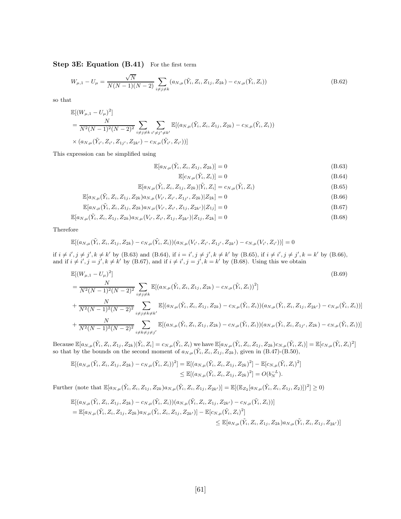Step 3E: Equation (B.41) For the first term

$$
W_{\mu,1} - U_{\mu} = \frac{\sqrt{N}}{N(N-1)(N-2)} \sum_{i \neq j \neq k} (a_{N,\mu}(\tilde{Y}_i, Z_i, Z_{1j}, Z_{2k}) - c_{N,\mu}(\tilde{Y}_i, Z_i))
$$
(B.62)

so that

$$
\mathbb{E}[(W_{\mu,1} - U_{\mu})^2]
$$
\n
$$
= \frac{N}{N^2(N-1)^2(N-2)^2} \sum_{i \neq j \neq k} \sum_{i' \neq j' \neq k'} \mathbb{E}[(a_{N,\mu}(\tilde{Y}_i, Z_i, Z_{1j}, Z_{2k}) - c_{N,\mu}(\tilde{Y}_i, Z_i))
$$
\n
$$
\times (a_{N,\mu}(\tilde{Y}_i, Z_{i'}, Z_{1j'}, Z_{2k'}) - c_{N,\mu}(\tilde{Y}_i, Z_{i'}))]
$$

This expression can be simplified using

$$
\mathbb{E}[a_{N,\mu}(\tilde{Y}_i, Z_i, Z_{1j}, Z_{2k})] = 0
$$
\n(B.63)

$$
\mathbb{E}[c_{N,\mu}(\tilde{Y}_i, Z_i)] = 0 \tag{B.64}
$$

$$
\mathbb{E}[a_{N,\mu}(\tilde{Y}_i, Z_i, Z_{1j}, Z_{2k}) | \tilde{Y}_i, Z_i] = c_{N,\mu}(\tilde{Y}_i, Z_i)
$$
\n(B.65)

$$
\mathbb{E}[a_{N,\mu}(\tilde{Y}_i, Z_i, Z_{1j}, Z_{2k})a_{N,\mu}(V_{i'}, Z_{i'}, Z_{1j'}, Z_{2k})|Z_{2k}] = 0
$$
\n(B.66)

$$
\mathbb{E}[a_{N,\mu}(\tilde{Y}_i, Z_i, Z_{1j}, Z_{2k})a_{N,\mu}(V_{i'}, Z_{i'}, Z_{1j}, Z_{2k'})|Z_{1j}] = 0
$$
\n(B.67)

$$
\mathbb{E}[a_{N,\mu}(\tilde{Y}_i, Z_i, Z_{1j}, Z_{2k})a_{N,\mu}(V_{i'}, Z_{i'}, Z_{1j}, Z_{2k'})|Z_{1j}, Z_{2k}] = 0
$$
\n(B.68)

Therefore

$$
\mathbb{E}[(a_{N,\mu}(\tilde{Y}_i, Z_i, Z_{1j}, Z_{2k}) - c_{N,\mu}(\tilde{Y}_i, Z_i))(a_{N,\mu}(V_{i'}, Z_{i'}, Z_{1j'}, Z_{2k'}) - c_{N,\mu}(V_{i'}, Z_{i'}))] = 0
$$
  
if  $i \neq i', j \neq j', k \neq k'$  by (B.63) and (B.64), if  $i = i', j \neq j', k \neq k'$  by (B.65), if  $i \neq i', j \neq j', k = k'$  by (B.66),  
and if  $i \neq i', j = j', k \neq k'$  by (B.67), and if  $i \neq i', j = j', k = k'$  by (B.68). Using this we obtain

$$
\mathbb{E}[(W_{\mu,1} - U_{\mu})^{2}]
$$
\n
$$
= \frac{N}{N^{2}(N-1)^{2}(N-2)^{2}} \sum_{i \neq j \neq k} \mathbb{E}[(a_{N,\mu}(\tilde{Y}_{i}, Z_{i}, Z_{1j}, Z_{2k}) - c_{N,\mu}(\tilde{Y}_{i}, Z_{i}))^{2}]
$$
\n
$$
+ \frac{N}{N^{2}(N-1)^{2}(N-2)^{2}} \sum_{i \neq j \neq k \neq k'} \mathbb{E}[(a_{N,\mu}(\tilde{Y}_{i}, Z_{i}, Z_{1j}, Z_{2k}) - c_{N,\mu}(\tilde{Y}_{i}, Z_{i})) (a_{N,\mu}(\tilde{Y}_{i}, Z_{i}, Z_{1j}, Z_{2k'}) - c_{N,\mu}(\tilde{Y}_{i}, Z_{i}))]
$$
\n
$$
+ \frac{N}{N^{2}(N-1)^{2}(N-2)^{2}} \sum_{i \neq k \neq j \neq j'} \mathbb{E}[(a_{N,\mu}(\tilde{Y}_{i}, Z_{i}, Z_{1j}, Z_{2k}) - c_{N,\mu}(\tilde{Y}_{i}, Z_{i})) (a_{N,\mu}(\tilde{Y}_{i}, Z_{i}, Z_{1j'}, Z_{2k}) - c_{N,\mu}(\tilde{Y}_{i}, Z_{i}))]
$$
\n(B.69)

Because  $\mathbb{E}[a_{N,\mu}(\tilde{Y}_i, Z_i, Z_{1j}, Z_{2k}) | \tilde{Y}_i, Z_i] = c_{N,\mu}(\tilde{Y}_i, Z_i)$  we have  $\mathbb{E}[a_{N,\mu}(\tilde{Y}_i, Z_i, Z_{1j}, Z_{2k}) c_{N,\mu}(\tilde{Y}_i, Z_i)] = \mathbb{E}[c_{N,\mu}(\tilde{Y}_i, Z_i)^2]$ so that by the bounds on the second moment of  $a_{N,\mu}(\tilde{Y}_i, Z_i, Z_{1j}, Z_{2k})$ , given in  $(B.47)$ - $(B.50)$ ,

$$
\mathbb{E}[(a_{N,\mu}(\tilde{Y}_i, Z_i, Z_{1j}, Z_{2k}) - c_{N,\mu}(\tilde{Y}_i, Z_i))^2] = \mathbb{E}[(a_{N,\mu}(\tilde{Y}_i, Z_i, Z_{1j}, Z_{2k})^2] - \mathbb{E}[c_{N,\mu}(\tilde{Y}_i, Z_i)^2] \leq \mathbb{E}[(a_{N,\mu}(\tilde{Y}_i, Z_i, Z_{1j}, Z_{2k})^2] = O(b_N^{-L}).
$$

Further (note that  $\mathbb{E}[a_{N,\mu}(\tilde{Y}_i, Z_i, Z_{1j}, Z_{2k})a_{N,\mu}(\tilde{Y}_i, Z_i, Z_{1j}, Z_{2k'})] = \mathbb{E}[(\mathbb{E}_{Z_2}[a_{N,\mu}(\tilde{Y}_i, Z_i, Z_{1j}, Z_2)])^2] \geq 0$ 

$$
\mathbb{E}[(a_{N,\mu}(\tilde{Y}_i, Z_i, Z_{1j}, Z_{2k}) - c_{N,\mu}(\tilde{Y}_i, Z_i))(a_{N,\mu}(\tilde{Y}_i, Z_i, Z_{1j}, Z_{2k'}) - c_{N,\mu}(\tilde{Y}_i, Z_i))]
$$
\n
$$
= \mathbb{E}[a_{N,\mu}(\tilde{Y}_i, Z_i, Z_{1j}, Z_{2k})a_{N,\mu}(\tilde{Y}_i, Z_i, Z_{1j}, Z_{2k'})] - \mathbb{E}[c_{N,\mu}(\tilde{Y}_i, Z_i)^2]
$$
\n
$$
\leq \mathbb{E}[a_{N,\mu}(\tilde{Y}_i, Z_i, Z_{1j}, Z_{2k})a_{N,\mu}(\tilde{Y}_i, Z_i, Z_{1j}, Z_{2k'})]
$$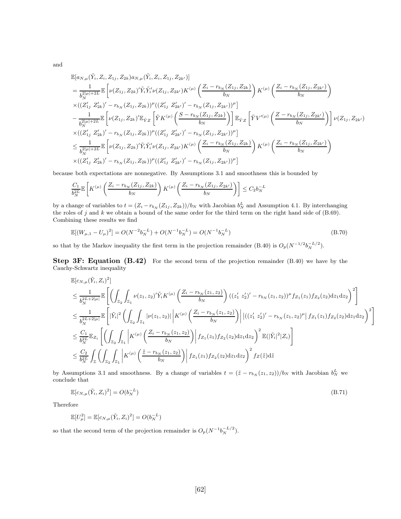and

$$
\mathbb{E}[a_{N,\mu}(\tilde{Y}_{i},Z_{i},Z_{1j},Z_{2k})a_{N,\mu}(\tilde{Y}_{i},Z_{i},Z_{1j},Z_{2k'})]
$$
\n
$$
= \frac{1}{b_{N}^{2|\mu|+2L}}\mathbb{E}\left[\nu(Z_{1j},Z_{2k})'\tilde{Y}_{i}\tilde{Y}_{i}'\nu(Z_{1j},Z_{2k'})K^{(\mu)}\left(\frac{Z_{i}-r_{b_{N}}(Z_{1j},Z_{2k})}{b_{N}}\right)K^{(\mu)}\left(\frac{Z_{i}-r_{b_{N}}(Z_{1j},Z_{2k'})}{b_{N}}\right)\right]
$$
\n
$$
\times((Z'_{1j},Z'_{2k})'-r_{b_{N}}(Z_{1j},Z_{2k}))^{\mu}((Z'_{1j},Z'_{2k'})'-r_{b_{N}}(Z_{1j},Z_{2k'}))^{\mu}]
$$
\n
$$
-\frac{1}{b_{N}^{2|\mu|+2L}}\mathbb{E}\left[\nu(Z_{1j},Z_{2k})'\mathbb{E}_{\tilde{Y}Z}\left[\tilde{Y}K^{(\mu)}\left(\frac{S-r_{b_{N}}(Z_{1j},Z_{2k})}{b_{N}}\right)\right]\mathbb{E}_{\tilde{Y}Z}\left[\tilde{Y}V'^{(\mu)}\left(\frac{Z-r_{b_{N}}(Z_{1j},Z_{2k'})}{b_{N}}\right)\right]\nu(Z_{1j},Z_{2k'})\right]
$$
\n
$$
\times((Z'_{1j},Z'_{2k})'-r_{b_{N}}(Z_{1j},Z_{2k}))^{\mu}((Z'_{1j},Z'_{2k'})'-r_{b_{N}}(Z_{1j},Z_{2k'}))^{\mu}]
$$
\n
$$
\leq \frac{1}{b_{N}^{2|\mu|+2L}}\mathbb{E}\left[\nu(Z_{1j},Z_{2k})'\tilde{Y}_{i}\tilde{Y}_{i}'\nu(Z_{1j},Z_{2k'})K^{(\mu)}\left(\frac{Z_{i}-r_{b_{N}}(Z_{1j},Z_{2k})}{b_{N}}\right)K^{(\mu)}\left(\frac{Z_{i}-r_{b_{N}}(Z_{1j},Z_{2k'})}{b_{N}}\right)\right]
$$
\n
$$
\times((Z'_{1j},Z'_{2k})'-r_{b_{N}}(Z_{1j},Z_{2k}))^{\mu}((
$$

because both expectations are nonnegative. By Assumptions 3.1 and smoothness this is bounded by

$$
\frac{C_1}{b_N^{2L}} \mathbb{E}\left[K^{(\mu)}\left(\frac{Z_i - r_{b_N}(Z_{1j}, Z_{2k})}{b_N}\right) K^{(\mu)}\left(\frac{Z_i - r_{b_N}(Z_{1j}, Z_{2k'})}{b_N}\right)\right] \le C_2 b_N^{-L}
$$

by a change of variables to  $t = (Z_i - r_{b_N} (Z_{1j}, Z_{2k}))/b_N$  with Jacobian  $b_N^L$  and Assumption 4.1. By interchanging the roles of j and k we obtain a bound of the same order for the third term on the right hand side of  $(8.69)$ . Combining these results we find

$$
\mathbb{E}[(W_{\mu,1} - U_{\mu})^2] = O(N^{-2}b_N^{-L}) + O(N^{-1}b_N^{-L}) = O(N^{-1}b_N^{-L})
$$
\n(B.70)

so that by the Markov inequality the first term in the projection remainder (B.40) is  $O_p(N^{-1/2}b_N^{-L/2})$ .

**Step 3F: Equation (B.42)** For the second term of the projection remainder  $(B.40)$  we have by the Cauchy-Schwartz inequality

$$
\mathbb{E}[c_{N,\mu}(\tilde{Y}_i, Z_i)^2] \n\leq \frac{1}{b_N^{2L+2|\mu|}} \mathbb{E}\left[\left(\int_{\mathbb{Z}_2} \int_{\mathbb{Z}_1} \nu(z_1, z_2)^{\prime} \tilde{Y}_i K^{(\mu)}\left(\frac{Z_i - r_{b_N}(z_1, z_2)}{b_N}\right) ((z_1^{\prime} z_2^{\prime})^{\prime} - r_{b_N}(z_1, z_2))^{\mu} f_{Z_1}(z_1) f_{Z_2}(z_2) dz_1 dz_2\right)^2\right] \n\leq \frac{1}{b_N^{2L+2|\mu|}} \mathbb{E}\left[|\tilde{Y}_i|^2 \left(\int_{\mathbb{Z}_2} \int_{\mathbb{Z}_1} |\nu(z_1, z_2)| \left| K^{(\mu)}\left(\frac{Z_i - r_{b_N}(z_1, z_2)}{b_N}\right) \right| \left| ((z_1^{\prime} z_2^{\prime})^{\prime} - r_{b_N}(z_1, z_2)^{\mu}) \right| f_{Z_1}(z_1) f_{Z_2}(z_2) dz_1 dz_2\right)^2\right] \n\leq \frac{C_1}{b_N^{2L}} \mathbb{E}_{Z_i}\left[\left(\int_{\mathbb{Z}_2} \int_{\mathbb{Z}_1} \left| K^{(\mu)}\left(\frac{Z_i - r_{b_N}(z_1, z_2)}{b_N}\right) \right| f_{Z_1}(z_1) f_{Z_2}(z_2) dz_1 dz_2\right)^2 \mathbb{E}(|\tilde{Y}_i|^2 |Z_i)\right] \n\leq \frac{C_2}{b_N^{2L}} \int_{\mathbb{Z}} \left(\int_{\mathbb{Z}_2} \int_{\mathbb{Z}_1} \left| K^{(\mu)}\left(\frac{\tilde{z} - r_{b_N}(z_1, z_2)}{b_N}\right) \right| f_{Z_1}(z_1) f_{Z_2}(z_2) dz_1 dz_2\right)^2 f_{Z}(\tilde{z}) d\tilde{z}
$$

by Assumptions 3.1 and smoothness. By a change of variables  $t = (\tilde{z} - r_{b_N}(z_1, z_2))/b_N$  with Jacobian  $b_N^L$  we conclude that

$$
\mathbb{E}[c_{N,\mu}(\tilde{Y}_i, Z_i)^2] = O(b_N^{-L})
$$
\n(B.71)

Therefore

 $\mathbb{E}[U_{\mu}^2] = \mathbb{E}[c_{N,\mu}(\tilde{Y}_i, Z_i)^2] = O(b_N^{-L})$ 

so that the second term of the projection remainder is  $O_p(N^{-1}b_N^{-L/2})$ .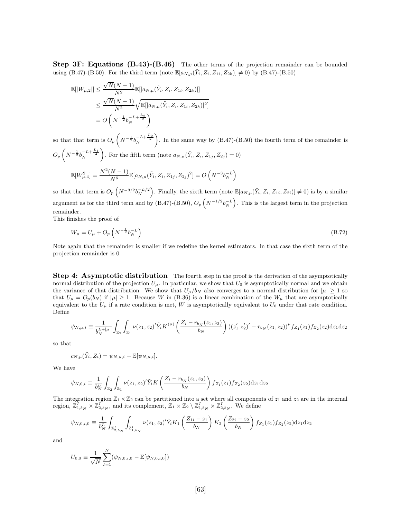Step 3F: Equations (B.43)-(B.46) The other terms of the projection remainder can be bounded using (B.47)-(B.50). For the third term (note  $\mathbb{E}[a_{N,\mu}(\tilde{Y}_i, Z_i, Z_{1i}, Z_{2k})] \neq 0$ ) by (B.47)-(B.50)

$$
\mathbb{E}[|W_{\mu,2}|| \leq \frac{\sqrt{N}(N-1)}{N^2} \mathbb{E}[|a_{N,\mu}(\tilde{Y}_i, Z_i, Z_{1i}, Z_{2k})|]
$$
  

$$
\leq \frac{\sqrt{N}(N-1)}{N^2} \sqrt{\mathbb{E}[|a_{N,\mu}(\tilde{Y}_i, Z_i, Z_{1i}, Z_{2k})|^2]}
$$
  

$$
= O\left(N^{-\frac{1}{2}} b_N^{-L + \frac{L_2}{2}}\right)
$$

so that that term is  $O_p\left(N^{-\frac{1}{2}}b_N^{-L+\frac{L_2}{2}}\right)$ ). In the same way by  $(B.47)-(B.50)$  the fourth term of the remainder is  $O_p\left(N^{-\frac{1}{2}}b_N^{-L+\frac{L_1}{2}}\right)$ ). For the fifth term (note  $a_{N,\mu}(\tilde{Y}_i, Z_i, Z_{1j}, Z_{2j}) = 0$ )  $\mathbb{E}[W_{\mu,4}^2] = \frac{N^2(N-1)}{N^6}$  $\frac{N-1}{N^6} \mathbb{E}[a_{N,\mu}(\tilde{Y}_i, Z_i, Z_{1j}, Z_{2j})^2] = O(N^{-3} b_N^{-L})$ 

so that that term is  $O_p\left(N^{-3/2}b_N^{-L/2}\right)$ . Finally, the sixth term (note  $\mathbb{E}[a_{N,\mu}(\tilde{Y}_i, Z_i, Z_{1i}, Z_{2i})] \neq 0$ ) is by a similar argument as for the third term and by (B.47)-(B.50),  $O_p\left(N^{-1/2}b_N^{-L}\right)$ . This is the largest term in the projection remainder.

This finishes the proof of

$$
W_{\mu} = U_{\mu} + O_p \left( N^{-\frac{1}{2}} b_N^{-L} \right) \tag{B.72}
$$

Note again that the remainder is smaller if we redefine the kernel estimators. In that case the sixth term of the projection remainder is 0.

Step 4: Asymptotic distribution The fourth step in the proof is the derivation of the asymptotically normal distribution of the projection  $U_{\mu}$ . In particular, we show that  $U_0$  is asymptotically normal and we obtain the variance of that distribution. We show that  $U_{\mu}/b_N$  also converges to a normal distribution for  $|\mu| \geq 1$  so that  $U_{\mu} = O_p(b_N)$  if  $|\mu| \geq 1$ . Because W in (B.36) is a linear combination of the  $W_{\mu}$  that are asymptotically equivalent to the  $U_{\mu}$  if a rate condition is met, W is asymptotically equivalent to  $U_0$  under that rate condition. Define

$$
\psi_{N,\mu,i} \equiv \frac{1}{b_N^{L+|\mu|}} \int_{\mathbb{Z}_2} \int_{\mathbb{Z}_1} \nu(z_1, z_2) \tilde{Y}_i K^{(\mu)} \left( \frac{Z_i - r_{b_N}(z_1, z_2)}{b_N} \right) ((z_1' z_2')' - r_{b_N}(z_1, z_2))^{\mu} f_{Z_1}(z_1) f_{Z_2}(z_2) dz_1 dz_2
$$

so that

$$
c_{N,\mu}(\tilde{Y}_i, Z_i) = \psi_{N,\mu,i} - \mathbb{E}[\psi_{N,\mu,i}].
$$

We have

$$
\psi_{N,0,i} \equiv \frac{1}{b_N^L} \int_{\mathbb{Z}_2} \int_{\mathbb{Z}_1} \nu(z_1,z_2)' \tilde{Y}_i K\left(\frac{Z_i - r_{b_N}(z_1,z_2)}{b_N}\right) f_{Z_1}(z_1) f_{Z_2}(z_2) dz_1 dz_2
$$

The integration region  $\mathbb{Z}_1 \times \mathbb{Z}_2$  can be partitioned into a set where all components of  $z_1$  and  $z_2$  are in the internal region,  $\mathbb{Z}_{1,b_N}^I \times \mathbb{Z}_{2,b_N}^I$ , and its complement,  $\mathbb{Z}_1 \times \mathbb{Z}_2 \setminus \mathbb{Z}_{1,b_N}^I \times \mathbb{Z}_{2,b_N}^I$ . We define

$$
\psi_{N,0,i,0} \equiv \frac{1}{b_N^L} \int_{\mathbb{Z}_{2,b_N}^I} \int_{\mathbb{Z}_{1,b_N}^I} \nu(z_1,z_2)'\tilde{Y}_i K_1\left(\frac{Z_{1i}-z_1}{b_N}\right) K_2\left(\frac{Z_{2i}-z_2}{b_N}\right) f_{Z_1}(z_1) f_{Z_2}(z_2) \mathrm{d}z_1 \mathrm{d}z_2
$$

and

$$
U_{0,0} \equiv \frac{1}{\sqrt{N}} \sum_{I=1}^{N} (\psi_{N,0,i,0} - \mathbb{E}[\psi_{N,0,i,0}])
$$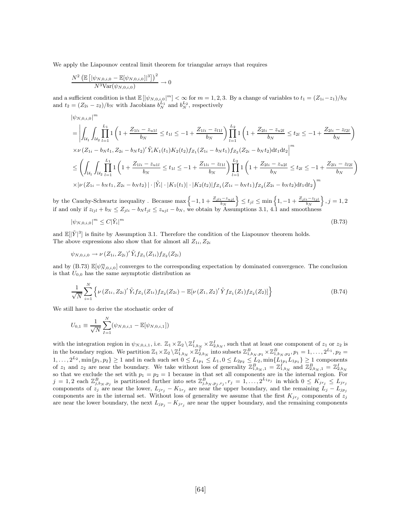We apply the Liapounov central limit theorem for triangular arrays that requires

$$
\frac{N^2 \left(\mathbb{E}\left[|\psi_{N,0,i,0}-\mathbb{E}[\psi_{N,0,i,0}]|^3\right]\right)^2}{N^3 \text{Var}(\psi_{N,0,i,0})} \to 0
$$

and a sufficient condition is that  $\mathbb{E}[|\psi_{N,0,i,0}|^m] < \infty$  for  $m = 1, 2, 3$ . By a change of variables to  $t_1 = (Z_{1i} - z_1)/b_N$ and  $t_2 = (Z_{2i} - z_2)/b_N$  with Jacobians  $b_N^{L_1}$  and  $b_N^{L_2}$ , respectively

$$
\begin{split}\n&\left|\psi_{N,0,i,0}\right|^{m} \\
&= \left| \int_{\mathcal{U}_{1}} \int_{\mathcal{U}_{2}} \prod_{l=1}^{L_{1}} 1\left(1 + \frac{Z_{1li} - z_{u1l}}{b_{N}} \leq t_{1l} \leq -1 + \frac{Z_{1li} - z_{l1l}}{b_{N}}\right) \prod_{l=1}^{L_{2}} 1\left(1 + \frac{Z_{2li} - z_{u2l}}{b_{N}} \leq t_{2l} \leq -1 + \frac{Z_{2li} - z_{l2l}}{b_{N}}\right) \\
&\times \nu \left(Z_{1i} - b_{N}t_{1}, Z_{2i} - b_{N}t_{2}\right)' \tilde{Y}_{i} K_{1}(t_{1}) K_{2}(t_{2}) f_{Z_{1}}(Z_{1i} - b_{N}t_{1}) f_{Z_{2}}(Z_{2i} - b_{N}t_{2}) dt_{1} dt_{2} \right|^{m} \\
&\leq \left(\int_{\mathcal{U}_{1}} \int_{\mathcal{U}_{2}} \prod_{l=1}^{L_{1}} 1\left(1 + \frac{Z_{1li} - z_{u1l}}{b_{N}} \leq t_{1l} \leq -1 + \frac{Z_{1li} - z_{l1l}}{b_{N}}\right) \prod_{l=1}^{L_{2}} 1\left(1 + \frac{Z_{2li} - z_{u2l}}{b_{N}} \leq t_{2l} \leq -1 + \frac{Z_{2li} - z_{l2l}}{b_{N}}\right) \\
&\times \left|\nu \left(Z_{1i} - b_{N}t_{1}, Z_{2i} - b_{N}t_{2}\right)\right| \cdot \left|\tilde{Y}_{i}\right| \cdot \left|K_{1}(t_{1})\right| \cdot \left|K_{2}(t_{2})\right| f_{Z_{1}}(Z_{1i} - b_{N}t_{1}) f_{Z_{2}}(Z_{2i} - b_{N}t_{2}) dt_{1} dt_{2}\right)^{m}\n\end{split}
$$

by the Cauchy-Schwartz inequality . Because  $\max\left\{-1, 1 + \frac{Z_{jli}-z_{ujl}}{b_N}\right.$  $\} \le t_{jl} \le \min\left\{1, -1 + \frac{Z_{jli} - z_{ljl}}{b_N}\right\}$  $\}, j = 1, 2$ if and only if  $z_{ijl} + b_N \leq Z_{jli} - b_N t_{jl} \leq z_{ujl} - b_N$ , we obtain by Assumptions 3.1, 4.1 and smoothness

$$
|\psi_{N,0,i,0}|^m \le C|\tilde{Y}_i|^m \tag{B.73}
$$

and  $\mathbb{E}[|\tilde{Y}|^3]$  is finite by Assumption 3.1. Therefore the condition of the Liapounov theorem holds. The above expressions also show that for almost all  $Z_{1i}$ ,  $Z_{2i}$ 

$$
\psi_{N,0,i,0} \to \nu(Z_{1i}, Z_{2i})' \tilde{Y}_i f_{Z_1}(Z_{1i}) f_{Z_2}(Z_{2i})
$$

and by (B.73)  $\mathbb{E}[\psi^m_{N,0,i,0}]$  converges to the corresponding expectation by dominated convergence. The conclusion is that  $U_{0,0}$  has the same asymptotic distribution as

$$
\frac{1}{\sqrt{N}}\sum_{i=1}^{N}\left\{\nu\left(Z_{1i},Z_{2i}\right)'\tilde{Y}_{i}f_{Z_{1}}(Z_{1i})f_{Z_{2}}(Z_{2i})-\mathbb{E}[\nu\left(Z_{1},Z_{2}\right)'\tilde{Y}f_{Z_{1}}(Z_{1})f_{Z_{2}}(Z_{2})]\right\}\tag{B.74}
$$

We still have to derive the stochastic order of

$$
U_{0,1} \equiv \frac{1}{\sqrt{N}} \sum_{I=1}^{N} (\psi_{N,0,i,1} - \mathbb{E}[\psi_{N,0,i,1}])
$$

with the integration region in  $\psi_{N,0,i,1}$ , i.e.  $\mathbb{Z}_1 \times \mathbb{Z}_2 \setminus \mathbb{Z}_{1,b_N}^I \times \mathbb{Z}_{2,b_N}^I$ , such that at least one component of  $z_1$  or  $z_2$  is in the boundary region. We partition  $\mathbb{Z}_1 \times \mathbb{Z}_2 \setminus \mathbb{Z}_{1,b_N}^I \times \mathbb{Z}_{2,b_N}^I$  into subsets  $\mathbb{Z}_{1,b_N,p_1}^B \times \mathbb{Z}_{1,b_N,p_2}^B, p_1 = 1, \ldots, 2^{L_1}, p_2 =$  $1, \ldots, 2^{L_2}, \min\{p_1, p_2\} \ge 1$  and in each such set  $0 \le L_{1p_1} \le L_1, 0 \le L_{2p_2} \le L_2, \min\{L_{1p_1}L_{1p_1}\} \ge 1$  components of  $z_1$  and  $z_2$  are near the boundary. We take without loss of generality  $\mathbb{Z}_{1,b_N,1}^B = \mathbb{Z}_{1,b_N}^I$  and  $\mathbb{Z}_{2,b_N,1}^B = \mathbb{Z}_{2,b_N}^I$ so that we exclude the set with  $p_1 = p_2 = 1$  because in that set all components are in the internal region. For  $j = 1, 2$  each  $\mathbb{Z}_{j,b_N,p_j}^B$  is partitioned further into sets  $\mathbb{Z}_{j,b_N,p_j,r_j}^B, r_j = 1, \ldots, 2^{L_{1p_j}}$  in which  $0 \le K_{jr_j} \le L_{jr_j}$ components of  $z_j$  are near the lower,  $L_{jr_j} - K_{1r_j}$  are near the upper boundary, and the remaining  $L_j - L_{jp_j}$ components are in the internal set. Without loss of generality we assume that the first  $K_{jr_j}$  components of  $z_j$ are near the lower boundary, the next  $L_{jp_j} - K_{jr_j}$  are near the upper boundary, and the remaining components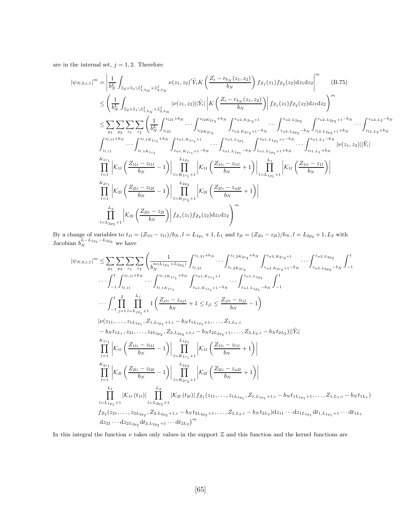are in the internal set,  $j = 1, 2$ . Therefore

$$
|\psi_{N,0,i,1}|^{m} = \left| \frac{1}{b_N^L} \int_{\mathbb{Z}_2 \times \mathbb{Z}_1 \backslash \mathbb{Z}_1^1, b_N \times \mathbb{Z}_2^1, b_N} \nu(z_1, z_2)'\tilde{Y}_i K\left(\frac{Z_i - r_{b_N}(z_1, z_2)}{b_N}\right) f_{Z_1}(z_1) f_{Z_2}(z_2) dz_1 dz_2 \right|^m \quad (B.75)
$$
  
\n
$$
\leq \left( \frac{1}{b_N^L} \int_{\mathbb{Z}_2 \times \mathbb{Z}_1 \backslash \mathbb{Z}_1^1, b_N \times \mathbb{Z}_2^1, b_N} \nu(z_1, z_2) ||\tilde{Y}_i|| \left| K\left(\frac{Z_i - r_{b_N}(z_1, z_2)}{b_N}\right) \right| f_{Z_1}(z_1) f_{Z_2}(z_2) dz_1 dz_2 \right)^m
$$
  
\n
$$
\leq \sum_{p_1} \sum_{p_2} \sum_{r_1} \sum_{r_2} \left( \frac{1}{b_N^L} \int_{z_{i21}}^{z_{i21} + b_N} \cdots \int_{z_{i2K_{2r_2}}}^{z_{i2K_{2r_2} + b_N}} \int_{z_{u2, K_{2r_2} + 1}^{z_{u2, K_{2r_2} + 1}} \cdots \int_{z_{u2, L_{2p_2} - b_N}}^{z_{u2, L_{2p_2} - b_N}} \int_{z_{i2, L_{2p_2} + 1}^{z_{i2, L_{2p_2} + 1} - b_N} \cdots \int_{z_{i2, L_{2} + b_N}}^{z_{i2, L_{2p_2} + b_N}} \cdots \int_{z_{i2, L_{2} + b_N}}^{z_{i2, L_{2} - b_N}} \nu(z_1, z_2) ||\tilde{Y}_i|
$$
  
\n
$$
\int_{z_{i,11}}^{z_{i,11} + b_N} \cdots \int_{z_{i,1K_{1r_1}}}^{z_{i,1K_{1r_1} + b_N}} \int_{z_{u,1, K_{1r_1} + 1}^{z_{u,1, K_{1r_1} + 1}} \cdots \int_{z_{u,1, L_{1p_1} - b_N}}^{z
$$

By a change of variables to  $t_{1l} = (Z_{1li} - z_{1l})/b_N$ ,  $l = L_{1p_1} + 1$ ,  $L_1$  and  $t_{2l} = (Z_{2li} - z_{2l})/b_N$ ,  $l = L_{2p_2} + 1$ ,  $L_2$  with Jacobian  $b_N^{L-L_{1p_1}-L_{2p_2}}$  we have

$$
|\psi_{N,0,i,1}|^{m} \leq \sum_{p_1} \sum_{p_2} \sum_{r_1} \sum_{r_2} \left( \frac{1}{b_N^{(L_{1p_1} + L_{2p_2})}} \int_{z_{l,21}}^{z_{l,21} + b_N} \cdots \int_{z_{l,2K_{2r_2}}}^{z_{l,2K_{2r_2} + b_N}} \int_{z_{u2,K_{2r_2+1}}^{z_{u2,K_{2r_2}}} \cdots \int_{z_{u2,L_{2p_2}} - b_N}^{z_{u2,L_{2p_2}}} \int_{-1}^{1} \cdots \int_{-1}^{1} \int_{z_{l,11} + b_N}^{z_{l,11} + b_N} \cdots \int_{z_{l,1K_{1r_1}}}^{z_{l,1K_{1r_1}} + b_N} \int_{z_{u1,K_{1r_1}+1} - b_N}^{z_{u1,K_{1r_1}+1}} \cdots \int_{z_{u1,L_{1p_1}} - b_N}^{z_{u1,L_{1p_1}}} \int_{-1}^{1} \cdots \int_{-1}^{1} \prod_{j=1}^{2} \frac{L_j}{l = L_{jp_j+1}} \mathbf{1} \left( \frac{Z_{jli} - z_{ujl}}{b_N} + 1 \leq t_{jl} \leq \frac{Z_{jli} - z_{ljl}}{b_N} - 1 \right)
$$
  
\n
$$
|\nu(z_{11}, \ldots, z_{1L_{1p_1}}, Z_{1,L_{1p_1}+1,i} - b_N t_{1L_{1p_1}+1}, \ldots, Z_{1,L_{1,i}} - b_N t_{2L_{2i}}) - b_N t_{2L_{2i}}| |\tilde{Y}_i|
$$
  
\n
$$
\prod_{l=1}^{K_{1r_1}} |\mathcal{K}_u| \left( \frac{Z_{1li} - z_{l1l}}{b_N} - 1 \right)| \prod_{l=K_{1r_1}+1}^{L_{1p_1}} |\mathcal{K}_u| \left( \frac{Z_{1li} - z_{l1l}}{b_N} + 1 \right)|
$$
  
\n
$$
\prod_{l=1}^{K_{2r_1}} |\mathcal{K}_u| \left( \frac{Z_{2li} - z_{l2l}}{b_N} - 1 \right)| \prod_{l=K_{2r_2}+1}^{L_{
$$

In this integral the function  $\nu$  takes only values in the support  $\mathbb Z$  and this function and the kernel functions are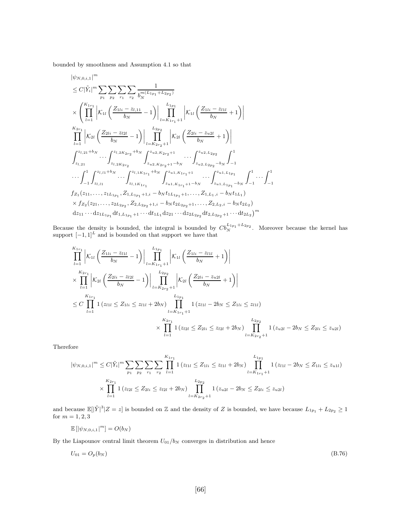bounded by smoothness and Assumption 4.1 so that

$$
\begin{split}\n&\left|\psi_{N,0,i,1}\right|^{m} \\
&\leq C|\tilde{Y}_{i}|^{m}\sum_{p_{1}}\sum_{p_{2}}\sum_{r_{1}}\sum_{r_{2}}\frac{1}{b_{N}^{m(L_{1p_{1}}+L_{2p_{2}})}}\\&\times\left(\prod_{l=1}^{K_{1r_{1}}}\left|\mathcal{K}_{1l}\left(\frac{Z_{1li}-z_{l,11}}{b_{N}}-1\right)\right|\prod_{l=K_{1r_{1}}+1}^{L_{1p_{1}}}\left|\mathcal{K}_{1l}\left(\frac{Z_{1li}-z_{l1l}}{b_{N}}+1\right)\right|\\&\prod_{l=1}^{K_{2r_{1}}}\left|\mathcal{K}_{2l}\left(\frac{Z_{2li}-z_{l2l}}{b_{N}}-1\right)\right|\prod_{l=K_{2r_{2}}+1}^{L_{2p_{2}}}\left|\mathcal{K}_{2l}\left(\frac{Z_{2li}-z_{u2l}}{b_{N}}+1\right)\right|\\&\int_{z_{l,21}}^{z_{l,21}+b_{N}}\cdots\int_{z_{l,2K_{2r_{2}}}^{z_{l,2K_{2r_{2}}}+b_{N}}\int_{z_{u2,K_{2r_{2}}+1}^{z_{u2,K_{2r_{2}}}+1}\cdots\int_{z_{u2,L_{2p_{2}}}^{z_{u2,L_{2p_{2}}}}\int_{-1}^{1}\\&\cdots\int_{-1}^{1}\int_{z_{l,11}}^{z_{l,11}+b_{N}}\cdots\int_{z_{l,1K_{1r_{1}}}+b_{N}}^{z_{l,1K_{1r_{1}}}+b_{N}}\int_{z_{u1,K_{1r_{1}}}+1-b_{N}}^{z_{u1,K_{1r_{1}}}+1}\cdots\int_{z_{u1,L_{1p_{1}}}+b_{N}}^{z_{u1,L_{1p_{1}}}}\int_{-1}^{1}\cdots\int_{-1}^{1}\\&f_{Z_{1}}(z_{11},\ldots,z_{1L_{1p_{1}}},Z_{1,L_{1p_{1}}}+1,i-b_{N}t_{1L_{1p_{1}}}+1,\ldots,Z_{1,L_{1},i}-b_{N}t_{1L_{1}})\\&\times f_{Z_{2}}(z_{21},\ldots,z_{2L_{2p_{2}}},Z_{2,L_{2p_{2}}+1,i}-b_{N}t_{2L_{2
$$

Because the density is bounded, the integral is bounded by  $Cb_N^{L_{1p_1}+L_{2p_2}}$ . Moreover because the kernel has support  $[-1, 1]^L$  and is bounded on that support we have that

$$
\prod_{l=1}^{K_{1r_1}} \left| \mathcal{K}_{1l} \left( \frac{Z_{1li} - z_{l1l}}{b_N} - 1 \right) \right| \prod_{l=K_{1r_1}+1}^{L_{1r_1}} \left| \mathcal{K}_{1l} \left( \frac{Z_{1li} - z_{l1l}}{b_N} + 1 \right) \right|
$$
\n
$$
\times \prod_{l=1}^{K_{2r_1}} \left| \mathcal{K}_{2l} \left( \frac{Z_{2li} - z_{l2l}}{b_N} - 1 \right) \right| \prod_{l=K_{2r_2}+1}^{L_{2r_2}} \left| \mathcal{K}_{2l} \left( \frac{Z_{2li} - z_{u2l}}{b_N} + 1 \right) \right|
$$
\n
$$
\leq C \prod_{l=1}^{K_{1r_1}} 1 \left( z_{l1l} \leq Z_{1li} \leq z_{l1l} + 2b_N \right) \prod_{l=K_{1r_1}+1}^{L_{1r_1}} 1 \left( z_{l1l} - 2b_N \leq Z_{1li} \leq z_{l1l} \right)
$$
\n
$$
\times \prod_{l=1}^{K_{2r_1}} 1 \left( z_{l2l} \leq Z_{2li} \leq z_{l2l} + 2b_N \right) \prod_{l=K_{2r_2}+1}^{L_{2r_2}} 1 \left( z_{u2l} - 2b_N \leq Z_{2li} \leq z_{u2l} \right)
$$

Therefore

$$
|\psi_{N,0,i,1}|^m \leq C|\tilde{Y}_i|^m \sum_{p_1} \sum_{p_2} \sum_{r_1} \sum_{r_2} \prod_{l=1}^{K_{1r_1}} 1(z_{l1l} \leq Z_{1li} \leq z_{l1l} + 2b_N) \prod_{l=K_{1r_1}+1}^{L_{1p_1}} 1(z_{l1l} - 2b_N \leq Z_{1li} \leq z_{u1l})
$$
  

$$
\times \prod_{l=1}^{K_{2r_1}} 1(z_{l2l} \leq Z_{2li} \leq z_{l2l} + 2b_N) \prod_{l=K_{2r_2}+1}^{L_{2p_2}} 1(z_{u2l} - 2b_N \leq Z_{2li} \leq z_{u2l})
$$

and because  $\mathbb{E}[|\tilde{Y}|^3 | Z = z]$  is bounded on Z and the density of Z is bounded, we have because  $L_{1p_1} + L_{2p_2} \ge 1$ for  $m = 1, 2, 3$ 

$$
\mathbb{E}\left[\left|\psi_{N,0,i,1}\right|^m\right]=O(b_N)
$$

By the Liapounov central limit theorem  $U_{01}/b_N$  converges in distribution and hence

$$
U_{01} = O_p(b_N) \tag{B.76}
$$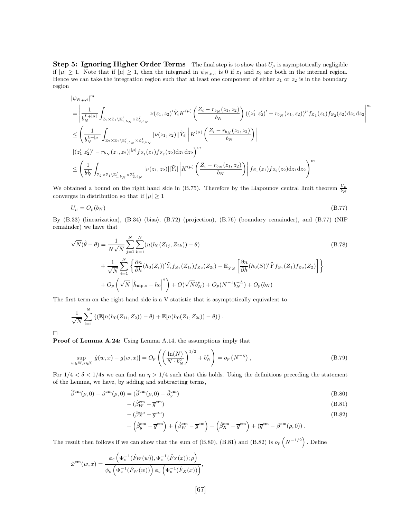**Step 5: Ignoring Higher Order Terms** The final step is to show that  $U_{\mu}$  is asymptotically negligible if  $|\mu| \geq 1$ . Note that if  $|\mu| \geq 1$ , then the integrand in  $\psi_{N,\mu,i}$  is 0 if  $z_1$  and  $z_2$  are both in the internal region. Hence we can take the integration region such that at least one component of either  $z_1$  or  $z_2$  is in the boundary region

$$
\begin{split} &|\psi_{N,\mu,i}|^m\\ &=\left|\frac{1}{b_N^{L+|\mu|}}\int_{\mathbb{Z}_2\times\mathbb{Z}_1\backslash\mathbb{Z}_{1,b_N}^I\times\mathbb{Z}_{2,b_N}^I}\nu(z_1,z_2)'\tilde{Y}_iK^{(\mu)}\left(\frac{Z_i-r_{b_N}(z_1,z_2)}{b_N}\right)(\left(z_1'\;z_2')'-r_{b_N}(z_1,z_2)\right)^\mu f_{Z_1}(z_1)f_{Z_2}(z_2)\mathrm{d} z_1\mathrm{d} z_2\right|^m\\ &\leq \left(\frac{1}{b_N^{L+|\mu|}}\int_{\mathbb{Z}_2\times\mathbb{Z}_1\backslash\mathbb{Z}_{1,b_N}^I\times\mathbb{Z}_{2,b_N}^I}\left|\nu(z_1,z_2)||\tilde{Y}_i|\left|K^{(\mu)}\left(\frac{Z_i-r_{b_N}(z_1,z_2)}{b_N}\right)\right|\right.\\ &\left. \left|\left(z_1'\;z_2'\right)'-r_{b_N}(z_1,z_2)\right|^{|\mu|}f_{Z_1}(z_1)f_{Z_2}(z_2)\mathrm{d} z_1\mathrm{d} z_2\right)^m\\ &\leq \left(\frac{1}{b_N^L}\int_{\mathbb{Z}_2\times\mathbb{Z}_1\backslash\mathbb{Z}_{1,b_N}^I\times\mathbb{Z}_{2,b_N}^I}\left|\nu(z_1,z_2)||\tilde{Y}_i|\left|K^{(\mu)}\left(\frac{Z_i-r_{b_N}(z_1,z_2)}{b_N}\right)\right|f_{Z_1}(z_1)f_{Z_2}(z_2)\mathrm{d} z_1\mathrm{d} z_2\right)^m\right.\end{split}
$$

We obtained a bound on the right hand side in (B.75). Therefore by the Liapounov central limit theorem  $\frac{U_{\mu}}{b_N}$ converges in distribution so that if  $|\mu| \geq 1$ 

$$
U_{\mu} = O_p(b_N) \tag{B.77}
$$

By (B.33) (linearization), (B.34) (bias), (B.72) (projection), (B.76) (boundary remainder), and (B.77) (NIP remainder) we have that

$$
\sqrt{N}(\hat{\theta} - \theta) = \frac{1}{N\sqrt{N}} \sum_{j=1}^{N} \sum_{k=1}^{N} (n(h_0(Z_{1j}, Z_{2k})) - \theta)
$$
\n
$$
+ \frac{1}{\sqrt{N}} \sum_{i=1}^{N} \left\{ \frac{\partial n}{\partial h}(h_0(Z_i))'\tilde{Y}_i f_{Z_1}(Z_{1i}) f_{Z_2}(Z_{2i}) - \mathbb{E}_{\tilde{Y}Z} \left[ \frac{\partial n}{\partial h}(h_0(S))'\tilde{Y}_i f_{Z_1}(Z_1) f_{Z_2}(Z_2) \right] \right\}
$$
\n
$$
+ O_p\left(\sqrt{N} |\hat{h}_{\text{nip},s} - h_0|^2 \right) + O(\sqrt{N}b_N^p) + O_p(N^{-1}b_N^{-L}) + O_p(b_N)
$$
\n(B.78)

The first term on the right hand side is a V statistic that is asymptotically equivalent to

$$
\frac{1}{\sqrt{N}}\sum_{i=1}^N \left\{ \left( \mathbb{E}[n(h_0(Z_{1i}, Z_2)) - \theta) + \mathbb{E}[n(h_0(Z_{1i}, Z_{2i})) - \theta) \right\} \right\}.
$$

 $\Box$ 

Proof of Lemma A.24: Using Lemma A.14, the assumptions imply that

$$
\sup_{w \in \mathbb{W}, x \in \mathbb{X}} |\hat{g}(w, x) - g(w, x)| = O_p\left( \left( \frac{\ln(N)}{N \cdot b_N^2} \right)^{1/2} + b_N^s \right) = o_p\left( N^{-\eta} \right),\tag{B.79}
$$

For  $1/4 < \delta < 1/4s$  we can find an  $\eta > 1/4$  such that this holds. Using the definitions preceding the statement of the Lemma, we have, by adding and subtracting terms,

$$
\widehat{\beta}^{\rm cm}(\rho,0) - \beta^{\rm cm}(\rho,0) = (\widehat{\beta}^{\rm cm}(\rho,0) - \widehat{\beta}_g^{\rm cm})
$$
\n(B.80)

$$
-(\hat{\beta}_W^{\rm cm} - \overline{g}^{\rm cm}) \tag{B.81}
$$

$$
-(\hat{\beta}_X^{\text{cm}} - \overline{g}^{\text{cm}}) \tag{B.82}
$$

$$
+\left(\hat{\beta}_g^{\text{cm}}-\overline{g}^{\text{cm}}\right)+\left(\hat{\beta}_W^{\text{cm}}-\overline{g}^{\text{cm}}\right)+\left(\hat{\beta}_X^{\text{cm}}-\overline{g}^{\text{cm}}\right)+\left(\overline{g}^{\text{cm}}-\beta^{\text{cm}}(\rho,0)\right).
$$

The result then follows if we can show that the sum of (B.80), (B.81) and (B.82) is  $o_p\left(N^{-1/2}\right)$ . Define

$$
\hat{\omega}^{\rm cm}(w,x) = \frac{\phi_c\left(\Phi_c^{-1}(\hat{F}_W(w)), \Phi_c^{-1}(\hat{F}_X(x)); \rho\right)}{\phi_c\left(\Phi_c^{-1}(\hat{F}_W(w))\right)\phi_c\left(\Phi_c^{-1}(\hat{F}_X(x))\right)},
$$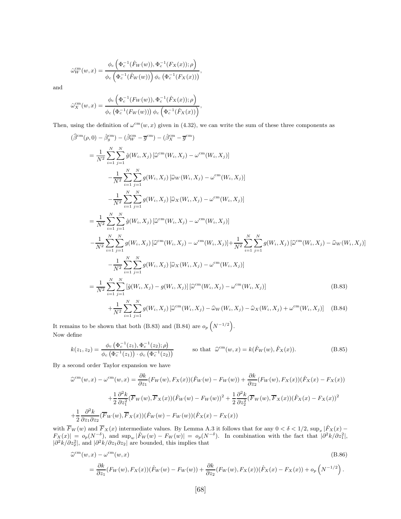$$
\hat{\omega}_W^{\text{cm}}(w,x) = \frac{\phi_c\left(\Phi_c^{-1}(\hat{F}_W(w)), \Phi_c^{-1}(F_X(x)); \rho\right)}{\phi_c\left(\Phi_c^{-1}(\hat{F}_W(w))\right)\phi_c\left(\Phi_c^{-1}(F_X(x))\right)},
$$

and

$$
\hat{\omega}_X^{\rm cm}(w,x) = \frac{\phi_c\left(\Phi_c^{-1}(F_W(w)), \Phi_c^{-1}(\hat{F}_X(x)); \rho\right)}{\phi_c\left(\Phi_c^{-1}(F_W(w))\right)\phi_c\left(\Phi_c^{-1}(\hat{F}_X(x))\right)},
$$

Then, using the definition of  $\omega^{\text{cm}}(w, x)$  given in (4.32), we can write the sum of these three components as

$$
(\hat{\beta}^{cm}(\rho,0) - \hat{\beta}_g^{cm}) - (\hat{\beta}_W^{cm} - \overline{g}^{cm}) - (\hat{\beta}_X^{cm} - \overline{g}^{cm})
$$
  
\n
$$
= \frac{1}{N^2} \sum_{i=1}^N \sum_{j=1}^N \hat{g}(W_i, X_j) [\hat{\omega}^{cm}(W_i, X_j) - \omega^{cm}(W_i, X_j)]
$$
  
\n
$$
- \frac{1}{N^2} \sum_{i=1}^N \sum_{j=1}^N g(W_i, X_j) [\hat{\omega}_W(W_i, X_j) - \omega^{cm}(W_i, X_j)]
$$
  
\n
$$
- \frac{1}{N^2} \sum_{i=1}^N \sum_{j=1}^N g(W_i, X_j) [\hat{\omega}_X(W_i, X_j) - \omega^{cm}(W_i, X_j)]
$$
  
\n
$$
= \frac{1}{N^2} \sum_{i=1}^N \sum_{j=1}^N \hat{g}(W_i, X_j) [\hat{\omega}^{cm}(W_i, X_j) - \omega^{cm}(W_i, X_j)]
$$
  
\n
$$
- \frac{1}{N^2} \sum_{i=1}^N \sum_{j=1}^N g(W_i, X_j) [\hat{\omega}^{cm}(W_i, X_j) - \omega^{cm}(W_i, X_j)] + \frac{1}{N^2} \sum_{i=1}^N \sum_{j=1}^N g(W_i, X_j) [\hat{\omega}^{cm}(W_i, X_j) - \hat{\omega}_W(W_i, X_j)]
$$
  
\n
$$
- \frac{1}{N^2} \sum_{i=1}^N \sum_{j=1}^N g(W_i, X_j) [\hat{\omega}_X(W_i, X_j) - \omega^{cm}(W_i, X_j)]
$$
  
\n
$$
= \frac{1}{N^2} \sum_{i=1}^N \sum_{j=1}^N [\hat{g}(W_i, X_j) - g(W_i, X_j)][\hat{\omega}^{cm}(W_i, X_j) - \omega^{cm}(W_i, X_j)]
$$
(B.83)  
\n
$$
+ \frac{1}{N^2} \sum_{i=1}^N \sum_{j=1}^N g(W_i, X_j) [\hat{\omega}^{cm}(W_i, X_j) - \hat{\omega}_W(W_i, X_j) - \hat{\omega}_X(W_i, X_j) + \omega^{cm}(W_i, X_j)]
$$
(B.

It remains to be shown that both (B.83) and (B.84) are  $o_p(N^{-1/2})$ . Now define

$$
k(z_1, z_2) = \frac{\phi_c(\Phi_c^{-1}(z_1), \Phi_c^{-1}(z_2); \rho)}{\phi_c(\Phi_c^{-1}(z_1)) \cdot \phi_c(\Phi_c^{-1}(z_2))}
$$
 so that  $\hat{\omega}^{\text{cm}}(w, x) = k(\hat{F}_W(w), \hat{F}_X(x))$ . (B.85)

By a second order Taylor expansion we have

$$
\hat{\omega}^{\text{cm}}(w,x) - \omega^{\text{cm}}(w,x) = \frac{\partial k}{\partial z_1} (F_W(w), F_X(x)) (\hat{F}_W(w) - F_W(w)) + \frac{\partial k}{\partial z_2} (F_W(w), F_X(x)) (\hat{F}_X(x) - F_X(x))
$$

$$
+ \frac{1}{2} \frac{\partial^2 k}{\partial z_1^2} (\overline{F}_W(w), \overline{F}_X(x)) (\hat{F}_W(w) - F_W(w))^2 + \frac{1}{2} \frac{\partial^2 k}{\partial z_2^2} (\overline{F}_W(w), \overline{F}_X(x)) (\hat{F}_X(x) - F_X(x))^2
$$

$$
+ \frac{1}{2} \frac{\partial^2 k}{\partial z_1 \partial z_2} (\overline{F}_W(w), \overline{F}_X(x)) (\hat{F}_W(w) - F_W(w)) (\hat{F}_X(x) - F_X(x))
$$

with  $\overline{F}_W(w)$  and  $\overline{F}_X(x)$  intermediate values. By Lemma A.3 it follows that for any  $0 < \delta < 1/2$ ,  $\sup_x |\hat{F}_X(x) F_X(x) = o_p(N^{-\delta}),$  and  $\sup_w |\hat{F}_W(w) - F_W(w)| = o_p(N^{-\delta}).$  In combination with the fact that  $|\partial^2 k/\partial z_1^2|$ ,  $|\partial^2 k/\partial z_2|$ , and  $|\partial^2 k/\partial z_1 \partial z_2|$  are bounded, this implies that

$$
\begin{split} \widehat{\omega}^{\rm cm}(w,x) - \omega^{\rm cm}(w,x) &= \frac{\partial k}{\partial z_1} (F_W(w), F_X(x)) (\widehat{F}_W(w) - F_W(w)) + \frac{\partial k}{\partial z_2} (F_W(w), F_X(x)) (\widehat{F}_X(x) - F_X(x)) + o_p\left(N^{-1/2}\right). \end{split} \tag{B.86}
$$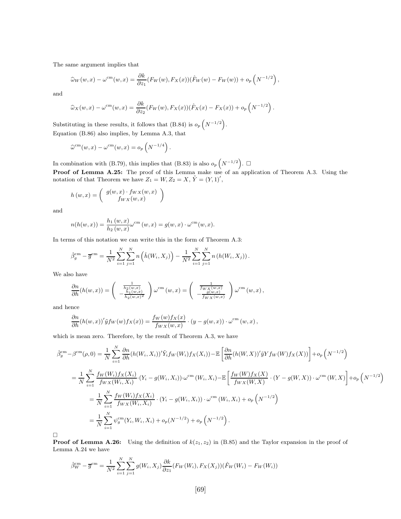The same argument implies that

$$
\widehat{\omega}_W(w,x) - \omega^{\text{cm}}(w,x) = \frac{\partial k}{\partial z_1} (F_W(w), F_X(x)) (\widehat{F}_W(w) - F_W(w)) + o_p\left(N^{-1/2}\right),
$$

and

$$
\widehat{\omega}_X(w,x) - \omega^{\text{cm}}(w,x) = \frac{\partial k}{\partial z_2} (F_W(w), F_X(x)) (\widehat{F}_X(x) - F_X(x)) + o_p\left(N^{-1/2}\right).
$$

Substituting in these results, it follows that (B.84) is  $o_p\left(N^{-1/2}\right)$ .

Equation (B.86) also implies, by Lemma A.3, that

$$
\widehat{\omega}^{\rm cm}(w,x) - \omega^{\rm cm}(w,x) = o_p\left(N^{-1/4}\right).
$$

In combination with (B.79), this implies that (B.83) is also  $o_p\left(N^{-1/2}\right)$ .  $\Box$ **Proof of Lemma A.25:** The proof of this Lemma make use of an application of Theorem A.3. Using the notation of that Theorem we have  $Z_1 = W, Z_2 = X, \tilde{Y} = (Y, 1)',$ 

$$
h(w,x) = \begin{pmatrix} g(w,x) \cdot f_{WX}(w,x) \\ f_{WX}(w,x) \end{pmatrix}
$$

and

$$
n(h(w, x)) = \frac{h_1(w, x)}{h_2(w, x)} \omega^{\text{cm}}(w, x) = g(w, x) \cdot \omega^{\text{cm}}(w, x).
$$

In terms of this notation we can write this in the form of Theorem A.3:

$$
\hat{\beta}_g^{\text{cm}} - \overline{g}^{\text{cm}} = \frac{1}{N^2} \sum_{i=1}^N \sum_{j=1}^N n\left(\hat{h}(W_i, X_j)\right) - \frac{1}{N^2} \sum_{i=1}^N \sum_{j=1}^N n\left(h(W_i, X_j)\right).
$$

We also have

$$
\frac{\partial n}{\partial h}(h(w,x)) = \begin{pmatrix} \frac{1}{h_2(w,x)} \\ -\frac{h_1(w,x)}{h_2(w,x)^2} \end{pmatrix} \omega^{\text{cm}}(w,x) = \begin{pmatrix} \frac{1}{f_{WX}(w,x)} \\ -\frac{g(w,x)}{f_{WX}(w,x)} \end{pmatrix} \omega^{\text{cm}}(w,x),
$$

and hence

$$
\frac{\partial n}{\partial h}(h(w,x))'\tilde{y}f_W(w)f_X(x)) = \frac{f_W(w)f_X(x)}{f_{WX}(w,x)} \cdot (y - g(w,x)) \cdot \omega^{\text{cm}}(w,x),
$$

which is mean zero. Therefore, by the result of Theorem A.3, we have

$$
\hat{\beta}_{g}^{\text{cm}} - \beta^{\text{cm}}(\rho, 0) = \frac{1}{N} \sum_{i=1}^{N} \frac{\partial n}{\partial h} (h(W_{i}, X_{i}))' \tilde{Y}_{i} f_{W}(W_{i}) f_{X}(X_{i}) - \mathbb{E} \left[ \frac{\partial n}{\partial h} (h(W_{i}, X))' \tilde{y} Y f_{W}(W) f_{X}(X)) \right] + o_{p} \left( N^{-1/2} \right)
$$
\n
$$
= \frac{1}{N} \sum_{i=1}^{N} \frac{f_{W}(W_{i}) f_{X}(X_{i})}{f_{WX}(W_{i}, X_{i})} \cdot (Y_{i} - g(W_{i}, X_{i})) \cdot \omega^{\text{cm}}(W_{i}, X_{i}) - \mathbb{E} \left[ \frac{f_{W}(W) f_{X}(X)}{f_{WX}(W, X)} \cdot (Y - g(W_{i}, X)) \cdot \omega^{\text{cm}}(W_{i}, X) \right] + o_{p} \left( N^{-1/2} \right)
$$
\n
$$
= \frac{1}{N} \sum_{i=1}^{N} \frac{f_{W}(W_{i}) f_{X}(X_{i})}{f_{WX}(W_{i}, X_{i})} \cdot (Y_{i} - g(W_{i}, X_{i})) \cdot \omega^{\text{cm}}(W_{i}, X_{i}) + o_{p} \left( N^{-1/2} \right)
$$
\n
$$
= \frac{1}{N} \sum_{i=1}^{N} \psi_{g}^{\text{cm}}(Y_{i}, W_{i}, X_{i}) + o_{p} \left( N^{-1/2} \right) + o_{p} \left( N^{-1/2} \right).
$$

 $\Box$ 

**Proof of Lemma A.26:** Using the definition of  $k(z_1, z_2)$  in (B.85) and the Taylor expansion in the proof of Lemma A.24 we have

$$
\hat{\beta}_W^{\text{cm}} - \overline{g}^{\text{cm}} = \frac{1}{N^2} \sum_{i=1}^N \sum_{j=1}^N g(W_i, X_j) \frac{\partial k}{\partial z_1} (F_W(W_i), F_X(X_j)) (\hat{F}_W(W_i) - F_W(W_i))
$$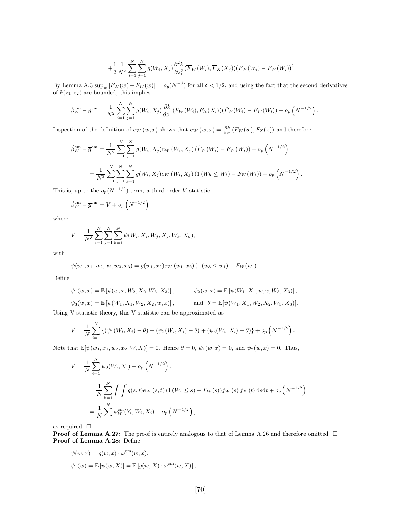$$
+\frac{1}{2}\frac{1}{N^2}\sum_{i=1}^N\sum_{j=1}^N g(W_i,X_j)\frac{\partial^2 k}{\partial z_1^2}(\overline{F}_W(W_i),\overline{F}_X(X_j))(\hat{F}_W(W_i)-F_W(W_i))^2
$$

.

,

By Lemma A.3  $\sup_w |\hat{F}_W(w) - F_W(w)| = o_p(N^{-\delta})$  for all  $\delta < 1/2$ , and using the fact that the second derivatives of  $k(z_1, z_2)$  are bounded, this implies

$$
\hat{\beta}_W^{\text{cm}} - \overline{g}^{\text{cm}} = \frac{1}{N^2} \sum_{i=1}^N \sum_{j=1}^N g(W_i, X_j) \frac{\partial k}{\partial z_1} (F_W(W_i), F_X(X_i)) (\hat{F}_W(W_i) - F_W(W_i)) + o_p \left( N^{-1/2} \right).
$$

Inspection of the definition of  $e_W(w, x)$  shows that  $e_W(w, x) = \frac{\partial k}{\partial s_1}(F_W(w), F_X(x))$  and therefore

$$
\hat{\beta}_W^{\text{cm}} - \overline{g}^{\text{cm}} = \frac{1}{N^2} \sum_{i=1}^N \sum_{j=1}^N g(W_i, X_j) e_W(W_i, X_j) (\hat{F}_W(W_i) - F_W(W_i)) + o_p \left( N^{-1/2} \right)
$$
  
= 
$$
\frac{1}{N^3} \sum_{i=1}^N \sum_{j=1}^N \sum_{k=1}^N g(W_i, X_j) e_W(W_i, X_j) (1 (W_k \le W_i) - F_W(W_i)) + o_p \left( N^{-1/2} \right).
$$

This is, up to the  $o_p(N^{-1/2})$  term, a third order V-statistic,

$$
\hat{\beta}_W^{\text{cm}} - \overline{g}^{\text{cm}} = V + o_p \left( N^{-1/2} \right)
$$

where

$$
V = \frac{1}{N^3} \sum_{i=1}^{N} \sum_{j=1}^{N} \sum_{k=1}^{N} \psi(W_i, X_i, W_j, X_j, W_k, X_k),
$$

with

$$
\psi(w_1, x_1, w_2, x_2, w_3, x_3) = g(w_1, x_2) e_W(w_1, x_2) (1 (w_3 \le w_1) - F_W(w_1).
$$

Define

$$
\psi_1(w,x) = \mathbb{E}\left[\psi(w,x,W_2,X_2,W_3,X_3)\right], \qquad \psi_2(w,x) = \mathbb{E}\left[\psi(W_1,X_1,w,x,W_3,X_3)\right],
$$

$$
\psi_3(w, x) = \mathbb{E} [\psi(W_1, X_1, W_2, X_2, w, x)],
$$
 and  $\theta = \mathbb{E} [\psi(W_1, X_1, W_2, X_2, W_3, X_3)].$ 

Using V-statistic theory, this V-statistic can be approximated as

$$
V = \frac{1}{N} \sum_{i=1}^{N} \left\{ (\psi_1(W_i, X_i) - \theta) + (\psi_2(W_i, X_i) - \theta) + (\psi_3(W_i, X_i) - \theta) \right\} + o_p\left(N^{-1/2}\right).
$$

Note that  $\mathbb{E}[\psi(w_1, x_1, w_2, x_2, W, X)] = 0$ . Hence  $\theta = 0$ ,  $\psi_1(w, x) = 0$ , and  $\psi_2(w, x) = 0$ . Thus,

$$
V = \frac{1}{N} \sum_{i=1}^{N} \psi_3(W_i, X_i) + o_p(N^{-1/2}).
$$
  
=  $\frac{1}{N} \sum_{k=1}^{N} \int \int g(s, t) e_W(s, t) (1 (W_i \le s) - F_W(s)) f_W(s) f_X(t) ds dt + o_p(N^{-1/2})$   
=  $\frac{1}{N} \sum_{i=1}^{N} \psi_W^{\text{cm}}(Y_i, W_i, X_i) + o_p(N^{-1/2}),$ 

as required.  $\Box$ 

**Proof of Lemma A.27:** The proof is entirely analogous to that of Lemma A.26 and therefore omitted.  $\Box$ Proof of Lemma A.28: Define

$$
\psi(w, x) = g(w, x) \cdot \omega^{\text{cm}}(w, x),
$$
  

$$
\psi_1(w) = \mathbb{E}[\psi(w, X)] = \mathbb{E}[g(w, X) \cdot \omega^{\text{cm}}(w, X)],
$$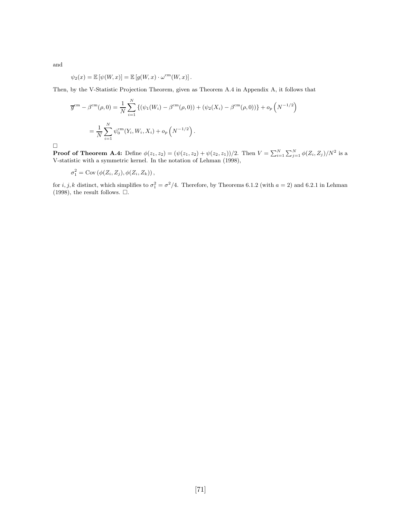$$
\psi_2(x) = \mathbb{E} [\psi(W, x)] = \mathbb{E} [g(W, x) \cdot \omega^{\text{cm}}(W, x)].
$$

Then, by the V-Statistic Projection Theorem, given as Theorem A.4 in Appendix A, it follows that

$$
\overline{g}^{\text{cm}} - \beta^{\text{cm}}(\rho, 0) = \frac{1}{N} \sum_{i=1}^{N} \left\{ (\psi_1(W_i) - \beta^{\text{cm}}(\rho, 0)) + (\psi_2(X_i) - \beta^{\text{cm}}(\rho, 0)) \right\} + o_p\left(N^{-1/2}\right)
$$
  
= 
$$
\frac{1}{N} \sum_{i=1}^{N} \psi_0^{\text{cm}}(Y_i, W_i, X_i) + o_p\left(N^{-1/2}\right).
$$

 $\Box$ 

and

**Proof of Theorem A.4:** Define  $\phi(z_1, z_2) = (\psi(z_1, z_2) + \psi(z_2, z_1))/2$ . Then  $V = \sum_{i=1}^{N} \sum_{j=1}^{N} \phi(Z_i, Z_j)/N^2$  is a V-statistic with a symmetric kernel. In the notation of Lehman (1998),

$$
\sigma_1^2 = \mathrm{Cov}\left(\phi(Z_i, Z_j), \phi(Z_i, Z_k)\right),\,
$$

for  $i, j, k$  distinct, which simplifies to  $\sigma_1^2 = \sigma^2/4$ . Therefore, by Theorems 6.1.2 (with  $a = 2$ ) and 6.2.1 in Lehman (1998), the result follows.  $\square$ .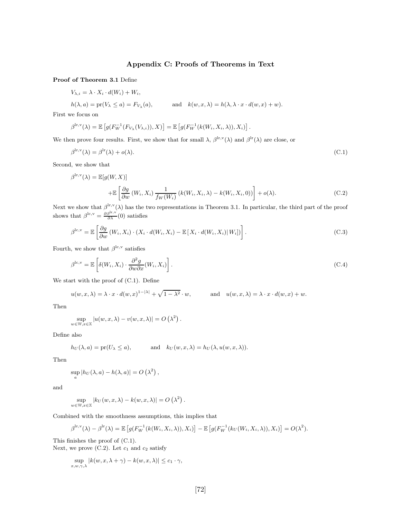## Appendix C: Proofs of Theorems in Text

Proof of Theorem 3.1 Define

$$
V_{\lambda,i} = \lambda \cdot X_i \cdot d(W_i) + W_i,
$$

$$
h(\lambda, a) = pr(V_{\lambda} \le a) = F_{V_{\lambda}}(a)
$$
, and  $k(w, x, \lambda) = h(\lambda, \lambda \cdot x \cdot d(w, x) + w)$ .

First we focus on

$$
\beta^{\rm lr,v}(\lambda) = \mathbb{E}\left[g(F_W^{-1}(F_{V_{\lambda}}(V_{\lambda,i})),X)\right] = \mathbb{E}\left[g(F_W^{-1}(k(W_i,X_i,\lambda)),X_i)\right].
$$

We then prove four results. First, we show that for small  $\lambda$ ,  $\beta^{\text{lr}, \text{v}}(\lambda)$  and  $\beta^{\text{lr}}(\lambda)$  are close, or

$$
\beta^{\mathrm{lr}, \mathrm{v}}(\lambda) = \beta^{\mathrm{lr}}(\lambda) + o(\lambda). \tag{C.1}
$$

Second, we show that

$$
\beta^{\text{lr},\text{v}}(\lambda) = \mathbb{E}[g(W, X)]
$$
  
+
$$
\mathbb{E}\left[\frac{\partial g}{\partial w}(W_i, X_i) \frac{1}{f_W(W_i)}(k(W_i, X_i, \lambda) - k(W_i, X_i, 0))\right] + o(\lambda).
$$
 (C.2)

Next we show that  $\beta^{\text{Ir},\text{v}}(\lambda)$  has the two representations in Theorem 3.1. In particular, the third part of the proof shows that  $\beta^{\text{lc}, \text{v}} = \frac{\partial \beta^{\text{lr}, \text{v}}}{\partial \lambda}(0)$  satisfies

$$
\beta^{\text{lc}, \text{v}} = \mathbb{E}\left[\frac{\partial g}{\partial w}(W_i, X_i) \cdot (X_i \cdot d(W_i, X_i) - \mathbb{E}\left[X_i \cdot d(W_i, X_i) | W_i]\right)\right].
$$
\n(C.3)

Fourth, we show that  $\beta^{\text{lc},\text{v}}$  satisfies

$$
\beta^{\text{lc}, \text{v}} = \mathbb{E}\left[\delta(W_i, X_i) \cdot \frac{\partial^2 g}{\partial w \partial x}(W_i, X_i)\right].
$$
\n(C.4)

We start with the proof of (C.1). Define

$$
u(w, x, \lambda) = \lambda \cdot x \cdot d(w, x)^{1 - |\lambda|} + \sqrt{1 - \lambda^2} \cdot w, \quad \text{and} \quad u(w, x, \lambda) = \lambda \cdot x \cdot d(w, x) + w.
$$

Then

$$
\sup_{w \in \mathbb{W}, x \in \mathbb{X}} |u(w, x, \lambda) - v(w, x, \lambda)| = O\left(\lambda^2\right).
$$

Define also

$$
h_U(\lambda, a) = pr(U_\lambda \le a),
$$
 and  $k_U(w, x, \lambda) = h_U(\lambda, u(w, x, \lambda)).$ 

Then

$$
\sup_{a} |h_{U}(\lambda, a) - h(\lambda, a)| = O\left(\lambda^{2}\right),
$$

and

$$
\sup_{w \in \mathbb{W}, x \in \mathbb{X}} |k_U(w, x, \lambda) - k(w, x, \lambda)| = O\left(\lambda^2\right).
$$

Combined with the smoothness assumptions, this implies that

$$
\beta^{\text{lr},\text{v}}(\lambda) - \beta^{\text{lr}}(\lambda) = \mathbb{E}\left[g(F_W^{-1}(k(W_i,X_i,\lambda)),X_i)\right] - \mathbb{E}\left[g(F_W^{-1}(k_U(W_i,X_i,\lambda)),X_i)\right] = O(\lambda^2).
$$

This finishes the proof of (C.1).

Next, we prove  $(C.2)$ . Let  $c_1$  and  $c_2$  satisfy

$$
\sup_{x,w,\gamma,\lambda} |k(w,x,\lambda+\gamma) - k(w,x,\lambda)| \leq c_1 \cdot \gamma,
$$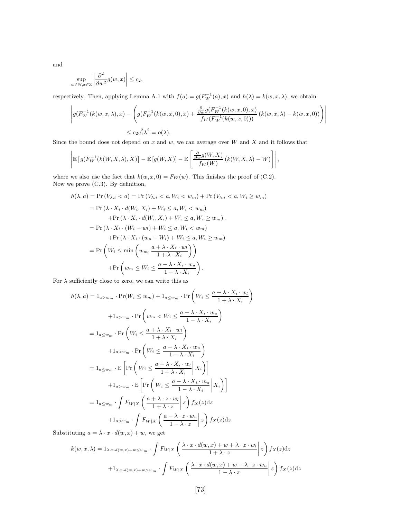and

$$
\sup_{w \in \mathbb{W}, x \in \mathbb{X}} \left| \frac{\partial^2}{\partial w^2} g(w, x) \right| \leq c_2,
$$

respectively. Then, applying Lemma A.1 with  $f(a) = g(F_W^{-1}(a), x)$  and  $h(\lambda) = k(w, x, \lambda)$ , we obtain

$$
\left| g(F_W^{-1}(k(w, x, \lambda), x) - \left( g(F_W^{-1}(k(w, x, 0), x) + \frac{\frac{\partial}{\partial w} g(F_W^{-1}(k(w, x, 0), x)}{f_W(F_W^{-1}(k(w, x, 0)))} (k(w, x, \lambda) - k(w, x, 0)) \right) \right|
$$
  

$$
\le c_2 c_1^2 \lambda^2 = o(\lambda).
$$

Since the bound does not depend on  $x$  and  $w$ , we can average over  $W$  and  $X$  and it follows that

$$
\left| \mathbb{E}\left[ g(F_W^{-1}(k(W, X, \lambda), X)\right] - \mathbb{E}\left[ g(W, X)\right] - \mathbb{E}\left[ \frac{\frac{\partial}{\partial w} g(W, X)}{f_W(W)} \left( k(W, X, \lambda) - W \right) \right] \right|,
$$

where we also use the fact that  $k(w, x, 0) = F_W(w)$ . This finishes the proof of (C.2). Now we prove (C.3). By definition,

$$
h(\lambda, a) = \Pr(V_{\lambda, i} < a) = \Pr(V_{\lambda, i} < a, W_i < w_m) + \Pr(V_{\lambda, i} < a, W_i \ge w_m)
$$
\n
$$
= \Pr(\lambda \cdot X_i \cdot d(W_i, X_i) + W_i \le a, W_i < w_m)
$$
\n
$$
+ \Pr(\lambda \cdot X_i \cdot d(W_i, X_i) + W_i \le a, W_i \ge w_m).
$$
\n
$$
= \Pr(\lambda \cdot X_i \cdot (W_i - w_l) + W_i \le a, W_i < w_m)
$$
\n
$$
+ \Pr(\lambda \cdot X_i \cdot (w_u - W_i) + W_i \le a, W_i \ge w_m)
$$
\n
$$
= \Pr\left(W_i \le \min\left(w_m, \frac{a + \lambda \cdot X_i \cdot w_l}{1 + \lambda \cdot X_i}\right)\right)
$$
\n
$$
+ \Pr\left(w_m \le W_i \le \frac{a - \lambda \cdot X_i \cdot w_u}{1 - \lambda \cdot X_i}\right).
$$

For  $\lambda$  sufficiently close to zero, we can write this as

$$
h(\lambda, a) = 1_{a>w_m} \cdot \Pr(W_i \le w_m) + 1_{a \le w_m} \cdot \Pr\left(W_i \le \frac{a + \lambda \cdot X_i \cdot w_l}{1 + \lambda \cdot X_i}\right)
$$
  
+ 
$$
1_{a>w_m} \cdot \Pr\left(w_m < W_i \le \frac{a - \lambda \cdot X_i \cdot w_u}{1 - \lambda \cdot X_i}\right)
$$
  
= 
$$
1_{a \le w_m} \cdot \Pr\left(W_i \le \frac{a + \lambda \cdot X_i \cdot w_l}{1 + \lambda \cdot X_i}\right)
$$
  
+ 
$$
1_{a>w_m} \cdot \Pr\left(W_i \le \frac{a - \lambda \cdot X_i \cdot w_u}{1 - \lambda \cdot X_i}\right)
$$
  
= 
$$
1_{a \le w_m} \cdot \mathbb{E}\left[\Pr\left(W_i \le \frac{a + \lambda \cdot X_i \cdot w_l}{1 + \lambda \cdot X_i} \mid X_i\right)\right]
$$
  
+ 
$$
1_{a>w_m} \cdot \mathbb{E}\left[\Pr\left(W_i \le \frac{a - \lambda \cdot X_i \cdot w_u}{1 - \lambda \cdot X_i} \mid X_i\right)\right]
$$
  
= 
$$
1_{a \le w_m} \cdot \int F_{W|X} \left(\frac{a + \lambda \cdot z \cdot w_l}{1 + \lambda \cdot z} \mid z\right) f_X(z) dz
$$
  
+ 
$$
1_{a>w_m} \cdot \int F_{W|X} \left(\frac{a - \lambda \cdot z \cdot w_u}{1 - \lambda \cdot z} \mid z\right) f_X(z) dz
$$

Substituting  $a = \lambda \cdot x \cdot d(w, x) + w$ , we get

$$
k(w, x, \lambda) = 1_{\lambda \cdot x \cdot d(w, x) + w \le w_m} \cdot \int F_{W|X} \left( \frac{\lambda \cdot x \cdot d(w, x) + w + \lambda \cdot z \cdot w_l}{1 + \lambda \cdot z} \Big| z \right) f_X(z) dz
$$

$$
+ 1_{\lambda \cdot x \cdot d(w, x) + w > w_m} \cdot \int F_{W|X} \left( \frac{\lambda \cdot x \cdot d(w, x) + w - \lambda \cdot z \cdot w_u}{1 - \lambda \cdot z} \Big| z \right) f_X(z) dz
$$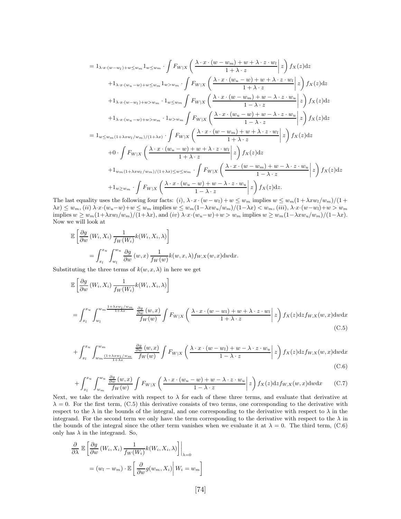$$
= 1_{\lambda \cdot x \cdot (w-w_1) + w \leq w_m} 1_{w \leq w_m} \cdot \int F_{W|X} \left( \frac{\lambda \cdot x \cdot (w - w_m) + w + \lambda \cdot z \cdot w_l}{1 + \lambda \cdot z} \Big| z \right) f_X(z) dz
$$
  
+1 $\lambda \cdot x \cdot (w_u - w) + w \leq w_m} 1_{w > w_m} \cdot \int F_{W|X} \left( \frac{\lambda \cdot x \cdot (w_u - w) + w + \lambda \cdot z \cdot w_l}{1 + \lambda \cdot z} \Big| z \right) f_X(z) dz$   
+1 $\lambda \cdot x \cdot (w - w_l) + w > w_m \cdot 1_{w \leq w_m} \int F_{W|X} \left( \frac{\lambda \cdot x \cdot (w - w_m) + w - \lambda \cdot z \cdot w_u}{1 - \lambda \cdot z} \Big| z \right) f_X(z) dz$   
+1 $\lambda \cdot x \cdot (w_u - w) + w > w_m \cdot 1_{w > w_m} \int F_{W|X} \left( \frac{\lambda \cdot x \cdot (w - w) + w - \lambda \cdot z \cdot w_u}{1 - \lambda \cdot z} \Big| z \right) f_X(z) dz$   
= 1 $w \leq w_m (1 + \lambda x w_l / w_m) / (1 + \lambda x) \cdot \int F_{W|X} \left( \frac{\lambda \cdot x \cdot (w - w_m) + w + \lambda \cdot z \cdot w_l}{1 + \lambda \cdot z} \Big| z \right) f_X(z) dz$   
+0 $\cdot \int F_{W|X} \left( \frac{\lambda \cdot x \cdot (w_u - w) + w + \lambda \cdot z \cdot w_l}{1 + \lambda \cdot z} \Big| z \right) f_X(z) dz$   
+1 $w_m (1 + \lambda x w_l / w_m) / (1 + \lambda x) \leq w \leq w_m \cdot \int F_{W|X} \left( \frac{\lambda \cdot x \cdot (w - w_m) + w - \lambda \cdot z \cdot w_u}{1 - \lambda \cdot z} \Big| z \right) f_X(z) dz$   
+1 $w \geq w_m \cdot \int F_{W|X} \left( \frac{\lambda \cdot x \cdot (w_u - w) + w - \lambda \cdot z \cdot w_u}{1 - \lambda \cdot z} \Big| z \right) f_X(z) dz$ 

The last equality uses the following four facts: (i),  $\lambda \cdot x \cdot (w - w_l) + w \leq w_m$  implies  $w \leq w_m(1 + \lambda xw_l/w_m)/(1 +$  $\lambda x) \leq w_m$ , (ii)  $\lambda \cdot x \cdot (w_u - w) + w \leq w_m$  implies  $w \leq w_m(1 - \lambda xw_u/w_m)/(1 - \lambda x) < w_m$ , (iii),  $\lambda \cdot x \cdot (w - w_l) + w > w_m$ implies  $w \geq w_m(1+\lambda xw_l/w_m)/(1+\lambda x)$ , and  $(iv) \lambda \cdot x \cdot (w_u-w)+w > w_m$  implies  $w \geq w_m(1-\lambda xw_u/w_m)/(1-\lambda x)$ . Now we will look at

$$
\mathbb{E}\left[\frac{\partial g}{\partial w}(W_i, X_i) \frac{1}{f_W(W_i)} k(W_i, X_i, \lambda)\right]
$$
  
= 
$$
\int_{x_l}^{x_u} \int_{w_l}^{w_u} \frac{\partial g}{\partial w}(w, x) \frac{1}{f_W(w)} k(w, x, \lambda) f_{W, X}(w, x) \, dw \, dx.
$$

Substituting the three terms of  $k(w, x, \lambda)$  in here we get

$$
\mathbb{E}\left[\frac{\partial g}{\partial w}(W_i, X_i) \frac{1}{f_W(W_i)} k(W_i, X_i, \lambda)\right]
$$
\n
$$
= \int_{x_l}^{x_u} \int_{w_l}^{w_m} \frac{\frac{1+\lambda x w_l/w_m}{1+\lambda x}}{f_W(w)} \frac{\frac{\partial g}{\partial w}(w, x)}{f_W(w)} \int F_{W|X}\left(\frac{\lambda \cdot x \cdot (w - w_l) + w + \lambda \cdot z \cdot w_l}{1 + \lambda \cdot z}\bigg| z\right) f_X(z) \mathrm{d}z f_{W,X}(w, x) \mathrm{d}w \mathrm{d}x
$$
\n(C.5)

$$
+\int_{x_l}^{x_u} \int_{w_m}^{w_m} \frac{\frac{\partial g}{\partial w}(w, x)}{\frac{1+\lambda x w_l/w_m}{1+\lambda x}} \frac{\frac{\partial g}{\partial w}(w, x)}{f_W(w)} \int F_{W|X} \left( \frac{\lambda \cdot x \cdot (w - w_l) + w - \lambda \cdot z \cdot w_u}{1 - \lambda \cdot z} \bigg| z \right) f_X(z) \, dz f_{W,X}(w, x) \, dw \, dx \tag{C.6}
$$

$$
+\int_{x_l}^{x_u} \int_{w_m}^{w_u} \frac{\frac{\partial g}{\partial w}(w, x)}{f_W(w)} \int F_{W|X}\left(\frac{\lambda \cdot x \cdot (w_u - w) + w - \lambda \cdot z \cdot w_u}{1 - \lambda \cdot z}\bigg| z\right) f_X(z) \mathrm{d}z f_{W,X}(w, x) \mathrm{d}w \mathrm{d}x \tag{C.7}
$$

Next, we take the derivative with respect to  $\lambda$  for each of these three terms, and evaluate that derivative at  $\lambda = 0$ . For the first term, (C.5) this derivative consists of two terms, one corresponding to the derivative with respect to the  $\lambda$  in the bounds of the integral, and one corresponding to the derivative with respect to  $\lambda$  in the integrand. For the second term we only have the term corresponding to the derivative with respect to the  $\lambda$  in the bounds of the integral since the other term vanishes when we evaluate it at  $\lambda = 0$ . The third term, (C.6) only has  $\lambda$  in the integrand. So,

$$
\frac{\partial}{\partial \lambda} \mathbb{E} \left[ \frac{\partial g}{\partial w} \left( W_i, X_i \right) \frac{1}{f_W(W_i)} k(W_i, X_i, \lambda) \right] \Big|_{\lambda = 0}
$$

$$
= (w_l - w_m) \cdot \mathbb{E} \left[ \frac{\partial}{\partial w} g(w_m, X_i) \middle| W_i = w_m \right]
$$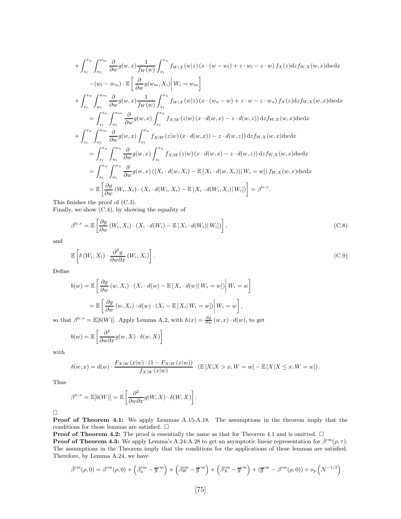$$
+\int_{x_l}^{x_u} \int_{w_l}^{w_m} \frac{\partial}{\partial w} g(w, x) \frac{1}{f_W(w)} \int_{x_l}^{x_u} f_{W|X}(w|z) (x \cdot (w - w_l) + z \cdot w_l - z \cdot w) f_X(z) dz f_{W,X}(w, x) dw dx
$$
  
\n
$$
-(w_l - w_m) \cdot \mathbb{E} \left[ \frac{\partial}{\partial w} g(w_m, X_i) \middle| W_i = w_m \right]
$$
  
\n
$$
+\int_{x_l}^{x_u} \int_{w_l}^{w_m} \frac{\partial}{\partial w} g(w, x) \frac{1}{f_W(w)} \int_{x_l}^{x_u} f_{W|X}(w|z) (x \cdot (w_u - w) + z \cdot w - z \cdot w_u) f_X(z) dz f_{W,X}(w, x) dw dx
$$
  
\n
$$
= \int_{x_l}^{x_u} \int_{w_l}^{w_m} \frac{\partial}{\partial w} g(w, x) \int_{x_l}^{x_u} f_{X|W}(z|w) (x \cdot d(w, x) - z \cdot d(w, z)) dz f_{W,X}(w, x) dw dx
$$
  
\n
$$
+ \int_{x_l}^{x_u} \int_{w_l}^{w_m} \frac{\partial}{\partial w} g(w, x) \int_{x_l}^{x_u} f_{X|W}(z|w) (x \cdot d(w, x) - z \cdot d(w, z)) dz f_{W,X}(w, x) dw dx
$$
  
\n
$$
= \int_{x_l}^{x_u} \int_{w_l}^{w_u} \frac{\partial}{\partial w} g(w, x) \int_{x_l}^{x_u} f_{X|W}(z|w) (x \cdot d(w, x) - z \cdot d(w, z)) dz f_{W,X}(w, x) dw dx
$$
  
\n
$$
= \int_{x_l}^{x_u} \int_{w_l}^{w_u} \frac{\partial}{\partial w} g(w, x) ((X_i \cdot d(w, X_i) - \mathbb{E}[X_i \cdot d(w, X_i)) | W_i = w]) f_{W,X}(w, x) dw dx
$$
  
\n
$$
= \mathbb{E} \left[ \frac{\partial g}{\partial w} (W_i, X_i) \cdot (X_i \cdot d(W_i, X_i) - \mathbb{E}[X_i \cdot d(W_i, X_i) | W_i]) \right] = \beta^{\text{lc}, \text{v}}.
$$

This finishes the proof of (C.3).

Finally, we show (C.4), by showing the equality of

$$
\beta^{\text{lc}, \text{v}} = \mathbb{E}\left[\frac{\partial g}{\partial w}(W_i, X_i) \cdot (X_i \cdot d(W_i) - \mathbb{E}\left[X_i \cdot d(W_i) | W_i]\right)\right],\tag{C.8}
$$

and

$$
\mathbb{E}\left[\delta\left(W_i, X_i\right) \cdot \frac{\partial^2 g}{\partial w \partial x}\left(W_i, X_i\right)\right].
$$
\n(C.9)

Define

$$
b(w) = \mathbb{E}\left[\frac{\partial g}{\partial w}(w, X_i) \cdot (X_i \cdot d(w) - \mathbb{E}\left[X_i \cdot d(w) | W_i = w\right]\right| W_i = w\right]
$$

$$
= \mathbb{E}\left[\frac{\partial g}{\partial w}(w, X_i) \cdot d(w) \cdot (X_i - \mathbb{E}\left[X_i | W_i = w\right])\middle| W_i = w\right],
$$

so that  $\beta^{\text{lc}, \text{v}} = \mathbb{E}[b(W)]$ . Apply Lemma A.2, with  $h(x) = \frac{\partial g}{\partial w}(w, x) \cdot d(w)$ , to get

$$
b(w) = \mathbb{E}\left[\frac{\partial^2}{\partial w \partial x}g(w, X) \cdot \delta(w, X)\right]
$$

with

$$
\delta(w,x) = d(w) \cdot \frac{F_{X|W}(x|w) \cdot (1 - F_{X|W}(x|w))}{f_{X|W}(x|w)} \cdot (\mathbb{E}[X|X > x, W = w] - \mathbb{E}[X|X \le x, W = w]).
$$

Thus

$$
\beta^{\text{lc}, \text{v}} = \mathbb{E}[b(W)] = \mathbb{E}\left[\frac{\partial^2}{\partial w \partial x}g(W, X) \cdot \delta(W, X)\right].
$$

 $\Box$ 

Proof of Theorem 4.1: We apply Lemmas A.15-A.18. The assumptions in the theorem imply that the conditions for those lemmas are satisfied.  $\square$ 

**Proof of Theorem 4.2:** The proof is essentially the same as that for Theorem 4.1 and is omitted.  $\square$ 

**Proof of Theorem 4.3:** We apply Lemma's A.24-A.28 to get an asymptotic linear representation for  $\hat{\beta}^{\text{cm}}(\rho, \tau)$ . The assumptions in the Theorem imply that the conditions for the applications of these lemmas are satisfied. Therefore, by Lemma A.24, we have

$$
\hat{\beta}^{\text{cm}}(\rho,0) = \beta^{\text{cm}}(\rho,0) + \left(\hat{\beta}_g^{\text{cm}} - \overline{g}^{\text{cm}}\right) + \left(\hat{\beta}_W^{\text{cm}} - \overline{g}^{\text{cm}}\right) + \left(\hat{\beta}_X^{\text{cm}} - \overline{g}^{\text{cm}}\right) + \left(\overline{g}^{\text{cm}} - \beta^{\text{cm}}(\rho,0)\right) + o_p\left(N^{-1/2}\right).
$$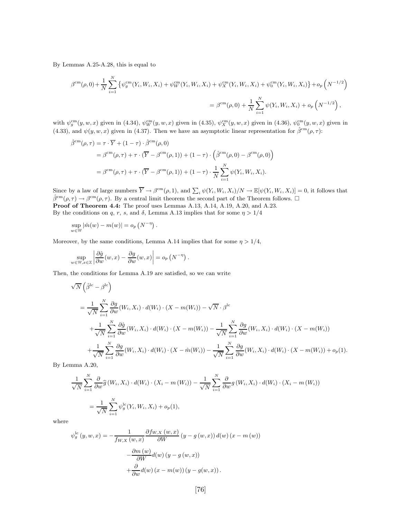By Lemmas A.25-A.28, this is equal to

$$
\beta^{\text{cm}}(\rho,0) + \frac{1}{N} \sum_{i=1}^{N} \left\{ \psi_{g}^{\text{cm}}(Y_{i}, W_{i}, X_{i}) + \psi_{W}^{\text{cm}}(Y_{i}, W_{i}, X_{i}) + \psi_{X}^{\text{cm}}(Y_{i}, W_{i}, X_{i}) + \psi_{0}^{\text{cm}}(Y_{i}, W_{i}, X_{i}) \right\} + o_{p} \left( N^{-1/2} \right)
$$

$$
= \beta^{\text{cm}}(\rho,0) + \frac{1}{N} \sum_{i=1}^{N} \psi(Y_{i}, W_{i}, X_{i}) + o_{p} \left( N^{-1/2} \right),
$$

with  $\psi_g^{\text{cm}}(y, w, x)$  given in (4.34),  $\psi_W^{\text{cm}}(y, w, x)$  given in (4.35),  $\psi_X^{\text{cm}}(y, w, x)$  given in (4.36),  $\psi_0^{\text{cm}}(y, w, x)$  given in (4.33), and  $\psi(y, w, x)$  given in (4.37). Then we have an asymptotic linear representation for  $\hat{\beta}^{\rm cm}(\rho, \tau)$ :

$$
\hat{\beta}^{\text{cm}}(\rho,\tau) = \tau \cdot \overline{Y} + (1-\tau) \cdot \hat{\beta}^{\text{cm}}(\rho,0)
$$
  
=  $\beta^{\text{cm}}(\rho,\tau) + \tau \cdot (\overline{Y} - \beta^{\text{cm}}(\rho,1)) + (1-\tau) \cdot (\hat{\beta}^{\text{cm}}(\rho,0) - \beta^{\text{cm}}(\rho,0))$   
=  $\beta^{\text{cm}}(\rho,\tau) + \tau \cdot (\overline{Y} - \beta^{\text{cm}}(\rho,1)) + (1-\tau) \cdot \frac{1}{N} \sum_{i=1}^{N} \psi(Y_i, W_i, X_i).$ 

Since by a law of large numbers  $\overline{Y} \to \beta^{cm}(\rho, 1)$ , and  $\sum_i \psi(Y_i, W_i, X_i)/N \to \mathbb{E}[\psi(Y_i, W_i, X_i)] = 0$ , it follows that  $\hat{\beta}^{\rm cm}(\rho,\tau) \to \beta^{\rm cm}(\rho,\tau)$ . By a central limit theorem the second part of the Theorem follows.  $\Box$ Proof of Theorem 4.4: The proof uses Lemmas A.13, A.14, A.19, A.20, and A.23. By the conditions on q, r, s, and  $\delta$ , Lemma A.13 implies that for some  $\eta > 1/4$ 

$$
\sup_{w \in \mathbb{W}} |\hat{m}(w) - m(w)| = o_p\left(N^{-\eta}\right).
$$

Moreover, by the same conditions, Lemma A.14 implies that for some  $\eta > 1/4$ ,

$$
\sup_{w \in \mathbb{W}, x \in \mathbb{X}} \left| \frac{\partial \hat{g}}{\partial w}(w, x) - \frac{\partial g}{\partial w}(w, x) \right| = o_p\left(N^{-\eta}\right).
$$

Then, the conditions for Lemma A.19 are satisfied, so we can write

$$
\sqrt{N}\left(\hat{\beta}^{lc} - \beta^{lc}\right)
$$
\n
$$
= \frac{1}{\sqrt{N}} \sum_{i=1}^{N} \frac{\partial g}{\partial w}(W_i, X_i) \cdot d(W_i) \cdot (X - m(W_i)) - \sqrt{N} \cdot \beta^{lc}
$$
\n
$$
+ \frac{1}{\sqrt{N}} \sum_{i=1}^{N} \frac{\partial \hat{g}}{\partial w}(W_i, X_i) \cdot d(W_i) \cdot (X - m(W_i)) - \frac{1}{\sqrt{N}} \sum_{i=1}^{N} \frac{\partial g}{\partial w}(W_i, X_i) \cdot d(W_i) \cdot (X - m(W_i))
$$
\n
$$
+ \frac{1}{\sqrt{N}} \sum_{i=1}^{N} \frac{\partial g}{\partial w}(W_i, X_i) \cdot d(W_i) \cdot (X - \hat{m}(W_i)) - \frac{1}{\sqrt{N}} \sum_{i=1}^{N} \frac{\partial g}{\partial w}(W_i, X_i) \cdot d(W_i) \cdot (X - m(W_i)) + o_p(1).
$$

By Lemma A.20,

$$
\frac{1}{\sqrt{N}} \sum_{i=1}^{N} \frac{\partial}{\partial w} \widehat{g}(W_i, X_i) \cdot d(W_i) \cdot (X_i - m(W_i)) - \frac{1}{\sqrt{N}} \sum_{i=1}^{N} \frac{\partial}{\partial w} g(W_i, X_i) \cdot d(W_i) \cdot (X_i - m(W_i))
$$
\n
$$
= \frac{1}{\sqrt{N}} \sum_{i=1}^{N} \psi_g^{\text{lc}}(Y_i, W_i, X_i) + o_p(1),
$$

where

$$
\psi_g^{\text{lc}}(y, w, x) = -\frac{1}{f_{W,X}(w, x)} \frac{\partial f_{W,X}(w, x)}{\partial W}(y - g(w, x)) d(w) (x - m(w))
$$

$$
-\frac{\partial m(w)}{\partial W} d(w) (y - g(w, x))
$$

$$
+\frac{\partial}{\partial w} d(w) (x - m(w)) (y - g(w, x)).
$$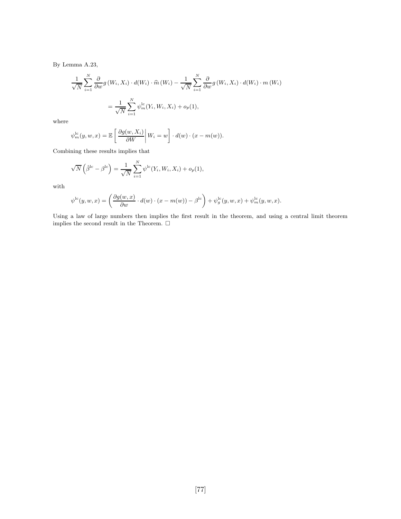By Lemma A.23,

$$
\frac{1}{\sqrt{N}} \sum_{i=1}^{N} \frac{\partial}{\partial w} g(W_i, X_i) \cdot d(W_i) \cdot \hat{m}(W_i) - \frac{1}{\sqrt{N}} \sum_{i=1}^{N} \frac{\partial}{\partial w} g(W_i, X_i) \cdot d(W_i) \cdot m(W_i)
$$

$$
= \frac{1}{\sqrt{N}} \sum_{i=1}^{N} \psi_m^{\text{lc}}(Y_i, W_i, X_i) + o_p(1),
$$

where

$$
\psi_m^{\text{lc}}(y, w, x) = \mathbb{E}\left[\left.\frac{\partial g(w, X_i)}{\partial W}\right| W_i = w\right] \cdot d(w) \cdot (x - m(w)).
$$

Combining these results implies that

$$
\sqrt{N}\left(\hat{\beta}^{\text{lc}} - \beta^{\text{lc}}\right) = \frac{1}{\sqrt{N}} \sum_{i=1}^{N} \psi^{\text{lc}}(Y_i, W_i, X_i) + o_p(1),
$$

with

$$
\psi^{\rm lc}(y,w,x)=\left(\frac{\partial g(w,x)}{\partial w}\cdot d(w)\cdot (x-m(w))-\beta^{\rm lc}\right)+\psi^{\rm lc}_g(y,w,x)+\psi^{\rm lc}_m(y,w,x).
$$

Using a law of large numbers then implies the first result in the theorem, and using a central limit theorem implies the second result in the Theorem.  $\Box$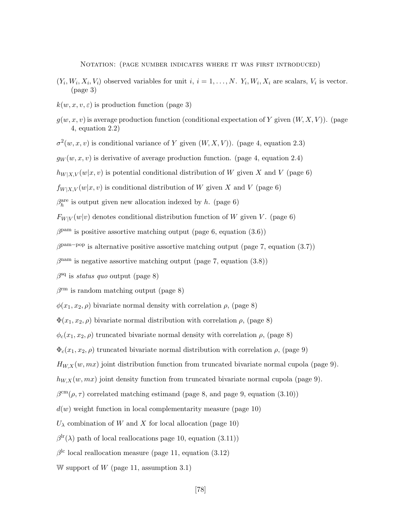Notation: (page number indicates where it was first introduced)

- $(Y_i, W_i, X_i, V_i)$  observed variables for unit  $i, i = 1, ..., N$ .  $Y_i, W_i, X_i$  are scalars,  $V_i$  is vector. (page 3)
- $k(w, x, v, \varepsilon)$  is production function (page 3)
- $g(w, x, v)$  is average production function (conditional expectation of Y given  $(W, X, V)$ ). (page 4, equation 2.2)
- $\sigma^2(w, x, v)$  is conditional variance of Y given  $(W, X, V)$ ). (page 4, equation 2.3)
- $g_W(w, x, v)$  is derivative of average production function. (page 4, equation 2.4)
- $h_{W|X,V}(w|x, v)$  is potential conditional distribution of W given X and V (page 6)
- $f_{W|X,V}(w|x, v)$  is conditional distribution of W given X and V (page 6)
- $\beta_h^{\text{are}}$  is output given new allocation indexed by h. (page 6)
- $F_{W|V}(w|v)$  denotes conditional distribution function of W given V. (page 6)
- $\beta^{\text{pam}}$  is positive assortive matching output (page 6, equation (3.6))
- $\beta^{\text{pam-pop}}$  is alternative positive assortive matching output (page 7, equation (3.7))
- $\beta^{\text{nam}}$  is negative assortive matching output (page 7, equation (3.8))
- $\beta^{\text{sq}}$  is *status quo* output (page 8)
- $\beta^{\text{rm}}$  is random matching output (page 8)
- $\phi(x_1, x_2, \rho)$  bivariate normal density with correlation  $\rho$ , (page 8)
- $\Phi(x_1, x_2, \rho)$  bivariate normal distribution with correlation  $\rho$ , (page 8)
- $\phi_c(x_1, x_2, \rho)$  truncated bivariate normal density with correlation  $\rho$ , (page 8)
- $\Phi_c(x_1, x_2, \rho)$  truncated bivariate normal distribution with correlation  $\rho$ , (page 9)
- $H_{WX}(w, mx)$  joint distribution function from truncated bivariate normal cupola (page 9).
- $h_{W,X}(w, mx)$  joint density function from truncated bivariate normal cupola (page 9).
- $\beta^{\rm cm}(\rho, \tau)$  correlated matching estimand (page 8, and page 9, equation (3.10))
- $d(w)$  weight function in local complementarity measure (page 10)
- $U_{\lambda}$  combination of W and X for local allocation (page 10)
- $\beta^{\text{lr}}(\lambda)$  path of local reallocations page 10, equation (3.11))
- $\beta^{\text{lc}}$  local reallocation measure (page 11, equation (3.12)
- W support of W (page 11, assumption 3.1)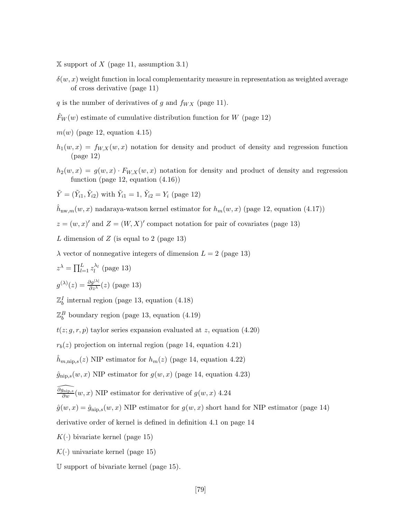$X$  support of X (page 11, assumption 3.1)

- $\delta(w, x)$  weight function in local complementarity measure in representation as weighted average of cross derivative (page 11)
- q is the number of derivatives of g and  $f_{WX}$  (page 11).
- $F_W(w)$  estimate of cumulative distribution function for W (page 12)
- $m(w)$  (page 12, equation 4.15)
- $h_1(w, x) = f_{W, X}(w, x)$  notation for density and product of density and regression function (page 12)
- $h_2(w, x) = g(w, x) \cdot F_{W, X}(w, x)$  notation for density and product of density and regression function (page 12, equation (4.16))

$$
\tilde{Y} = (\tilde{Y}_{i1}, \tilde{Y}_{i2})
$$
 with  $\tilde{Y}_{i1} = 1$ ,  $\tilde{Y}_{i2} = Y_i$  (page 12)

 $h_{\text{nw},m}(w, x)$  nadaraya-watson kernel estimator for  $h_m(w, x)$  (page 12, equation (4.17))

 $z = (w, x)'$  and  $Z = (W, X)'$  compact notation for pair of covariates (page 13)

L dimension of  $Z$  (is equal to 2 (page 13)

 $\lambda$  vector of nonnegative integers of dimension  $L = 2$  (page 13)

$$
z^{\lambda} = \prod_{l=1}^{L} z_l^{\lambda_l}
$$
 (page 13)

$$
g^{(\lambda)}(z) = \frac{\partial g^{|\lambda|}}{\partial z^{\lambda}}(z) \text{ (page 13)}
$$

 $\mathbb{Z}_b^I$  internal region (page 13, equation (4.18)

 $\mathbb{Z}_{b}^{B}$  boundary region (page 13, equation (4.19)

 $t(z; g, r, p)$  taylor series expansion evaluated at z, equation (4.20)

 $r_b(z)$  projection on internal region (page 14, equation 4.21)

 $\hat{h}_{m,\text{nip},s}(z)$  NIP estimator for  $h_m(z)$  (page 14, equation 4.22)

 $\hat{g}_{\text{nip},s}(w, x)$  NIP estimator for  $g(w, x)$  (page 14, equation 4.23)

 $\widehat{\partial g_{\text{nip},s}}$  $\frac{\partial n \text{ in } p, s}{\partial w}(w, x)$  NIP estimator for derivative of  $g(w, x)$  4.24

 $\hat{g}(w, x) = \hat{g}_{\text{nip},s}(w, x)$  NIP estimator for  $g(w, x)$  short hand for NIP estimator (page 14)

derivative order of kernel is defined in definition 4.1 on page 14

- $K(\cdot)$  bivariate kernel (page 15)
- $\mathcal{K}(\cdot)$  univariate kernel (page 15)
- U support of bivariate kernel (page 15).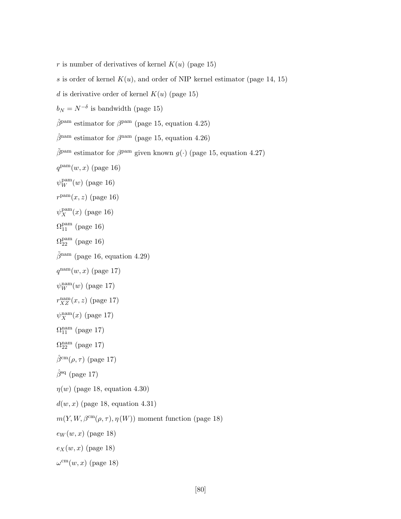- r is number of derivatives of kernel  $K(u)$  (page 15)
- s is order of kernel  $K(u)$ , and order of NIP kernel estimator (page 14, 15)
- d is derivative order of kernel  $K(u)$  (page 15)

 $b_N = N^{-\delta}$  is bandwidth (page 15)

 $\hat{\beta}^{\text{pam}}$  estimator for  $\beta^{\text{pam}}$  (page 15, equation 4.25)

 $\hat{\beta}^{\text{nam}}$  estimator for  $\beta^{\text{nam}}$  (page 15, equation 4.26)

- $\tilde{\beta}^{\text{pam}}$  estimator for  $\beta^{\text{pam}}$  given known  $g(\cdot)$  (page 15, equation 4.27)
- $q^{\text{pam}}(w, x)$  (page 16)
- $\psi_W^{\text{pam}}(w)$  (page 16)
- $r^{\text{pam}}(x, z)$  (page 16)
- $\psi_X^{\text{pam}}$  $_X^{\text{pam}}(x)$  (page 16)
- $\Omega_{11}^{\rm pam}$  (page 16)
- $\Omega_{22}^{\rm pam}$  (page 16)
- $\tilde{\beta}^{\text{nam}}$  (page 16, equation 4.29)
- $q^{\text{nam}}(w, x)$  (page 17)
- $\psi_W^{\text{nam}}(w)$  (page 17)
- $r_{XZ}^{\text{nam}}(x,z)$  (page 17)
- $\psi_X^{\text{nam}}(x)$  (page 17)
- $\Omega_{11}^{\text{nam}}$  (page 17)
- $\Omega_{22}^{\mathrm{nam}}$  (page 17)

```
\hat{\beta}^{\rm cm}(\rho, \tau) (page 17)
```
- $\hat{\beta}^{sq}$  (page 17)
- $\eta(w)$  (page 18, equation 4.30)
- $d(w, x)$  (page 18, equation 4.31)
- $m(Y, W, \beta^{\text{cm}}(\rho, \tau), \eta(W))$  moment function (page 18)
- $e_W(w, x)$  (page 18)
- $e_X(w, x)$  (page 18)
- $\omega^{\text{cm}}(w, x)$  (page 18)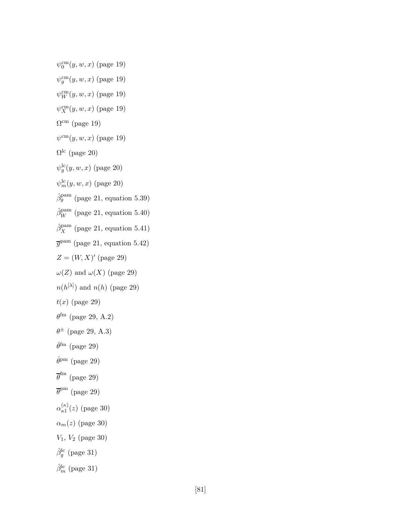$\psi_0^{\rm cm}(y,w,x)$  (page 19)

- $\psi_g^{\rm cm}(y, w, x)$  (page 19)
- $\psi_W^{\rm cm}(y,w,x)$  (page 19)
- $\psi_X^{\rm cm}(y,w,x)$  (page 19)
- $\Omega^{\text{cm}}$  (page 19)
- $\psi^{\rm cm}(y, w, x)$  (page 19)
- $\Omega^{\rm lc}$  (page 20)
- $\psi_g^{\rm lc}(y,w,x)$  (page 20)
- $\psi_m^{\rm lc}(y, w, x)$  (page 20)
- $\hat{\beta}_g^{\text{pam}}$  (page 21, equation 5.39)
- $\hat{\beta}_W^{\text{pam}}$  (page 21, equation 5.40)
- $\hat{\beta}_X^{\text{pam}}$  (page 21, equation 5.41)
- $\overline{g}^{\text{pam}}$  (page 21, equation 5.42)
- $Z = (W, X)'$  (page 29)
- $\omega(Z)$  and  $\omega(X)$  (page 29)
- $n(h^{[\lambda]})$  and  $n(h)$  (page 29)
- $t(x)$  (page 29)
- $\theta^{\rm fm}$  (page 29, A.2)
- $\theta^{\pm}$  (page 29, A.3)
- $\hat{\theta}^{\text{fm}}$  (page 29)
- $\hat{\theta}^{\mathrm{pm}}$  (page 29)
- $\overline{\theta}^{\text{fm}}$  (page 29)
- $\overline{\theta}^{\text{pm}}$  (page 29)
- $\alpha_{\kappa1}^{(\kappa)}$  $\binom{K}{\kappa 1}(z)$  (page 30)
- $\alpha_m(z)$  (page 30)
- $V_1, V_2$  (page 30)
- $\hat{\beta}_g^{\rm lc}$  (page 31)
- $\hat{\beta}_m^{\text{lc}}$  (page 31)